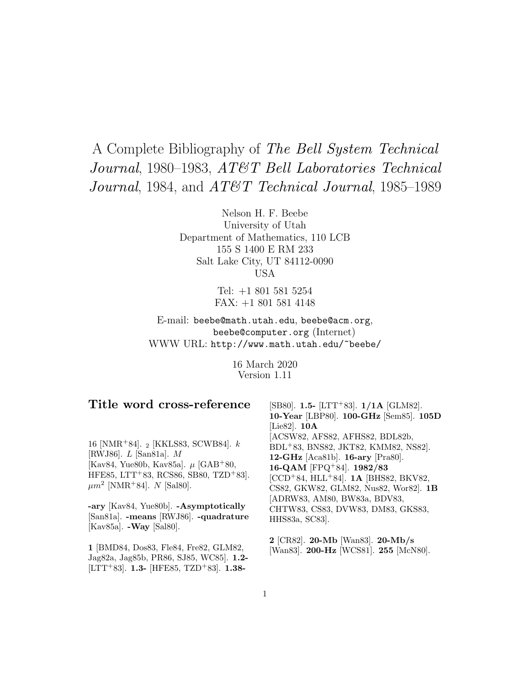# A Complete Bibliography of The Bell System Technical Journal, 1980–1983, AT&T Bell Laboratories Technical Journal, 1984, and AT&T Technical Journal, 1985–1989

Nelson H. F. Beebe University of Utah Department of Mathematics, 110 LCB 155 S 1400 E RM 233 Salt Lake City, UT 84112-0090 USA

> Tel: +1 801 581 5254 FAX: +1 801 581 4148

E-mail: beebe@math.utah.edu, beebe@acm.org, beebe@computer.org (Internet) WWW URL: http://www.math.utah.edu/~beebe/

> 16 March 2020 Version 1.11

# **Title word cross-reference**

16 [NMR<sup>+</sup>84]. <sup>2</sup> [KKLS83, SCWB84]. k [RWJ86]. L [San81a]. M [Kav84, Yue80b, Kav85a].  $\mu$  [GAB+80, HFE85, LTT<sup>+</sup>83, RCS86, SB80, TZD<sup>+</sup>83].  $\mu m^2$  [NMR+84]. N [Sal80].

**-ary** [Kav84, Yue80b]. **-Asymptotically** [San81a]. **-means** [RWJ86]. **-quadrature** [Kav85a]. **-Way** [Sal80].

**1** [BMD84, Dos83, Fle84, Fre82, GLM82, Jag82a, Jag85b, PR86, SJ85, WC85]. **1.2-** [LTT<sup>+</sup>83]. **1.3-** [HFE85, TZD<sup>+</sup>83]. **1.38-**

[SB80]. **1.5-** [LTT<sup>+</sup>83]. **1/1A** [GLM82]. **10-Year** [LBP80]. **100-GHz** [Sem85]. **105D** [Lie82]. **10A** [ACSW82, AFS82, AFHS82, BDL82b, BDL<sup>+</sup>83, BNS82, JKT82, KMM82, NS82]. **12-GHz** [Aca81b]. **16-ary** [Pra80]. **16-QAM** [FPQ<sup>+</sup>84]. **1982/83** [CCD<sup>+</sup>84, HLL<sup>+</sup>84]. **1A** [BHS82, BKV82, CS82, GKW82, GLM82, Nus82, Wor82]. **1B** [ADRW83, AM80, BW83a, BDV83, CHTW83, CS83, DVW83, DM83, GKS83, HHS83a, SC83].

**2** [CR82]. **20-Mb** [Wan83]. **20-Mb/s** [Wan83]. **200-Hz** [WCS81]. **255** [McN80].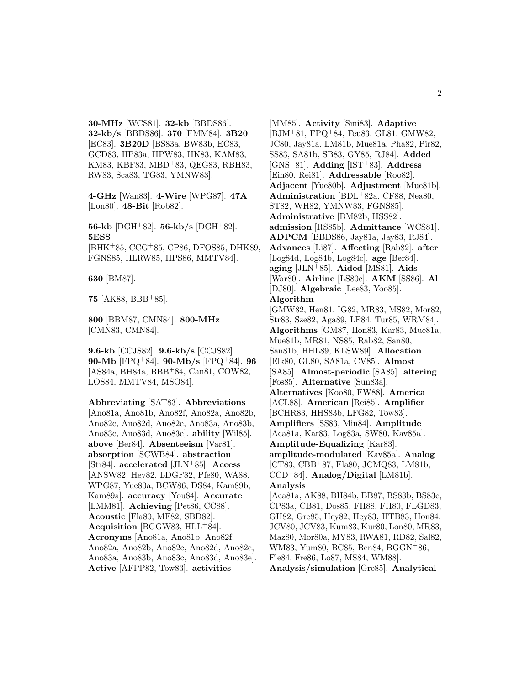**30-MHz** [WCS81]. **32-kb** [BBDS86]. **32-kb/s** [BBDS86]. **370** [FMM84]. **3B20** [EC83]. **3B20D** [BS83a, BW83b, EC83, GCD83, HP83a, HPW83, HK83, KAM83, KM83, KBF83, MBD<sup>+</sup>83, QEG83, RBH83, RW83, Sca83, TG83, YMNW83].

**4-GHz** [Wan83]. **4-Wire** [WPG87]. **47A** [Lon80]. **48-Bit** [Rob82].

**56-kb** [DGH<sup>+</sup>82]. **56-kb/s** [DGH<sup>+</sup>82]. **5ESS** [BHK<sup>+</sup>85, CCG<sup>+</sup>85, CP86, DFOS85, DHK89, FGNS85, HLRW85, HPS86, MMTV84].

**630** [BM87].

**75** [AK88, BBB<sup>+</sup>85].

**800** [BBM87, CMN84]. **800-MHz** [CMN83, CMN84].

**9.6-kb** [CCJS82]. **9.6-kb/s** [CCJS82]. **90-Mb** [FPQ<sup>+</sup>84]. **90-Mb/s** [FPQ<sup>+</sup>84]. **96** [AS84a, BH84a, BBB<sup>+</sup>84, Can81, COW82, LOS84, MMTV84, MSO84].

**Abbreviating** [SAT83]. **Abbreviations** [Ano81a, Ano81b, Ano82f, Ano82a, Ano82b, Ano82c, Ano82d, Ano82e, Ano83a, Ano83b, Ano83c, Ano83d, Ano83e]. **ability** [Wil85]. **above** [Ber84]. **Absenteeism** [Var81]. **absorption** [SCWB84]. **abstraction** [Str84]. **accelerated** [JLN<sup>+</sup>85]. **Access** [ANSW82, Hey82, LDGF82, Pfe80, WA88, WPG87, Yue80a, BCW86, DS84, Kam89b, Kam89a]. **accuracy** [You84]. **Accurate** [LMM81]. **Achieving** [Pet86, CC88]. **Acoustic** [Fla80, MF82, SBD82]. **Acquisition** [BGGW83, HLL<sup>+</sup>84]. **Acronyms** [Ano81a, Ano81b, Ano82f, Ano82a, Ano82b, Ano82c, Ano82d, Ano82e, Ano83a, Ano83b, Ano83c, Ano83d, Ano83e]. **Active** [AFPP82, Tow83]. **activities**

[MM85]. **Activity** [Smi83]. **Adaptive** [BJM<sup>+</sup>81, FPQ<sup>+</sup>84, Feu83, GL81, GMW82, JC80, Jay81a, LM81b, Mue81a, Pha82, Pir82, SS83, SA81b, SB83, GY85, RJ84]. **Added** [GNS<sup>+</sup>81]. **Adding** [IST<sup>+</sup>83]. **Address** [Ein80, Rei81]. **Addressable** [Roo82]. **Adjacent** [Yue80b]. **Adjustment** [Mue81b]. **Administration** [BDL<sup>+</sup>82a, CF88, Nea80, ST82, WH82, YMNW83, FGNS85]. **Administrative** [BM82b, HSS82]. **admission** [RS85b]. **Admittance** [WCS81]. **ADPCM** [BBDS86, Jay81a, Jay83, RJ84]. **Advances** [Li87]. **Affecting** [Rab82]. **after** [Log84d, Log84b, Log84c]. **age** [Ber84]. **aging** [JLN<sup>+</sup>85]. **Aided** [MS81]. **Aids** [War80]. **Airline** [LS80c]. **AKM** [SS86]. **Al** [DJ80]. **Algebraic** [Lee83, Yoo85]. **Algorithm** [GMW82, Hen81, IG82, MR83, MS82, Mor82, Str83, Sze82, Aga89, LF84, Tur85, WRM84]. **Algorithms** [GM87, Hon83, Kar83, Mue81a, Mue81b, MR81, NS85, Rab82, San80, San81b, HHL89, KLSW89]. **Allocation** [Elk80, GL80, SA81a, CV85]. **Almost** [SA85]. **Almost-periodic** [SA85]. **altering** [Fos85]. **Alternative** [Sun83a]. **Alternatives** [Koo80, FW88]. **America** [ACL88]. **American** [Rei85]. **Amplifier** [BCHR83, HHS83b, LFG82, Tow83]. **Amplifiers** [SS83, Min84]. **Amplitude** [Aca81a, Kar83, Log83a, SW80, Kav85a]. **Amplitude-Equalizing** [Kar83]. **amplitude-modulated** [Kav85a]. **Analog** [CT83, CBB<sup>+</sup>87, Fla80, JCMQ83, LM81b, CCD<sup>+</sup>84]. **Analog/Digital** [LM81b]. **Analysis** [Aca81a, AK88, BH84b, BB87, BS83b, BS83c, CP83a, CB81, Dos85, FH88, FH80, FLGD83, GH82, Gre85, Hey82, Hey83, HTB83, Hon84, JCV80, JCV83, Kum83, Kur80, Lon80, MR83, Maz80, Mor80a, MY83, RWA81, RD82, Sal82, WM83, Yum80, BC85, Ben84, BGGN<sup>+</sup>86, Fle84, Fre86, Lo87, MS84, WM88].

**Analysis/simulation** [Gre85]. **Analytical**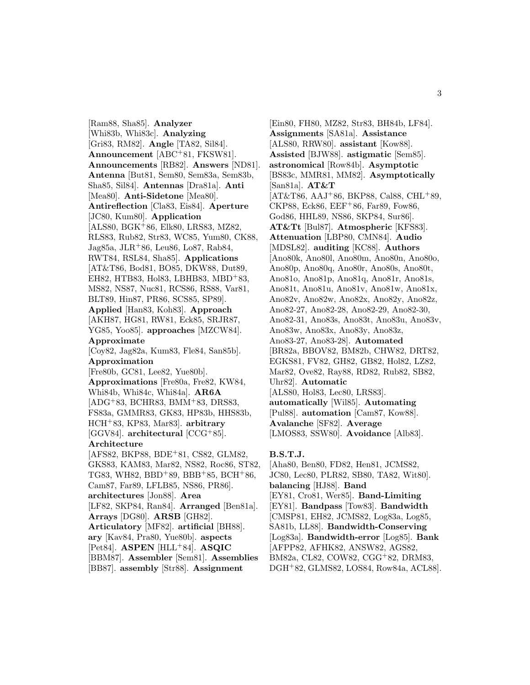[Ram88, Sha85]. **Analyzer** [Whi83b, Whi83c]. **Analyzing** [Gri83, RM82]. **Angle** [TA82, Sil84]. **Announcement** [ABC<sup>+</sup>81, FKSW81]. **Announcements** [RB82]. **Answers** [ND81]. **Antenna** [But81, Sem80, Sem83a, Sem83b, Sha85, Sil84]. **Antennas** [Dra81a]. **Anti** [Mea80]. **Anti-Sidetone** [Mea80]. **Antireflection** [Cla83, Eis84]. **Aperture** [JC80, Kum80]. **Application** [ALS80, BGK<sup>+</sup>86, Elk80, LRS83, MZ82, RLS83, Rub82, Str83, WC85, Yum80, CK88, Jag85a, JLR<sup>+</sup>86, Leu86, Lo87, Rab84, RWT84, RSL84, Sha85]. **Applications** [AT&T86, Bod81, BO85, DKW88, Dut89, EH82, HTB83, Hol83, LBHB83, MBD<sup>+</sup>83, MS82, NS87, Nuc81, RCS86, RS88, Var81, BLT89, Hin87, PR86, SCS85, SP89]. **Applied** [Han83, Koh83]. **Approach** [AKH87, HG81, RW81, Eck85, SRJR87, YG85, Yoo85]. **approaches** [MZCW84]. **Approximate** [Coy82, Jag82a, Kum83, Fle84, San85b]. **Approximation** [Fre80b, GC81, Lee82, Yue80b]. **Approximations** [Fre80a, Fre82, KW84, Whi84b, Whi84c, Whi84a]. **AR6A** [ADG<sup>+</sup>83, BCHR83, BMM<sup>+</sup>83, DRS83, FS83a, GMMR83, GK83, HP83b, HHS83b, HCH<sup>+</sup>83, KP83, Mar83]. **arbitrary** [GGV84]. **architectural** [CCG<sup>+</sup>85]. **Architecture** [AFS82, BKP88, BDE<sup>+</sup>81, CS82, GLM82, GKS83, KAM83, Mar82, NS82, Roc86, ST82, TG83, WH82, BBD<sup>+</sup>89, BBB<sup>+</sup>85, BCH<sup>+</sup>86, Cam87, Far89, LFLB85, NS86, PR86]. **architectures** [Jon88]. **Area** [LF82, SKP84, Ran84]. **Arranged** [Ben81a]. **Arrays** [DG80]. **ARSB** [GH82]. **Articulatory** [MF82]. **artificial** [BH88]. **ary** [Kav84, Pra80, Yue80b]. **aspects** [Pet84]. **ASPEN** [HLL<sup>+</sup>84]. **ASQIC** [BBM87]. **Assembler** [Sem81]. **Assemblies** [BB87]. **assembly** [Str88]. **Assignment**

[Ein80, FH80, MZ82, Str83, BH84b, LF84]. **Assignments** [SA81a]. **Assistance** [ALS80, RRW80]. **assistant** [Kow88]. **Assisted** [BJW88]. **astigmatic** [Sem85]. **astronomical** [Row84b]. **Asymptotic** [BS83c, MMR81, MM82]. **Asymptotically** [San81a]. **AT&T**  $[AT&T86, AAJ+86, BKP88, Cal88, CHL+89,$ CKP88, Eck86, EEF<sup>+</sup>86, Far89, Fow86, God86, HHL89, NS86, SKP84, Sur86]. **AT&Tt** [Bul87]. **Atmospheric** [KFS83]. **Attenuation** [LBP80, CMN84]. **Audio** [MDSL82]. **auditing** [KC88]. **Authors** [Ano80k, Ano80l, Ano80m, Ano80n, Ano80o, Ano80p, Ano80q, Ano80r, Ano80s, Ano80t, Ano81o, Ano81p, Ano81q, Ano81r, Ano81s, Ano81t, Ano81u, Ano81v, Ano81w, Ano81x, Ano82v, Ano82w, Ano82x, Ano82y, Ano82z, Ano82-27, Ano82-28, Ano82-29, Ano82-30, Ano82-31, Ano83s, Ano83t, Ano83u, Ano83v, Ano83w, Ano83x, Ano83y, Ano83z, Ano83-27, Ano83-28]. **Automated** [BR82a, BBOV82, BM82b, CHW82, DRT82, EGKS81, FV82, GH82, GB82, Hol82, LZ82, Mar82, Ove82, Ray88, RD82, Rub82, SB82, Uhr82]. **Automatic** [ALS80, Hol83, Lec80, LRS83]. **automatically** [Wil85]. **Automating** [Pul88]. **automation** [Cam87, Kow88]. **Avalanche** [SF82]. **Average** [LMOS83, SSW80]. **Avoidance** [Alb83].

#### **B.S.T.J.**

[Aha80, Ben80, FD82, Hen81, JCMS82, JC80, Lec80, PLR82, SB80, TA82, Wit80]. **balancing** [HJ88]. **Band** [EY81, Cro81, Wer85]. **Band-Limiting** [EY81]. **Bandpass** [Tow83]. **Bandwidth** [CMSP81, EH82, JCMS82, Log83a, Log85, SA81b, LL88]. **Bandwidth-Conserving** [Log83a]. **Bandwidth-error** [Log85]. **Bank** [AFPP82, AFHK82, ANSW82, AGS82, BM82a, CL82, COW82, CGG<sup>+</sup>82, DRM83, DGH<sup>+</sup>82, GLMS82, LOS84, Row84a, ACL88].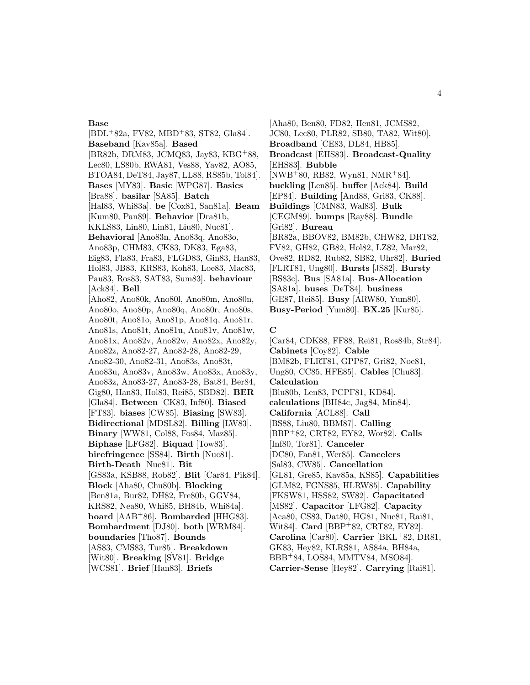#### **Base**

[BDL<sup>+</sup>82a, FV82, MBD<sup>+</sup>83, ST82, Gla84]. **Baseband** [Kav85a]. **Based** [BR82b, DRM83, JCMQ83, Jay83, KBG<sup>+</sup>88, Lec80, LS80b, RWA81, Ves88, Yav82, AO85, BTOA84, DeT84, Jay87, LL88, RS85b, Tol84]. **Bases** [MY83]. **Basic** [WPG87]. **Basics** [Bra88]. **basilar** [SA85]. **Batch** [Hal83, Whi83a]. **be** [Cox81, San81a]. **Beam** [Kum80, Pan89]. **Behavior** [Dra81b, KKLS83, Lin80, Lin81, Liu80, Nuc81]. **Behavioral** [Ano83n, Ano83q, Ano83o, Ano83p, CHM83, CK83, DK83, Ega83, Eig83, Fla83, Fra83, FLGD83, Gin83, Han83, Hol83, JB83, KRS83, Koh83, Loe83, Mac83, Pau83, Ros83, SAT83, Sum83]. **behaviour** [Ack84]. **Bell** [Aho82, Ano80k, Ano80l, Ano80m, Ano80n, Ano80o, Ano80p, Ano80q, Ano80r, Ano80s, Ano80t, Ano81o, Ano81p, Ano81q, Ano81r, Ano81s, Ano81t, Ano81u, Ano81v, Ano81w, Ano81x, Ano82v, Ano82w, Ano82x, Ano82y, Ano82z, Ano82-27, Ano82-28, Ano82-29, Ano82-30, Ano82-31, Ano83s, Ano83t, Ano83u, Ano83v, Ano83w, Ano83x, Ano83y, Ano83z, Ano83-27, Ano83-28, Bat84, Ber84, Gig80, Han83, Hol83, Rei85, SBD82]. **BER** [Gla84]. **Between** [CK83, Inf80]. **Biased** [FT83]. **biases** [CW85]. **Biasing** [SW83]. **Bidirectional** [MDSL82]. **Billing** [LW83]. **Binary** [WW81, Col88, Fos84, Maz85]. **Biphase** [LFG82]. **Biquad** [Tow83]. **birefringence** [SS84]. **Birth** [Nuc81]. **Birth-Death** [Nuc81]. **Bit** [GS83a, KSB88, Rob82]. **Blit** [Car84, Pik84]. **Block** [Aha80, Chu80b]. **Blocking** [Ben81a, Bur82, DH82, Fre80b, GGV84, KRS82, Nea80, Whi85, BH84b, Whi84a]. **board** [AAB<sup>+</sup>86]. **Bombarded** [HHG83]. **Bombardment** [DJ80]. **both** [WRM84]. **boundaries** [Tho87]. **Bounds** [AS83, CMS83, Tur85]. **Breakdown** [Wit80]. **Breaking** [SV81]. **Bridge** [WCS81]. **Brief** [Han83]. **Briefs**

[Aha80, Ben80, FD82, Hen81, JCMS82, JC80, Lec80, PLR82, SB80, TA82, Wit80]. **Broadband** [CE83, DL84, HB85]. **Broadcast** [EHS83]. **Broadcast-Quality** [EHS83]. **Bubble** [NWB<sup>+</sup>80, RB82, Wyn81, NMR<sup>+</sup>84]. **buckling** [Len85]. **buffer** [Ack84]. **Build** [EP84]. **Building** [And88, Gri83, CK88]. **Buildings** [CMN83, Wal83]. **Bulk** [CEGM89]. **bumps** [Ray88]. **Bundle** [Gri82]. **Bureau** [BR82a, BBOV82, BM82b, CHW82, DRT82, FV82, GH82, GB82, Hol82, LZ82, Mar82, Ove82, RD82, Rub82, SB82, Uhr82]. **Buried** [FLRT81, Ung80]. **Bursts** [JS82]. **Bursty** [BS83c]. **Bus** [SA81a]. **Bus-Allocation** [SA81a]. **buses** [DeT84]. **business** [GE87, Rei85]. **Busy** [ARW80, Yum80]. **Busy-Period** [Yum80]. **BX.25** [Kur85].

#### **C**

[Car84, CDK88, FF88, Rei81, Ros84b, Str84]. **Cabinets** [Coy82]. **Cable** [BM82b, FLRT81, GPP87, Gri82, Noe81, Ung80, CC85, HFE85]. **Cables** [Chu83]. **Calculation** [Blu80b, Len83, PCPF81, KD84]. **calculations** [BH84c, Jag84, Min84]. **California** [ACL88]. **Call** [BS88, Liu80, BBM87]. **Calling** [BBP<sup>+</sup>82, CRT82, EY82, Wor82]. **Calls** [Inf80, Tor81]. **Canceler** [DC80, Fan81, Wer85]. **Cancelers** [Sal83, CW85]. **Cancellation** [GL81, Gre85, Kav85a, KS85]. **Capabilities** [GLM82, FGNS85, HLRW85]. **Capability** [FKSW81, HSS82, SW82]. **Capacitated** [MS82]. **Capacitor** [LFG82]. **Capacity** [Aca80, CS83, Dat80, HG81, Nuc81, Rai81, Wit84]. **Card** [BBP<sup>+</sup>82, CRT82, EY82]. **Carolina** [Car80]. **Carrier** [BKL<sup>+</sup>82, DR81, GK83, Hey82, KLRS81, AS84a, BH84a, BBB<sup>+</sup>84, LOS84, MMTV84, MSO84]. **Carrier-Sense** [Hey82]. **Carrying** [Rai81].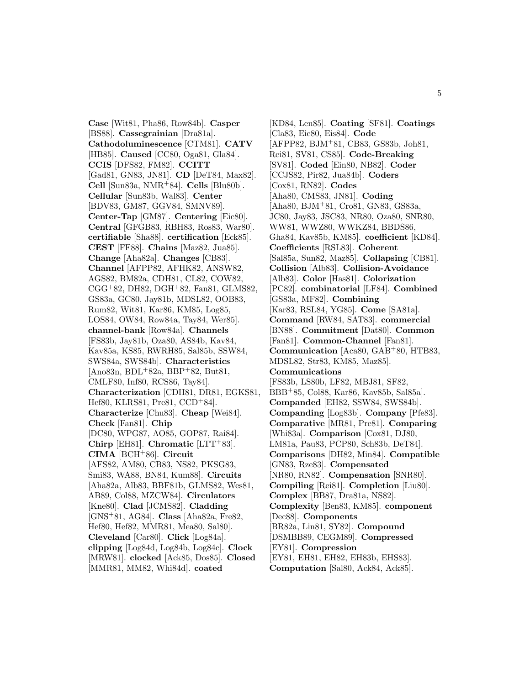**Case** [Wit81, Pha86, Row84b]. **Casper** [BS88]. **Cassegrainian** [Dra81a]. **Cathodoluminescence** [CTM81]. **CATV** [HB85]. **Caused** [CC80, Oga81, Gla84]. **CCIS** [DFS82, FM82]. **CCITT** [Gad81, GN83, JN81]. **CD** [DeT84, Max82]. **Cell** [Sun83a, NMR<sup>+</sup>84]. **Cells** [Blu80b]. **Cellular** [Sun83b, Wal83]. **Center** [BDV83, GM87, GGV84, SMNV89]. **Center-Tap** [GM87]. **Centering** [Eic80]. **Central** [GFGB83, RBH83, Ros83, War80]. **certifiable** [Sha88]. **certification** [Eck85]. **CEST** [FF88]. **Chains** [Maz82, Jua85]. **Change** [Aha82a]. **Changes** [CB83]. **Channel** [AFPP82, AFHK82, ANSW82, AGS82, BM82a, CDH81, CL82, COW82, CGG<sup>+</sup>82, DH82, DGH<sup>+</sup>82, Fan81, GLMS82, GS83a, GC80, Jay81b, MDSL82, OOB83, Rum82, Wit81, Kar86, KM85, Log85, LOS84, OW84, Row84a, Tay84, Wer85]. **channel-bank** [Row84a]. **Channels** [FS83b, Jay81b, Oza80, AS84b, Kav84, Kav85a, KS85, RWRH85, Sal85b, SSW84, SWS84a, SWS84b]. **Characteristics**  $[Ano83n, BDL+82a, BBP+82, But81,$ CMLF80, Inf80, RCS86, Tay84]. **Characterization** [CDH81, DR81, EGKS81, Hef80, KLRS81, Pre81, CCD<sup>+</sup>84]. **Characterize** [Chu83]. **Cheap** [Wei84]. **Check** [Fan81]. **Chip** [DC80, WPG87, AO85, GOP87, Rai84]. **Chirp** [EH81]. **Chromatic** [LTT<sup>+</sup>83]. **CIMA** [BCH<sup>+</sup>86]. **Circuit** [AFS82, AM80, CB83, NS82, PKSG83, Smi83, WA88, BN84, Kum88]. **Circuits** [Aha82a, Alb83, BBF81b, GLMS82, Wes81, AB89, Col88, MZCW84]. **Circulators** [Kne80]. **Clad** [JCMS82]. **Cladding** [GNS<sup>+</sup>81, AG84]. **Class** [Aha82a, Fre82, Hef80, Hef82, MMR81, Mea80, Sal80]. **Cleveland** [Car80]. **Click** [Log84a]. **clipping** [Log84d, Log84b, Log84c]. **Clock** [MRW81]. **clocked** [Ack85, Dos85]. **Closed** [MMR81, MM82, Whi84d]. **coated**

[KD84, Len85]. **Coating** [SF81]. **Coatings** [Cla83, Eic80, Eis84]. **Code** [AFPP82, BJM<sup>+</sup>81, CB83, GS83b, Joh81, Rei81, SV81, CS85]. **Code-Breaking** [SV81]. **Coded** [Ein80, NB82]. **Coder** [CCJS82, Pir82, Jua84b]. **Coders** [Cox81, RN82]. **Codes** [Aha80, CMS83, JN81]. **Coding** [Aha80, BJM<sup>+</sup>81, Cro81, GN83, GS83a, JC80, Jay83, JSC83, NR80, Oza80, SNR80, WW81, WWZ80, WWKZ84, BBDS86, Gha84, Kav85b, KM85]. **coefficient** [KD84]. **Coefficients** [RSL83]. **Coherent** [Sal85a, Sun82, Maz85]. **Collapsing** [CB81]. **Collision** [Alb83]. **Collision-Avoidance** [Alb83]. **Color** [Has81]. **Colorization** [PC82]. **combinatorial** [LF84]. **Combined** [GS83a, MF82]. **Combining** [Kar83, RSL84, YG85]. **Come** [SA81a]. **Command** [RW84, SAT83]. **commercial** [BN88]. **Commitment** [Dat80]. **Common** [Fan81]. **Common-Channel** [Fan81]. **Communication** [Aca80, GAB<sup>+</sup>80, HTB83, MDSL82, Str83, KM85, Maz85]. **Communications** [FS83b, LS80b, LF82, MBJ81, SF82, BBB<sup>+</sup>85, Col88, Kar86, Kav85b, Sal85a]. **Companded** [EH82, SSW84, SWS84b]. **Companding** [Log83b]. **Company** [Pfe83]. **Comparative** [MR81, Pre81]. **Comparing** [Whi83a]. **Comparison** [Cox81, DJ80, LM81a, Pau83, PCP80, Sch83b, DeT84]. **Comparisons** [DH82, Min84]. **Compatible** [GN83, Rze83]. **Compensated** [NR80, RN82]. **Compensation** [SNR80]. **Compiling** [Rei81]. **Completion** [Liu80]. **Complex** [BB87, Dra81a, NS82]. **Complexity** [Ben83, KM85]. **component** [Dec88]. **Components** [BR82a, Lin81, SY82]. **Compound** [DSMBB89, CEGM89]. **Compressed** [EY81]. **Compression** [EY81, EH81, EH82, EH83b, EHS83]. **Computation** [Sal80, Ack84, Ack85].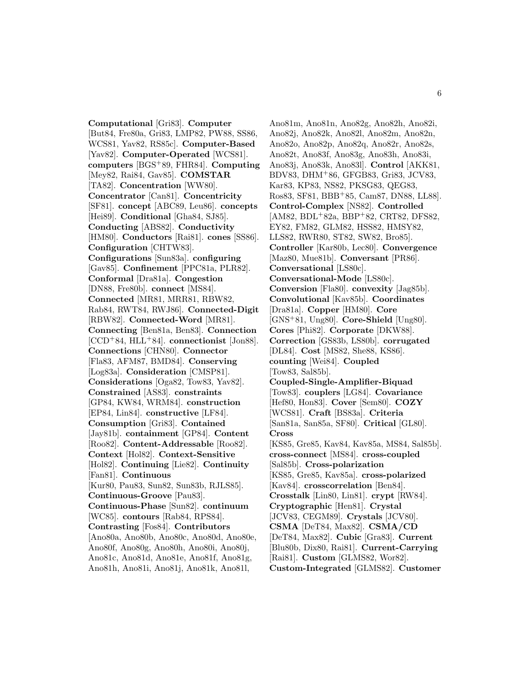**Computational** [Gri83]. **Computer** [But84, Fre80a, Gri83, LMP82, PW88, SS86, WCS81, Yav82, RS85c]. **Computer-Based** [Yav82]. **Computer-Operated** [WCS81]. **computers** [BGS<sup>+</sup>89, FHR84]. **Computing** [Mey82, Rai84, Gav85]. **COMSTAR** [TA82]. **Concentration** [WW80]. **Concentrator** [Can81]. **Concentricity** [SF81]. **concept** [ABC89, Leu86]. **concepts** [Hei89]. **Conditional** [Gha84, SJ85]. **Conducting** [ABS82]. **Conductivity** [HM80]. **Conductors** [Rai81]. **cones** [SS86]. **Configuration** [CHTW83]. **Configurations** [Sun83a]. **configuring** [Gav85]. **Confinement** [PPC81a, PLR82]. **Conformal** [Dra81a]. **Congestion** [DN88, Fre80b]. **connect** [MS84]. **Connected** [MR81, MRR81, RBW82, Rab84, RWT84, RWJ86]. **Connected-Digit** [RBW82]. **Connected-Word** [MR81]. **Connecting** [Ben81a, Ben83]. **Connection** [CCD<sup>+</sup>84, HLL<sup>+</sup>84]. **connectionist** [Jon88]. **Connections** [CHN80]. **Connector** [Fla83, AFM87, BMD84]. **Conserving** [Log83a]. **Consideration** [CMSP81]. **Considerations** [Oga82, Tow83, Yav82]. **Constrained** [AS83]. **constraints** [GP84, KW84, WRM84]. **construction** [EP84, Lin84]. **constructive** [LF84]. **Consumption** [Gri83]. **Contained** [Jay81b]. **containment** [GP84]. **Content** [Roo82]. **Content-Addressable** [Roo82]. **Context** [Hol82]. **Context-Sensitive** [Hol82]. **Continuing** [Lie82]. **Continuity** [Fan81]. **Continuous** [Kur80, Pau83, Sun82, Sun83b, RJLS85]. **Continuous-Groove** [Pau83]. **Continuous-Phase** [Sun82]. **continuum** [WC85]. **contours** [Rab84, RPS84]. **Contrasting** [Fos84]. **Contributors** [Ano80a, Ano80b, Ano80c, Ano80d, Ano80e, Ano80f, Ano80g, Ano80h, Ano80i, Ano80j, Ano81c, Ano81d, Ano81e, Ano81f, Ano81g, Ano81h, Ano81i, Ano81j, Ano81k, Ano81l,

Ano81m, Ano81n, Ano82g, Ano82h, Ano82i, Ano82j, Ano82k, Ano82l, Ano82m, Ano82n, Ano82o, Ano82p, Ano82q, Ano82r, Ano82s, Ano82t, Ano83f, Ano83g, Ano83h, Ano83i, Ano83j, Ano83k, Ano83l]. **Control** [AKK81, BDV83, DHM<sup>+</sup>86, GFGB83, Gri83, JCV83, Kar83, KP83, NS82, PKSG83, QEG83, Ros83, SF81, BBB<sup>+</sup>85, Cam87, DN88, LL88]. **Control-Complex** [NS82]. **Controlled** [AM82, BDL<sup>+</sup>82a, BBP<sup>+</sup>82, CRT82, DFS82, EY82, FM82, GLM82, HSS82, HMSY82, LLS82, RWR80, ST82, SW82, Bro85]. **Controller** [Kar80b, Lec80]. **Convergence** [Maz80, Mue81b]. **Conversant** [PR86]. **Conversational** [LS80c]. **Conversational-Mode** [LS80c]. **Conversion** [Fla80]. **convexity** [Jag85b]. **Convolutional** [Kav85b]. **Coordinates** [Dra81a]. **Copper** [HM80]. **Core** [GNS<sup>+</sup>81, Ung80]. **Core-Shield** [Ung80]. **Cores** [Phi82]. **Corporate** [DKW88]. **Correction** [GS83b, LS80b]. **corrugated** [DL84]. **Cost** [MS82, She88, KS86]. **counting** [Wei84]. **Coupled** [Tow83, Sal85b]. **Coupled-Single-Amplifier-Biquad** [Tow83]. **couplers** [LG84]. **Covariance** [Hef80, Hon83]. **Cover** [Sem80]. **COZY** [WCS81]. **Craft** [BS83a]. **Criteria** [San81a, San85a, SF80]. **Critical** [GL80]. **Cross** [KS85, Gre85, Kav84, Kav85a, MS84, Sal85b]. **cross-connect** [MS84]. **cross-coupled** [Sal85b]. **Cross-polarization** [KS85, Gre85, Kav85a]. **cross-polarized** [Kav84]. **crosscorrelation** [Ben84]. **Crosstalk** [Lin80, Lin81]. **crypt** [RW84]. **Cryptographic** [Hen81]. **Crystal** [JCV83, CEGM89]. **Crystals** [JCV80]. **CSMA** [DeT84, Max82]. **CSMA/CD** [DeT84, Max82]. **Cubic** [Gra83]. **Current** [Blu80b, Dix80, Rai81]. **Current-Carrying** [Rai81]. **Custom** [GLMS82, Wor82]. **Custom-Integrated** [GLMS82]. **Customer**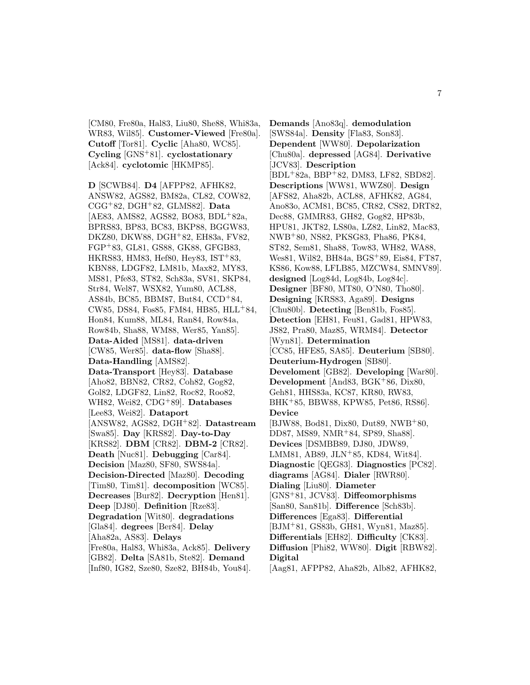[CM80, Fre80a, Hal83, Liu80, She88, Whi83a, WR83, Wil85]. **Customer-Viewed** [Fre80a]. **Cutoff** [Tor81]. **Cyclic** [Aha80, WC85]. **Cycling** [GNS<sup>+</sup>81]. **cyclostationary** [Ack84]. **cyclotomic** [HKMP85].

**D** [SCWB84]. **D4** [AFPP82, AFHK82, ANSW82, AGS82, BM82a, CL82, COW82, CGG<sup>+</sup>82, DGH<sup>+</sup>82, GLMS82]. **Data** [AE83, AMS82, AGS82, BO83, BDL<sup>+</sup>82a, BPRS83, BP83, BC83, BKP88, BGGW83, DKZ80, DKW88, DGH<sup>+</sup>82, EH83a, FV82, FGP<sup>+</sup>83, GL81, GS88, GK88, GFGB83, HKRS83, HM83, Hef80, Hey83, IST<sup>+</sup>83, KBN88, LDGF82, LM81b, Max82, MY83, MS81, Pfe83, ST82, Sch83a, SV81, SKP84, Str84, Wel87, WSX82, Yum80, ACL88, AS84b, BC85, BBM87, But84, CCD<sup>+</sup>84, CW85, DS84, Fos85, FM84, HB85, HLL<sup>+</sup>84, Hon84, Kum88, ML84, Ran84, Row84a, Row84b, Sha88, WM88, Wer85, Yan85]. **Data-Aided** [MS81]. **data-driven** [CW85, Wer85]. **data-flow** [Sha88]. **Data-Handling** [AMS82]. **Data-Transport** [Hey83]. **Database** [Aho82, BBN82, CR82, Coh82, Gog82, Gol82, LDGF82, Lin82, Roc82, Roo82, WH82, Wei82, CDG<sup>+</sup>89]. **Databases** [Lee83, Wei82]. **Dataport** [ANSW82, AGS82, DGH<sup>+</sup>82]. **Datastream** [Swa85]. **Day** [KRS82]. **Day-to-Day** [KRS82]. **DBM** [CR82]. **DBM-2** [CR82]. **Death** [Nuc81]. **Debugging** [Car84]. **Decision** [Maz80, SF80, SWS84a]. **Decision-Directed** [Maz80]. **Decoding** [Tim80, Tim81]. **decomposition** [WC85]. **Decreases** [Bur82]. **Decryption** [Hen81]. **Deep** [DJ80]. **Definition** [Rze83]. **Degradation** [Wit80]. **degradations** [Gla84]. **degrees** [Ber84]. **Delay** [Aha82a, AS83]. **Delays** [Fre80a, Hal83, Whi83a, Ack85]. **Delivery** [GB82]. **Delta** [SA81b, Ste82]. **Demand**

[Inf80, IG82, Sze80, Sze82, BH84b, You84].

**Demands** [Ano83q]. **demodulation** [SWS84a]. **Density** [Fla83, Son83]. **Dependent** [WW80]. **Depolarization** [Chu80a]. **depressed** [AG84]. **Derivative** [JCV83]. **Description** [BDL<sup>+</sup>82a, BBP<sup>+</sup>82, DM83, LF82, SBD82]. **Descriptions** [WW81, WWZ80]. **Design** [AFS82, Aha82b, ACL88, AFHK82, AG84, Ano83o, ACM81, BC85, CR82, CS82, DRT82, Dec88, GMMR83, GH82, Gog82, HP83b, HPU81, JKT82, LS80a, LZ82, Lin82, Mac83, NWB<sup>+</sup>80, NS82, PKSG83, Pha86, PK84, ST82, Sem81, Sha88, Tow83, WH82, WA88, Wes81, Wil82, BH84a, BGS<sup>+</sup>89, Eis84, FT87, KS86, Kow88, LFLB85, MZCW84, SMNV89]. **designed** [Log84d, Log84b, Log84c]. **Designer** [BF80, MT80, O'N80, Tho80]. **Designing** [KRS83, Aga89]. **Designs** [Chu80b]. **Detecting** [Ben81b, Fos85]. **Detection** [EH81, Feu81, Gad81, HPW83, JS82, Pra80, Maz85, WRM84]. **Detector** [Wyn81]. **Determination** [CC85, HFE85, SA85]. **Deuterium** [SB80]. **Deuterium-Hydrogen** [SB80]. **Develoment** [GB82]. **Developing** [War80]. **Development** [And83, BGK<sup>+</sup>86, Dix80, Geh81, HHS83a, KC87, KR80, RW83, BHK<sup>+</sup>85, BBW88, KPW85, Pet86, RS86]. **Device** [BJW88, Bod81, Dix80, Dut89, NWB<sup>+</sup>80, DD87, MS89, NMR<sup>+</sup>84, SP89, Sha88]. **Devices** [DSMBB89, DJ80, JDW89, LMM81, AB89, JLN<sup>+</sup>85, KD84, Wit84]. **Diagnostic** [QEG83]. **Diagnostics** [PC82]. **diagrams** [AG84]. **Dialer** [RWR80]. **Dialing** [Liu80]. **Diameter** [GNS<sup>+</sup>81, JCV83]. **Diffeomorphisms** [San80, San81b]. **Difference** [Sch83b]. **Differences** [Ega83]. **Differential** [BJM<sup>+</sup>81, GS83b, GH81, Wyn81, Maz85]. **Differentials** [EH82]. **Difficulty** [CK83]. **Diffusion** [Phi82, WW80]. **Digit** [RBW82]. **Digital**

[Aag81, AFPP82, Aha82b, Alb82, AFHK82,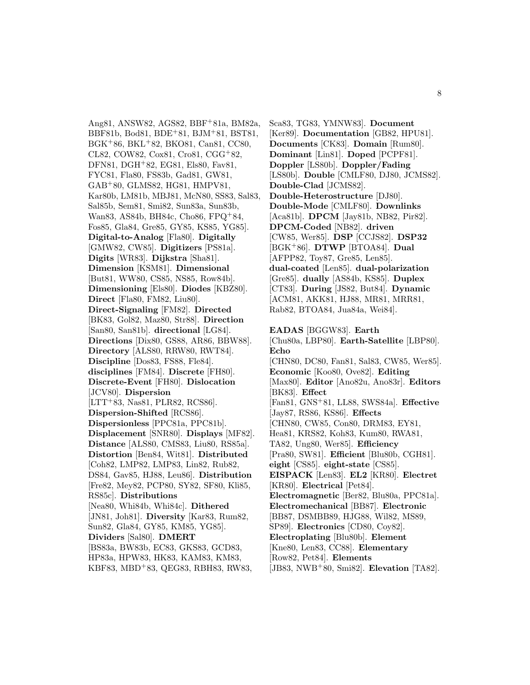Ang81, ANSW82, AGS82, BBF<sup>+</sup>81a, BM82a, BBF81b, Bod81, BDE<sup>+</sup>81, BJM<sup>+</sup>81, BST81, BGK<sup>+</sup>86, BKL<sup>+</sup>82, BKO81, Can81, CC80, CL82, COW82, Cox81, Cro81, CGG<sup>+</sup>82, DFN81, DGH<sup>+</sup>82, EG81, Els80, Fav81, FYC81, Fla80, FS83b, Gad81, GW81, GAB<sup>+</sup>80, GLMS82, HG81, HMPV81, Kar80b, LM81b, MBJ81, McN80, SS83, Sal83, Sal85b, Sem81, Smi82, Sun83a, Sun83b, Wan83, AS84b, BH84c, Cho86, FPQ<sup>+</sup>84, Fos85, Gla84, Gre85, GY85, KS85, YG85]. **Digital-to-Analog** [Fla80]. **Digitally** [GMW82, CW85]. **Digitizers** [PS81a]. **Digits** [WR83]. **Dijkstra** [Sha81]. **Dimension** [KSM81]. **Dimensional** [But81, WW80, CS85, NS85, Row84b]. **Dimensioning** [Els80]. **Diodes** [KBZ80]. **Direct** [Fla80, FM82, Liu80]. **Direct-Signaling** [FM82]. **Directed** [BK83, Gol82, Maz80, Str88]. **Direction** [San80, San81b]. **directional** [LG84]. **Directions** [Dix80, GS88, AR86, BBW88]. **Directory** [ALS80, RRW80, RWT84]. **Discipline** [Dos83, FS88, Fle84]. **disciplines** [FM84]. **Discrete** [FH80]. **Discrete-Event** [FH80]. **Dislocation** [JCV80]. **Dispersion** [LTT<sup>+</sup>83, Nas81, PLR82, RCS86]. **Dispersion-Shifted** [RCS86]. **Dispersionless** [PPC81a, PPC81b]. **Displacement** [SNR80]. **Displays** [MF82]. **Distance** [ALS80, CMS83, Liu80, RS85a]. **Distortion** [Ben84, Wit81]. **Distributed** [Coh82, LMP82, LMP83, Lin82, Rub82, DS84, Gav85, HJ88, Leu86]. **Distribution** [Fre82, Mey82, PCP80, SY82, SF80, Kli85, RS85c]. **Distributions** [Nea80, Whi84b, Whi84c]. **Dithered** [JN81, Joh81]. **Diversity** [Kar83, Rum82, Sun82, Gla84, GY85, KM85, YG85]. **Dividers** [Sal80]. **DMERT** [BS83a, BW83b, EC83, GKS83, GCD83, HP83a, HPW83, HK83, KAM83, KM83, KBF83, MBD<sup>+</sup>83, QEG83, RBH83, RW83,

Sca83, TG83, YMNW83]. **Document** [Ker89]. **Documentation** [GB82, HPU81]. **Documents** [CK83]. **Domain** [Rum80]. **Dominant** [Lin81]. **Doped** [PCPF81]. **Doppler** [LS80b]. **Doppler/Fading** [LS80b]. **Double** [CMLF80, DJ80, JCMS82]. **Double-Clad** [JCMS82]. **Double-Heterostructure** [DJ80]. **Double-Mode** [CMLF80]. **Downlinks** [Aca81b]. **DPCM** [Jay81b, NB82, Pir82]. **DPCM-Coded** [NB82]. **driven** [CW85, Wer85]. **DSP** [CCJS82]. **DSP32** [BGK<sup>+</sup>86]. **DTWP** [BTOA84]. **Dual** [AFPP82, Toy87, Gre85, Len85]. **dual-coated** [Len85]. **dual-polarization** [Gre85]. **dually** [AS84b, KS85]. **Duplex** [CT83]. **During** [JS82, But84]. **Dynamic** [ACM81, AKK81, HJ88, MR81, MRR81, Rab82, BTOA84, Jua84a, Wei84]. **EADAS** [BGGW83]. **Earth** [Chu80a, LBP80]. **Earth-Satellite** [LBP80].

**Echo** [CHN80, DC80, Fan81, Sal83, CW85, Wer85]. **Economic** [Koo80, Ove82]. **Editing** [Max80]. **Editor** [Ano82u, Ano83r]. **Editors** [BK83]. **Effect** [Fan81, GNS<sup>+</sup>81, LL88, SWS84a]. **Effective** [Jay87, RS86, KS86]. **Effects** [CHN80, CW85, Con80, DRM83, EY81, Hea81, KRS82, Koh83, Kum80, RWA81, TA82, Ung80, Wer85]. **Efficiency** [Pra80, SW81]. **Efficient** [Blu80b, CGH81]. **eight** [CS85]. **eight-state** [CS85]. **EISPACK** [Len83]. **EL2** [KR80]. **Electret** [KR80]. **Electrical** [Pet84]. **Electromagnetic** [Ber82, Blu80a, PPC81a]. **Electromechanical** [BB87]. **Electronic** [BB87, DSMBB89, HJG88, Wil82, MS89, SP89]. **Electronics** [CD80, Coy82]. **Electroplating** [Blu80b]. **Element** [Kne80, Len83, CC88]. **Elementary** [Row82, Pet84]. **Elements** [JB83, NWB<sup>+</sup>80, Smi82]. **Elevation** [TA82].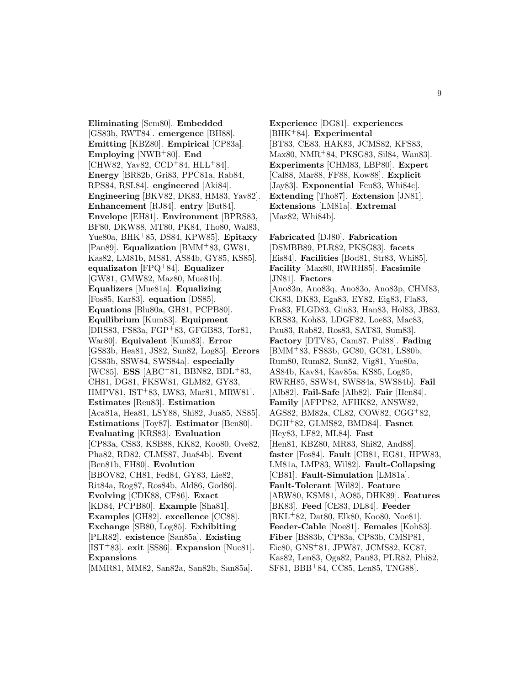**Eliminating** [Sem80]. **Embedded** [GS83b, RWT84]. **emergence** [BH88]. **Emitting** [KBZ80]. **Empirical** [CP83a]. **Employing** [NWB<sup>+</sup>80]. **End**  $[CHW82, Yav82, CCD+84, HLL+84].$ **Energy** [BR82b, Gri83, PPC81a, Rab84, RPS84, RSL84]. **engineered** [Aki84]. **Engineering** [BKV82, DK83, HM83, Yav82]. **Enhancement** [RJ84]. **entry** [But84]. **Envelope** [EH81]. **Environment** [BPRS83, BF80, DKW88, MT80, PK84, Tho80, Wal83, Yue80a, BHK<sup>+</sup>85, DS84, KPW85]. **Epitaxy** [Pan89]. **Equalization** [BMM<sup>+</sup>83, GW81, Kas82, LM81b, MS81, AS84b, GY85, KS85]. **equalizaton** [FPQ<sup>+</sup>84]. **Equalizer** [GW81, GMW82, Maz80, Mue81b]. **Equalizers** [Mue81a]. **Equalizing** [Fos85, Kar83]. **equation** [DS85]. **Equations** [Blu80a, GH81, PCPB80]. **Equilibrium** [Kum83]. **Equipment** [DRS83, FS83a, FGP<sup>+</sup>83, GFGB83, Tor81, War80]. **Equivalent** [Kum83]. **Error** [GS83b, Hea81, JS82, Sun82, Log85]. **Errors** [GS83b, SSW84, SWS84a]. **especially** [WC85]. **ESS** [ABC<sup>+</sup>81, BBN82, BDL<sup>+</sup>83, CH81, DG81, FKSW81, GLM82, GY83, HMPV81, IST<sup>+</sup>83, LW83, Mar81, MRW81]. **Estimates** [Reu83]. **Estimation** [Aca81a, Hea81, LSY88, Shi82, Jua85, NS85]. **Estimations** [Toy87]. **Estimator** [Ben80]. **Evaluating** [KRS83]. **Evaluation** [CP83a, CS83, KSB88, KK82, Koo80, Ove82, Pha82, RD82, CLMS87, Jua84b]. **Event** [Ben81b, FH80]. **Evolution** [BBOV82, CH81, Fed84, GY83, Lie82, Rit84a, Rog87, Ros84b, Ald86, God86]. **Evolving** [CDK88, CF86]. **Exact** [KD84, PCPB80]. **Example** [Sha81]. **Examples** [GH82]. **excellence** [CC88]. **Exchange** [SB80, Log85]. **Exhibiting** [PLR82]. **existence** [San85a]. **Existing** [IST<sup>+</sup>83]. **exit** [SS86]. **Expansion** [Nuc81]. **Expansions**

[MMR81, MM82, San82a, San82b, San85a].

**Experience** [DG81]. **experiences** [BHK<sup>+</sup>84]. **Experimental** [BT83, CE83, HAK83, JCMS82, KFS83, Max80, NMR<sup>+</sup>84, PKSG83, Sil84, Wan83]. **Experiments** [CHM83, LBP80]. **Expert** [Cal88, Mar88, FF88, Kow88]. **Explicit** [Jay83]. **Exponential** [Feu83, Whi84c]. **Extending** [Tho87]. **Extension** [JN81]. **Extensions** [LM81a]. **Extremal** [Maz82, Whi84b].

**Fabricated** [DJ80]. **Fabrication** [DSMBB89, PLR82, PKSG83]. **facets** [Eis84]. **Facilities** [Bod81, Str83, Whi85]. **Facility** [Max80, RWRH85]. **Facsimile** [JN81]. **Factors** [Ano83n, Ano83q, Ano83o, Ano83p, CHM83, CK83, DK83, Ega83, EY82, Eig83, Fla83, Fra83, FLGD83, Gin83, Han83, Hol83, JB83, KRS83, Koh83, LDGF82, Loe83, Mac83, Pau83, Rab82, Ros83, SAT83, Sum83]. **Factory** [DTV85, Cam87, Pul88]. **Fading** [BMM<sup>+</sup>83, FS83b, GC80, GC81, LS80b, Rum80, Rum82, Sun82, Vig81, Yue80a, AS84b, Kav84, Kav85a, KS85, Log85, RWRH85, SSW84, SWS84a, SWS84b]. **Fail** [Alb82]. **Fail-Safe** [Alb82]. **Fair** [Hen84]. **Family** [AFPP82, AFHK82, ANSW82, AGS82, BM82a, CL82, COW82, CGG<sup>+</sup>82, DGH<sup>+</sup>82, GLMS82, BMD84]. **Fasnet** [Hey83, LF82, ML84]. **Fast** [Hen81, KBZ80, MR83, Shi82, And88]. **faster** [Fos84]. **Fault** [CB81, EG81, HPW83, LM81a, LMP83, Wil82]. **Fault-Collapsing** [CB81]. **Fault-Simulation** [LM81a]. **Fault-Tolerant** [Wil82]. **Feature** [ARW80, KSM81, AO85, DHK89]. **Features** [BK83]. **Feed** [CE83, DL84]. **Feeder** [BKL<sup>+</sup>82, Dat80, Elk80, Koo80, Noe81]. **Feeder-Cable** [Noe81]. **Females** [Koh83]. **Fiber** [BS83b, CP83a, CP83b, CMSP81, Eic80, GNS<sup>+</sup>81, JPW87, JCMS82, KC87, Kas82, Len83, Oga82, Pau83, PLR82, Phi82, SF81, BBB<sup>+</sup>84, CC85, Len85, TNG88].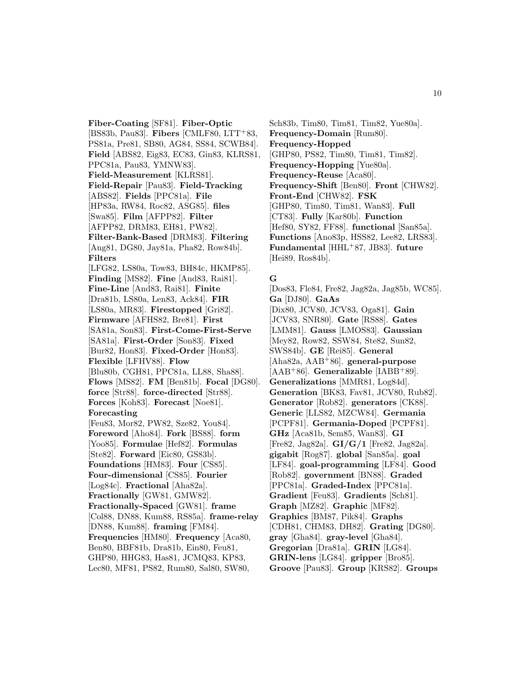**Fiber-Coating** [SF81]. **Fiber-Optic** [BS83b, Pau83]. **Fibers** [CMLF80, LTT+83, PS81a, Pre81, SB80, AG84, SS84, SCWB84]. **Field** [ABS82, Eig83, EC83, Gin83, KLRS81, PPC81a, Pau83, YMNW83]. **Field-Measurement** [KLRS81]. **Field-Repair** [Pau83]. **Field-Tracking** [ABS82]. **Fields** [PPC81a]. **File** [HP83a, RW84, Roc82, ASG85]. **files** [Swa85]. **Film** [AFPP82]. **Filter** [AFPP82, DRM83, EH81, PW82]. **Filter-Bank-Based** [DRM83]. **Filtering** [Ang81, DG80, Jay81a, Pha82, Row84b]. **Filters** [LFG82, LS80a, Tow83, BH84c, HKMP85]. **Finding** [MS82]. **Fine** [And83, Rai81]. **Fine-Line** [And83, Rai81]. **Finite** [Dra81b, LS80a, Len83, Ack84]. **FIR** [LS80a, MR83]. **Firestopped** [Gri82]. **Firmware** [AFHS82, Bre81]. **First** [SA81a, Son83]. **First-Come-First-Serve** [SA81a]. **First-Order** [Son83]. **Fixed** [Bur82, Hon83]. **Fixed-Order** [Hon83]. **Flexible** [LFHV88]. **Flow** [Blu80b, CGH81, PPC81a, LL88, Sha88]. **Flows** [MS82]. **FM** [Ben81b]. **Focal** [DG80]. **force** [Str88]. **force-directed** [Str88]. **Forces** [Koh83]. **Forecast** [Noe81]. **Forecasting** [Feu83, Mor82, PW82, Sze82, You84]. **Foreword** [Aho84]. **Fork** [BS88]. **form** [Yoo85]. **Formulae** [Hef82]. **Formulas** [Ste82]. **Forward** [Eic80, GS83b]. **Foundations** [HM83]. **Four** [CS85]. **Four-dimensional** [CS85]. **Fourier** [Log84c]. **Fractional** [Aha82a]. **Fractionally** [GW81, GMW82]. **Fractionally-Spaced** [GW81]. **frame** [Col88, DN88, Kum88, RS85a]. **frame-relay** [DN88, Kum88]. **framing** [FM84]. **Frequencies** [HM80]. **Frequency** [Aca80, Ben80, BBF81b, Dra81b, Ein80, Feu81, GHP80, HHG83, Has81, JCMQ83, KP83, Lec80, MF81, PS82, Rum80, Sal80, SW80,

Sch83b, Tim80, Tim81, Tim82, Yue80a]. **Frequency-Domain** [Rum80]. **Frequency-Hopped** [GHP80, PS82, Tim80, Tim81, Tim82]. **Frequency-Hopping** [Yue80a]. **Frequency-Reuse** [Aca80]. **Frequency-Shift** [Ben80]. **Front** [CHW82]. **Front-End** [CHW82]. **FSK** [GHP80, Tim80, Tim81, Wan83]. **Full** [CT83]. **Fully** [Kar80b]. **Function** [Hef80, SY82, FF88]. **functional** [San85a]. Functions [Ano83p, HSS82, Lee82, LRS83]. **Fundamental** [HHL<sup>+</sup>87, JB83]. **future** [Hei89, Ros84b].

#### **G**

[Dos83, Fle84, Fre82, Jag82a, Jag85b, WC85]. **Ga** [DJ80]. **GaAs** [Dix80, JCV80, JCV83, Oga81]. **Gain** [JCV83, SNR80]. **Gate** [RS88]. **Gates** [LMM81]. **Gauss** [LMOS83]. **Gaussian** [Mey82, Row82, SSW84, Ste82, Sun82, SWS84b]. **GE** [Rei85]. **General** [Aha82a, AAB<sup>+</sup>86]. **general-purpose** [AAB<sup>+</sup>86]. **Generalizable** [IABB<sup>+</sup>89]. **Generalizations** [MMR81, Log84d]. **Generation** [BK83, Fav81, JCV80, Rub82]. **Generator** [Rob82]. **generators** [CK88]. **Generic** [LLS82, MZCW84]. **Germania** [PCPF81]. **Germania-Doped** [PCPF81]. **GHz** [Aca81b, Sem85, Wan83]. **GI** [Fre82, Jag82a]. **GI/G/1** [Fre82, Jag82a]. **gigabit** [Rog87]. **global** [San85a]. **goal** [LF84]. **goal-programming** [LF84]. **Good** [Rob82]. **government** [BN88]. **Graded** [PPC81a]. **Graded-Index** [PPC81a]. **Gradient** [Feu83]. **Gradients** [Sch81]. **Graph** [MZ82]. **Graphic** [MF82]. **Graphics** [BM87, Pik84]. **Graphs** [CDH81, CHM83, DH82]. **Grating** [DG80]. **gray** [Gha84]. **gray-level** [Gha84]. **Gregorian** [Dra81a]. **GRIN** [LG84]. **GRIN-lens** [LG84]. **gripper** [Bro85]. **Groove** [Pau83]. **Group** [KRS82]. **Groups**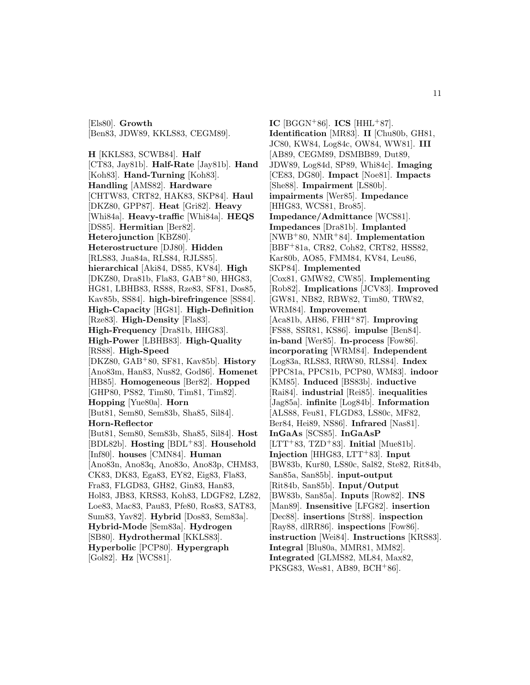**H** [KKLS83, SCWB84]. **Half** [CT83, Jay81b]. **Half-Rate** [Jay81b]. **Hand** [Koh83]. **Hand-Turning** [Koh83]. **Handling** [AMS82]. **Hardware** [CHTW83, CRT82, HAK83, SKP84]. **Haul** [DKZ80, GPP87]. **Heat** [Gri82]. **Heavy** [Whi84a]. **Heavy-traffic** [Whi84a]. **HEQS** [DS85]. **Hermitian** [Ber82]. **Heterojunction** [KBZ80]. **Heterostructure** [DJ80]. **Hidden** [RLS83, Jua84a, RLS84, RJLS85]. **hierarchical** [Aki84, DS85, KV84]. **High** [DKZ80, Dra81b, Fla83, GAB<sup>+</sup>80, HHG83, HG81, LBHB83, RS88, Rze83, SF81, Dos85, Kav85b, SS84]. **high-birefringence** [SS84]. **High-Capacity** [HG81]. **High-Definition** [Rze83]. **High-Density** [Fla83]. **High-Frequency** [Dra81b, HHG83]. **High-Power** [LBHB83]. **High-Quality** [RS88]. **High-Speed** [DKZ80, GAB<sup>+</sup>80, SF81, Kav85b]. **History** [Ano83m, Han83, Nus82, God86]. **Homenet** [HB85]. **Homogeneous** [Ber82]. **Hopped** [GHP80, PS82, Tim80, Tim81, Tim82]. **Hopping** [Yue80a]. **Horn** [But81, Sem80, Sem83b, Sha85, Sil84]. **Horn-Reflector** [But81, Sem80, Sem83b, Sha85, Sil84]. **Host** [BDL82b]. **Hosting** [BDL<sup>+</sup>83]. **Household** [Inf80]. **houses** [CMN84]. **Human** [Ano83n, Ano83q, Ano83o, Ano83p, CHM83, CK83, DK83, Ega83, EY82, Eig83, Fla83, Fra83, FLGD83, GH82, Gin83, Han83, Hol83, JB83, KRS83, Koh83, LDGF82, LZ82, Loe83, Mac83, Pau83, Pfe80, Ros83, SAT83, Sum83, Yav82]. **Hybrid** [Dos83, Sem83a]. **Hybrid-Mode** [Sem83a]. **Hydrogen** [SB80]. **Hydrothermal** [KKLS83]. **Hyperbolic** [PCP80]. **Hypergraph** [Gol82]. **Hz** [WCS81].

[Els80]. **Growth**

[Ben83, JDW89, KKLS83, CEGM89].

 $IC$  [BGGN<sup>+</sup>86].  $ICS$  [HHL<sup>+</sup>87]. **Identification** [MR83]. **II** [Chu80b, GH81, JC80, KW84, Log84c, OW84, WW81]. **III** [AB89, CEGM89, DSMBB89, Dut89, JDW89, Log84d, SP89, Whi84c]. **Imaging** [CE83, DG80]. **Impact** [Noe81]. **Impacts** [She88]. **Impairment** [LS80b]. **impairments** [Wer85]. **Impedance** [HHG83, WCS81, Bro85]. **Impedance/Admittance** [WCS81]. **Impedances** [Dra81b]. **Implanted** [NWB<sup>+</sup>80, NMR<sup>+</sup>84]. **Implementation** [BBF<sup>+</sup>81a, CR82, Coh82, CRT82, HSS82, Kar80b, AO85, FMM84, KV84, Leu86, SKP84]. **Implemented** [Cox81, GMW82, CW85]. **Implementing** [Rob82]. **Implications** [JCV83]. **Improved** [GW81, NB82, RBW82, Tim80, TRW82, WRM84]. **Improvement** [Aca81b, AH86, FHH<sup>+</sup>87]. **Improving** [FS88, SSR81, KS86]. **impulse** [Ben84]. **in-band** [Wer85]. **In-process** [Fow86]. **incorporating** [WRM84]. **Independent** [Log83a, RLS83, RRW80, RLS84]. **Index** [PPC81a, PPC81b, PCP80, WM83]. **indoor** [KM85]. **Induced** [BS83b]. **inductive** [Rai84]. **industrial** [Rei85]. **inequalities** [Jag85a]. **infinite** [Log84b]. **Information** [ALS88, Feu81, FLGD83, LS80c, MF82, Ber84, Hei89, NS86]. **Infrared** [Nas81]. **InGaAs** [SCS85]. **InGaAsP**  $[TT^+83, TZD^+83]$ . **Initial**  $[Mue81b]$ . **Injection** [HHG83, LTT<sup>+</sup>83]. **Input** [BW83b, Kur80, LS80c, Sal82, Ste82, Rit84b, San85a, San85b]. **input-output** [Rit84b, San85b]. **Input/Output** [BW83b, San85a]. **Inputs** [Row82]. **INS** [Man89]. **Insensitive** [LFG82]. **insertion** [Dec88]. **insertions** [Str88]. **inspection** [Ray88, dlRR86]. **inspections** [Fow86]. **instruction** [Wei84]. **Instructions** [KRS83]. **Integral** [Blu80a, MMR81, MM82]. **Integrated** [GLMS82, ML84, Max82, PKSG83, Wes81, AB89, BCH<sup>+</sup>86].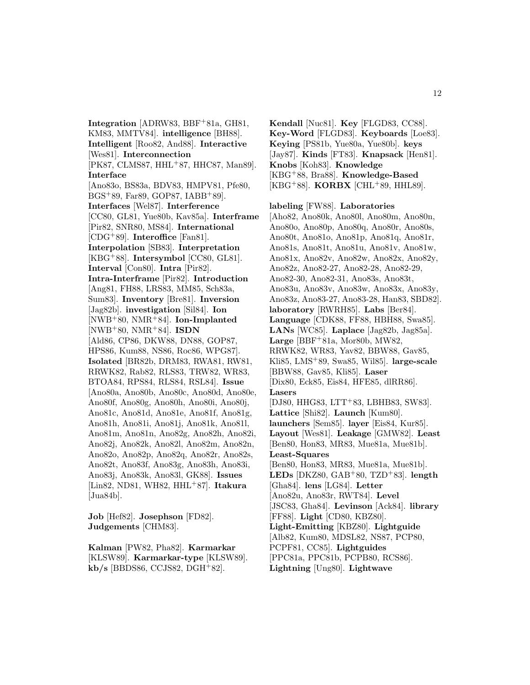**Integration** [ADRW83, BBF<sup>+</sup>81a, GH81, KM83, MMTV84]. **intelligence** [BH88]. **Intelligent** [Roo82, And88]. **Interactive** [Wes81]. **Interconnection** [PK87, CLMS87, HHL<sup>+</sup>87, HHC87, Man89]. **Interface** [Ano83o, BS83a, BDV83, HMPV81, Pfe80, BGS<sup>+</sup>89, Far89, GOP87, IABB<sup>+</sup>89]. **Interfaces** [Wel87]. **Interference** [CC80, GL81, Yue80b, Kav85a]. **Interframe** [Pir82, SNR80, MS84]. **International** [CDG<sup>+</sup>89]. **Interoffice** [Fan81]. **Interpolation** [SB83]. **Interpretation** [KBG<sup>+</sup>88]. **Intersymbol** [CC80, GL81]. **Interval** [Con80]. **Intra** [Pir82]. **Intra-Interframe** [Pir82]. **Introduction** [Ang81, FH88, LRS83, MM85, Sch83a, Sum83]. **Inventory** [Bre81]. **Inversion** [Jag82b]. **investigation** [Sil84]. **Ion** [NWB<sup>+</sup>80, NMR<sup>+</sup>84]. **Ion-Implanted** [NWB<sup>+</sup>80, NMR<sup>+</sup>84]. **ISDN** [Ald86, CP86, DKW88, DN88, GOP87, HPS86, Kum88, NS86, Roc86, WPG87]. **Isolated** [BR82b, DRM83, RWA81, RW81, RRWK82, Rab82, RLS83, TRW82, WR83, BTOA84, RPS84, RLS84, RSL84]. **Issue** [Ano80a, Ano80b, Ano80c, Ano80d, Ano80e, Ano80f, Ano80g, Ano80h, Ano80i, Ano80j, Ano81c, Ano81d, Ano81e, Ano81f, Ano81g, Ano81h, Ano81i, Ano81j, Ano81k, Ano81l, Ano81m, Ano81n, Ano82g, Ano82h, Ano82i, Ano82j, Ano82k, Ano82l, Ano82m, Ano82n, Ano82o, Ano82p, Ano82q, Ano82r, Ano82s, Ano82t, Ano83f, Ano83g, Ano83h, Ano83i, Ano83j, Ano83k, Ano83l, GK88]. **Issues** [Lin82, ND81, WH82, HHL<sup>+</sup>87]. **Itakura**  $[Jua84b]$ .

**Job** [Hef82]. **Josephson** [FD82]. **Judgements** [CHM83].

**Kalman** [PW82, Pha82]. **Karmarkar** [KLSW89]. **Karmarkar-type** [KLSW89]. **kb/s** [BBDS86, CCJS82, DGH<sup>+</sup>82].

**Kendall** [Nuc81]. **Key** [FLGD83, CC88]. **Key-Word** [FLGD83]. **Keyboards** [Loe83]. **Keying** [PS81b, Yue80a, Yue80b]. **keys** [Jay87]. **Kinds** [FT83]. **Knapsack** [Hen81]. **Knobs** [Koh83]. **Knowledge** [KBG<sup>+</sup>88, Bra88]. **Knowledge-Based** [KBG<sup>+</sup>88]. **KORBX** [CHL<sup>+</sup>89, HHL89].

**labeling** [FW88]. **Laboratories** [Aho82, Ano80k, Ano80l, Ano80m, Ano80n, Ano80o, Ano80p, Ano80q, Ano80r, Ano80s, Ano80t, Ano81o, Ano81p, Ano81q, Ano81r, Ano81s, Ano81t, Ano81u, Ano81v, Ano81w, Ano81x, Ano82v, Ano82w, Ano82x, Ano82y, Ano82z, Ano82-27, Ano82-28, Ano82-29, Ano82-30, Ano82-31, Ano83s, Ano83t, Ano83u, Ano83v, Ano83w, Ano83x, Ano83y, Ano83z, Ano83-27, Ano83-28, Han83, SBD82]. **laboratory** [RWRH85]. **Labs** [Ber84]. **Language** [CDK88, FF88, HBH88, Swa85]. **LANs** [WC85]. **Laplace** [Jag82b, Jag85a]. **Large** [BBF<sup>+</sup>81a, Mor80b, MW82, RRWK82, WR83, Yav82, BBW88, Gav85, Kli85, LMS<sup>+</sup>89, Swa85, Wil85]. **large-scale** [BBW88, Gav85, Kli85]. **Laser** [Dix80, Eck85, Eis84, HFE85, dlRR86]. **Lasers** [DJ80, HHG83, LTT<sup>+</sup>83, LBHB83, SW83]. **Lattice** [Shi82]. **Launch** [Kum80]. **launchers** [Sem85]. **layer** [Eis84, Kur85]. **Layout** [Wes81]. **Leakage** [GMW82]. **Least** [Ben80, Hon83, MR83, Mue81a, Mue81b]. **Least-Squares** [Ben80, Hon83, MR83, Mue81a, Mue81b]. **LEDs** [DKZ80, GAB<sup>+</sup>80, TZD<sup>+</sup>83]. **length** [Gha84]. **lens** [LG84]. **Letter** [Ano82u, Ano83r, RWT84]. **Level** [JSC83, Gha84]. **Levinson** [Ack84]. **library** [FF88]. **Light** [CD80, KBZ80]. **Light-Emitting** [KBZ80]. **Lightguide** [Alb82, Kum80, MDSL82, NS87, PCP80, PCPF81, CC85]. **Lightguides** [PPC81a, PPC81b, PCPB80, RCS86]. **Lightning** [Ung80]. **Lightwave**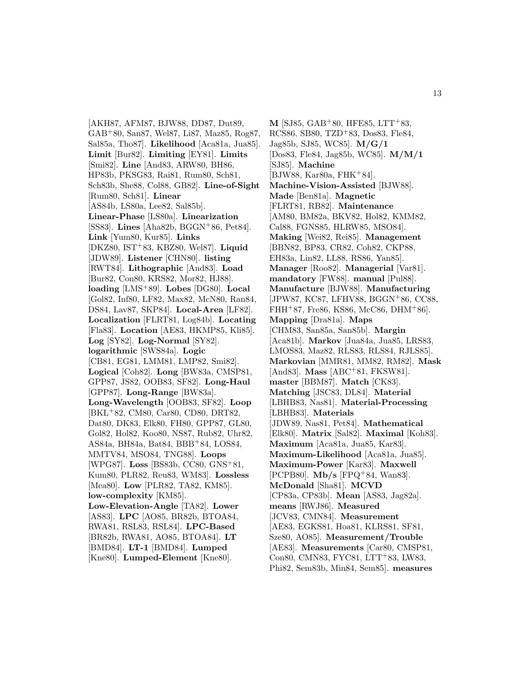[AKH87, AFM87, BJW88, DD87, Dut89, GAB<sup>+</sup>80, San87, Wel87, Li87, Maz85, Rog87, Sal85a, Tho87]. **Likelihood** [Aca81a, Jua85]. **Limit** [Bur82]. **Limiting** [EY81]. **Limits** [Smi82]. **Line** [And83, ARW80, BH86, HP83b, PKSG83, Rai81, Rum80, Sch81, Sch83b, She88, Col88, GB82]. **Line-of-Sight** [Rum80, Sch81]. **Linear** [AS84b, LS80a, Lee82, Sal85b]. **Linear-Phase** [LS80a]. **Linearization** [SS83]. **Lines** [Aha82b, BGGN<sup>+</sup>86, Pet84]. **Link** [Yum80, Kur85]. **Links** [DKZ80, IST<sup>+</sup>83, KBZ80, Wel87]. **Liquid** [JDW89]. **Listener** [CHN80]. **listing** [RWT84]. **Lithographic** [And83]. **Load** [Bur82, Con80, KRS82, Mor82, HJ88]. **loading** [LMS<sup>+</sup>89]. **Lobes** [DG80]. **Local** [Gol82, Inf80, LF82, Max82, McN80, Ran84, DS84, Lav87, SKP84]. **Local-Area** [LF82]. **Localization** [FLRT81, Log84b]. **Locating** [Fla83]. **Location** [AE83, HKMP85, Kli85]. **Log** [SY82]. **Log-Normal** [SY82]. **logarithmic** [SWS84a]. **Logic** [CB81, EG81, LMM81, LMP82, Smi82]. **Logical** [Coh82]. **Long** [BW83a, CMSP81, GPP87, JS82, OOB83, SF82]. **Long-Haul** [GPP87]. **Long-Range** [BW83a]. **Long-Wavelength** [OOB83, SF82]. **Loop** [BKL<sup>+</sup>82, CM80, Car80, CD80, DRT82, Dat80, DK83, Elk80, FH80, GPP87, GL80, Gol82, Hol82, Koo80, NS87, Rub82, Uhr82, AS84a, BH84a, Bat84, BBB<sup>+</sup>84, LOS84, MMTV84, MSO84, TNG88]. **Loops** [WPG87]. **Loss** [BS83b, CC80, GNS<sup>+</sup>81, Kum80, PLR82, Reu83, WM83]. **Lossless** [Mea80]. **Low** [PLR82, TA82, KM85]. **low-complexity** [KM85]. **Low-Elevation-Angle** [TA82]. **Lower** [AS83]. **LPC** [AO85, BR82b, BTOA84, RWA81, RSL83, RSL84]. **LPC-Based** [BR82b, RWA81, AO85, BTOA84]. **LT** [BMD84]. **LT-1** [BMD84]. **Lumped** [Kne80]. **Lumped-Element** [Kne80].

**M** [SJ85, GAB<sup>+</sup>80, HFE85, LTT<sup>+</sup>83, RCS86, SB80, TZD<sup>+</sup>83, Dos83, Fle84, Jag85b, SJ85, WC85]. **M/G/1** [Dos83, Fle84, Jag85b, WC85]. **M/M/1** [SJ85]. **Machine** [BJW88, Kar80a, FHK<sup>+</sup>84]. **Machine-Vision-Assisted** [BJW88]. **Made** [Ben81a]. **Magnetic** [FLRT81, RB82]. **Maintenance** [AM80, BM82a, BKV82, Hol82, KMM82, Cal88, FGNS85, HLRW85, MSO84]. **Making** [Wei82, Rei85]. **Management** [BBN82, BP83, CR82, Coh82, CKP88, EH83a, Lin82, LL88, RS86, Yan85]. **Manager** [Roo82]. **Managerial** [Var81]. **mandatory** [FW88]. **manual** [Pul88]. **Manufacture** [BJW88]. **Manufacturing** [JPW87, KC87, LFHV88, BGGN<sup>+</sup>86, CC88, FHH<sup>+</sup>87, Fre86, KS86, McC86, DHM<sup>+</sup>86. **Mapping** [Dra81a]. **Maps** [CHM83, San85a, San85b]. **Margin** [Aca81b]. **Markov** [Jua84a, Jua85, LRS83, LMOS83, Maz82, RLS83, RLS84, RJLS85]. **Markovian** [MMR81, MM82, RM82]. **Mask** [And83]. **Mass** [ABC<sup>+</sup>81, FKSW81]. **master** [BBM87]. **Match** [CK83]. **Matching** [JSC83, DL84]. **Material** [LBHB83, Nas81]. **Material-Processing** [LBHB83]. **Materials** [JDW89, Nas81, Pet84]. **Mathematical** [Elk80]. **Matrix** [Sal82]. **Maximal** [Koh83]. **Maximum** [Aca81a, Jua85, Kar83]. **Maximum-Likelihood** [Aca81a, Jua85]. **Maximum-Power** [Kar83]. **Maxwell** [PCPB80]. **Mb/s** [FPQ<sup>+</sup>84, Wan83]. **McDonald** [Sha81]. **MCVD** [CP83a, CP83b]. **Mean** [AS83, Jag82a]. **means** [RWJ86]. **Measured** [JCV83, CMN84]. **Measurement** [AE83, EGKS81, Hoa81, KLRS81, SF81, Sze80, AO85]. **Measurement/Trouble** [AE83]. **Measurements** [Car80, CMSP81, Con80, CMN83, FYC81, LTT<sup>+</sup>83, LW83, Phi82, Sem83b, Min84, Sem85]. **measures**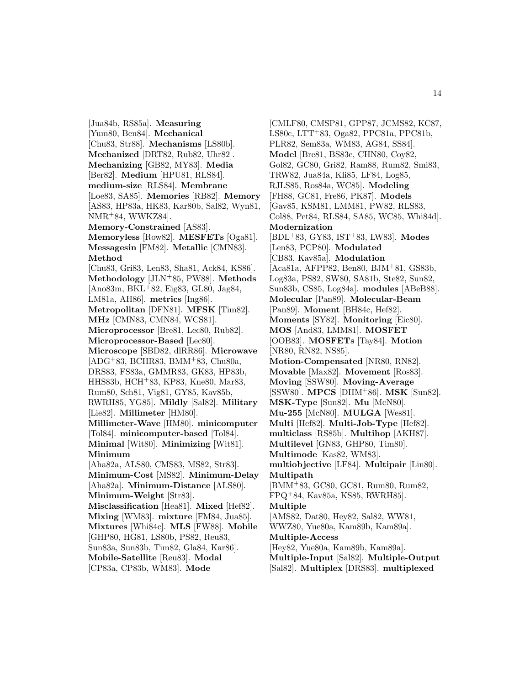[Jua84b, RS85a]. **Measuring** [Yum80, Ben84]. **Mechanical** [Chu83, Str88]. **Mechanisms** [LS80b]. **Mechanized** [DRT82, Rub82, Uhr82]. **Mechanizing** [GB82, MY83]. **Media** [Ber82]. **Medium** [HPU81, RLS84]. **medium-size** [RLS84]. **Membrane** [Loe83, SA85]. **Memories** [RB82]. **Memory** [AS83, HP83a, HK83, Kar80b, Sal82, Wyn81, NMR<sup>+</sup>84, WWKZ84]. **Memory-Constrained** [AS83]. **Memoryless** [Row82]. **MESFETs** [Oga81]. **Messagesin** [FM82]. **Metallic** [CMN83]. **Method** [Chu83, Gri83, Len83, Sha81, Ack84, KS86]. **Methodology** [JLN<sup>+</sup>85, PW88]. **Methods** [Ano83m, BKL<sup>+</sup>82, Eig83, GL80, Jag84, LM81a, AH86]. **metrics** [Ing86]. **Metropolitan** [DFN81]. **MFSK** [Tim82]. **MHz** [CMN83, CMN84, WCS81]. **Microprocessor** [Bre81, Lec80, Rub82]. **Microprocessor-Based** [Lec80]. **Microscope** [SBD82, dlRR86]. **Microwave**  $[ADG+83, BCHR83, BMM+83, Chu80a,$ DRS83, FS83a, GMMR83, GK83, HP83b, HHS83b, HCH<sup>+</sup>83, KP83, Kne80, Mar83, Rum80, Sch81, Vig81, GY85, Kav85b, RWRH85, YG85]. **Mildly** [Sal82]. **Military** [Lie82]. **Millimeter** [HM80]. **Millimeter-Wave** [HM80]. **minicomputer** [Tol84]. **minicomputer-based** [Tol84]. **Minimal** [Wit80]. **Minimizing** [Wit81]. **Minimum** [Aha82a, ALS80, CMS83, MS82, Str83]. **Minimum-Cost** [MS82]. **Minimum-Delay** [Aha82a]. **Minimum-Distance** [ALS80]. **Minimum-Weight** [Str83]. **Misclassification** [Hea81]. **Mixed** [Hef82]. **Mixing** [WM83]. **mixture** [FM84, Jua85]. **Mixtures** [Whi84c]. **MLS** [FW88]. **Mobile** [GHP80, HG81, LS80b, PS82, Reu83, Sun83a, Sun83b, Tim82, Gla84, Kar86]. **Mobile-Satellite** [Reu83]. **Modal** [CP83a, CP83b, WM83]. **Mode**

[CMLF80, CMSP81, GPP87, JCMS82, KC87, LS80c, LTT<sup>+</sup>83, Oga82, PPC81a, PPC81b, PLR82, Sem83a, WM83, AG84, SS84]. **Model** [Bre81, BS83c, CHN80, Coy82, Gol82, GC80, Gri82, Ram88, Rum82, Smi83, TRW82, Jua84a, Kli85, LF84, Log85, RJLS85, Ros84a, WC85]. **Modeling** [FH88, GC81, Fre86, PK87]. **Models** [Gav85, KSM81, LMM81, PW82, RLS83, Col88, Pet84, RLS84, SA85, WC85, Whi84d]. **Modernization** [BDL<sup>+</sup>83, GY83, IST<sup>+</sup>83, LW83]. **Modes** [Len83, PCP80]. **Modulated** [CB83, Kav85a]. **Modulation** [Aca81a, AFPP82, Ben80, BJM<sup>+</sup>81, GS83b, Log83a, PS82, SW80, SA81b, Ste82, Sun82, Sun83b, CS85, Log84a]. **modules** [ABeB88]. **Molecular** [Pan89]. **Molecular-Beam** [Pan89]. **Moment** [BH84c, Hef82]. **Moments** [SY82]. **Monitoring** [Eic80]. **MOS** [And83, LMM81]. **MOSFET** [OOB83]. **MOSFETs** [Tay84]. **Motion** [NR80, RN82, NS85]. **Motion-Compensated** [NR80, RN82]. **Movable** [Max82]. **Movement** [Ros83]. **Moving** [SSW80]. **Moving-Average** [SSW80]. **MPCS** [DHM<sup>+</sup>86]. **MSK** [Sun82]. **MSK-Type** [Sun82]. **Mu** [McN80]. **Mu-255** [McN80]. **MULGA** [Wes81]. **Multi** [Hef82]. **Multi-Job-Type** [Hef82]. **multiclass** [RS85b]. **Multihop** [AKH87]. **Multilevel** [GN83, GHP80, Tim80]. **Multimode** [Kas82, WM83]. **multiobjective** [LF84]. **Multipair** [Lin80]. **Multipath** [BMM<sup>+</sup>83, GC80, GC81, Rum80, Rum82, FPQ<sup>+</sup>84, Kav85a, KS85, RWRH85]. **Multiple** [AMS82, Dat80, Hey82, Sal82, WW81, WWZ80, Yue80a, Kam89b, Kam89a]. **Multiple-Access** [Hey82, Yue80a, Kam89b, Kam89a]. **Multiple-Input** [Sal82]. **Multiple-Output** [Sal82]. **Multiplex** [DRS83]. **multiplexed**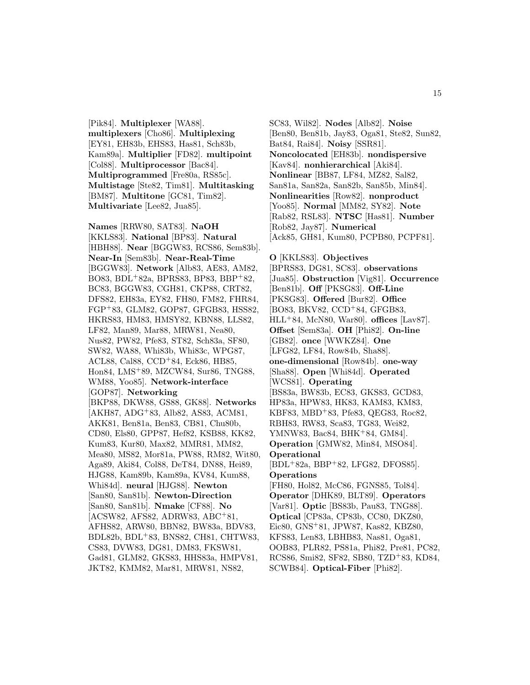[Pik84]. **Multiplexer** [WA88]. **multiplexers** [Cho86]. **Multiplexing** [EY81, EH83b, EHS83, Has81, Sch83b, Kam89a]. **Multiplier** [FD82]. **multipoint** [Col88]. **Multiprocessor** [Bac84]. **Multiprogrammed** [Fre80a, RS85c]. **Multistage** [Ste82, Tim81]. **Multitasking** [BM87]. **Multitone** [GC81, Tim82]. **Multivariate** [Lee82, Jua85].

**Names** [RRW80, SAT83]. **NaOH** [KKLS83]. **National** [BP83]. **Natural** [HBH88]. **Near** [BGGW83, RCS86, Sem83b]. **Near-In** [Sem83b]. **Near-Real-Time** [BGGW83]. **Network** [Alb83, AE83, AM82, BO83, BDL<sup>+</sup>82a, BPRS83, BP83, BBP<sup>+</sup>82, BC83, BGGW83, CGH81, CKP88, CRT82, DFS82, EH83a, EY82, FH80, FM82, FHR84, FGP<sup>+</sup>83, GLM82, GOP87, GFGB83, HSS82, HKRS83, HM83, HMSY82, KBN88, LLS82, LF82, Man89, Mar88, MRW81, Nea80, Nus82, PW82, Pfe83, ST82, Sch83a, SF80, SW82, WA88, Whi83b, Whi83c, WPG87, ACL88, Cal88, CCD<sup>+</sup>84, Eck86, HB85, Hon84, LMS<sup>+</sup>89, MZCW84, Sur86, TNG88, WM88, Yoo85]. **Network-interface** [GOP87]. **Networking** [BKP88, DKW88, GS88, GK88]. **Networks** [AKH87, ADG<sup>+</sup>83, Alb82, AS83, ACM81, AKK81, Ben81a, Ben83, CB81, Chu80b, CD80, Els80, GPP87, Hef82, KSB88, KK82, Kum83, Kur80, Max82, MMR81, MM82, Mea80, MS82, Mor81a, PW88, RM82, Wit80, Aga89, Aki84, Col88, DeT84, DN88, Hei89, HJG88, Kam89b, Kam89a, KV84, Kum88, Whi84d]. **neural** [HJG88]. **Newton** [San80, San81b]. **Newton-Direction** [San80, San81b]. **Nmake** [CF88]. **No** [ACSW82, AFS82, ADRW83, ABC<sup>+</sup>81, AFHS82, ARW80, BBN82, BW83a, BDV83, BDL82b, BDL<sup>+</sup>83, BNS82, CH81, CHTW83, CS83, DVW83, DG81, DM83, FKSW81, Gad81, GLM82, GKS83, HHS83a, HMPV81, JKT82, KMM82, Mar81, MRW81, NS82,

SC83, Wil82]. **Nodes** [Alb82]. **Noise** [Ben80, Ben81b, Jay83, Oga81, Ste82, Sun82, Bat84, Rai84]. **Noisy** [SSR81]. **Noncolocated** [EH83b]. **nondispersive** [Kav84]. **nonhierarchical** [Aki84]. **Nonlinear** [BB87, LF84, MZ82, Sal82, San81a, San82a, San82b, San85b, Min84]. **Nonlinearities** [Row82]. **nonproduct** [Yoo85]. **Normal** [MM82, SY82]. **Note** [Rab82, RSL83]. **NTSC** [Has81]. **Number** [Rob82, Jay87]. **Numerical** [Ack85, GH81, Kum80, PCPB80, PCPF81].

**O** [KKLS83]. **Objectives** [BPRS83, DG81, SC83]. **observations** [Jua85]. **Obstruction** [Vig81]. **Occurrence** [Ben81b]. **Off** [PKSG83]. **Off-Line** [PKSG83]. **Offered** [Bur82]. **Office** [BO83, BKV82, CCD<sup>+</sup>84, GFGB83, HLL<sup>+</sup>84, McN80, War80]. **offices** [Lav87]. **Offset** [Sem83a]. **OH** [Phi82]. **On-line** [GB82]. **once** [WWKZ84]. **One** [LFG82, LF84, Row84b, Sha88]. **one-dimensional** [Row84b]. **one-way** [Sha88]. **Open** [Whi84d]. **Operated** [WCS81]. **Operating** [BS83a, BW83b, EC83, GKS83, GCD83, HP83a, HPW83, HK83, KAM83, KM83, KBF83, MBD<sup>+</sup>83, Pfe83, QEG83, Roc82, RBH83, RW83, Sca83, TG83, Wei82, YMNW83, Bac84, BHK+84, GM84. **Operation** [GMW82, Min84, MSO84]. **Operational** [BDL<sup>+</sup>82a, BBP<sup>+</sup>82, LFG82, DFOS85]. **Operations** [FH80, Hol82, McC86, FGNS85, Tol84]. **Operator** [DHK89, BLT89]. **Operators** [Var81]. **Optic** [BS83b, Pau83, TNG88]. **Optical** [CP83a, CP83b, CC80, DKZ80, Eic80, GNS<sup>+</sup>81, JPW87, Kas82, KBZ80, KFS83, Len83, LBHB83, Nas81, Oga81, OOB83, PLR82, PS81a, Phi82, Pre81, PC82, RCS86, Smi82, SF82, SB80, TZD<sup>+</sup>83, KD84, SCWB84]. **Optical-Fiber** [Phi82].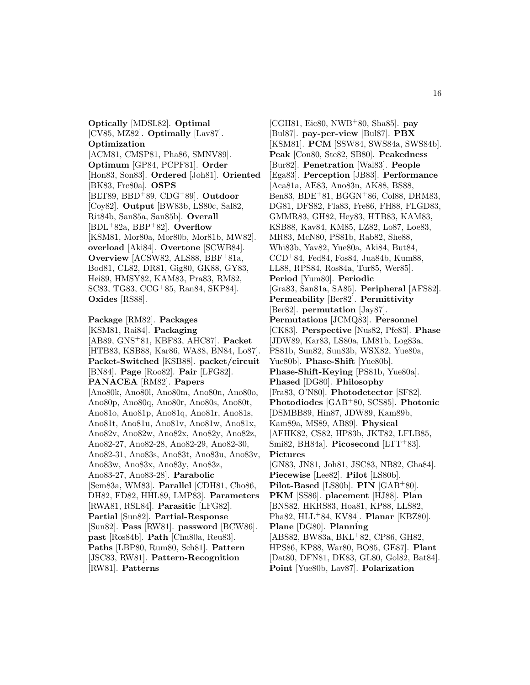**Optically** [MDSL82]. **Optimal** [CV85, MZ82]. **Optimally** [Lav87]. **Optimization** [ACM81, CMSP81, Pha86, SMNV89]. **Optimum** [GP84, PCPF81]. **Order** [Hon83, Son83]. **Ordered** [Joh81]. **Oriented** [BK83, Fre80a]. **OSPS** [BLT89, BBD<sup>+</sup>89, CDG<sup>+</sup>89]. **Outdoor** [Coy82]. **Output** [BW83b, LS80c, Sal82, Rit84b, San85a, San85b]. **Overall** [BDL<sup>+</sup>82a, BBP<sup>+</sup>82]. **Overflow** [KSM81, Mor80a, Mor80b, Mor81b, MW82]. **overload** [Aki84]. **Overtone** [SCWB84]. **Overview** [ACSW82, ALS88, BBF+81a, Bod81, CL82, DR81, Gig80, GK88, GY83, Hei89, HMSY82, KAM83, Pra83, RM82, SC83, TG83, CCG<sup>+</sup>85, Ran84, SKP84]. **Oxides** [RS88].

#### **Package** [RM82]. **Packages**

[KSM81, Rai84]. **Packaging** [AB89, GNS<sup>+</sup>81, KBF83, AHC87]. **Packet** [HTB83, KSB88, Kar86, WA88, BN84, Lo87]. **Packet-Switched** [KSB88]. **packet/circuit** [BN84]. **Page** [Roo82]. **Pair** [LFG82]. **PANACEA** [RM82]. **Papers** [Ano80k, Ano80l, Ano80m, Ano80n, Ano80o, Ano80p, Ano80q, Ano80r, Ano80s, Ano80t, Ano81o, Ano81p, Ano81q, Ano81r, Ano81s, Ano81t, Ano81u, Ano81v, Ano81w, Ano81x, Ano82v, Ano82w, Ano82x, Ano82y, Ano82z, Ano82-27, Ano82-28, Ano82-29, Ano82-30, Ano82-31, Ano83s, Ano83t, Ano83u, Ano83v, Ano83w, Ano83x, Ano83y, Ano83z, Ano83-27, Ano83-28]. **Parabolic** [Sem83a, WM83]. **Parallel** [CDH81, Cho86, DH82, FD82, HHL89, LMP83]. **Parameters** [RWA81, RSL84]. **Parasitic** [LFG82]. **Partial** [Sun82]. **Partial-Response** [Sun82]. **Pass** [RW81]. **password** [BCW86]. **past** [Ros84b]. **Path** [Chu80a, Reu83]. **Paths** [LBP80, Rum80, Sch81]. **Pattern** [JSC83, RW81]. **Pattern-Recognition** [RW81]. **Patterns**

[CGH81, Eic80, NWB<sup>+</sup>80, Sha85]. **pay** [Bul87]. **pay-per-view** [Bul87]. **PBX** [KSM81]. **PCM** [SSW84, SWS84a, SWS84b]. **Peak** [Con80, Ste82, SB80]. **Peakedness** [Bur82]. **Penetration** [Wal83]. **People** [Ega83]. **Perception** [JB83]. **Performance** [Aca81a, AE83, Ano83n, AK88, BS88, Ben83, BDE<sup>+</sup>81, BGGN<sup>+</sup>86, Col88, DRM83, DG81, DFS82, Fla83, Fre86, FH88, FLGD83, GMMR83, GH82, Hey83, HTB83, KAM83, KSB88, Kav84, KM85, LZ82, Lo87, Loe83, MR83, McN80, PS81b, Rab82, She88, Whi83b, Yav82, Yue80a, Aki84, But84, CCD<sup>+</sup>84, Fed84, Fos84, Jua84b, Kum88, LL88, RPS84, Ros84a, Tur85, Wer85]. **Period** [Yum80]. **Periodic** [Gra83, San81a, SA85]. **Peripheral** [AFS82]. **Permeability** [Ber82]. **Permittivity** [Ber82]. **permutation** [Jay87]. **Permutations** [JCMQ83]. **Personnel** [CK83]. **Perspective** [Nus82, Pfe83]. **Phase** [JDW89, Kar83, LS80a, LM81b, Log83a, PS81b, Sun82, Sun83b, WSX82, Yue80a, Yue80b]. **Phase-Shift** [Yue80b]. **Phase-Shift-Keying** [PS81b, Yue80a]. **Phased** [DG80]. **Philosophy** [Fra83, O'N80]. **Photodetector** [SF82]. **Photodiodes** [GAB<sup>+</sup>80, SCS85]. **Photonic** [DSMBB89, Hin87, JDW89, Kam89b, Kam89a, MS89, AB89]. **Physical** [AFHK82, CS82, HP83b, JKT82, LFLB85, Smi82, BH84a]. **Picosecond** [LTT+83]. **Pictures** [GN83, JN81, Joh81, JSC83, NB82, Gha84]. **Piecewise** [Lee82]. **Pilot** [LS80b]. **Pilot-Based** [LS80b]. **PIN** [GAB<sup>+</sup>80]. **PKM** [SS86]. **placement** [HJ88]. **Plan** [BNS82, HKRS83, Hoa81, KP88, LLS82, Pha82, HLL<sup>+</sup>84, KV84]. **Planar** [KBZ80]. **Plane** [DG80]. **Planning** [ABS82, BW83a, BKL<sup>+</sup>82, CP86, GH82, HPS86, KP88, War80, BO85, GE87]. **Plant** [Dat80, DFN81, DK83, GL80, Gol82, Bat84]. **Point** [Yue80b, Lav87]. **Polarization**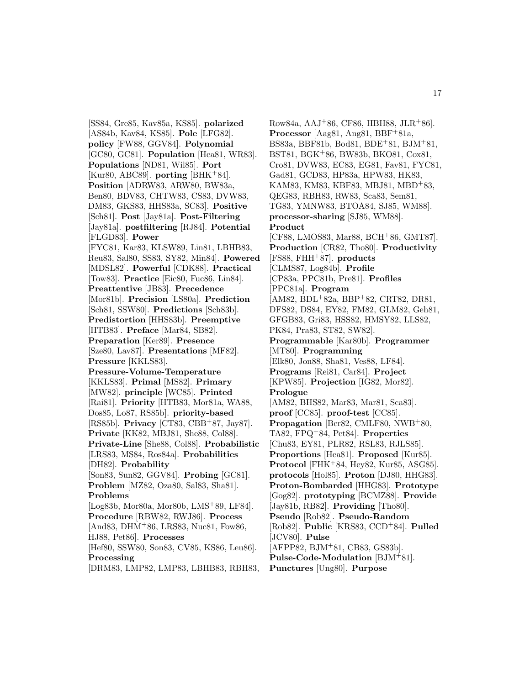[SS84, Gre85, Kav85a, KS85]. **polarized** [AS84b, Kav84, KS85]. **Pole** [LFG82]. **policy** [FW88, GGV84]. **Polynomial** [GC80, GC81]. **Population** [Hea81, WR83]. **Populations** [ND81, Wil85]. **Port** [Kur80, ABC89]. **porting** [BHK<sup>+</sup>84]. **Position** [ADRW83, ARW80, BW83a, Ben80, BDV83, CHTW83, CS83, DVW83, DM83, GKS83, HHS83a, SC83]. **Positive** [Sch81]. **Post** [Jay81a]. **Post-Filtering** [Jay81a]. **postfiltering** [RJ84]. **Potential** [FLGD83]. **Power** [FYC81, Kar83, KLSW89, Lin81, LBHB83, Reu83, Sal80, SS83, SY82, Min84]. **Powered** [MDSL82]. **Powerful** [CDK88]. **Practical** [Tow83]. **Practice** [Eic80, Fuc86, Lin84]. **Preattentive** [JB83]. **Precedence** [Mor81b]. **Precision** [LS80a]. **Prediction** [Sch81, SSW80]. **Predictions** [Sch83b]. **Predistortion** [HHS83b]. **Preemptive** [HTB83]. **Preface** [Mar84, SB82]. **Preparation** [Ker89]. **Presence** [Sze80, Lav87]. **Presentations** [MF82]. **Pressure** [KKLS83]. **Pressure-Volume-Temperature** [KKLS83]. **Primal** [MS82]. **Primary** [MW82]. **principle** [WC85]. **Printed** [Rai81]. **Priority** [HTB83, Mor81a, WA88, Dos85, Lo87, RS85b]. **priority-based** [RS85b]. **Privacy** [CT83, CBB<sup>+</sup>87, Jay87]. **Private** [KK82, MBJ81, She88, Col88]. **Private-Line** [She88, Col88]. **Probabilistic** [LRS83, MS84, Ros84a]. **Probabilities** [DH82]. **Probability** [Son83, Sun82, GGV84]. **Probing** [GC81]. **Problem** [MZ82, Oza80, Sal83, Sha81]. **Problems** [Log83b, Mor80a, Mor80b, LMS<sup>+</sup>89, LF84]. **Procedure** [RBW82, RWJ86]. **Process** [And83, DHM<sup>+</sup>86, LRS83, Nuc81, Fow86, HJ88, Pet86]. **Processes** [Hef80, SSW80, Son83, CV85, KS86, Leu86]. **Processing**

[DRM83, LMP82, LMP83, LBHB83, RBH83,

Row84a, AAJ<sup>+</sup>86, CF86, HBH88, JLR<sup>+</sup>86]. **Processor** [Aag81, Ang81, BBF+81a, BS83a, BBF81b, Bod81, BDE<sup>+</sup>81, BJM<sup>+</sup>81, BST81, BGK<sup>+</sup>86, BW83b, BKO81, Cox81, Cro81, DVW83, EC83, EG81, Fav81, FYC81, Gad81, GCD83, HP83a, HPW83, HK83, KAM83, KM83, KBF83, MBJ81, MBD+83, QEG83, RBH83, RW83, Sca83, Sem81, TG83, YMNW83, BTOA84, SJ85, WM88]. **processor-sharing** [SJ85, WM88]. **Product** [CF88, LMOS83, Mar88, BCH<sup>+</sup>86, GMT87]. **Production** [CR82, Tho80]. **Productivity** [FS88, FHH<sup>+</sup>87]. **products** [CLMS87, Log84b]. **Profile** [CP83a, PPC81b, Pre81]. **Profiles** [PPC81a]. **Program** [AM82, BDL<sup>+</sup>82a, BBP<sup>+</sup>82, CRT82, DR81, DFS82, DS84, EY82, FM82, GLM82, Geh81, GFGB83, Gri83, HSS82, HMSY82, LLS82, PK84, Pra83, ST82, SW82]. **Programmable** [Kar80b]. **Programmer** [MT80]. **Programming** [Elk80, Jon88, Sha81, Ves88, LF84]. **Programs** [Rei81, Car84]. **Project** [KPW85]. **Projection** [IG82, Mor82]. **Prologue** [AM82, BHS82, Mar83, Mar81, Sca83]. **proof** [CC85]. **proof-test** [CC85]. Propagation<sup> [Ber82, CMLF80, NWB<sup>+</sup>80,</sup> TA82, FPQ<sup>+</sup>84, Pet84]. **Properties** [Chu83, EY81, PLR82, RSL83, RJLS85]. **Proportions** [Hea81]. **Proposed** [Kur85]. **Protocol** [FHK<sup>+</sup>84, Hey82, Kur85, ASG85]. **protocols** [Hol85]. **Proton** [DJ80, HHG83]. **Proton-Bombarded** [HHG83]. **Prototype** [Gog82]. **prototyping** [BCMZ88]. **Provide** [Jay81b, RB82]. **Providing** [Tho80]. **Pseudo** [Rob82]. **Pseudo-Random** [Rob82]. **Public** [KRS83, CCD<sup>+</sup>84]. **Pulled** [JCV80]. **Pulse** [AFPP82, BJM<sup>+</sup>81, CB83, GS83b]. **Pulse-Code-Modulation** [BJM<sup>+</sup>81]. **Punctures** [Ung80]. **Purpose**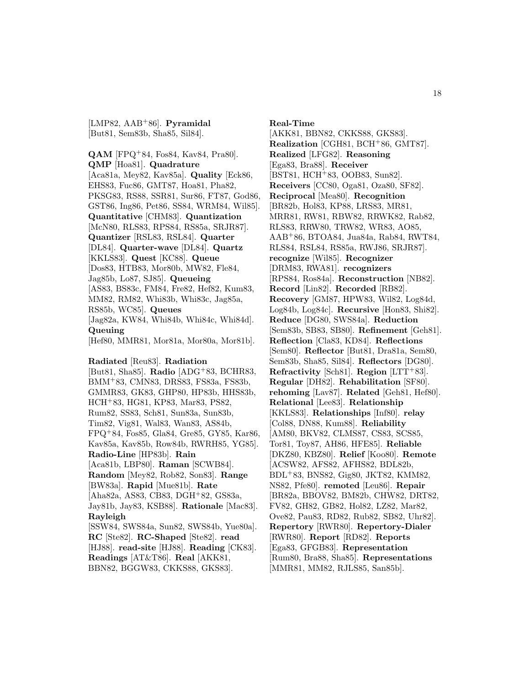[LMP82, AAB<sup>+</sup>86]. **Pyramidal** [But81, Sem83b, Sha85, Sil84].

**QAM** [FPQ<sup>+</sup>84, Fos84, Kav84, Pra80]. **QMP** [Hoa81]. **Quadrature** [Aca81a, Mey82, Kav85a]. **Quality** [Eck86, EHS83, Fuc86, GMT87, Hoa81, Pha82, PKSG83, RS88, SSR81, Sur86, FT87, God86, GST86, Ing86, Pet86, SS84, WRM84, Wil85]. **Quantitative** [CHM83]. **Quantization** [McN80, RLS83, RPS84, RS85a, SRJR87]. **Quantizer** [RSL83, RSL84]. **Quarter** [DL84]. **Quarter-wave** [DL84]. **Quartz** [KKLS83]. **Quest** [KC88]. **Queue** [Dos83, HTB83, Mor80b, MW82, Fle84, Jag85b, Lo87, SJ85]. **Queueing** [AS83, BS83c, FM84, Fre82, Hef82, Kum83, MM82, RM82, Whi83b, Whi83c, Jag85a, RS85b, WC85]. **Queues** [Jag82a, KW84, Whi84b, Whi84c, Whi84d]. **Queuing** [Hef80, MMR81, Mor81a, Mor80a, Mor81b].

#### **Radiated** [Reu83]. **Radiation**

[But81, Sha85]. **Radio** [ADG<sup>+</sup>83, BCHR83, BMM<sup>+</sup>83, CMN83, DRS83, FS83a, FS83b, GMMR83, GK83, GHP80, HP83b, HHS83b, HCH<sup>+</sup>83, HG81, KP83, Mar83, PS82, Rum82, SS83, Sch81, Sun83a, Sun83b, Tim82, Vig81, Wal83, Wan83, AS84b, FPQ<sup>+</sup>84, Fos85, Gla84, Gre85, GY85, Kar86, Kav85a, Kav85b, Row84b, RWRH85, YG85]. **Radio-Line** [HP83b]. **Rain** [Aca81b, LBP80]. **Raman** [SCWB84]. **Random** [Mey82, Rob82, Son83]. **Range** [BW83a]. **Rapid** [Mue81b]. **Rate** [Aha82a, AS83, CB83, DGH<sup>+</sup>82, GS83a, Jay81b, Jay83, KSB88]. **Rationale** [Mac83]. **Rayleigh** [SSW84, SWS84a, Sun82, SWS84b, Yue80a]. **RC** [Ste82]. **RC-Shaped** [Ste82]. **read** [HJ88]. **read-site** [HJ88]. **Reading** [CK83]. **Readings** [AT&T86]. **Real** [AKK81, BBN82, BGGW83, CKKS88, GKS83].

**Real-Time**

[AKK81, BBN82, CKKS88, GKS83]. **Realization** [CGH81, BCH<sup>+</sup>86, GMT87]. **Realized** [LFG82]. **Reasoning** [Ega83, Bra88]. **Receiver** [BST81, HCH<sup>+</sup>83, OOB83, Sun82]. **Receivers** [CC80, Oga81, Oza80, SF82]. **Reciprocal** [Mea80]. **Recognition** [BR82b, Hol83, KP88, LRS83, MR81, MRR81, RW81, RBW82, RRWK82, Rab82, RLS83, RRW80, TRW82, WR83, AO85, AAB<sup>+</sup>86, BTOA84, Jua84a, Rab84, RWT84, RLS84, RSL84, RS85a, RWJ86, SRJR87]. **recognize** [Wil85]. **Recognizer** [DRM83, RWA81]. **recognizers** [RPS84, Ros84a]. **Reconstruction** [NB82]. **Record** [Lin82]. **Recorded** [RB82]. **Recovery** [GM87, HPW83, Wil82, Log84d, Log84b, Log84c]. **Recursive** [Hon83, Shi82]. **Reduce** [DG80, SWS84a]. **Reduction** [Sem83b, SB83, SB80]. **Refinement** [Geh81]. **Reflection** [Cla83, KD84]. **Reflections** [Sem80]. **Reflector** [But81, Dra81a, Sem80, Sem83b, Sha85, Sil84]. **Reflectors** [DG80]. **Refractivity** [Sch81]. **Region** [LTT<sup>+</sup>83]. **Regular** [DH82]. **Rehabilitation** [SF80]. **rehoming** [Lav87]. **Related** [Geh81, Hef80]. **Relational** [Lee83]. **Relationship** [KKLS83]. **Relationships** [Inf80]. **relay** [Col88, DN88, Kum88]. **Reliability** [AM80, BKV82, CLMS87, CS83, SCS85, Tor81, Toy87, AH86, HFE85]. **Reliable** [DKZ80, KBZ80]. **Relief** [Koo80]. **Remote** [ACSW82, AFS82, AFHS82, BDL82b, BDL<sup>+</sup>83, BNS82, Gig80, JKT82, KMM82, NS82, Pfe80]. **remoted** [Leu86]. **Repair** [BR82a, BBOV82, BM82b, CHW82, DRT82, FV82, GH82, GB82, Hol82, LZ82, Mar82, Ove82, Pau83, RD82, Rub82, SB82, Uhr82]. **Repertory** [RWR80]. **Repertory-Dialer** [RWR80]. **Report** [RD82]. **Reports** [Ega83, GFGB83]. **Representation** [Rum80, Bra88, Sha85]. **Representations** [MMR81, MM82, RJLS85, San85b].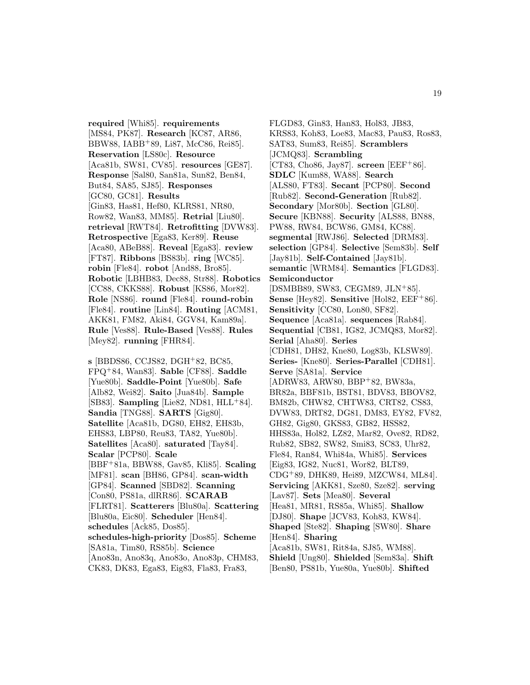**required** [Whi85]. **requirements** [MS84, PK87]. **Research** [KC87, AR86, BBW88, IABB<sup>+</sup>89, Li87, McC86, Rei85]. **Reservation** [LS80c]. **Resource** [Aca81b, SW81, CV85]. **resources** [GE87]. **Response** [Sal80, San81a, Sun82, Ben84, But84, SA85, SJ85]. **Responses** [GC80, GC81]. **Results** [Gin83, Has81, Hef80, KLRS81, NR80, Row82, Wan83, MM85]. **Retrial** [Liu80]. **retrieval** [RWT84]. **Retrofitting** [DVW83]. **Retrospective** [Ega83, Ker89]. **Reuse** [Aca80, ABeB88]. **Reveal** [Ega83]. **review** [FT87]. **Ribbons** [BS83b]. **ring** [WC85]. **robin** [Fle84]. **robot** [And88, Bro85]. **Robotic** [LBHB83, Dec88, Str88]. **Robotics** [CC88, CKKS88]. **Robust** [KS86, Mor82]. **Role** [NS86]. **round** [Fle84]. **round-robin** [Fle84]. **routine** [Lin84]. **Routing** [ACM81, AKK81, FM82, Aki84, GGV84, Kam89a]. **Rule** [Ves88]. **Rule-Based** [Ves88]. **Rules** [Mey82]. **running** [FHR84].

**s** [BBDS86, CCJS82, DGH<sup>+</sup>82, BC85, FPQ<sup>+</sup>84, Wan83]. **Sable** [CF88]. **Saddle** [Yue80b]. **Saddle-Point** [Yue80b]. **Safe** [Alb82, Wei82]. **Saito** [Jua84b]. **Sample** [SB83]. **Sampling** [Lie82, ND81, HLL<sup>+</sup>84]. **Sandia** [TNG88]. **SARTS** [Gig80]. **Satellite** [Aca81b, DG80, EH82, EH83b, EHS83, LBP80, Reu83, TA82, Yue80b]. **Satellites** [Aca80]. **saturated** [Tay84]. **Scalar** [PCP80]. **Scale** [BBF<sup>+</sup>81a, BBW88, Gav85, Kli85]. **Scaling** [MF81]. **scan** [BH86, GP84]. **scan-width** [GP84]. **Scanned** [SBD82]. **Scanning** [Con80, PS81a, dlRR86]. **SCARAB** [FLRT81]. **Scatterers** [Blu80a]. **Scattering** [Blu80a, Eic80]. **Scheduler** [Hen84]. **schedules** [Ack85, Dos85]. **schedules-high-priority** [Dos85]. **Scheme** [SA81a, Tim80, RS85b]. **Science** [Ano83n, Ano83q, Ano83o, Ano83p, CHM83, CK83, DK83, Ega83, Eig83, Fla83, Fra83,

FLGD83, Gin83, Han83, Hol83, JB83, KRS83, Koh83, Loe83, Mac83, Pau83, Ros83, SAT83, Sum83, Rei85]. **Scramblers** [JCMQ83]. **Scrambling** [CT83, Cho86, Jay87]. **screen** [EEF<sup>+</sup>86]. **SDLC** [Kum88, WA88]. **Search** [ALS80, FT83]. **Secant** [PCP80]. **Second** [Rub82]. **Second-Generation** [Rub82]. **Secondary** [Mor80b]. **Section** [GL80]. **Secure** [KBN88]. **Security** [ALS88, BN88, PW88, RW84, BCW86, GM84, KC88]. **segmental** [RWJ86]. **Selected** [DRM83]. **selection** [GP84]. **Selective** [Sem83b]. **Self** [Jay81b]. **Self-Contained** [Jay81b]. **semantic** [WRM84]. **Semantics** [FLGD83]. **Semiconductor** [DSMBB89, SW83, CEGM89, JLN<sup>+</sup>85]. **Sense** [Hey82]. **Sensitive** [Hol82, EEF+86]. **Sensitivity** [CC80, Lon80, SF82]. **Sequence** [Aca81a]. **sequences** [Rab84]. **Sequential** [CB81, IG82, JCMQ83, Mor82]. **Serial** [Aha80]. **Series** [CDH81, DH82, Kne80, Log83b, KLSW89]. **Series-** [Kne80]. **Series-Parallel** [CDH81]. **Serve** [SA81a]. **Service** [ADRW83, ARW80, BBP<sup>+</sup>82, BW83a, BR82a, BBF81b, BST81, BDV83, BBOV82, BM82b, CHW82, CHTW83, CRT82, CS83, DVW83, DRT82, DG81, DM83, EY82, FV82, GH82, Gig80, GKS83, GB82, HSS82, HHS83a, Hol82, LZ82, Mar82, Ove82, RD82, Rub82, SB82, SW82, Smi83, SC83, Uhr82, Fle84, Ran84, Whi84a, Whi85]. **Services** [Eig83, IG82, Nuc81, Wor82, BLT89, CDG<sup>+</sup>89, DHK89, Hei89, MZCW84, ML84]. **Servicing** [AKK81, Sze80, Sze82]. **serving** [Lav87]. **Sets** [Mea80]. **Several** [Hea81, MR81, RS85a, Whi85]. **Shallow** [DJ80]. **Shape** [JCV83, Koh83, KW84]. **Shaped** [Ste82]. **Shaping** [SW80]. **Share** [Hen84]. **Sharing** [Aca81b, SW81, Rit84a, SJ85, WM88]. **Shield** [Ung80]. **Shielded** [Sem83a]. **Shift** [Ben80, PS81b, Yue80a, Yue80b]. **Shifted**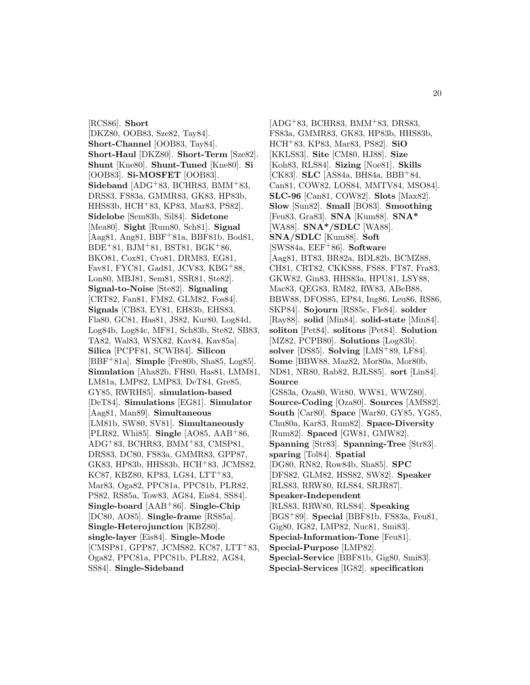[RCS86]. **Short** [DKZ80, OOB83, Sze82, Tay84]. **Short-Channel** [OOB83, Tay84]. **Short-Haul** [DKZ80]. **Short-Term** [Sze82]. **Shunt** [Kne80]. **Shunt-Tuned** [Kne80]. **Si** [OOB83]. **Si-MOSFET** [OOB83]. **Sideband** [ADG<sup>+</sup>83, BCHR83, BMM<sup>+</sup>83, DRS83, FS83a, GMMR83, GK83, HP83b, HHS83b, HCH<sup>+</sup>83, KP83, Mar83, PS82]. **Sidelobe** [Sem83b, Sil84]. **Sidetone** [Mea80]. **Sight** [Rum80, Sch81]. **Signal** [Aag81, Ang81, BBF<sup>+</sup>81a, BBF81b, Bod81, BDE<sup>+</sup>81, BJM<sup>+</sup>81, BST81, BGK<sup>+</sup>86, BKO81, Cox81, Cro81, DRM83, EG81, Fav81, FYC81, Gad81, JCV83, KBG<sup>+</sup>88, Lon80, MBJ81, Sem81, SSR81, Ste82]. **Signal-to-Noise** [Ste82]. **Signaling** [CRT82, Fan81, FM82, GLM82, Fos84]. **Signals** [CB83, EY81, EH83b, EHS83, Fla80, GC81, Has81, JS82, Kur80, Log84d, Log84b, Log84c, MF81, Sch83b, Ste82, SB83, TA82, Wal83, WSX82, Kav84, Kav85a]. **Silica** [PCPF81, SCWB84]. **Silicon** [BBF<sup>+</sup>81a]. **Simple** [Fre80b, Sha85, Log85]. **Simulation** [Aha82b, FH80, Has81, LMM81, LM81a, LMP82, LMP83, DeT84, Gre85, GY85, RWRH85]. **simulation-based** [DeT84]. **Simulations** [EG81]. **Simulator** [Aag81, Man89]. **Simultaneous** [LM81b, SW80, SV81]. **Simultaneously** [PLR82, Whi85]. **Single** [AO85, AAB<sup>+</sup>86, ADG<sup>+</sup>83, BCHR83, BMM<sup>+</sup>83, CMSP81, DRS83, DC80, FS83a, GMMR83, GPP87, GK83, HP83b, HHS83b, HCH<sup>+</sup>83, JCMS82, KC87, KBZ80, KP83, LG84, LTT+83, Mar83, Oga82, PPC81a, PPC81b, PLR82, PS82, RS85a, Tow83, AG84, Eis84, SS84]. **Single-board** [AAB<sup>+</sup>86]. **Single-Chip** [DC80, AO85]. **Single-frame** [RS85a]. **Single-Heterojunction** [KBZ80]. **single-layer** [Eis84]. **Single-Mode** [CMSP81, GPP87, JCMS82, KC87, LTT+83, Oga82, PPC81a, PPC81b, PLR82, AG84, SS84]. **Single-Sideband**

 $[ADG+83, BCHR83, BMM+83, DRSS3,$ FS83a, GMMR83, GK83, HP83b, HHS83b, HCH<sup>+</sup>83, KP83, Mar83, PS82]. **SiO** [KKLS83]. **Site** [CM80, HJ88]. **Size** [Koh83, RLS84]. **Sizing** [Noe81]. **Skills** [CK83]. **SLC** [AS84a, BH84a, BBB<sup>+</sup>84, Can81, COW82, LOS84, MMTV84, MSO84]. **SLC-96** [Can81, COW82]. **Slots** [Max82]. **Slow** [Sun82]. **Small** [BO83]. **Smoothing** [Feu83, Gra83]. **SNA** [Kum88]. **SNA\*** [WA88]. **SNA\*/SDLC** [WA88]. **SNA/SDLC** [Kum88]. **Soft** [SWS84a, EEF<sup>+</sup>86]. **Software** [Aag81, BT83, BR82a, BDL82b, BCMZ88, CH81, CRT82, CKKS88, FS88, FT87, Fra83, GKW82, Gin83, HHS83a, HPU81, LSY88, Mac83, QEG83, RM82, RW83, ABeB88, BBW88, DFOS85, EP84, Ing86, Leu86, RS86, SKP84]. **Sojourn** [RS85c, Fle84]. **solder** [Ray88]. **solid** [Min84]. **solid-state** [Min84]. **soliton** [Pet84]. **solitons** [Pet84]. **Solution** [MZ82, PCPB80]. **Solutions** [Log83b]. **solver** [DS85]. **Solving** [LMS<sup>+</sup>89, LF84]. **Some** [BBW88, Maz82, Mor80a, Mor80b, ND81, NR80, Rab82, RJLS85]. **sort** [Lin84]. **Source** [GS83a, Oza80, Wit80, WW81, WWZ80]. **Source-Coding** [Oza80]. **Sources** [AMS82]. **South** [Car80]. **Space** [War80, GY85, YG85, Chu80a, Kar83, Rum82]. **Space-Diversity** [Rum82]. **Spaced** [GW81, GMW82]. **Spanning** [Str83]. **Spanning-Tree** [Str83]. **sparing** [Tol84]. **Spatial** [DG80, RN82, Row84b, Sha85]. **SPC** [DFS82, GLM82, HSS82, SW82]. **Speaker** [RLS83, RRW80, RLS84, SRJR87]. **Speaker-Independent** [RLS83, RRW80, RLS84]. **Speaking** [BGS<sup>+</sup>89]. **Special** [BBF81b, FS83a, Feu81, Gig80, IG82, LMP82, Nuc81, Smi83]. **Special-Information-Tone** [Feu81]. **Special-Purpose** [LMP82]. **Special-Service** [BBF81b, Gig80, Smi83]. **Special-Services** [IG82]. **specification**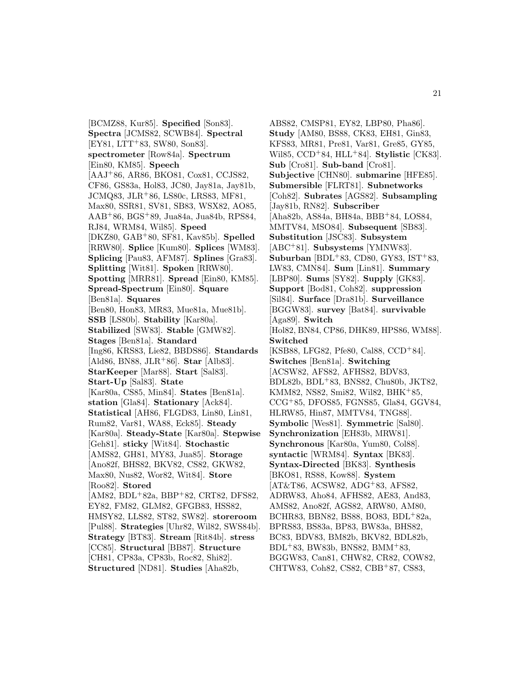[BCMZ88, Kur85]. **Specified** [Son83]. **Spectra** [JCMS82, SCWB84]. **Spectral**  $[EY81, LTT+83, SW80, Son83].$ **spectrometer** [Row84a]. **Spectrum** [Ein80, KM85]. **Speech** [AAJ<sup>+</sup>86, AR86, BKO81, Cox81, CCJS82, CF86, GS83a, Hol83, JC80, Jay81a, Jay81b, JCMQ83, JLR<sup>+</sup>86, LS80c, LRS83, MF81, Max80, SSR81, SV81, SB83, WSX82, AO85, AAB<sup>+</sup>86, BGS<sup>+</sup>89, Jua84a, Jua84b, RPS84, RJ84, WRM84, Wil85]. **Speed** [DKZ80, GAB<sup>+</sup>80, SF81, Kav85b]. **Spelled** [RRW80]. **Splice** [Kum80]. **Splices** [WM83]. **Splicing** [Pau83, AFM87]. **Splines** [Gra83]. **Splitting** [Wit81]. **Spoken** [RRW80]. **Spotting** [MRR81]. **Spread** [Ein80, KM85]. **Spread-Spectrum** [Ein80]. **Square** [Ben81a]. **Squares** [Ben80, Hon83, MR83, Mue81a, Mue81b]. **SSB** [LS80b]. **Stability** [Kar80a]. **Stabilized** [SW83]. **Stable** [GMW82]. **Stages** [Ben81a]. **Standard** [Ing86, KRS83, Lie82, BBDS86]. **Standards** [Ald86, BN88, JLR<sup>+</sup>86]. **Star** [Alb83]. **StarKeeper** [Mar88]. **Start** [Sal83]. **Start-Up** [Sal83]. **State** [Kar80a, CS85, Min84]. **States** [Ben81a]. **station** [Gla84]. **Stationary** [Ack84]. **Statistical** [AH86, FLGD83, Lin80, Lin81, Rum82, Var81, WA88, Eck85]. **Steady** [Kar80a]. **Steady-State** [Kar80a]. **Stepwise** [Geh81]. **sticky** [Wit84]. **Stochastic** [AMS82, GH81, MY83, Jua85]. **Storage** [Ano82f, BHS82, BKV82, CS82, GKW82, Max80, Nus82, Wor82, Wit84]. **Store** [Roo82]. **Stored** [AM82, BDL<sup>+</sup>82a, BBP<sup>+</sup>82, CRT82, DFS82, EY82, FM82, GLM82, GFGB83, HSS82, HMSY82, LLS82, ST82, SW82]. **storeroom** [Pul88]. **Strategies** [Uhr82, Wil82, SWS84b]. **Strategy** [BT83]. **Stream** [Rit84b]. **stress** [CC85]. **Structural** [BB87]. **Structure** [CH81, CP83a, CP83b, Roc82, Shi82]. **Structured** [ND81]. **Studies** [Aha82b,

ABS82, CMSP81, EY82, LBP80, Pha86]. **Study** [AM80, BS88, CK83, EH81, Gin83, KFS83, MR81, Pre81, Var81, Gre85, GY85, Wil85, CCD<sup>+</sup>84, HLL<sup>+</sup>84]. **Stylistic** [CK83]. **Sub** [Cro81]. **Sub-band** [Cro81]. **Subjective** [CHN80]. **submarine** [HFE85]. **Submersible** [FLRT81]. **Subnetworks** [Coh82]. **Subrates** [AGS82]. **Subsampling** [Jay81b, RN82]. **Subscriber** [Aha82b, AS84a, BH84a, BBB<sup>+</sup>84, LOS84, MMTV84, MSO84]. **Subsequent** [SB83]. **Substitution** [JSC83]. **Subsystem** [ABC<sup>+</sup>81]. **Subsystems** [YMNW83]. **Suburban** [BDL<sup>+</sup>83, CD80, GY83, IST<sup>+</sup>83, LW83, CMN84]. **Sum** [Lin81]. **Summary** [LBP80]. **Sums** [SY82]. **Supply** [GK83]. **Support** [Bod81, Coh82]. **suppression** [Sil84]. **Surface** [Dra81b]. **Surveillance** [BGGW83]. **survey** [Bat84]. **survivable** [Aga89]. **Switch** [Hol82, BN84, CP86, DHK89, HPS86, WM88]. **Switched** [KSB88, LFG82, Pfe80, Cal88, CCD<sup>+</sup>84]. **Switches** [Ben81a]. **Switching** [ACSW82, AFS82, AFHS82, BDV83, BDL82b, BDL<sup>+</sup>83, BNS82, Chu80b, JKT82, KMM82, NS82, Smi82, Wil82, BHK<sup>+</sup>85, CCG<sup>+</sup>85, DFOS85, FGNS85, Gla84, GGV84, HLRW85, Hin87, MMTV84, TNG88]. **Symbolic** [Wes81]. **Symmetric** [Sal80]. **Synchronization** [EH83b, MRW81]. **Synchronous** [Kar80a, Yum80, Col88]. **syntactic** [WRM84]. **Syntax** [BK83]. **Syntax-Directed** [BK83]. **Synthesis** [BKO81, RS88, Kow88]. **System** [AT&T86, ACSW82, ADG<sup>+</sup>83, AFS82, ADRW83, Aho84, AFHS82, AE83, And83, AMS82, Ano82f, AGS82, ARW80, AM80, BCHR83, BBN82, BS88, BO83, BDL<sup>+</sup>82a, BPRS83, BS83a, BP83, BW83a, BHS82, BC83, BDV83, BM82b, BKV82, BDL82b, BDL<sup>+</sup>83, BW83b, BNS82, BMM<sup>+</sup>83, BGGW83, Can81, CHW82, CR82, COW82, CHTW83, Coh82, CS82, CBB<sup>+</sup>87, CS83,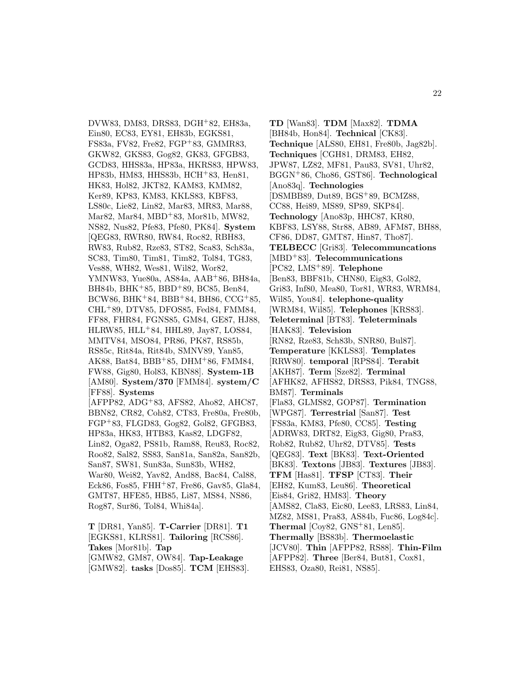DVW83, DM83, DRS83, DGH<sup>+</sup>82, EH83a, Ein80, EC83, EY81, EH83b, EGKS81, FS83a, FV82, Fre82, FGP<sup>+</sup>83, GMMR83, GKW82, GKS83, Gog82, GK83, GFGB83, GCD83, HHS83a, HP83a, HKRS83, HPW83, HP83b, HM83, HHS83b, HCH<sup>+</sup>83, Hen81, HK83, Hol82, JKT82, KAM83, KMM82, Ker89, KP83, KM83, KKLS83, KBF83, LS80c, Lie82, Lin82, Mar83, MR83, Mar88, Mar82, Mar84, MBD<sup>+</sup>83, Mor81b, MW82, NS82, Nus82, Pfe83, Pfe80, PK84]. **System** [QEG83, RWR80, RW84, Roc82, RBH83, RW83, Rub82, Rze83, ST82, Sca83, Sch83a, SC83, Tim80, Tim81, Tim82, Tol84, TG83, Ves88, WH82, Wes81, Wil82, Wor82, YMNW83, Yue80a, AS84a, AAB<sup>+</sup>86, BH84a, BH84b, BHK<sup>+</sup>85, BBD<sup>+</sup>89, BC85, Ben84, BCW86, BHK+84, BBB+84, BH86, CCG+85, CHL<sup>+</sup>89, DTV85, DFOS85, Fed84, FMM84, FF88, FHR84, FGNS85, GM84, GE87, HJ88, HLRW85, HLL<sup>+</sup>84, HHL89, Jay87, LOS84, MMTV84, MSO84, PR86, PK87, RS85b, RS85c, Rit84a, Rit84b, SMNV89, Yan85, AK88, Bat84, BBB<sup>+</sup>85, DHM<sup>+</sup>86, FMM84, FW88, Gig80, Hol83, KBN88]. **System-1B** [AM80]. **System/370** [FMM84]. **system/C** [FF88]. **Systems** [AFPP82, ADG<sup>+</sup>83, AFS82, Aho82, AHC87, BBN82, CR82, Coh82, CT83, Fre80a, Fre80b, FGP<sup>+</sup>83, FLGD83, Gog82, Gol82, GFGB83, HP83a, HK83, HTB83, Kas82, LDGF82, Lin82, Oga82, PS81b, Ram88, Reu83, Roc82, Roo82, Sal82, SS83, San81a, San82a, San82b, San87, SW81, Sun83a, Sun83b, WH82, War80, Wei82, Yav82, And88, Bac84, Cal88, Eck86, Fos85, FHH<sup>+</sup>87, Fre86, Gav85, Gla84, GMT87, HFE85, HB85, Li87, MS84, NS86, Rog87, Sur86, Tol84, Whi84a].

**T** [DR81, Yan85]. **T-Carrier** [DR81]. **T1** [EGKS81, KLRS81]. **Tailoring** [RCS86]. **Takes** [Mor81b]. **Tap** [GMW82, GM87, OW84]. **Tap-Leakage** [GMW82]. **tasks** [Dos85]. **TCM** [EHS83].

**TD** [Wan83]. **TDM** [Max82]. **TDMA** [BH84b, Hon84]. **Technical** [CK83]. **Technique** [ALS80, EH81, Fre80b, Jag82b]. **Techniques** [CGH81, DRM83, EH82, JPW87, LZ82, MF81, Pau83, SV81, Uhr82, BGGN<sup>+</sup>86, Cho86, GST86]. **Technological** [Ano83q]. **Technologies** [DSMBB89, Dut89, BGS<sup>+</sup>89, BCMZ88, CC88, Hei89, MS89, SP89, SKP84]. **Technology** [Ano83p, HHC87, KR80, KBF83, LSY88, Str88, AB89, AFM87, BH88, CF86, DD87, GMT87, Hin87, Tho87]. **TELBECC** [Gri83]. **Telecommuncations** [MBD<sup>+</sup>83]. **Telecommunications** [PC82, LMS<sup>+</sup>89]. **Telephone** [Ben83, BBF81b, CHN80, Eig83, Gol82, Gri83, Inf80, Mea80, Tor81, WR83, WRM84, Wil85, You84]. **telephone-quality** [WRM84, Wil85]. **Telephones** [KRS83]. **Teleterminal** [BT83]. **Teleterminals** [HAK83]. **Television** [RN82, Rze83, Sch83b, SNR80, Bul87]. **Temperature** [KKLS83]. **Templates** [RRW80]. **temporal** [RPS84]. **Terabit** [AKH87]. **Term** [Sze82]. **Terminal** [AFHK82, AFHS82, DRS83, Pik84, TNG88, BM87]. **Terminals** [Fla83, GLMS82, GOP87]. **Termination** [WPG87]. **Terrestrial** [San87]. **Test** [FS83a, KM83, Pfe80, CC85]. **Testing** [ADRW83, DRT82, Eig83, Gig80, Pra83, Rob82, Rub82, Uhr82, DTV85]. **Tests** [QEG83]. **Text** [BK83]. **Text-Oriented** [BK83]. **Textons** [JB83]. **Textures** [JB83]. **TFM** [Has81]. **TFSP** [CT83]. **Their** [EH82, Kum83, Leu86]. **Theoretical** [Eis84, Gri82, HM83]. **Theory** [AMS82, Cla83, Eic80, Lee83, LRS83, Lin84, MZ82, MS81, Pra83, AS84b, Fuc86, Log84c]. **Thermal** [Coy82, GNS<sup>+</sup>81, Len85]. **Thermally** [BS83b]. **Thermoelastic** [JCV80]. **Thin** [AFPP82, RS88]. **Thin-Film** [AFPP82]. **Three** [Ber84, But81, Cox81, EHS83, Oza80, Rei81, NS85].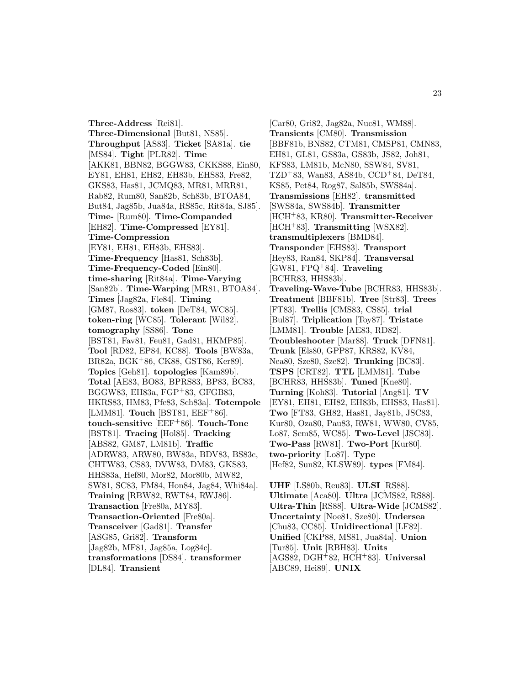**Three-Address** [Rei81]. **Three-Dimensional** [But81, NS85]. **Throughput** [AS83]. **Ticket** [SA81a]. **tie** [MS84]. **Tight** [PLR82]. **Time** [AKK81, BBN82, BGGW83, CKKS88, Ein80, EY81, EH81, EH82, EH83b, EHS83, Fre82, GKS83, Has81, JCMQ83, MR81, MRR81, Rab82, Rum80, San82b, Sch83b, BTOA84, But84, Jag85b, Jua84a, RS85c, Rit84a, SJ85]. **Time-** [Rum80]. **Time-Companded** [EH82]. **Time-Compressed** [EY81]. **Time-Compression** [EY81, EH81, EH83b, EHS83]. **Time-Frequency** [Has81, Sch83b]. **Time-Frequency-Coded** [Ein80]. **time-sharing** [Rit84a]. **Time-Varying** [San82b]. **Time-Warping** [MR81, BTOA84]. **Times** [Jag82a, Fle84]. **Timing** [GM87, Ros83]. **token** [DeT84, WC85]. **token-ring** [WC85]. **Tolerant** [Wil82]. **tomography** [SS86]. **Tone** [BST81, Fav81, Feu81, Gad81, HKMP85]. **Tool** [RD82, EP84, KC88]. **Tools** [BW83a, BR82a, BGK<sup>+</sup>86, CK88, GST86, Ker89]. **Topics** [Geh81]. **topologies** [Kam89b]. **Total** [AE83, BO83, BPRS83, BP83, BC83, BGGW83, EH83a, FGP<sup>+</sup>83, GFGB83, HKRS83, HM83, Pfe83, Sch83a]. **Totempole** [LMM81]. **Touch** [BST81, EEF+86]. **touch-sensitive** [EEF<sup>+</sup>86]. **Touch-Tone** [BST81]. **Tracing** [Hol85]. **Tracking** [ABS82, GM87, LM81b]. **Traffic** [ADRW83, ARW80, BW83a, BDV83, BS83c, CHTW83, CS83, DVW83, DM83, GKS83, HHS83a, Hef80, Mor82, Mor80b, MW82, SW81, SC83, FM84, Hon84, Jag84, Whi84a]. **Training** [RBW82, RWT84, RWJ86]. **Transaction** [Fre80a, MY83]. **Transaction-Oriented** [Fre80a]. **Transceiver** [Gad81]. **Transfer** [ASG85, Gri82]. **Transform** [Jag82b, MF81, Jag85a, Log84c]. **transformations** [DS84]. **transformer** [DL84]. **Transient**

[Car80, Gri82, Jag82a, Nuc81, WM88]. **Transients** [CM80]. **Transmission** [BBF81b, BNS82, CTM81, CMSP81, CMN83, EH81, GL81, GS83a, GS83b, JS82, Joh81, KFS83, LM81b, McN80, SSW84, SV81,  $TZD+83$ , Wan83, AS84b, CCD+84, DeT84, KS85, Pet84, Rog87, Sal85b, SWS84a]. **Transmissions** [EH82]. **transmitted** [SWS84a, SWS84b]. **Transmitter** [HCH<sup>+</sup>83, KR80]. **Transmitter-Receiver** [HCH<sup>+</sup>83]. **Transmitting** [WSX82]. **transmultiplexers** [BMD84]. **Transponder** [EHS83]. **Transport** [Hey83, Ran84, SKP84]. **Transversal** [GW81, FPQ<sup>+</sup>84]. **Traveling** [BCHR83, HHS83b]. **Traveling-Wave-Tube** [BCHR83, HHS83b]. **Treatment** [BBF81b]. **Tree** [Str83]. **Trees** [FT83]. **Trellis** [CMS83, CS85]. **trial** [Bul87]. **Triplication** [Toy87]. **Tristate** [LMM81]. **Trouble** [AE83, RD82]. **Troubleshooter** [Mar88]. **Truck** [DFN81]. **Trunk** [Els80, GPP87, KRS82, KV84, Nea80, Sze80, Sze82]. **Trunking** [BC83]. **TSPS** [CRT82]. **TTL** [LMM81]. **Tube** [BCHR83, HHS83b]. **Tuned** [Kne80]. **Turning** [Koh83]. **Tutorial** [Ang81]. **TV** [EY81, EH81, EH82, EH83b, EHS83, Has81]. **Two** [FT83, GH82, Has81, Jay81b, JSC83, Kur80, Oza80, Pau83, RW81, WW80, CV85, Lo87, Sem85, WC85]. **Two-Level** [JSC83]. **Two-Pass** [RW81]. **Two-Port** [Kur80]. **two-priority** [Lo87]. **Type** [Hef82, Sun82, KLSW89]. **types** [FM84].

**UHF** [LS80b, Reu83]. **ULSI** [RS88]. **Ultimate** [Aca80]. **Ultra** [JCMS82, RS88]. **Ultra-Thin** [RS88]. **Ultra-Wide** [JCMS82]. **Uncertainty** [Noe81, Sze80]. **Undersea** [Chu83, CC85]. **Unidirectional** [LF82]. **Unified** [CKP88, MS81, Jua84a]. **Union** [Tur85]. **Unit** [RBH83]. **Units** [AGS82, DGH<sup>+</sup>82, HCH<sup>+</sup>83]. **Universal** [ABC89, Hei89]. **UNIX**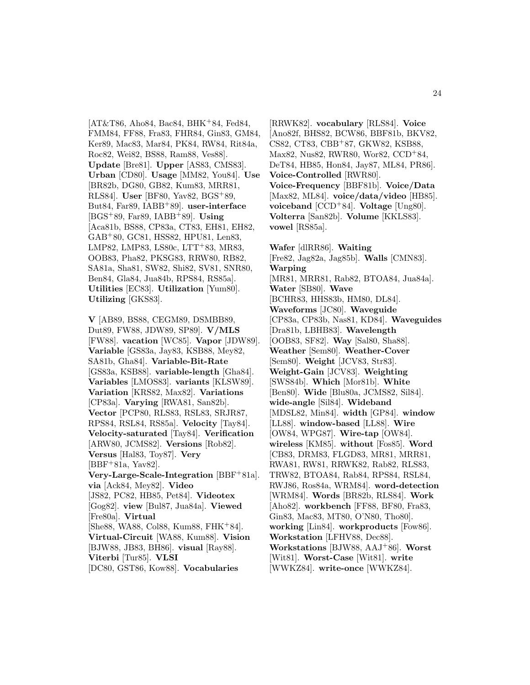$[AT&T86, Aho84, Bac84, BHK+84, Fed84,$ FMM84, FF88, Fra83, FHR84, Gin83, GM84, Ker89, Mac83, Mar84, PK84, RW84, Rit84a, Roc82, Wei82, BS88, Ram88, Ves88]. **Update** [Bre81]. **Upper** [AS83, CMS83]. **Urban** [CD80]. **Usage** [MM82, You84]. **Use** [BR82b, DG80, GB82, Kum83, MRR81, RLS84]. **User** [BF80, Yav82, BGS<sup>+</sup>89, But84, Far89, IABB<sup>+</sup>89]. **user-interface** [BGS<sup>+</sup>89, Far89, IABB<sup>+</sup>89]. **Using** [Aca81b, BS88, CP83a, CT83, EH81, EH82, GAB<sup>+</sup>80, GC81, HSS82, HPU81, Len83, LMP82, LMP83, LS80c, LTT<sup>+</sup>83, MR83, OOB83, Pha82, PKSG83, RRW80, RB82, SA81a, Sha81, SW82, Shi82, SV81, SNR80, Ben84, Gla84, Jua84b, RPS84, RS85a]. **Utilities** [EC83]. **Utilization** [Yum80]. **Utilizing** [GKS83].

**V** [AB89, BS88, CEGM89, DSMBB89, Dut89, FW88, JDW89, SP89]. **V/MLS** [FW88]. **vacation** [WC85]. **Vapor** [JDW89]. **Variable** [GS83a, Jay83, KSB88, Mey82, SA81b, Gha84]. **Variable-Bit-Rate** [GS83a, KSB88]. **variable-length** [Gha84]. **Variables** [LMOS83]. **variants** [KLSW89]. **Variation** [KRS82, Max82]. **Variations** [CP83a]. **Varying** [RWA81, San82b]. **Vector** [PCP80, RLS83, RSL83, SRJR87, RPS84, RSL84, RS85a]. **Velocity** [Tay84]. **Velocity-saturated** [Tay84]. **Verification** [ARW80, JCMS82]. **Versions** [Rob82]. **Versus** [Hal83, Toy87]. **Very** [BBF<sup>+</sup>81a, Yav82]. **Very-Large-Scale-Integration** [BBF<sup>+</sup>81a]. **via** [Ack84, Mey82]. **Video** [JS82, PC82, HB85, Pet84]. **Videotex** [Gog82]. **view** [Bul87, Jua84a]. **Viewed** [Fre80a]. **Virtual** [She88, WA88, Col88, Kum88, FHK<sup>+</sup>84]. **Virtual-Circuit** [WA88, Kum88]. **Vision** [BJW88, JB83, BH86]. **visual** [Ray88]. **Viterbi** [Tur85]. **VLSI** [DC80, GST86, Kow88]. **Vocabularies**

[RRWK82]. **vocabulary** [RLS84]. **Voice** [Ano82f, BHS82, BCW86, BBF81b, BKV82, CS82, CT83, CBB<sup>+</sup>87, GKW82, KSB88, Max82, Nus82, RWR80, Wor82, CCD<sup>+</sup>84, DeT84, HB85, Hon84, Jay87, ML84, PR86]. **Voice-Controlled** [RWR80]. **Voice-Frequency** [BBF81b]. **Voice/Data** [Max82, ML84]. **voice/data/video** [HB85]. **voiceband** [CCD<sup>+</sup>84]. **Voltage** [Ung80]. **Volterra** [San82b]. **Volume** [KKLS83]. **vowel** [RS85a].

**Wafer** [dlRR86]. **Waiting** [Fre82, Jag82a, Jag85b]. **Walls** [CMN83]. **Warping** [MR81, MRR81, Rab82, BTOA84, Jua84a]. **Water** [SB80]. **Wave** [BCHR83, HHS83b, HM80, DL84]. **Waveforms** [JC80]. **Waveguide** [CP83a, CP83b, Nas81, KD84]. **Waveguides** [Dra81b, LBHB83]. **Wavelength** [OOB83, SF82]. **Way** [Sal80, Sha88]. **Weather** [Sem80]. **Weather-Cover** [Sem80]. **Weight** [JCV83, Str83]. **Weight-Gain** [JCV83]. **Weighting** [SWS84b]. **Which** [Mor81b]. **White** [Ben80]. **Wide** [Blu80a, JCMS82, Sil84]. **wide-angle** [Sil84]. **Wideband** [MDSL82, Min84]. **width** [GP84]. **window** [LL88]. **window-based** [LL88]. **Wire** [OW84, WPG87]. **Wire-tap** [OW84]. **wireless** [KM85]. **without** [Fos85]. **Word** [CB83, DRM83, FLGD83, MR81, MRR81, RWA81, RW81, RRWK82, Rab82, RLS83, TRW82, BTOA84, Rab84, RPS84, RSL84, RWJ86, Ros84a, WRM84]. **word-detection** [WRM84]. **Words** [BR82b, RLS84]. **Work** [Aho82]. **workbench** [FF88, BF80, Fra83, Gin83, Mac83, MT80, O'N80, Tho80]. **working** [Lin84]. **workproducts** [Fow86]. **Workstation** [LFHV88, Dec88]. **Workstations** [BJW88, AAJ<sup>+</sup>86]. **Worst** [Wit81]. **Worst-Case** [Wit81]. **write** [WWKZ84]. **write-once** [WWKZ84].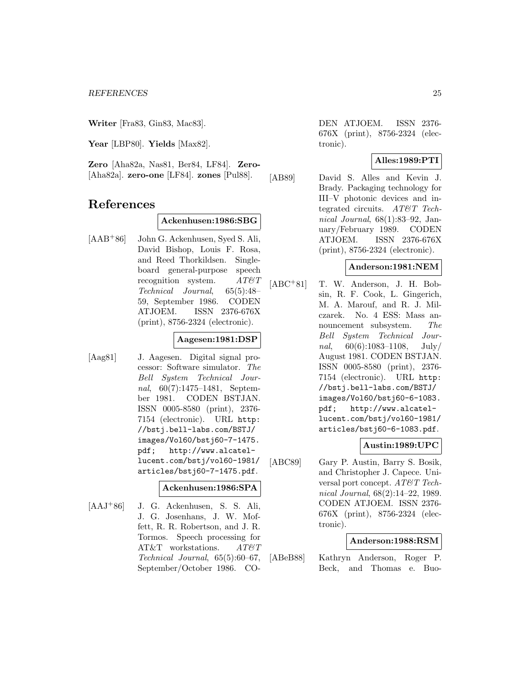**Writer** [Fra83, Gin83, Mac83].

**Year** [LBP80]. **Yields** [Max82].

**Zero** [Aha82a, Nas81, Ber84, LF84]. **Zero-** [Aha82a]. **zero-one** [LF84]. **zones** [Pul88].

# **References**

#### **Ackenhusen:1986:SBG**

[AAB<sup>+</sup>86] John G. Ackenhusen, Syed S. Ali, David Bishop, Louis F. Rosa, and Reed Thorkildsen. Singleboard general-purpose speech recognition system.  $AT\mathcal{O}T$ Technical Journal, 65(5):48– 59, September 1986. CODEN ATJOEM. ISSN 2376-676X (print), 8756-2324 (electronic).

#### **Aagesen:1981:DSP**

[Aag81] J. Aagesen. Digital signal processor: Software simulator. The Bell System Technical Journal, 60(7):1475–1481, September 1981. CODEN BSTJAN. ISSN 0005-8580 (print), 2376- 7154 (electronic). URL http: //bstj.bell-labs.com/BSTJ/ images/Vol60/bstj60-7-1475. pdf; http://www.alcatellucent.com/bstj/vol60-1981/ articles/bstj60-7-1475.pdf.

#### **Ackenhusen:1986:SPA**

[AAJ<sup>+</sup>86] J. G. Ackenhusen, S. S. Ali, J. G. Josenhans, J. W. Moffett, R. R. Robertson, and J. R. Tormos. Speech processing for AT&T workstations. AT&T Technical Journal, 65(5):60–67, September/October 1986. CO-

DEN ATJOEM. ISSN 2376- 676X (print), 8756-2324 (electronic).

#### **Alles:1989:PTI**

[AB89] David S. Alles and Kevin J. Brady. Packaging technology for III–V photonic devices and integrated circuits. AT&T Technical Journal, 68(1):83–92, January/February 1989. CODEN ATJOEM. ISSN 2376-676X (print), 8756-2324 (electronic).

#### **Anderson:1981:NEM**

[ABC<sup>+</sup>81] T. W. Anderson, J. H. Bobsin, R. F. Cook, L. Gingerich, M. A. Marouf, and R. J. Milczarek. No. 4 ESS: Mass announcement subsystem. The Bell System Technical Journal,  $60(6):1083-1108$ , July/ August 1981. CODEN BSTJAN. ISSN 0005-8580 (print), 2376- 7154 (electronic). URL http: //bstj.bell-labs.com/BSTJ/ images/Vol60/bstj60-6-1083. pdf; http://www.alcatellucent.com/bstj/vol60-1981/ articles/bstj60-6-1083.pdf.

#### **Austin:1989:UPC**

[ABC89] Gary P. Austin, Barry S. Bosik, and Christopher J. Capece. Universal port concept. AT&T Technical Journal, 68(2):14–22, 1989. CODEN ATJOEM. ISSN 2376- 676X (print), 8756-2324 (electronic).

#### **Anderson:1988:RSM**

[ABeB88] Kathryn Anderson, Roger P. Beck, and Thomas e. Buo-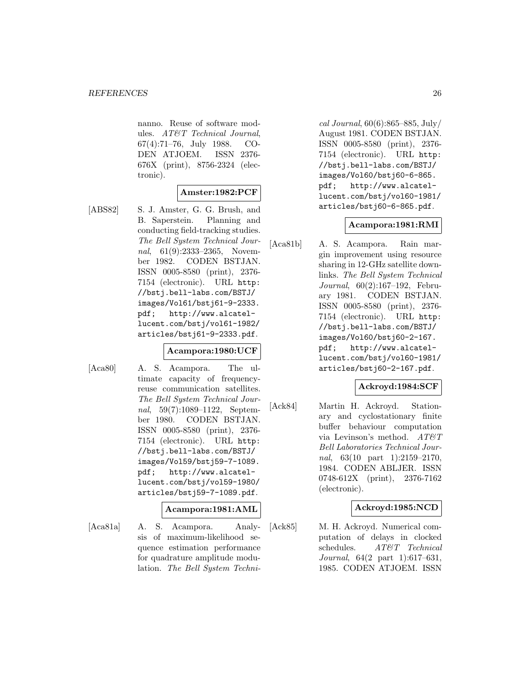nanno. Reuse of software modules. AT&T Technical Journal, 67(4):71–76, July 1988. CO-DEN ATJOEM. ISSN 2376- 676X (print), 8756-2324 (electronic).

#### **Amster:1982:PCF**

[ABS82] S. J. Amster, G. G. Brush, and B. Saperstein. Planning and conducting field-tracking studies. The Bell System Technical Journal, 61(9):2333–2365, November 1982. CODEN BSTJAN. ISSN 0005-8580 (print), 2376- 7154 (electronic). URL http: //bstj.bell-labs.com/BSTJ/ images/Vol61/bstj61-9-2333. pdf; http://www.alcatellucent.com/bstj/vol61-1982/ articles/bstj61-9-2333.pdf.

#### **Acampora:1980:UCF**

[Aca80] A. S. Acampora. The ultimate capacity of frequencyreuse communication satellites. The Bell System Technical Journal, 59(7):1089–1122, September 1980. CODEN BSTJAN. ISSN 0005-8580 (print), 2376- 7154 (electronic). URL http: //bstj.bell-labs.com/BSTJ/ images/Vol59/bstj59-7-1089. pdf; http://www.alcatellucent.com/bstj/vol59-1980/ articles/bstj59-7-1089.pdf.

#### **Acampora:1981:AML**

[Aca81a] A. S. Acampora. Analysis of maximum-likelihood sequence estimation performance for quadrature amplitude modulation. The Bell System Techni-

cal Journal, 60(6):865–885, July/ August 1981. CODEN BSTJAN. ISSN 0005-8580 (print), 2376- 7154 (electronic). URL http: //bstj.bell-labs.com/BSTJ/ images/Vol60/bstj60-6-865. pdf; http://www.alcatellucent.com/bstj/vol60-1981/ articles/bstj60-6-865.pdf.

#### **Acampora:1981:RMI**

[Aca81b] A. S. Acampora. Rain margin improvement using resource sharing in 12-GHz satellite downlinks. The Bell System Technical Journal, 60(2):167–192, February 1981. CODEN BSTJAN. ISSN 0005-8580 (print), 2376- 7154 (electronic). URL http: //bstj.bell-labs.com/BSTJ/ images/Vol60/bstj60-2-167. pdf; http://www.alcatellucent.com/bstj/vol60-1981/ articles/bstj60-2-167.pdf.

# **Ackroyd:1984:SCF**

[Ack84] Martin H. Ackroyd. Stationary and cyclostationary finite buffer behaviour computation via Levinson's method.  $AT \mathcal{C}T$ Bell Laboratories Technical Journal, 63(10 part 1):2159-2170, 1984. CODEN ABLJER. ISSN 0748-612X (print), 2376-7162 (electronic).

#### **Ackroyd:1985:NCD**

[Ack85] M. H. Ackroyd. Numerical computation of delays in clocked schedules. AT&T Technical Journal, 64(2 part 1):617–631, 1985. CODEN ATJOEM. ISSN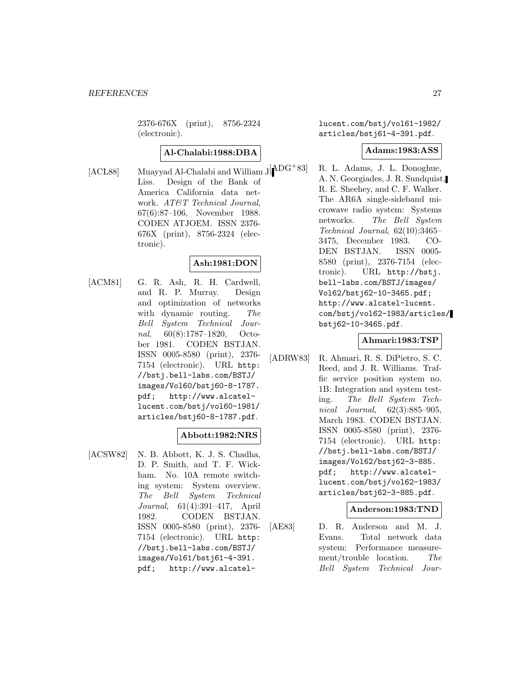2376-676X (print), 8756-2324 (electronic).

## **Al-Chalabi:1988:DBA**

[ACL88] Muayyad Al-Chalabi and William  $J[$ <sup> $\triangle$ DG<sup>+</sup>83]</sup> Liss. Design of the Bank of America California data network. AT&T Technical Journal, 67(6):87–106, November 1988. CODEN ATJOEM. ISSN 2376- 676X (print), 8756-2324 (electronic).

# **Ash:1981:DON**

[ACM81] G. R. Ash, R. H. Cardwell, and R. P. Murray. Design and optimization of networks with dynamic routing. The Bell System Technical Journal, 60(8):1787–1820, October 1981. CODEN BSTJAN. ISSN 0005-8580 (print), 2376- 7154 (electronic). URL http: //bstj.bell-labs.com/BSTJ/ images/Vol60/bstj60-8-1787. pdf; http://www.alcatellucent.com/bstj/vol60-1981/ articles/bstj60-8-1787.pdf.

# **Abbott:1982:NRS**

[ACSW82] N. B. Abbott, K. J. S. Chadha, D. P. Smith, and T. F. Wickham. No. 10A remote switching system: System overview. The Bell System Technical Journal, 61(4):391–417, April 1982. CODEN BSTJAN. ISSN 0005-8580 (print), 2376- 7154 (electronic). URL http: //bstj.bell-labs.com/BSTJ/ images/Vol61/bstj61-4-391. pdf; http://www.alcatellucent.com/bstj/vol61-1982/ articles/bstj61-4-391.pdf.

#### **Adams:1983:ASS**

R. L. Adams, J. L. Donoghue, A. N. Georgiades, J. R. Sundquist, R. E. Sheehey, and C. F. Walker. The AR6A single-sideband microwave radio system: Systems networks. The Bell System Technical Journal, 62(10):3465– 3475, December 1983. CO-DEN BSTJAN. ISSN 0005- 8580 (print), 2376-7154 (electronic). URL http://bstj. bell-labs.com/BSTJ/images/ Vol62/bstj62-10-3465.pdf; http://www.alcatel-lucent. com/bstj/vol62-1983/articles/ bstj62-10-3465.pdf.

#### **Ahmari:1983:TSP**

[ADRW83] R. Ahmari, R. S. DiPietro, S. C. Reed, and J. R. Williams. Traffic service position system no. 1B: Integration and system testing. The Bell System Technical Journal, 62(3):885–905, March 1983. CODEN BSTJAN. ISSN 0005-8580 (print), 2376- 7154 (electronic). URL http: //bstj.bell-labs.com/BSTJ/ images/Vol62/bstj62-3-885. pdf; http://www.alcatellucent.com/bstj/vol62-1983/ articles/bstj62-3-885.pdf.

#### **Anderson:1983:TND**

[AE83] D. R. Anderson and M. J. Evans. Total network data system: Performance measurement/trouble location. The Bell System Technical Jour-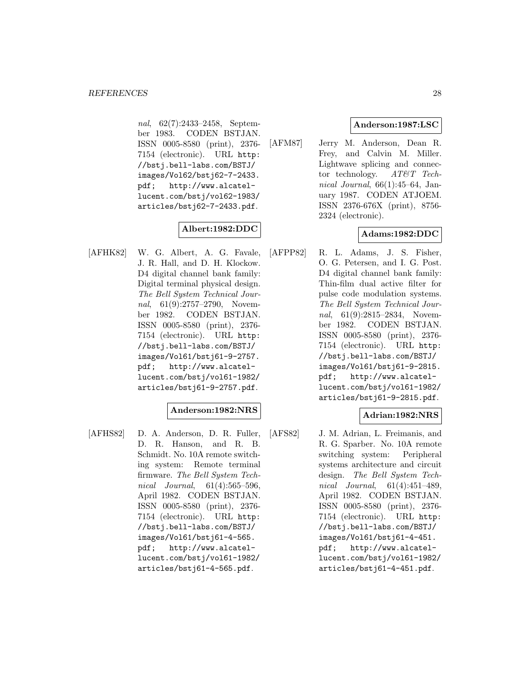nal, 62(7):2433–2458, September 1983. CODEN BSTJAN. ISSN 0005-8580 (print), 2376- 7154 (electronic). URL http: //bstj.bell-labs.com/BSTJ/ images/Vol62/bstj62-7-2433. pdf; http://www.alcatellucent.com/bstj/vol62-1983/ articles/bstj62-7-2433.pdf.

# **Albert:1982:DDC**

[AFHK82] W. G. Albert, A. G. Favale, J. R. Hall, and D. H. Klockow. D4 digital channel bank family: Digital terminal physical design. The Bell System Technical Journal, 61(9):2757–2790, November 1982. CODEN BSTJAN. ISSN 0005-8580 (print), 2376- 7154 (electronic). URL http: //bstj.bell-labs.com/BSTJ/ images/Vol61/bstj61-9-2757. pdf; http://www.alcatellucent.com/bstj/vol61-1982/ articles/bstj61-9-2757.pdf.

#### **Anderson:1982:NRS**

[AFHS82] D. A. Anderson, D. R. Fuller, D. R. Hanson, and R. B. Schmidt. No. 10A remote switching system: Remote terminal firmware. The Bell System Technical Journal, 61(4):565–596, April 1982. CODEN BSTJAN. ISSN 0005-8580 (print), 2376- 7154 (electronic). URL http: //bstj.bell-labs.com/BSTJ/ images/Vol61/bstj61-4-565. pdf; http://www.alcatellucent.com/bstj/vol61-1982/ articles/bstj61-4-565.pdf.

# **Anderson:1987:LSC**

[AFM87] Jerry M. Anderson, Dean R. Frey, and Calvin M. Miller. Lightwave splicing and connector technology.  $AT\mathcal{C}T$  Technical Journal,  $66(1):45-64$ , January 1987. CODEN ATJOEM. ISSN 2376-676X (print), 8756- 2324 (electronic).

# **Adams:1982:DDC**

[AFPP82] R. L. Adams, J. S. Fisher, O. G. Petersen, and I. G. Post. D4 digital channel bank family: Thin-film dual active filter for pulse code modulation systems. The Bell System Technical Journal, 61(9):2815–2834, November 1982. CODEN BSTJAN. ISSN 0005-8580 (print), 2376- 7154 (electronic). URL http: //bstj.bell-labs.com/BSTJ/ images/Vol61/bstj61-9-2815. pdf; http://www.alcatellucent.com/bstj/vol61-1982/ articles/bstj61-9-2815.pdf.

# **Adrian:1982:NRS**

[AFS82] J. M. Adrian, L. Freimanis, and R. G. Sparber. No. 10A remote switching system: Peripheral systems architecture and circuit design. The Bell System Technical Journal, 61(4):451–489, April 1982. CODEN BSTJAN. ISSN 0005-8580 (print), 2376- 7154 (electronic). URL http: //bstj.bell-labs.com/BSTJ/ images/Vol61/bstj61-4-451. pdf; http://www.alcatellucent.com/bstj/vol61-1982/ articles/bstj61-4-451.pdf.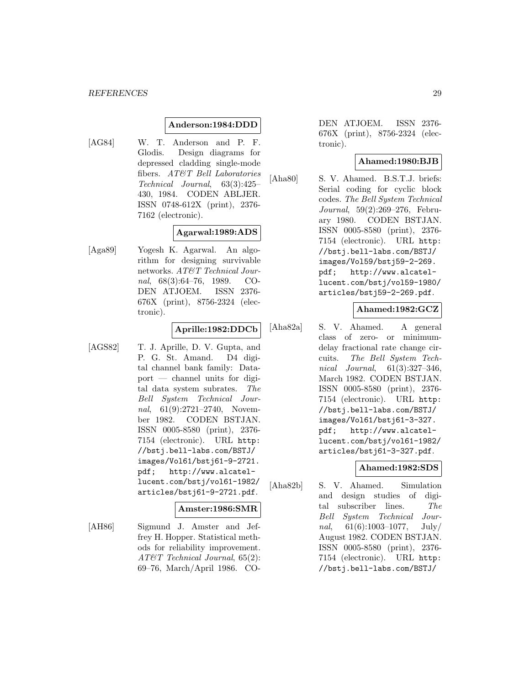#### **Anderson:1984:DDD**

[AG84] W. T. Anderson and P. F. Glodis. Design diagrams for depressed cladding single-mode fibers. AT&T Bell Laboratories Technical Journal, 63(3):425– 430, 1984. CODEN ABLJER. ISSN 0748-612X (print), 2376- 7162 (electronic).

#### **Agarwal:1989:ADS**

[Aga89] Yogesh K. Agarwal. An algorithm for designing survivable networks. AT&T Technical Journal, 68(3):64–76, 1989. CO-DEN ATJOEM. ISSN 2376- 676X (print), 8756-2324 (electronic).

#### **Aprille:1982:DDCb**

[AGS82] T. J. Aprille, D. V. Gupta, and P. G. St. Amand. D4 digital channel bank family: Dataport — channel units for digital data system subrates. The Bell System Technical Journal, 61(9):2721-2740, November 1982. CODEN BSTJAN. ISSN 0005-8580 (print), 2376- 7154 (electronic). URL http: //bstj.bell-labs.com/BSTJ/ images/Vol61/bstj61-9-2721. pdf; http://www.alcatellucent.com/bstj/vol61-1982/ articles/bstj61-9-2721.pdf.

#### **Amster:1986:SMR**

[AH86] Sigmund J. Amster and Jeffrey H. Hopper. Statistical methods for reliability improvement. AT&T Technical Journal, 65(2): 69–76, March/April 1986. CO- DEN ATJOEM. ISSN 2376- 676X (print), 8756-2324 (electronic).

#### **Ahamed:1980:BJB**

[Aha80] S. V. Ahamed. B.S.T.J. briefs: Serial coding for cyclic block codes. The Bell System Technical Journal, 59(2):269–276, February 1980. CODEN BSTJAN. ISSN 0005-8580 (print), 2376- 7154 (electronic). URL http: //bstj.bell-labs.com/BSTJ/ images/Vol59/bstj59-2-269. pdf; http://www.alcatellucent.com/bstj/vol59-1980/ articles/bstj59-2-269.pdf.

# **Ahamed:1982:GCZ**

[Aha82a] S. V. Ahamed. A general class of zero- or minimumdelay fractional rate change circuits. The Bell System Technical Journal, 61(3):327–346, March 1982. CODEN BSTJAN. ISSN 0005-8580 (print), 2376- 7154 (electronic). URL http: //bstj.bell-labs.com/BSTJ/ images/Vol61/bstj61-3-327. pdf; http://www.alcatellucent.com/bstj/vol61-1982/ articles/bstj61-3-327.pdf.

# **Ahamed:1982:SDS**

[Aha82b] S. V. Ahamed. Simulation and design studies of digital subscriber lines. The Bell System Technical Journal,  $61(6):1003-1077$ , July/ August 1982. CODEN BSTJAN. ISSN 0005-8580 (print), 2376- 7154 (electronic). URL http: //bstj.bell-labs.com/BSTJ/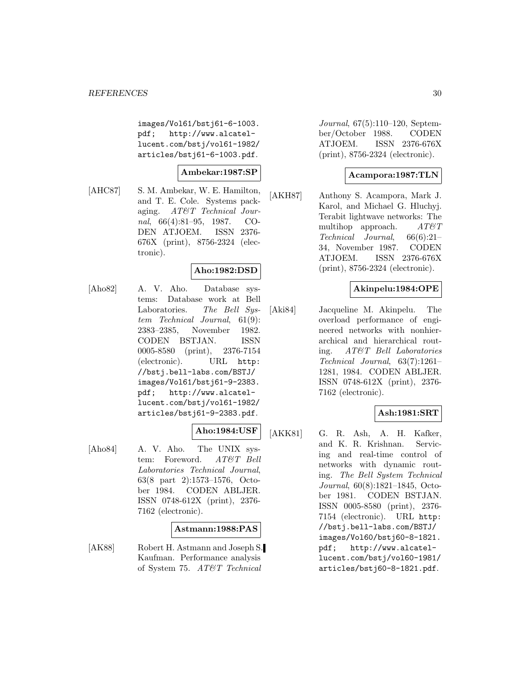images/Vol61/bstj61-6-1003. pdf; http://www.alcatellucent.com/bstj/vol61-1982/ articles/bstj61-6-1003.pdf.

#### **Ambekar:1987:SP**

[AHC87] S. M. Ambekar, W. E. Hamilton, and T. E. Cole. Systems packaging. AT&T Technical Journal, 66(4):81–95, 1987. CO-DEN ATJOEM. ISSN 2376- 676X (print), 8756-2324 (electronic).

#### **Aho:1982:DSD**

[Aho82] A. V. Aho. Database systems: Database work at Bell Laboratories. The Bell System Technical Journal, 61(9): 2383–2385, November 1982. CODEN BSTJAN. ISSN 0005-8580 (print), 2376-7154 (electronic). URL http: //bstj.bell-labs.com/BSTJ/ images/Vol61/bstj61-9-2383. pdf; http://www.alcatellucent.com/bstj/vol61-1982/ articles/bstj61-9-2383.pdf.

#### **Aho:1984:USF**

[Aho84] A. V. Aho. The UNIX system: Foreword. AT&T Bell Laboratories Technical Journal, 63(8 part 2):1573–1576, October 1984. CODEN ABLJER. ISSN 0748-612X (print), 2376- 7162 (electronic).

#### **Astmann:1988:PAS**

[AK88] Robert H. Astmann and Joseph S. Kaufman. Performance analysis of System 75. AT&T Technical

Journal, 67(5):110–120, September/October 1988. CODEN ATJOEM. ISSN 2376-676X (print), 8756-2324 (electronic).

#### **Acampora:1987:TLN**

[AKH87] Anthony S. Acampora, Mark J. Karol, and Michael G. Hluchyj. Terabit lightwave networks: The multihop approach. AT&T Technical Journal, 66(6):21– 34, November 1987. CODEN ATJOEM. ISSN 2376-676X (print), 8756-2324 (electronic).

## **Akinpelu:1984:OPE**

[Aki84] Jacqueline M. Akinpelu. The overload performance of engineered networks with nonhierarchical and hierarchical routing. AT&T Bell Laboratories Technical Journal, 63(7):1261– 1281, 1984. CODEN ABLJER. ISSN 0748-612X (print), 2376- 7162 (electronic).

#### **Ash:1981:SRT**

[AKK81] G. R. Ash, A. H. Kafker, and K. R. Krishnan. Servicing and real-time control of networks with dynamic routing. The Bell System Technical Journal, 60(8):1821–1845, October 1981. CODEN BSTJAN. ISSN 0005-8580 (print), 2376- 7154 (electronic). URL http: //bstj.bell-labs.com/BSTJ/ images/Vol60/bstj60-8-1821. pdf; http://www.alcatellucent.com/bstj/vol60-1981/ articles/bstj60-8-1821.pdf.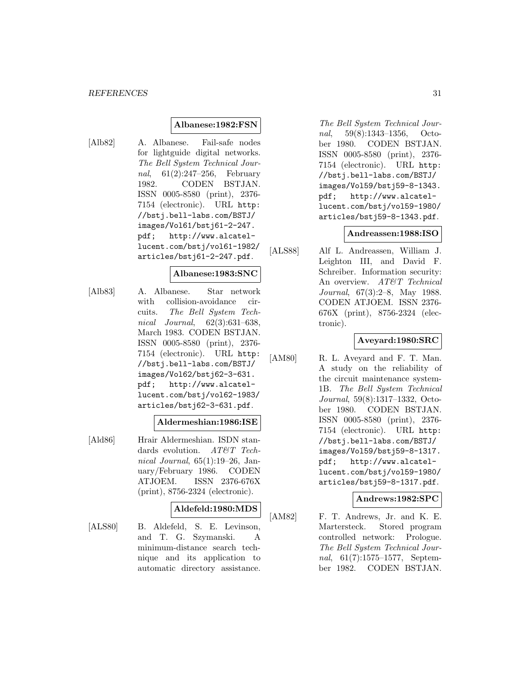#### **Albanese:1982:FSN**

[Alb82] A. Albanese. Fail-safe nodes for lightguide digital networks. The Bell System Technical Journal, 61(2):247–256, February 1982. CODEN BSTJAN. ISSN 0005-8580 (print), 2376- 7154 (electronic). URL http: //bstj.bell-labs.com/BSTJ/ images/Vol61/bstj61-2-247. pdf; http://www.alcatellucent.com/bstj/vol61-1982/ articles/bstj61-2-247.pdf.

#### **Albanese:1983:SNC**

[Alb83] A. Albanese. Star network with collision-avoidance circuits. The Bell System Technical Journal, 62(3):631–638, March 1983. CODEN BSTJAN. ISSN 0005-8580 (print), 2376- 7154 (electronic). URL http: //bstj.bell-labs.com/BSTJ/ images/Vol62/bstj62-3-631. pdf; http://www.alcatellucent.com/bstj/vol62-1983/ articles/bstj62-3-631.pdf.

#### **Aldermeshian:1986:ISE**

[Ald86] Hrair Aldermeshian. ISDN standards evolution. AT&T Technical Journal,  $65(1):19-26$ , January/February 1986. CODEN ATJOEM. ISSN 2376-676X (print), 8756-2324 (electronic).

#### **Aldefeld:1980:MDS**

[ALS80] B. Aldefeld, S. E. Levinson, and T. G. Szymanski. A minimum-distance search technique and its application to automatic directory assistance.

The Bell System Technical Journal, 59(8):1343–1356, October 1980. CODEN BSTJAN. ISSN 0005-8580 (print), 2376- 7154 (electronic). URL http: //bstj.bell-labs.com/BSTJ/ images/Vol59/bstj59-8-1343. pdf; http://www.alcatellucent.com/bstj/vol59-1980/ articles/bstj59-8-1343.pdf.

#### **Andreassen:1988:ISO**

[ALS88] Alf L. Andreassen, William J. Leighton III, and David F. Schreiber. Information security: An overview. AT&T Technical Journal, 67(3):2–8, May 1988. CODEN ATJOEM. ISSN 2376- 676X (print), 8756-2324 (electronic).

# **Aveyard:1980:SRC**

[AM80] R. L. Aveyard and F. T. Man. A study on the reliability of the circuit maintenance system-1B. The Bell System Technical Journal, 59(8):1317–1332, October 1980. CODEN BSTJAN. ISSN 0005-8580 (print), 2376- 7154 (electronic). URL http: //bstj.bell-labs.com/BSTJ/ images/Vol59/bstj59-8-1317. pdf; http://www.alcatellucent.com/bstj/vol59-1980/ articles/bstj59-8-1317.pdf.

#### **Andrews:1982:SPC**

[AM82] F. T. Andrews, Jr. and K. E. Martersteck. Stored program controlled network: Prologue. The Bell System Technical Journal, 61(7):1575–1577, September 1982. CODEN BSTJAN.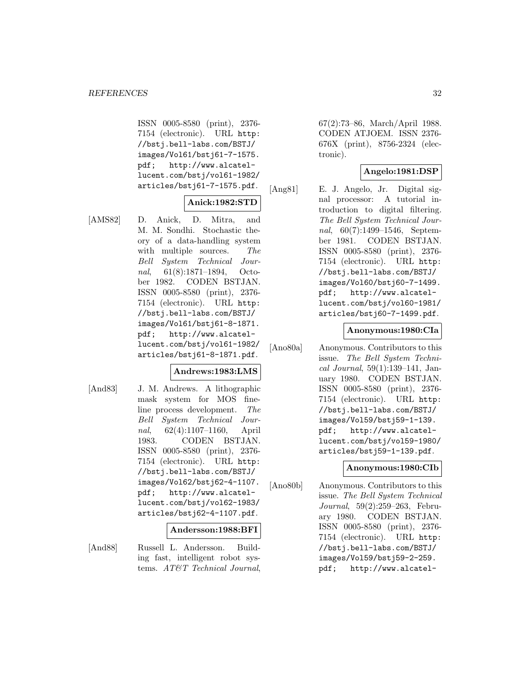ISSN 0005-8580 (print), 2376- 7154 (electronic). URL http: //bstj.bell-labs.com/BSTJ/ images/Vol61/bstj61-7-1575. pdf; http://www.alcatellucent.com/bstj/vol61-1982/ articles/bstj61-7-1575.pdf.

# **Anick:1982:STD**

[AMS82] D. Anick, D. Mitra, and M. M. Sondhi. Stochastic theory of a data-handling system with multiple sources. The Bell System Technical Journal, 61(8):1871–1894, October 1982. CODEN BSTJAN. ISSN 0005-8580 (print), 2376- 7154 (electronic). URL http: //bstj.bell-labs.com/BSTJ/ images/Vol61/bstj61-8-1871. pdf; http://www.alcatellucent.com/bstj/vol61-1982/ articles/bstj61-8-1871.pdf.

# **Andrews:1983:LMS**

[And83] J. M. Andrews. A lithographic mask system for MOS fineline process development. The Bell System Technical Journal, 62(4):1107–1160, April 1983. CODEN BSTJAN. ISSN 0005-8580 (print), 2376- 7154 (electronic). URL http: //bstj.bell-labs.com/BSTJ/ images/Vol62/bstj62-4-1107. pdf; http://www.alcatellucent.com/bstj/vol62-1983/ articles/bstj62-4-1107.pdf.

#### **Andersson:1988:BFI**

[And88] Russell L. Andersson. Building fast, intelligent robot systems. AT&T Technical Journal,

67(2):73–86, March/April 1988. CODEN ATJOEM. ISSN 2376- 676X (print), 8756-2324 (electronic).

# **Angelo:1981:DSP**

[Ang81] E. J. Angelo, Jr. Digital signal processor: A tutorial introduction to digital filtering. The Bell System Technical Journal, 60(7):1499–1546, September 1981. CODEN BSTJAN. ISSN 0005-8580 (print), 2376- 7154 (electronic). URL http: //bstj.bell-labs.com/BSTJ/ images/Vol60/bstj60-7-1499. pdf; http://www.alcatellucent.com/bstj/vol60-1981/ articles/bstj60-7-1499.pdf.

#### **Anonymous:1980:CIa**

[Ano80a] Anonymous. Contributors to this issue. The Bell System Technical Journal, 59(1):139–141, January 1980. CODEN BSTJAN. ISSN 0005-8580 (print), 2376- 7154 (electronic). URL http: //bstj.bell-labs.com/BSTJ/ images/Vol59/bstj59-1-139. pdf; http://www.alcatellucent.com/bstj/vol59-1980/ articles/bstj59-1-139.pdf.

#### **Anonymous:1980:CIb**

[Ano80b] Anonymous. Contributors to this issue. The Bell System Technical Journal, 59(2):259–263, February 1980. CODEN BSTJAN. ISSN 0005-8580 (print), 2376- 7154 (electronic). URL http: //bstj.bell-labs.com/BSTJ/ images/Vol59/bstj59-2-259. pdf; http://www.alcatel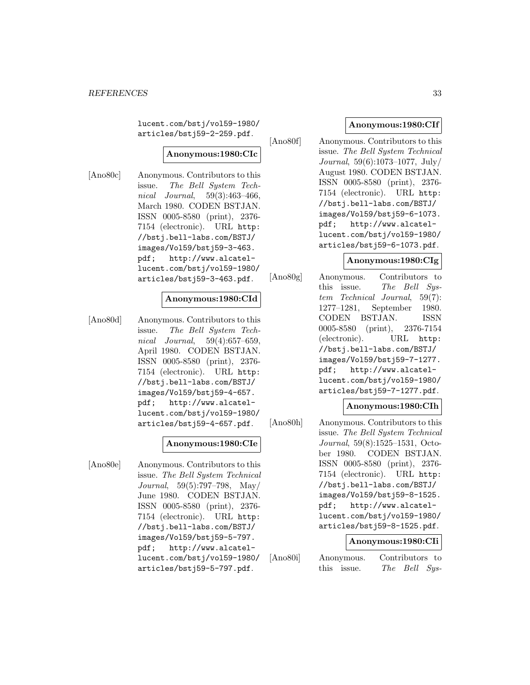lucent.com/bstj/vol59-1980/ articles/bstj59-2-259.pdf.

#### **Anonymous:1980:CIc**

[Ano80c] Anonymous. Contributors to this issue. The Bell System Technical Journal, 59(3):463–466, March 1980. CODEN BSTJAN. ISSN 0005-8580 (print), 2376- 7154 (electronic). URL http: //bstj.bell-labs.com/BSTJ/ images/Vol59/bstj59-3-463. pdf; http://www.alcatellucent.com/bstj/vol59-1980/ articles/bstj59-3-463.pdf.

#### **Anonymous:1980:CId**

[Ano80d] Anonymous. Contributors to this issue. The Bell System Technical Journal, 59(4):657–659, April 1980. CODEN BSTJAN. ISSN 0005-8580 (print), 2376- 7154 (electronic). URL http: //bstj.bell-labs.com/BSTJ/ images/Vol59/bstj59-4-657. pdf; http://www.alcatellucent.com/bstj/vol59-1980/ articles/bstj59-4-657.pdf.

#### **Anonymous:1980:CIe**

[Ano80e] Anonymous. Contributors to this issue. The Bell System Technical Journal, 59(5):797–798, May/ June 1980. CODEN BSTJAN. ISSN 0005-8580 (print), 2376- 7154 (electronic). URL http: //bstj.bell-labs.com/BSTJ/ images/Vol59/bstj59-5-797. pdf; http://www.alcatellucent.com/bstj/vol59-1980/ articles/bstj59-5-797.pdf.

#### **Anonymous:1980:CIf**

[Ano80f] Anonymous. Contributors to this issue. The Bell System Technical Journal, 59(6):1073–1077, July/ August 1980. CODEN BSTJAN. ISSN 0005-8580 (print), 2376- 7154 (electronic). URL http: //bstj.bell-labs.com/BSTJ/ images/Vol59/bstj59-6-1073. pdf; http://www.alcatellucent.com/bstj/vol59-1980/ articles/bstj59-6-1073.pdf.

#### **Anonymous:1980:CIg**

[Ano80g] Anonymous. Contributors to this issue. The Bell System Technical Journal, 59(7): 1277–1281, September 1980. CODEN BSTJAN. ISSN 0005-8580 (print), 2376-7154 (electronic). URL http: //bstj.bell-labs.com/BSTJ/ images/Vol59/bstj59-7-1277. pdf; http://www.alcatellucent.com/bstj/vol59-1980/ articles/bstj59-7-1277.pdf.

#### **Anonymous:1980:CIh**

[Ano80h] Anonymous. Contributors to this issue. The Bell System Technical Journal, 59(8):1525–1531, October 1980. CODEN BSTJAN. ISSN 0005-8580 (print), 2376- 7154 (electronic). URL http: //bstj.bell-labs.com/BSTJ/ images/Vol59/bstj59-8-1525. pdf; http://www.alcatellucent.com/bstj/vol59-1980/ articles/bstj59-8-1525.pdf.

#### **Anonymous:1980:CIi**

[Ano80i] Anonymous. Contributors to this issue. The Bell Sys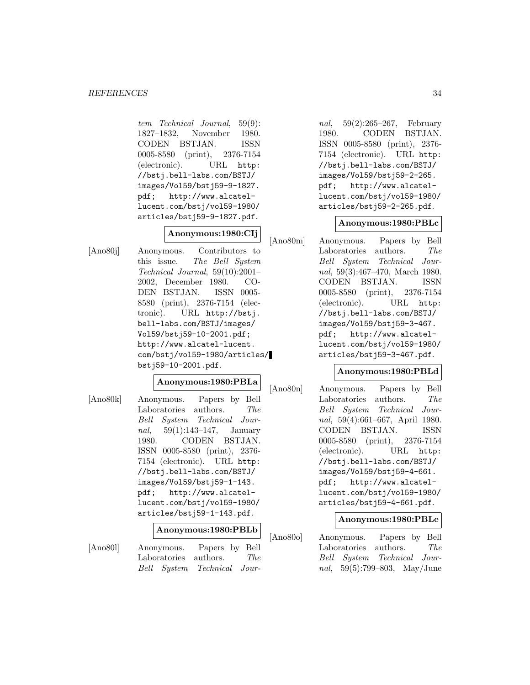tem Technical Journal, 59(9): 1827–1832, November 1980. CODEN BSTJAN. ISSN 0005-8580 (print), 2376-7154 (electronic). URL http: //bstj.bell-labs.com/BSTJ/ images/Vol59/bstj59-9-1827. pdf; http://www.alcatellucent.com/bstj/vol59-1980/ articles/bstj59-9-1827.pdf.

# **Anonymous:1980:CIj**

[Ano80j] Anonymous. Contributors to this issue. The Bell System Technical Journal, 59(10):2001– 2002, December 1980. CO-DEN BSTJAN. ISSN 0005- 8580 (print), 2376-7154 (electronic). URL http://bstj. bell-labs.com/BSTJ/images/ Vol59/bstj59-10-2001.pdf; http://www.alcatel-lucent. com/bstj/vol59-1980/articles/ bstj59-10-2001.pdf.

#### **Anonymous:1980:PBLa**

[Ano80k] Anonymous. Papers by Bell Laboratories authors. The Bell System Technical Jour*nal*,  $59(1):143-147$ , January 1980. CODEN BSTJAN. ISSN 0005-8580 (print), 2376- 7154 (electronic). URL http: //bstj.bell-labs.com/BSTJ/ images/Vol59/bstj59-1-143. pdf; http://www.alcatellucent.com/bstj/vol59-1980/ articles/bstj59-1-143.pdf.

# **Anonymous:1980:PBLb**

[Ano80l] Anonymous. Papers by Bell Laboratories authors. The Bell System Technical Jour-

nal, 59(2):265–267, February 1980. CODEN BSTJAN. ISSN 0005-8580 (print), 2376- 7154 (electronic). URL http: //bstj.bell-labs.com/BSTJ/ images/Vol59/bstj59-2-265. pdf; http://www.alcatellucent.com/bstj/vol59-1980/ articles/bstj59-2-265.pdf.

#### **Anonymous:1980:PBLc**

[Ano80m] Anonymous. Papers by Bell Laboratories authors. The Bell System Technical Journal, 59(3):467–470, March 1980. CODEN BSTJAN. ISSN 0005-8580 (print), 2376-7154 (electronic). URL http: //bstj.bell-labs.com/BSTJ/ images/Vol59/bstj59-3-467. pdf; http://www.alcatellucent.com/bstj/vol59-1980/ articles/bstj59-3-467.pdf.

#### **Anonymous:1980:PBLd**

[Ano80n] Anonymous. Papers by Bell Laboratories authors. The Bell System Technical Journal, 59(4):661–667, April 1980. CODEN BSTJAN. ISSN 0005-8580 (print), 2376-7154 (electronic). URL http: //bstj.bell-labs.com/BSTJ/ images/Vol59/bstj59-4-661. pdf; http://www.alcatellucent.com/bstj/vol59-1980/ articles/bstj59-4-661.pdf.

# **Anonymous:1980:PBLe**

[Ano80o] Anonymous. Papers by Bell Laboratories authors. The Bell System Technical Journal, 59(5):799–803, May/June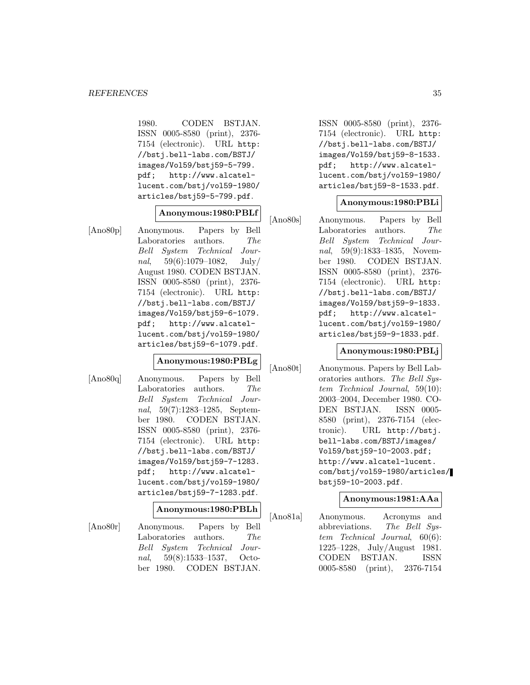1980. CODEN BSTJAN. ISSN 0005-8580 (print), 2376- 7154 (electronic). URL http: //bstj.bell-labs.com/BSTJ/ images/Vol59/bstj59-5-799. pdf; http://www.alcatellucent.com/bstj/vol59-1980/ articles/bstj59-5-799.pdf.

#### **Anonymous:1980:PBLf**

[Ano80p] Anonymous. Papers by Bell Laboratories authors. The Bell System Technical Journal,  $59(6):1079-1082$ , July/ August 1980. CODEN BSTJAN. ISSN 0005-8580 (print), 2376- 7154 (electronic). URL http: //bstj.bell-labs.com/BSTJ/ images/Vol59/bstj59-6-1079. pdf; http://www.alcatellucent.com/bstj/vol59-1980/ articles/bstj59-6-1079.pdf.

# **Anonymous:1980:PBLg**

[Ano80q] Anonymous. Papers by Bell Laboratories authors. The Bell System Technical Journal, 59(7):1283–1285, September 1980. CODEN BSTJAN. ISSN 0005-8580 (print), 2376- 7154 (electronic). URL http: //bstj.bell-labs.com/BSTJ/ images/Vol59/bstj59-7-1283. pdf; http://www.alcatellucent.com/bstj/vol59-1980/ articles/bstj59-7-1283.pdf.

#### **Anonymous:1980:PBLh**

[Ano80r] Anonymous. Papers by Bell Laboratories authors. The Bell System Technical Journal, 59(8):1533–1537, October 1980. CODEN BSTJAN.

ISSN 0005-8580 (print), 2376- 7154 (electronic). URL http: //bstj.bell-labs.com/BSTJ/ images/Vol59/bstj59-8-1533. pdf; http://www.alcatellucent.com/bstj/vol59-1980/ articles/bstj59-8-1533.pdf.

#### **Anonymous:1980:PBLi**

[Ano80s] Anonymous. Papers by Bell Laboratories authors. The Bell System Technical Journal, 59(9):1833–1835, November 1980. CODEN BSTJAN. ISSN 0005-8580 (print), 2376- 7154 (electronic). URL http: //bstj.bell-labs.com/BSTJ/ images/Vol59/bstj59-9-1833. pdf; http://www.alcatellucent.com/bstj/vol59-1980/ articles/bstj59-9-1833.pdf.

#### **Anonymous:1980:PBLj**

[Ano80t] Anonymous. Papers by Bell Laboratories authors. The Bell System Technical Journal, 59(10): 2003–2004, December 1980. CO-DEN BSTJAN. ISSN 0005- 8580 (print), 2376-7154 (electronic). URL http://bstj. bell-labs.com/BSTJ/images/ Vol59/bstj59-10-2003.pdf; http://www.alcatel-lucent. com/bstj/vol59-1980/articles/ bstj59-10-2003.pdf.

#### **Anonymous:1981:AAa**

[Ano81a] Anonymous. Acronyms and abbreviations. The Bell System Technical Journal, 60(6): 1225–1228, July/August 1981. CODEN BSTJAN. ISSN 0005-8580 (print), 2376-7154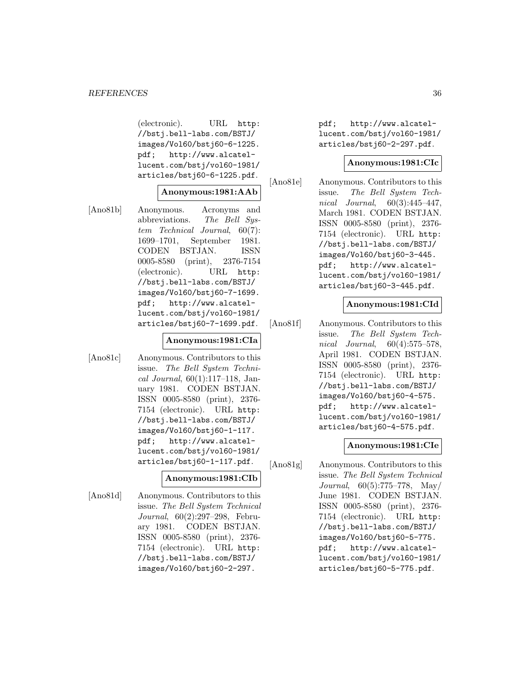(electronic). URL http: //bstj.bell-labs.com/BSTJ/ images/Vol60/bstj60-6-1225. pdf; http://www.alcatellucent.com/bstj/vol60-1981/ articles/bstj60-6-1225.pdf.

#### **Anonymous:1981:AAb**

[Ano81b] Anonymous. Acronyms and abbreviations. The Bell System Technical Journal, 60(7): 1699–1701, September 1981. CODEN BSTJAN. ISSN 0005-8580 (print), 2376-7154 (electronic). URL http: //bstj.bell-labs.com/BSTJ/ images/Vol60/bstj60-7-1699. pdf; http://www.alcatellucent.com/bstj/vol60-1981/ articles/bstj60-7-1699.pdf.

#### **Anonymous:1981:CIa**

[Ano81c] Anonymous. Contributors to this issue. The Bell System Technical Journal,  $60(1):117-118$ , January 1981. CODEN BSTJAN. ISSN 0005-8580 (print), 2376- 7154 (electronic). URL http: //bstj.bell-labs.com/BSTJ/ images/Vol60/bstj60-1-117. pdf; http://www.alcatellucent.com/bstj/vol60-1981/ articles/bstj60-1-117.pdf.

# **Anonymous:1981:CIb**

[Ano81d] Anonymous. Contributors to this issue. The Bell System Technical Journal, 60(2):297–298, February 1981. CODEN BSTJAN. ISSN 0005-8580 (print), 2376- 7154 (electronic). URL http: //bstj.bell-labs.com/BSTJ/ images/Vol60/bstj60-2-297.

pdf; http://www.alcatellucent.com/bstj/vol60-1981/ articles/bstj60-2-297.pdf.

#### **Anonymous:1981:CIc**

[Ano81e] Anonymous. Contributors to this issue. The Bell System Technical Journal, 60(3):445–447, March 1981. CODEN BSTJAN. ISSN 0005-8580 (print), 2376- 7154 (electronic). URL http: //bstj.bell-labs.com/BSTJ/ images/Vol60/bstj60-3-445. pdf; http://www.alcatellucent.com/bstj/vol60-1981/ articles/bstj60-3-445.pdf.

#### **Anonymous:1981:CId**

[Ano81f] Anonymous. Contributors to this issue. The Bell System Technical Journal, 60(4):575–578, April 1981. CODEN BSTJAN. ISSN 0005-8580 (print), 2376- 7154 (electronic). URL http: //bstj.bell-labs.com/BSTJ/ images/Vol60/bstj60-4-575. pdf; http://www.alcatellucent.com/bstj/vol60-1981/ articles/bstj60-4-575.pdf.

#### **Anonymous:1981:CIe**

[Ano81g] Anonymous. Contributors to this issue. The Bell System Technical Journal, 60(5):775–778, May/ June 1981. CODEN BSTJAN. ISSN 0005-8580 (print), 2376- 7154 (electronic). URL http: //bstj.bell-labs.com/BSTJ/ images/Vol60/bstj60-5-775. pdf; http://www.alcatellucent.com/bstj/vol60-1981/ articles/bstj60-5-775.pdf.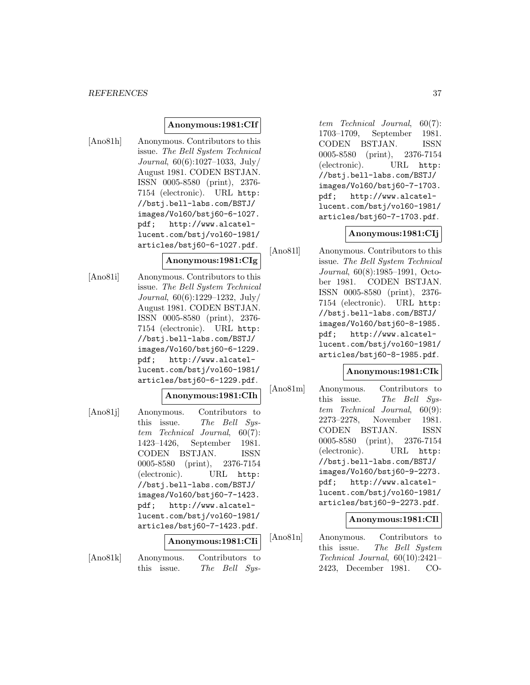#### *REFERENCES* 37

## **Anonymous:1981:CIf**

[Ano81h] Anonymous. Contributors to this issue. The Bell System Technical Journal, 60(6):1027–1033, July/ August 1981. CODEN BSTJAN. ISSN 0005-8580 (print), 2376- 7154 (electronic). URL http: //bstj.bell-labs.com/BSTJ/ images/Vol60/bstj60-6-1027. pdf; http://www.alcatellucent.com/bstj/vol60-1981/ articles/bstj60-6-1027.pdf.

## **Anonymous:1981:CIg**

[Ano81i] Anonymous. Contributors to this issue. The Bell System Technical Journal, 60(6):1229–1232, July/ August 1981. CODEN BSTJAN. ISSN 0005-8580 (print), 2376- 7154 (electronic). URL http: //bstj.bell-labs.com/BSTJ/ images/Vol60/bstj60-6-1229. pdf; http://www.alcatellucent.com/bstj/vol60-1981/ articles/bstj60-6-1229.pdf.

#### **Anonymous:1981:CIh**

[Ano81j] Anonymous. Contributors to this issue. The Bell System Technical Journal, 60(7): 1423–1426, September 1981. CODEN BSTJAN. ISSN 0005-8580 (print), 2376-7154 (electronic). URL http: //bstj.bell-labs.com/BSTJ/ images/Vol60/bstj60-7-1423. pdf; http://www.alcatellucent.com/bstj/vol60-1981/ articles/bstj60-7-1423.pdf.

#### **Anonymous:1981:CIi**

[Ano81k] Anonymous. Contributors to this issue. The Bell Sys-

tem Technical Journal, 60(7): 1703–1709, September 1981. CODEN BSTJAN. ISSN 0005-8580 (print), 2376-7154 (electronic). URL http: //bstj.bell-labs.com/BSTJ/ images/Vol60/bstj60-7-1703. pdf; http://www.alcatellucent.com/bstj/vol60-1981/ articles/bstj60-7-1703.pdf.

## **Anonymous:1981:CIj**

[Ano81l] Anonymous. Contributors to this issue. The Bell System Technical Journal, 60(8):1985–1991, October 1981. CODEN BSTJAN. ISSN 0005-8580 (print), 2376- 7154 (electronic). URL http: //bstj.bell-labs.com/BSTJ/ images/Vol60/bstj60-8-1985. pdf; http://www.alcatellucent.com/bstj/vol60-1981/ articles/bstj60-8-1985.pdf.

#### **Anonymous:1981:CIk**

[Ano81m] Anonymous. Contributors to this issue. The Bell System Technical Journal, 60(9): 2273–2278, November 1981. CODEN BSTJAN. ISSN 0005-8580 (print), 2376-7154 (electronic). URL http: //bstj.bell-labs.com/BSTJ/ images/Vol60/bstj60-9-2273. pdf; http://www.alcatellucent.com/bstj/vol60-1981/ articles/bstj60-9-2273.pdf.

#### **Anonymous:1981:CIl**

[Ano81n] Anonymous. Contributors to this issue. The Bell System Technical Journal, 60(10):2421– 2423, December 1981. CO-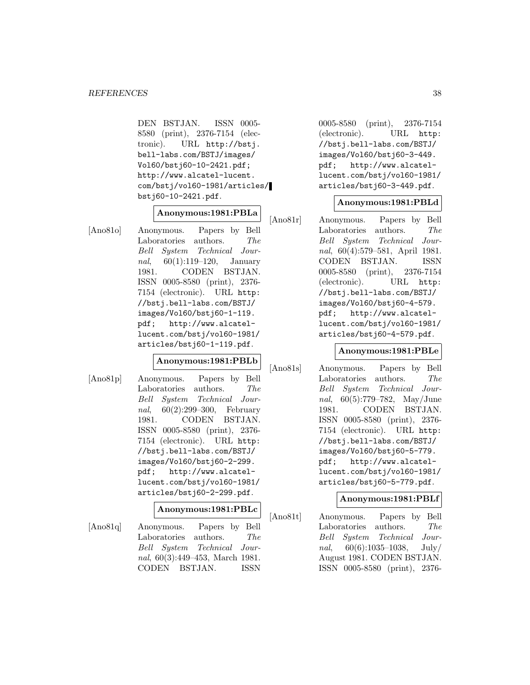DEN BSTJAN. ISSN 0005- 8580 (print), 2376-7154 (electronic). URL http://bstj. bell-labs.com/BSTJ/images/ Vol60/bstj60-10-2421.pdf; http://www.alcatel-lucent. com/bstj/vol60-1981/articles/ bstj60-10-2421.pdf.

# **Anonymous:1981:PBLa**

[Ano81o] Anonymous. Papers by Bell Laboratories authors. The Bell System Technical Journal, 60(1):119–120, January 1981. CODEN BSTJAN. ISSN 0005-8580 (print), 2376- 7154 (electronic). URL http: //bstj.bell-labs.com/BSTJ/ images/Vol60/bstj60-1-119. pdf; http://www.alcatellucent.com/bstj/vol60-1981/ articles/bstj60-1-119.pdf.

## **Anonymous:1981:PBLb**

[Ano81p] Anonymous. Papers by Bell Laboratories authors. The Bell System Technical Journal, 60(2):299–300, February 1981. CODEN BSTJAN. ISSN 0005-8580 (print), 2376- 7154 (electronic). URL http: //bstj.bell-labs.com/BSTJ/ images/Vol60/bstj60-2-299. pdf; http://www.alcatellucent.com/bstj/vol60-1981/ articles/bstj60-2-299.pdf.

## **Anonymous:1981:PBLc**

[Ano81q] Anonymous. Papers by Bell Laboratories authors. The Bell System Technical Journal, 60(3):449–453, March 1981. CODEN BSTJAN. ISSN

0005-8580 (print), 2376-7154 (electronic). URL http: //bstj.bell-labs.com/BSTJ/ images/Vol60/bstj60-3-449. pdf; http://www.alcatellucent.com/bstj/vol60-1981/ articles/bstj60-3-449.pdf.

## **Anonymous:1981:PBLd**

[Ano81r] Anonymous. Papers by Bell Laboratories authors. The Bell System Technical Journal, 60(4):579–581, April 1981. CODEN BSTJAN. ISSN 0005-8580 (print), 2376-7154 (electronic). URL http: //bstj.bell-labs.com/BSTJ/ images/Vol60/bstj60-4-579. pdf; http://www.alcatellucent.com/bstj/vol60-1981/ articles/bstj60-4-579.pdf.

#### **Anonymous:1981:PBLe**

[Ano81s] Anonymous. Papers by Bell Laboratories authors. The Bell System Technical Journal, 60(5):779–782, May/June 1981. CODEN BSTJAN. ISSN 0005-8580 (print), 2376- 7154 (electronic). URL http: //bstj.bell-labs.com/BSTJ/ images/Vol60/bstj60-5-779. pdf; http://www.alcatellucent.com/bstj/vol60-1981/ articles/bstj60-5-779.pdf.

## **Anonymous:1981:PBLf**

[Ano81t] Anonymous. Papers by Bell Laboratories authors. The Bell System Technical Journal,  $60(6):1035-1038$ , July/ August 1981. CODEN BSTJAN. ISSN 0005-8580 (print), 2376-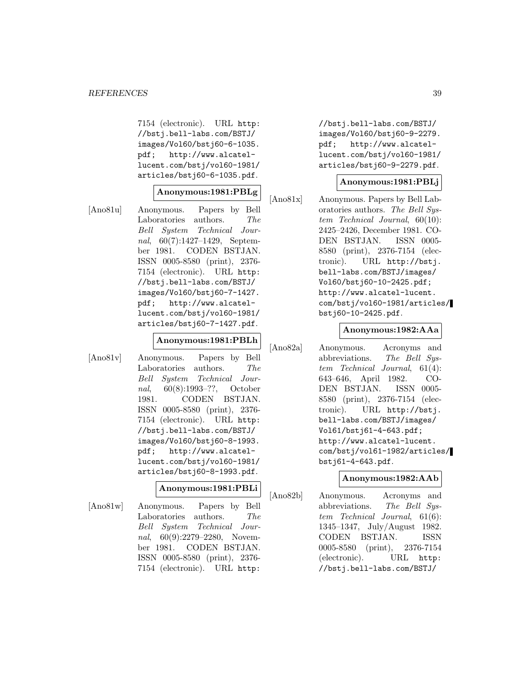7154 (electronic). URL http: //bstj.bell-labs.com/BSTJ/ images/Vol60/bstj60-6-1035. pdf; http://www.alcatellucent.com/bstj/vol60-1981/ articles/bstj60-6-1035.pdf.

## **Anonymous:1981:PBLg**

[Ano81u] Anonymous. Papers by Bell Laboratories authors. The Bell System Technical Journal, 60(7):1427–1429, September 1981. CODEN BSTJAN. ISSN 0005-8580 (print), 2376- 7154 (electronic). URL http: //bstj.bell-labs.com/BSTJ/ images/Vol60/bstj60-7-1427. pdf; http://www.alcatellucent.com/bstj/vol60-1981/ articles/bstj60-7-1427.pdf.

## **Anonymous:1981:PBLh**

[Ano81v] Anonymous. Papers by Bell Laboratories authors. The Bell System Technical Journal, 60(8):1993–??, October 1981. CODEN BSTJAN. ISSN 0005-8580 (print), 2376- 7154 (electronic). URL http: //bstj.bell-labs.com/BSTJ/ images/Vol60/bstj60-8-1993. pdf; http://www.alcatellucent.com/bstj/vol60-1981/ articles/bstj60-8-1993.pdf.

#### **Anonymous:1981:PBLi**

[Ano81w] Anonymous. Papers by Bell Laboratories authors. The Bell System Technical Journal, 60(9):2279–2280, November 1981. CODEN BSTJAN. ISSN 0005-8580 (print), 2376- 7154 (electronic). URL http:

//bstj.bell-labs.com/BSTJ/ images/Vol60/bstj60-9-2279. pdf; http://www.alcatellucent.com/bstj/vol60-1981/ articles/bstj60-9-2279.pdf.

## **Anonymous:1981:PBLj**

[Ano81x] Anonymous. Papers by Bell Laboratories authors. The Bell System Technical Journal, 60(10): 2425–2426, December 1981. CO-DEN BSTJAN. ISSN 0005- 8580 (print), 2376-7154 (electronic). URL http://bstj. bell-labs.com/BSTJ/images/ Vol60/bstj60-10-2425.pdf; http://www.alcatel-lucent. com/bstj/vol60-1981/articles/ bstj60-10-2425.pdf.

#### **Anonymous:1982:AAa**

[Ano82a] Anonymous. Acronyms and abbreviations. The Bell System Technical Journal, 61(4): 643–646, April 1982. CO-DEN BSTJAN. ISSN 0005- 8580 (print), 2376-7154 (electronic). URL http://bstj. bell-labs.com/BSTJ/images/ Vol61/bstj61-4-643.pdf; http://www.alcatel-lucent. com/bstj/vol61-1982/articles/ bstj61-4-643.pdf.

## **Anonymous:1982:AAb**

[Ano82b] Anonymous. Acronyms and abbreviations. The Bell System Technical Journal, 61(6): 1345–1347, July/August 1982. CODEN BSTJAN. ISSN 0005-8580 (print), 2376-7154 (electronic). URL http: //bstj.bell-labs.com/BSTJ/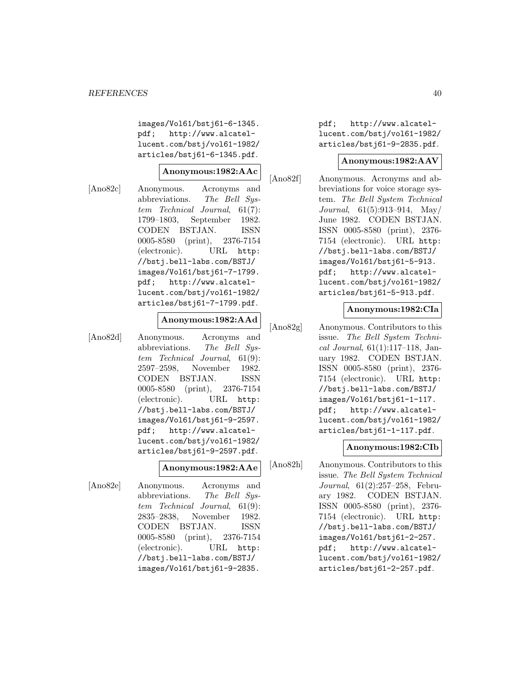images/Vol61/bstj61-6-1345. pdf; http://www.alcatellucent.com/bstj/vol61-1982/ articles/bstj61-6-1345.pdf.

## **Anonymous:1982:AAc**

[Ano82c] Anonymous. Acronyms and abbreviations. The Bell System Technical Journal, 61(7): 1799–1803, September 1982. CODEN BSTJAN. ISSN 0005-8580 (print), 2376-7154 (electronic). URL http: //bstj.bell-labs.com/BSTJ/ images/Vol61/bstj61-7-1799. pdf; http://www.alcatellucent.com/bstj/vol61-1982/ articles/bstj61-7-1799.pdf.

## **Anonymous:1982:AAd**

[Ano82d] Anonymous. Acronyms and abbreviations. The Bell System Technical Journal, 61(9): 2597–2598, November 1982. CODEN BSTJAN. ISSN 0005-8580 (print), 2376-7154 (electronic). URL http: //bstj.bell-labs.com/BSTJ/ images/Vol61/bstj61-9-2597. pdf; http://www.alcatellucent.com/bstj/vol61-1982/ articles/bstj61-9-2597.pdf.

#### **Anonymous:1982:AAe**

[Ano82e] Anonymous. Acronyms and abbreviations. The Bell System Technical Journal, 61(9): 2835–2838, November 1982. CODEN BSTJAN. ISSN 0005-8580 (print), 2376-7154 (electronic). URL http: //bstj.bell-labs.com/BSTJ/ images/Vol61/bstj61-9-2835.

pdf; http://www.alcatellucent.com/bstj/vol61-1982/ articles/bstj61-9-2835.pdf.

#### **Anonymous:1982:AAV**

[Ano82f] Anonymous. Acronyms and abbreviations for voice storage system. The Bell System Technical Journal, 61(5):913–914, May/ June 1982. CODEN BSTJAN. ISSN 0005-8580 (print), 2376- 7154 (electronic). URL http: //bstj.bell-labs.com/BSTJ/ images/Vol61/bstj61-5-913. pdf; http://www.alcatellucent.com/bstj/vol61-1982/ articles/bstj61-5-913.pdf.

## **Anonymous:1982:CIa**

[Ano82g] Anonymous. Contributors to this issue. The Bell System Technical Journal, 61(1):117–118, January 1982. CODEN BSTJAN. ISSN 0005-8580 (print), 2376- 7154 (electronic). URL http: //bstj.bell-labs.com/BSTJ/ images/Vol61/bstj61-1-117. pdf; http://www.alcatellucent.com/bstj/vol61-1982/ articles/bstj61-1-117.pdf.

#### **Anonymous:1982:CIb**

[Ano82h] Anonymous. Contributors to this issue. The Bell System Technical Journal, 61(2):257–258, February 1982. CODEN BSTJAN. ISSN 0005-8580 (print), 2376- 7154 (electronic). URL http: //bstj.bell-labs.com/BSTJ/ images/Vol61/bstj61-2-257. pdf; http://www.alcatellucent.com/bstj/vol61-1982/ articles/bstj61-2-257.pdf.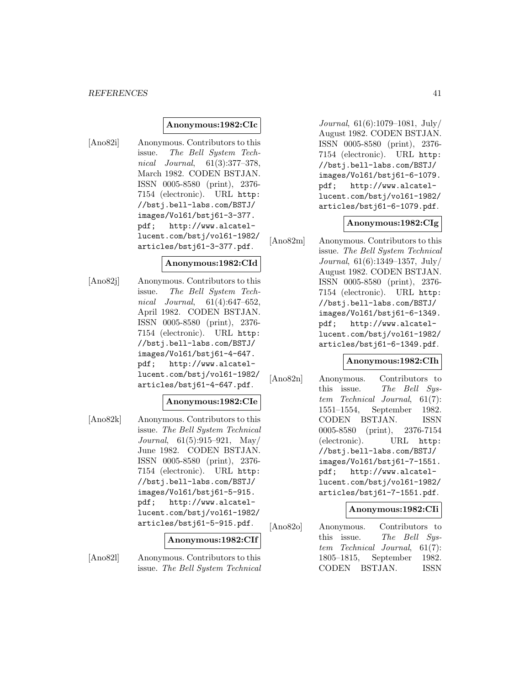#### **Anonymous:1982:CIc**

[Ano82i] Anonymous. Contributors to this issue. The Bell System Technical Journal, 61(3):377–378, March 1982. CODEN BSTJAN. ISSN 0005-8580 (print), 2376- 7154 (electronic). URL http: //bstj.bell-labs.com/BSTJ/ images/Vol61/bstj61-3-377. pdf; http://www.alcatellucent.com/bstj/vol61-1982/ articles/bstj61-3-377.pdf.

#### **Anonymous:1982:CId**

[Ano82j] Anonymous. Contributors to this issue. The Bell System Technical Journal, 61(4):647–652, April 1982. CODEN BSTJAN. ISSN 0005-8580 (print), 2376- 7154 (electronic). URL http: //bstj.bell-labs.com/BSTJ/ images/Vol61/bstj61-4-647. pdf; http://www.alcatellucent.com/bstj/vol61-1982/ articles/bstj61-4-647.pdf.

## **Anonymous:1982:CIe**

[Ano82k] Anonymous. Contributors to this issue. The Bell System Technical Journal, 61(5):915–921, May/ June 1982. CODEN BSTJAN. ISSN 0005-8580 (print), 2376- 7154 (electronic). URL http: //bstj.bell-labs.com/BSTJ/ images/Vol61/bstj61-5-915. pdf; http://www.alcatellucent.com/bstj/vol61-1982/ articles/bstj61-5-915.pdf.

#### **Anonymous:1982:CIf**

[Ano82l] Anonymous. Contributors to this issue. The Bell System Technical

Journal, 61(6):1079–1081, July/ August 1982. CODEN BSTJAN. ISSN 0005-8580 (print), 2376- 7154 (electronic). URL http: //bstj.bell-labs.com/BSTJ/ images/Vol61/bstj61-6-1079. pdf; http://www.alcatellucent.com/bstj/vol61-1982/ articles/bstj61-6-1079.pdf.

#### **Anonymous:1982:CIg**

[Ano82m] Anonymous. Contributors to this issue. The Bell System Technical Journal, 61(6):1349–1357, July/ August 1982. CODEN BSTJAN. ISSN 0005-8580 (print), 2376- 7154 (electronic). URL http: //bstj.bell-labs.com/BSTJ/ images/Vol61/bstj61-6-1349. pdf; http://www.alcatellucent.com/bstj/vol61-1982/ articles/bstj61-6-1349.pdf.

## **Anonymous:1982:CIh**

[Ano82n] Anonymous. Contributors to this issue. The Bell System Technical Journal, 61(7): 1551–1554, September 1982. CODEN BSTJAN. ISSN 0005-8580 (print), 2376-7154 (electronic). URL http: //bstj.bell-labs.com/BSTJ/ images/Vol61/bstj61-7-1551. pdf; http://www.alcatellucent.com/bstj/vol61-1982/ articles/bstj61-7-1551.pdf.

## **Anonymous:1982:CIi**

[Ano82o] Anonymous. Contributors to this issue. The Bell System Technical Journal, 61(7): 1805–1815, September 1982. CODEN BSTJAN. ISSN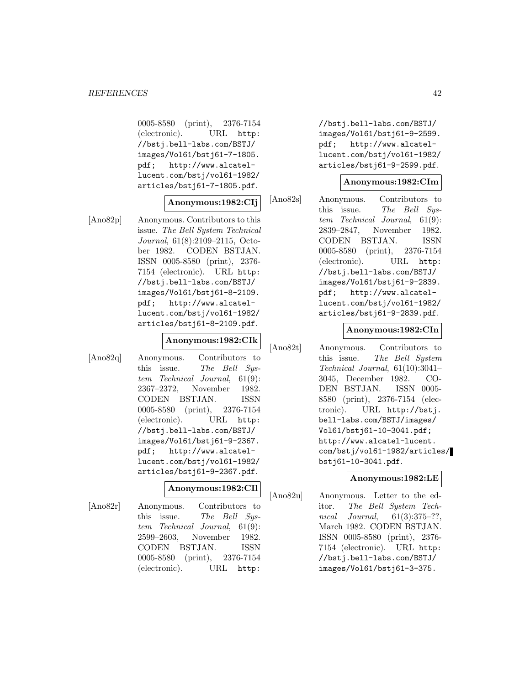0005-8580 (print), 2376-7154 (electronic). URL http: //bstj.bell-labs.com/BSTJ/ images/Vol61/bstj61-7-1805. pdf; http://www.alcatellucent.com/bstj/vol61-1982/ articles/bstj61-7-1805.pdf.

## **Anonymous:1982:CIj**

[Ano82p] Anonymous. Contributors to this issue. The Bell System Technical Journal, 61(8):2109–2115, October 1982. CODEN BSTJAN. ISSN 0005-8580 (print), 2376- 7154 (electronic). URL http: //bstj.bell-labs.com/BSTJ/ images/Vol61/bstj61-8-2109. pdf; http://www.alcatellucent.com/bstj/vol61-1982/ articles/bstj61-8-2109.pdf.

## **Anonymous:1982:CIk**

[Ano82q] Anonymous. Contributors to this issue. The Bell System Technical Journal, 61(9): 2367–2372, November 1982. CODEN BSTJAN. ISSN 0005-8580 (print), 2376-7154 (electronic). URL http: //bstj.bell-labs.com/BSTJ/ images/Vol61/bstj61-9-2367. pdf; http://www.alcatellucent.com/bstj/vol61-1982/ articles/bstj61-9-2367.pdf.

#### **Anonymous:1982:CIl**

[Ano82r] Anonymous. Contributors to this issue. The Bell Sustem Technical Journal, 61(9): 2599–2603, November 1982. CODEN BSTJAN. ISSN 0005-8580 (print), 2376-7154 (electronic). URL http:

//bstj.bell-labs.com/BSTJ/ images/Vol61/bstj61-9-2599. pdf; http://www.alcatellucent.com/bstj/vol61-1982/ articles/bstj61-9-2599.pdf.

## **Anonymous:1982:CIm**

[Ano82s] Anonymous. Contributors to this issue. The Bell System Technical Journal, 61(9): 2839–2847, November 1982. CODEN BSTJAN. ISSN 0005-8580 (print), 2376-7154 (electronic). URL http: //bstj.bell-labs.com/BSTJ/ images/Vol61/bstj61-9-2839. pdf; http://www.alcatellucent.com/bstj/vol61-1982/ articles/bstj61-9-2839.pdf.

## **Anonymous:1982:CIn**

[Ano82t] Anonymous. Contributors to this issue. The Bell System Technical Journal, 61(10):3041– 3045, December 1982. CO-DEN BSTJAN. ISSN 0005- 8580 (print), 2376-7154 (electronic). URL http://bstj. bell-labs.com/BSTJ/images/ Vol61/bstj61-10-3041.pdf; http://www.alcatel-lucent. com/bstj/vol61-1982/articles/ bstj61-10-3041.pdf.

## **Anonymous:1982:LE**

[Ano82u] Anonymous. Letter to the editor. The Bell System Technical Journal, 61(3):375–??, March 1982. CODEN BSTJAN. ISSN 0005-8580 (print), 2376- 7154 (electronic). URL http: //bstj.bell-labs.com/BSTJ/ images/Vol61/bstj61-3-375.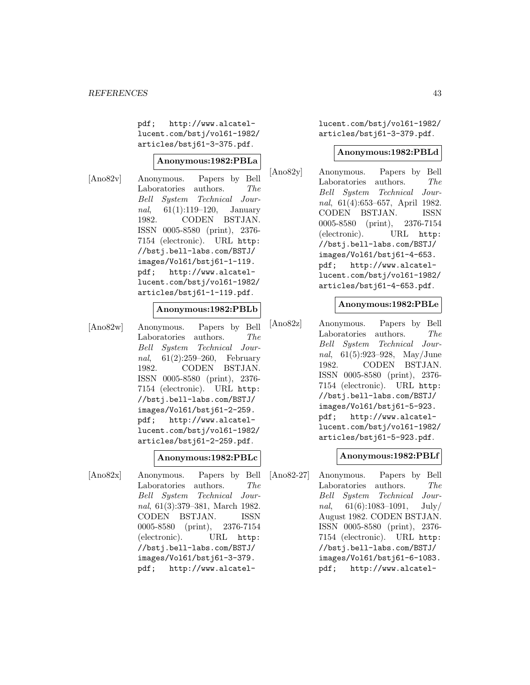pdf; http://www.alcatellucent.com/bstj/vol61-1982/ articles/bstj61-3-375.pdf.

## **Anonymous:1982:PBLa**

[Ano82v] Anonymous. Papers by Bell Laboratories authors. The Bell System Technical Journal, 61(1):119–120, January 1982. CODEN BSTJAN. ISSN 0005-8580 (print), 2376- 7154 (electronic). URL http: //bstj.bell-labs.com/BSTJ/ images/Vol61/bstj61-1-119. pdf; http://www.alcatellucent.com/bstj/vol61-1982/ articles/bstj61-1-119.pdf.

## **Anonymous:1982:PBLb**

[Ano82w] Anonymous. Papers by Bell Laboratories authors. The Bell System Technical Journal, 61(2):259–260, February 1982. CODEN BSTJAN. ISSN 0005-8580 (print), 2376- 7154 (electronic). URL http: //bstj.bell-labs.com/BSTJ/ images/Vol61/bstj61-2-259. pdf; http://www.alcatellucent.com/bstj/vol61-1982/ articles/bstj61-2-259.pdf.

## **Anonymous:1982:PBLc**

[Ano82x] Anonymous. Papers by Bell Laboratories authors. The Bell System Technical Journal, 61(3):379–381, March 1982. CODEN BSTJAN. ISSN 0005-8580 (print), 2376-7154 (electronic). URL http: //bstj.bell-labs.com/BSTJ/ images/Vol61/bstj61-3-379. pdf; http://www.alcatellucent.com/bstj/vol61-1982/ articles/bstj61-3-379.pdf.

#### **Anonymous:1982:PBLd**

[Ano82y] Anonymous. Papers by Bell Laboratories authors. The Bell System Technical Journal, 61(4):653–657, April 1982. CODEN BSTJAN. ISSN 0005-8580 (print), 2376-7154 (electronic). URL http: //bstj.bell-labs.com/BSTJ/ images/Vol61/bstj61-4-653. pdf; http://www.alcatellucent.com/bstj/vol61-1982/ articles/bstj61-4-653.pdf.

#### **Anonymous:1982:PBLe**

[Ano82z] Anonymous. Papers by Bell Laboratories authors. The Bell System Technical Journal, 61(5):923–928, May/June 1982. CODEN BSTJAN. ISSN 0005-8580 (print), 2376- 7154 (electronic). URL http: //bstj.bell-labs.com/BSTJ/ images/Vol61/bstj61-5-923. pdf; http://www.alcatellucent.com/bstj/vol61-1982/ articles/bstj61-5-923.pdf.

## **Anonymous:1982:PBLf**

[Ano82-27] Anonymous. Papers by Bell Laboratories authors. The Bell System Technical Journal,  $61(6):1083-1091$ , July/ August 1982. CODEN BSTJAN. ISSN 0005-8580 (print), 2376- 7154 (electronic). URL http: //bstj.bell-labs.com/BSTJ/ images/Vol61/bstj61-6-1083. pdf; http://www.alcatel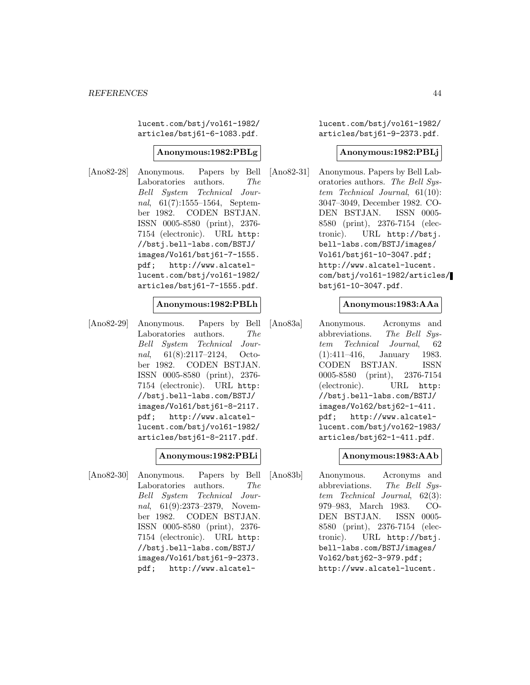lucent.com/bstj/vol61-1982/ articles/bstj61-6-1083.pdf.

## **Anonymous:1982:PBLg**

[Ano82-28] Anonymous. Papers by Bell Laboratories authors. The Bell System Technical Journal, 61(7):1555–1564, September 1982. CODEN BSTJAN. ISSN 0005-8580 (print), 2376- 7154 (electronic). URL http: //bstj.bell-labs.com/BSTJ/ images/Vol61/bstj61-7-1555. pdf; http://www.alcatellucent.com/bstj/vol61-1982/ articles/bstj61-7-1555.pdf.

#### **Anonymous:1982:PBLh**

[Ano82-29] Anonymous. Papers by Bell Laboratories authors. The Bell System Technical Journal, 61(8):2117–2124, October 1982. CODEN BSTJAN. ISSN 0005-8580 (print), 2376- 7154 (electronic). URL http: //bstj.bell-labs.com/BSTJ/ images/Vol61/bstj61-8-2117. pdf; http://www.alcatellucent.com/bstj/vol61-1982/ articles/bstj61-8-2117.pdf.

## **Anonymous:1982:PBLi**

[Ano82-30] Anonymous. Papers by Bell Laboratories authors. The Bell System Technical Journal, 61(9):2373–2379, November 1982. CODEN BSTJAN. ISSN 0005-8580 (print), 2376- 7154 (electronic). URL http: //bstj.bell-labs.com/BSTJ/ images/Vol61/bstj61-9-2373. pdf; http://www.alcatellucent.com/bstj/vol61-1982/ articles/bstj61-9-2373.pdf.

#### **Anonymous:1982:PBLj**

[Ano82-31] Anonymous. Papers by Bell Laboratories authors. The Bell System Technical Journal, 61(10): 3047–3049, December 1982. CO-DEN BSTJAN. ISSN 0005- 8580 (print), 2376-7154 (electronic). URL http://bstj. bell-labs.com/BSTJ/images/ Vol61/bstj61-10-3047.pdf; http://www.alcatel-lucent. com/bstj/vol61-1982/articles/ bstj61-10-3047.pdf.

## **Anonymous:1983:AAa**

[Ano83a] Anonymous. Acronyms and abbreviations. The Bell System Technical Journal, 62 (1):411–416, January 1983. CODEN BSTJAN. ISSN 0005-8580 (print), 2376-7154 (electronic). URL http: //bstj.bell-labs.com/BSTJ/ images/Vol62/bstj62-1-411. pdf; http://www.alcatellucent.com/bstj/vol62-1983/ articles/bstj62-1-411.pdf.

## **Anonymous:1983:AAb**

[Ano83b] Anonymous. Acronyms and abbreviations. The Bell System Technical Journal, 62(3): 979–983, March 1983. CO-DEN BSTJAN. ISSN 0005- 8580 (print), 2376-7154 (electronic). URL http://bstj. bell-labs.com/BSTJ/images/ Vol62/bstj62-3-979.pdf; http://www.alcatel-lucent.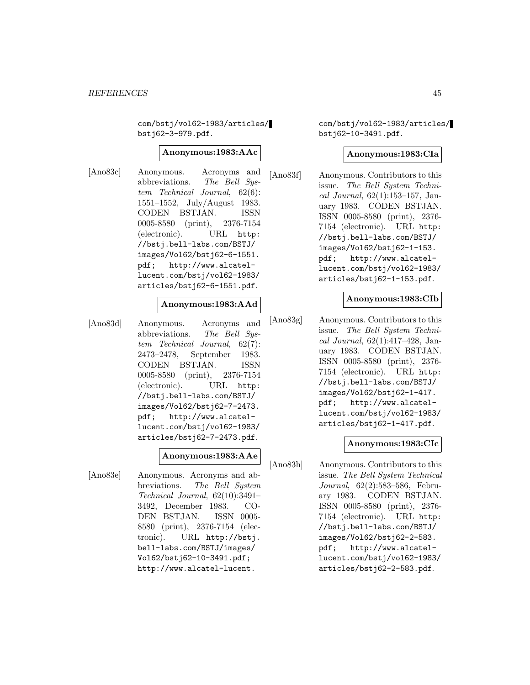com/bstj/vol62-1983/articles/ bstj62-3-979.pdf.

## **Anonymous:1983:AAc**

[Ano83c] Anonymous. Acronyms and abbreviations. The Bell System Technical Journal, 62(6): 1551–1552, July/August 1983. CODEN BSTJAN. ISSN 0005-8580 (print), 2376-7154 (electronic). URL http: //bstj.bell-labs.com/BSTJ/ images/Vol62/bstj62-6-1551. pdf; http://www.alcatellucent.com/bstj/vol62-1983/ articles/bstj62-6-1551.pdf.

## **Anonymous:1983:AAd**

[Ano83d] Anonymous. Acronyms and abbreviations. The Bell System Technical Journal, 62(7): 2473–2478, September 1983. CODEN BSTJAN. ISSN 0005-8580 (print), 2376-7154 (electronic). URL http: //bstj.bell-labs.com/BSTJ/ images/Vol62/bstj62-7-2473. pdf; http://www.alcatellucent.com/bstj/vol62-1983/ articles/bstj62-7-2473.pdf.

## **Anonymous:1983:AAe**

[Ano83e] Anonymous. Acronyms and abbreviations. The Bell System Technical Journal, 62(10):3491– 3492, December 1983. CO-DEN BSTJAN. ISSN 0005- 8580 (print), 2376-7154 (electronic). URL http://bstj. bell-labs.com/BSTJ/images/ Vol62/bstj62-10-3491.pdf; http://www.alcatel-lucent.

com/bstj/vol62-1983/articles/ bstj62-10-3491.pdf.

#### **Anonymous:1983:CIa**

[Ano83f] Anonymous. Contributors to this issue. The Bell System Technical Journal,  $62(1):153-157$ , January 1983. CODEN BSTJAN. ISSN 0005-8580 (print), 2376- 7154 (electronic). URL http: //bstj.bell-labs.com/BSTJ/ images/Vol62/bstj62-1-153. pdf; http://www.alcatellucent.com/bstj/vol62-1983/ articles/bstj62-1-153.pdf.

#### **Anonymous:1983:CIb**

[Ano83g] Anonymous. Contributors to this issue. The Bell System Technical Journal, 62(1):417–428, January 1983. CODEN BSTJAN. ISSN 0005-8580 (print), 2376- 7154 (electronic). URL http: //bstj.bell-labs.com/BSTJ/ images/Vol62/bstj62-1-417. pdf; http://www.alcatellucent.com/bstj/vol62-1983/ articles/bstj62-1-417.pdf.

#### **Anonymous:1983:CIc**

[Ano83h] Anonymous. Contributors to this issue. The Bell System Technical Journal, 62(2):583–586, February 1983. CODEN BSTJAN. ISSN 0005-8580 (print), 2376- 7154 (electronic). URL http: //bstj.bell-labs.com/BSTJ/ images/Vol62/bstj62-2-583. pdf; http://www.alcatellucent.com/bstj/vol62-1983/ articles/bstj62-2-583.pdf.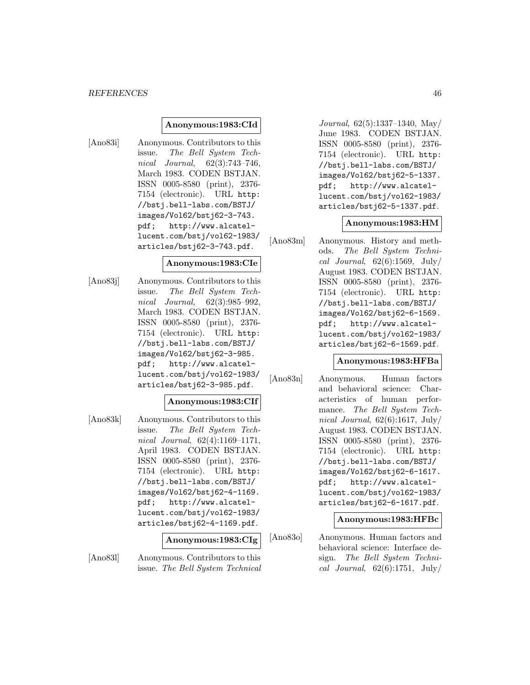## **Anonymous:1983:CId**

[Ano83i] Anonymous. Contributors to this issue. The Bell System Technical Journal, 62(3):743–746, March 1983. CODEN BSTJAN. ISSN 0005-8580 (print), 2376- 7154 (electronic). URL http: //bstj.bell-labs.com/BSTJ/ images/Vol62/bstj62-3-743. pdf; http://www.alcatellucent.com/bstj/vol62-1983/ articles/bstj62-3-743.pdf.

#### **Anonymous:1983:CIe**

[Ano83j] Anonymous. Contributors to this issue. The Bell System Technical Journal, 62(3):985–992, March 1983. CODEN BSTJAN. ISSN 0005-8580 (print), 2376- 7154 (electronic). URL http: //bstj.bell-labs.com/BSTJ/ images/Vol62/bstj62-3-985. pdf; http://www.alcatellucent.com/bstj/vol62-1983/ articles/bstj62-3-985.pdf.

## **Anonymous:1983:CIf**

[Ano83k] Anonymous. Contributors to this issue. The Bell System Technical Journal, 62(4):1169–1171, April 1983. CODEN BSTJAN. ISSN 0005-8580 (print), 2376- 7154 (electronic). URL http: //bstj.bell-labs.com/BSTJ/ images/Vol62/bstj62-4-1169. pdf; http://www.alcatellucent.com/bstj/vol62-1983/ articles/bstj62-4-1169.pdf.

## **Anonymous:1983:CIg**

[Ano83l] Anonymous. Contributors to this issue. The Bell System Technical

Journal, 62(5):1337–1340, May/ June 1983. CODEN BSTJAN. ISSN 0005-8580 (print), 2376- 7154 (electronic). URL http: //bstj.bell-labs.com/BSTJ/ images/Vol62/bstj62-5-1337. pdf; http://www.alcatellucent.com/bstj/vol62-1983/ articles/bstj62-5-1337.pdf.

#### **Anonymous:1983:HM**

[Ano83m] Anonymous. History and methods. The Bell System Technical Journal,  $62(6):1569$ , July/ August 1983. CODEN BSTJAN. ISSN 0005-8580 (print), 2376- 7154 (electronic). URL http: //bstj.bell-labs.com/BSTJ/ images/Vol62/bstj62-6-1569. pdf; http://www.alcatellucent.com/bstj/vol62-1983/ articles/bstj62-6-1569.pdf.

## **Anonymous:1983:HFBa**

[Ano83n] Anonymous. Human factors and behavioral science: Characteristics of human performance. The Bell System Technical Journal,  $62(6):1617$ , July/ August 1983. CODEN BSTJAN. ISSN 0005-8580 (print), 2376- 7154 (electronic). URL http: //bstj.bell-labs.com/BSTJ/ images/Vol62/bstj62-6-1617. pdf; http://www.alcatellucent.com/bstj/vol62-1983/ articles/bstj62-6-1617.pdf.

**Anonymous:1983:HFBc**

[Ano83o] Anonymous. Human factors and behavioral science: Interface design. The Bell System Technical Journal,  $62(6):1751$ , July/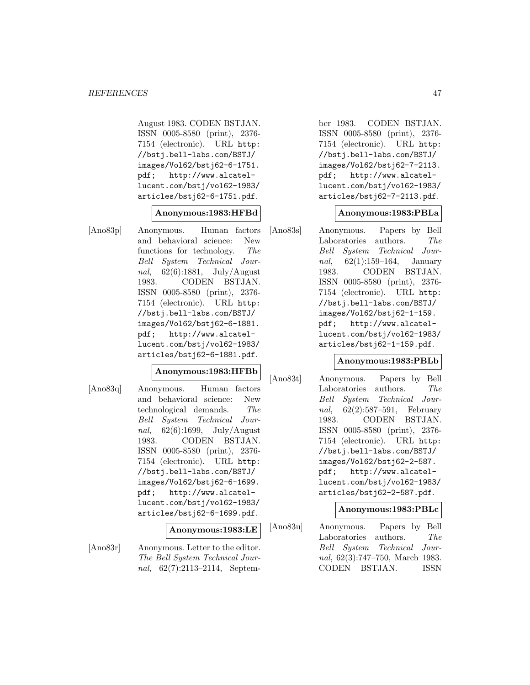August 1983. CODEN BSTJAN. ISSN 0005-8580 (print), 2376- 7154 (electronic). URL http: //bstj.bell-labs.com/BSTJ/ images/Vol62/bstj62-6-1751. pdf; http://www.alcatellucent.com/bstj/vol62-1983/ articles/bstj62-6-1751.pdf.

## **Anonymous:1983:HFBd**

[Ano83p] Anonymous. Human factors and behavioral science: New functions for technology. The Bell System Technical Journal, 62(6):1881, July/August 1983. CODEN BSTJAN. ISSN 0005-8580 (print), 2376- 7154 (electronic). URL http: //bstj.bell-labs.com/BSTJ/ images/Vol62/bstj62-6-1881. pdf; http://www.alcatellucent.com/bstj/vol62-1983/ articles/bstj62-6-1881.pdf.

#### **Anonymous:1983:HFBb**

[Ano83q] Anonymous. Human factors and behavioral science: New technological demands. The Bell System Technical Journal,  $62(6):1699$ , July/August 1983. CODEN BSTJAN. ISSN 0005-8580 (print), 2376- 7154 (electronic). URL http: //bstj.bell-labs.com/BSTJ/ images/Vol62/bstj62-6-1699. pdf; http://www.alcatellucent.com/bstj/vol62-1983/ articles/bstj62-6-1699.pdf.

## **Anonymous:1983:LE**

[Ano83r] Anonymous. Letter to the editor. The Bell System Technical Journal, 62(7):2113–2114, Septem-

ber 1983. CODEN BSTJAN. ISSN 0005-8580 (print), 2376- 7154 (electronic). URL http: //bstj.bell-labs.com/BSTJ/ images/Vol62/bstj62-7-2113. pdf; http://www.alcatellucent.com/bstj/vol62-1983/ articles/bstj62-7-2113.pdf.

#### **Anonymous:1983:PBLa**

[Ano83s] Anonymous. Papers by Bell Laboratories authors. The Bell System Technical Journal, 62(1):159–164, January 1983. CODEN BSTJAN. ISSN 0005-8580 (print), 2376- 7154 (electronic). URL http: //bstj.bell-labs.com/BSTJ/ images/Vol62/bstj62-1-159. pdf; http://www.alcatellucent.com/bstj/vol62-1983/ articles/bstj62-1-159.pdf.

## **Anonymous:1983:PBLb**

[Ano83t] Anonymous. Papers by Bell Laboratories authors. The Bell System Technical Journal, 62(2):587–591, February 1983. CODEN BSTJAN. ISSN 0005-8580 (print), 2376- 7154 (electronic). URL http: //bstj.bell-labs.com/BSTJ/ images/Vol62/bstj62-2-587. pdf; http://www.alcatellucent.com/bstj/vol62-1983/ articles/bstj62-2-587.pdf.

## **Anonymous:1983:PBLc**

[Ano83u] Anonymous. Papers by Bell Laboratories authors. The Bell System Technical Journal, 62(3):747–750, March 1983. CODEN BSTJAN. ISSN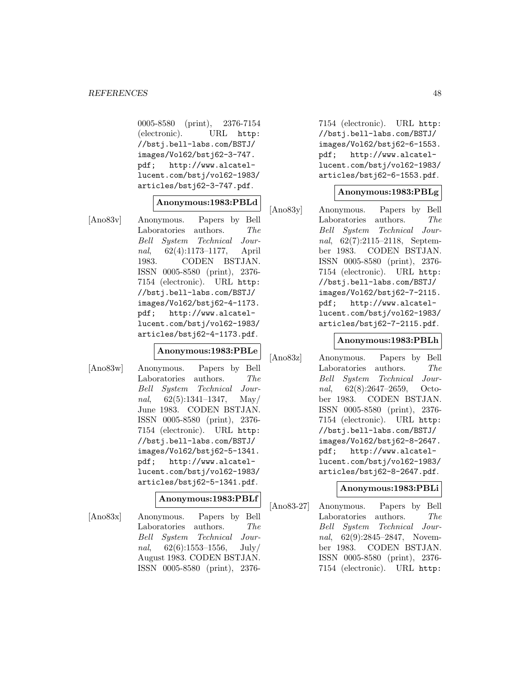0005-8580 (print), 2376-7154 (electronic). URL http: //bstj.bell-labs.com/BSTJ/ images/Vol62/bstj62-3-747. pdf; http://www.alcatellucent.com/bstj/vol62-1983/ articles/bstj62-3-747.pdf.

## **Anonymous:1983:PBLd**

[Ano83v] Anonymous. Papers by Bell Laboratories authors. The Bell System Technical Journal, 62(4):1173–1177, April 1983. CODEN BSTJAN. ISSN 0005-8580 (print), 2376- 7154 (electronic). URL http: //bstj.bell-labs.com/BSTJ/ images/Vol62/bstj62-4-1173. pdf; http://www.alcatellucent.com/bstj/vol62-1983/ articles/bstj62-4-1173.pdf.

#### **Anonymous:1983:PBLe**

[Ano83w] Anonymous. Papers by Bell Laboratories authors. The Bell System Technical Journal,  $62(5):1341-1347$ , May/ June 1983. CODEN BSTJAN. ISSN 0005-8580 (print), 2376- 7154 (electronic). URL http: //bstj.bell-labs.com/BSTJ/ images/Vol62/bstj62-5-1341. pdf; http://www.alcatellucent.com/bstj/vol62-1983/ articles/bstj62-5-1341.pdf.

#### **Anonymous:1983:PBLf**

[Ano83x] Anonymous. Papers by Bell Laboratories authors. The Bell System Technical Journal,  $62(6):1553-1556$ , July/ August 1983. CODEN BSTJAN. ISSN 0005-8580 (print), 23767154 (electronic). URL http: //bstj.bell-labs.com/BSTJ/ images/Vol62/bstj62-6-1553. pdf; http://www.alcatellucent.com/bstj/vol62-1983/ articles/bstj62-6-1553.pdf.

## **Anonymous:1983:PBLg**

[Ano83y] Anonymous. Papers by Bell Laboratories authors. The Bell System Technical Journal, 62(7):2115–2118, September 1983. CODEN BSTJAN. ISSN 0005-8580 (print), 2376- 7154 (electronic). URL http: //bstj.bell-labs.com/BSTJ/ images/Vol62/bstj62-7-2115. pdf; http://www.alcatellucent.com/bstj/vol62-1983/ articles/bstj62-7-2115.pdf.

#### **Anonymous:1983:PBLh**

[Ano83z] Anonymous. Papers by Bell Laboratories authors. The Bell System Technical Journal, 62(8):2647–2659, October 1983. CODEN BSTJAN. ISSN 0005-8580 (print), 2376- 7154 (electronic). URL http: //bstj.bell-labs.com/BSTJ/ images/Vol62/bstj62-8-2647. pdf; http://www.alcatellucent.com/bstj/vol62-1983/ articles/bstj62-8-2647.pdf.

## **Anonymous:1983:PBLi**

[Ano83-27] Anonymous. Papers by Bell Laboratories authors. The Bell System Technical Journal, 62(9):2845–2847, November 1983. CODEN BSTJAN. ISSN 0005-8580 (print), 2376- 7154 (electronic). URL http: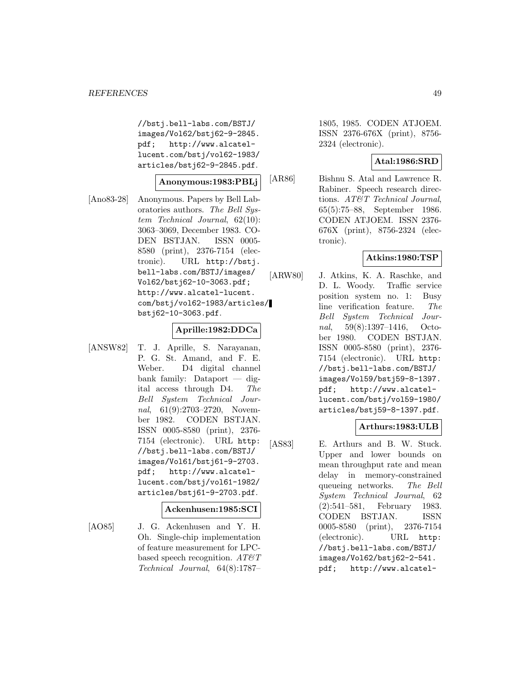//bstj.bell-labs.com/BSTJ/ images/Vol62/bstj62-9-2845. pdf; http://www.alcatellucent.com/bstj/vol62-1983/ articles/bstj62-9-2845.pdf.

## **Anonymous:1983:PBLj**

[Ano83-28] Anonymous. Papers by Bell Laboratories authors. The Bell System Technical Journal, 62(10): 3063–3069, December 1983. CO-DEN BSTJAN. ISSN 0005- 8580 (print), 2376-7154 (electronic). URL http://bstj. bell-labs.com/BSTJ/images/ Vol62/bstj62-10-3063.pdf; http://www.alcatel-lucent. com/bstj/vol62-1983/articles/ bstj62-10-3063.pdf.

## **Aprille:1982:DDCa**

[ANSW82] T. J. Aprille, S. Narayanan, P. G. St. Amand, and F. E. Weber. D4 digital channel bank family: Dataport — digital access through D4. The Bell System Technical Journal, 61(9):2703–2720, November 1982. CODEN BSTJAN. ISSN 0005-8580 (print), 2376- 7154 (electronic). URL http: //bstj.bell-labs.com/BSTJ/ images/Vol61/bstj61-9-2703. pdf; http://www.alcatellucent.com/bstj/vol61-1982/ articles/bstj61-9-2703.pdf.

#### **Ackenhusen:1985:SCI**

[AO85] J. G. Ackenhusen and Y. H. Oh. Single-chip implementation of feature measurement for LPCbased speech recognition.  $AT\mathcal{O}T$ Technical Journal, 64(8):1787–

1805, 1985. CODEN ATJOEM. ISSN 2376-676X (print), 8756- 2324 (electronic).

## **Atal:1986:SRD**

[AR86] Bishnu S. Atal and Lawrence R. Rabiner. Speech research directions. AT&T Technical Journal, 65(5):75–88, September 1986. CODEN ATJOEM. ISSN 2376- 676X (print), 8756-2324 (electronic).

## **Atkins:1980:TSP**

[ARW80] J. Atkins, K. A. Raschke, and D. L. Woody. Traffic service position system no. 1: Busy line verification feature. The Bell System Technical Journal, 59(8):1397–1416, October 1980. CODEN BSTJAN. ISSN 0005-8580 (print), 2376- 7154 (electronic). URL http: //bstj.bell-labs.com/BSTJ/ images/Vol59/bstj59-8-1397. pdf; http://www.alcatellucent.com/bstj/vol59-1980/ articles/bstj59-8-1397.pdf.

## **Arthurs:1983:ULB**

[AS83] E. Arthurs and B. W. Stuck. Upper and lower bounds on mean throughput rate and mean delay in memory-constrained queueing networks. The Bell System Technical Journal, 62 (2):541–581, February 1983. CODEN BSTJAN. ISSN 0005-8580 (print), 2376-7154 (electronic). URL http: //bstj.bell-labs.com/BSTJ/ images/Vol62/bstj62-2-541. pdf; http://www.alcatel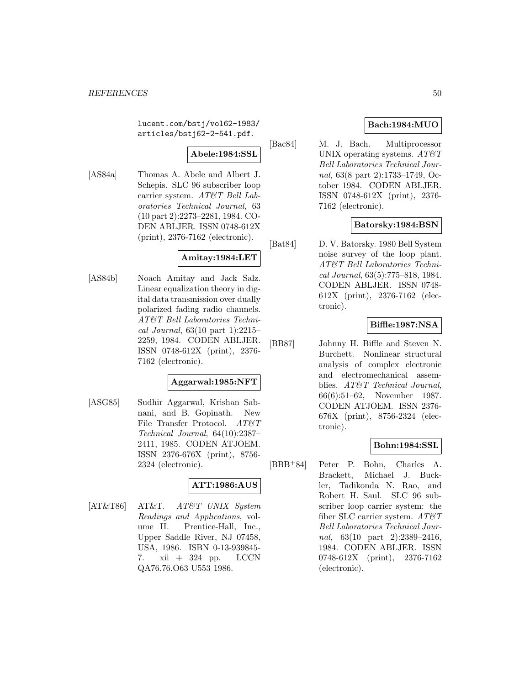lucent.com/bstj/vol62-1983/ articles/bstj62-2-541.pdf.

## **Abele:1984:SSL**

[AS84a] Thomas A. Abele and Albert J. Schepis. SLC 96 subscriber loop carrier system. AT&T Bell Laboratories Technical Journal, 63 (10 part 2):2273–2281, 1984. CO-DEN ABLJER. ISSN 0748-612X (print), 2376-7162 (electronic).

# **Amitay:1984:LET**

[AS84b] Noach Amitay and Jack Salz. Linear equalization theory in digital data transmission over dually polarized fading radio channels. AT&T Bell Laboratories Technical Journal, 63(10 part 1):2215– 2259, 1984. CODEN ABLJER. ISSN 0748-612X (print), 2376- 7162 (electronic).

## **Aggarwal:1985:NFT**

[ASG85] Sudhir Aggarwal, Krishan Sabnani, and B. Gopinath. New File Transfer Protocol.  $AT \mathcal{C}T$ Technical Journal, 64(10):2387– 2411, 1985. CODEN ATJOEM. ISSN 2376-676X (print), 8756- 2324 (electronic).

## **ATT:1986:AUS**

[AT&T86] AT&T. AT&T UNIX System Readings and Applications, volume II. Prentice-Hall, Inc., Upper Saddle River, NJ 07458, USA, 1986. ISBN 0-13-939845- 7. xii + 324 pp. LCCN QA76.76.O63 U553 1986.

# **Bach:1984:MUO**

[Bac84] M. J. Bach. Multiprocessor UNIX operating systems.  $AT\&T$ Bell Laboratories Technical Journal, 63(8 part 2):1733–1749, October 1984. CODEN ABLJER. ISSN 0748-612X (print), 2376- 7162 (electronic).

## **Batorsky:1984:BSN**

[Bat84] D. V. Batorsky. 1980 Bell System noise survey of the loop plant. AT&T Bell Laboratories Technical Journal, 63(5):775–818, 1984. CODEN ABLJER. ISSN 0748- 612X (print), 2376-7162 (electronic).

# **Biffle:1987:NSA**

[BB87] Johnny H. Biffle and Steven N. Burchett. Nonlinear structural analysis of complex electronic and electromechanical assemblies. AT&T Technical Journal, 66(6):51–62, November 1987. CODEN ATJOEM. ISSN 2376- 676X (print), 8756-2324 (electronic).

## **Bohn:1984:SSL**

[BBB<sup>+</sup>84] Peter P. Bohn, Charles A. Brackett, Michael J. Buckler, Tadikonda N. Rao, and Robert H. Saul. SLC 96 subscriber loop carrier system: the fiber SLC carrier system.  $AT\mathcal{O}T$ Bell Laboratories Technical Journal, 63(10 part 2):2389-2416, 1984. CODEN ABLJER. ISSN 0748-612X (print), 2376-7162 (electronic).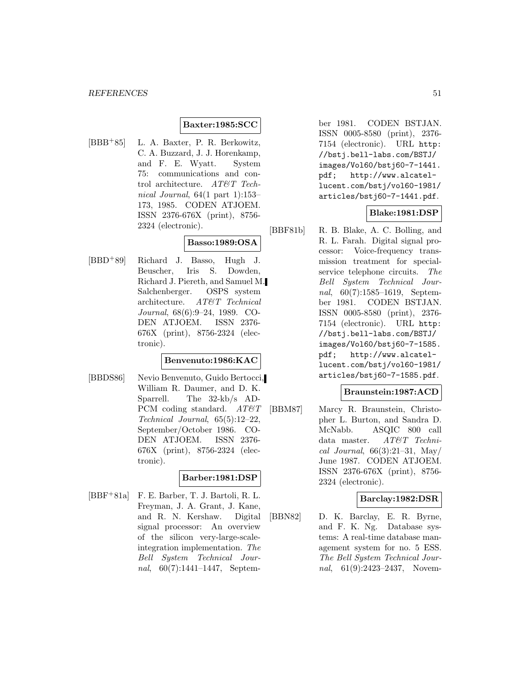## **Baxter:1985:SCC**

[BBB<sup>+</sup>85] L. A. Baxter, P. R. Berkowitz, C. A. Buzzard, J. J. Horenkamp, and F. E. Wyatt. System 75: communications and control architecture. AT&T Technical Journal, 64(1 part 1):153– 173, 1985. CODEN ATJOEM. ISSN 2376-676X (print), 8756- 2324 (electronic).

## **Basso:1989:OSA**

[BBD<sup>+</sup>89] Richard J. Basso, Hugh J. Beuscher, Iris S. Dowden, Richard J. Piereth, and Samuel M. Salchenberger. OSPS system architecture. AT&T Technical Journal, 68(6):9–24, 1989. CO-DEN ATJOEM. ISSN 2376- 676X (print), 8756-2324 (electronic).

## **Benvenuto:1986:KAC**

[BBDS86] Nevio Benvenuto, Guido Bertocci, William R. Daumer, and D. K. Sparrell. The 32-kb/s AD-PCM coding standard.  $AT\&T$ Technical Journal, 65(5):12–22, September/October 1986. CO-DEN ATJOEM. ISSN 2376- 676X (print), 8756-2324 (electronic).

## **Barber:1981:DSP**

[BBF<sup>+</sup>81a] F. E. Barber, T. J. Bartoli, R. L. Freyman, J. A. Grant, J. Kane, and R. N. Kershaw. Digital signal processor: An overview of the silicon very-large-scaleintegration implementation. The Bell System Technical Journal, 60(7):1441–1447, Septem-

ber 1981. CODEN BSTJAN. ISSN 0005-8580 (print), 2376- 7154 (electronic). URL http: //bstj.bell-labs.com/BSTJ/ images/Vol60/bstj60-7-1441. pdf; http://www.alcatellucent.com/bstj/vol60-1981/ articles/bstj60-7-1441.pdf.

## **Blake:1981:DSP**

[BBF81b] R. B. Blake, A. C. Bolling, and R. L. Farah. Digital signal processor: Voice-frequency transmission treatment for specialservice telephone circuits. The Bell System Technical Journal, 60(7):1585–1619, September 1981. CODEN BSTJAN. ISSN 0005-8580 (print), 2376- 7154 (electronic). URL http: //bstj.bell-labs.com/BSTJ/ images/Vol60/bstj60-7-1585. pdf; http://www.alcatellucent.com/bstj/vol60-1981/ articles/bstj60-7-1585.pdf.

#### **Braunstein:1987:ACD**

[BBM87] Marcy R. Braunstein, Christopher L. Burton, and Sandra D. McNabb. ASQIC 800 call data master. AT&T Technical Journal,  $66(3):21-31$ , May/ June 1987. CODEN ATJOEM. ISSN 2376-676X (print), 8756- 2324 (electronic).

## **Barclay:1982:DSR**

[BBN82] D. K. Barclay, E. R. Byrne, and F. K. Ng. Database systems: A real-time database management system for no. 5 ESS. The Bell System Technical Journal, 61(9):2423–2437, Novem-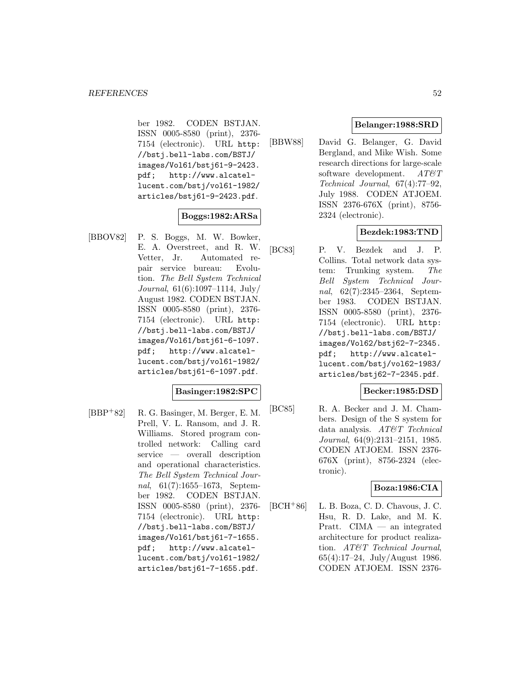ber 1982. CODEN BSTJAN. ISSN 0005-8580 (print), 2376- 7154 (electronic). URL http: //bstj.bell-labs.com/BSTJ/ images/Vol61/bstj61-9-2423. pdf; http://www.alcatellucent.com/bstj/vol61-1982/ articles/bstj61-9-2423.pdf.

## **Boggs:1982:ARSa**

[BBOV82] P. S. Boggs, M. W. Bowker, E. A. Overstreet, and R. W. Vetter, Jr. Automated repair service bureau: Evolution. The Bell System Technical Journal, 61(6):1097–1114, July/ August 1982. CODEN BSTJAN. ISSN 0005-8580 (print), 2376- 7154 (electronic). URL http: //bstj.bell-labs.com/BSTJ/ images/Vol61/bstj61-6-1097. pdf; http://www.alcatellucent.com/bstj/vol61-1982/ articles/bstj61-6-1097.pdf.

## **Basinger:1982:SPC**

[BBP<sup>+</sup>82] R. G. Basinger, M. Berger, E. M. Prell, V. L. Ransom, and J. R. Williams. Stored program controlled network: Calling card service — overall description and operational characteristics. The Bell System Technical Journal, 61(7):1655-1673, September 1982. CODEN BSTJAN. ISSN 0005-8580 (print), 2376- 7154 (electronic). URL http: //bstj.bell-labs.com/BSTJ/ images/Vol61/bstj61-7-1655. pdf; http://www.alcatellucent.com/bstj/vol61-1982/ articles/bstj61-7-1655.pdf.

## **Belanger:1988:SRD**

[BBW88] David G. Belanger, G. David Bergland, and Mike Wish. Some research directions for large-scale software development.  $AT\&T$ Technical Journal, 67(4):77–92, July 1988. CODEN ATJOEM. ISSN 2376-676X (print), 8756- 2324 (electronic).

## **Bezdek:1983:TND**

[BC83] P. V. Bezdek and J. P. Collins. Total network data system: Trunking system. The Bell System Technical Journal, 62(7):2345–2364, September 1983. CODEN BSTJAN. ISSN 0005-8580 (print), 2376- 7154 (electronic). URL http: //bstj.bell-labs.com/BSTJ/ images/Vol62/bstj62-7-2345. pdf; http://www.alcatellucent.com/bstj/vol62-1983/ articles/bstj62-7-2345.pdf.

## **Becker:1985:DSD**

[BC85] R. A. Becker and J. M. Chambers. Design of the S system for data analysis. AT&T Technical Journal, 64(9):2131–2151, 1985. CODEN ATJOEM. ISSN 2376- 676X (print), 8756-2324 (electronic).

## **Boza:1986:CIA**

 $[BCH<sup>+</sup>86]$  L. B. Boza, C. D. Chavous, J. C. Hsu, R. D. Lake, and M. K. Pratt. CIMA — an integrated architecture for product realization. AT&T Technical Journal, 65(4):17–24, July/August 1986. CODEN ATJOEM. ISSN 2376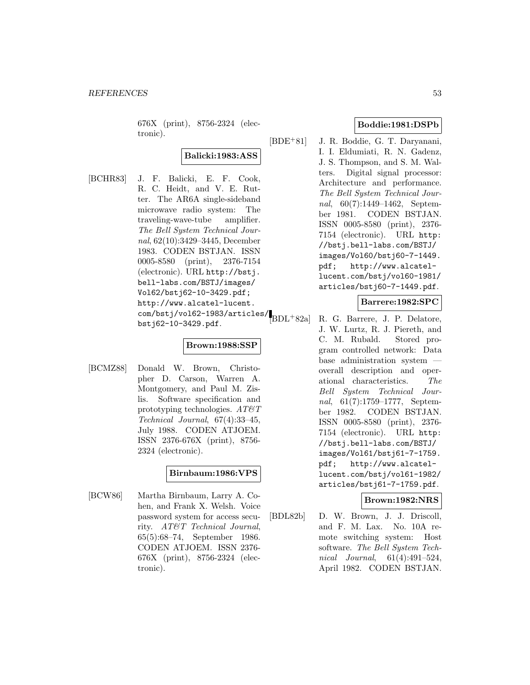676X (print), 8756-2324 (electronic).

## **Balicki:1983:ASS**

[BCHR83] J. F. Balicki, E. F. Cook, R. C. Heidt, and V. E. Rutter. The AR6A single-sideband microwave radio system: The traveling-wave-tube amplifier. The Bell System Technical Journal, 62(10):3429–3445, December 1983. CODEN BSTJAN. ISSN 0005-8580 (print), 2376-7154 (electronic). URL http://bstj. bell-labs.com/BSTJ/images/ Vol62/bstj62-10-3429.pdf; http://www.alcatel-lucent. com/bstj/vol62-1983/articles/ bstj62-10-3429.pdf.

## **Brown:1988:SSP**

[BCMZ88] Donald W. Brown, Christopher D. Carson, Warren A. Montgomery, and Paul M. Zislis. Software specification and prototyping technologies.  $AT\&T$ Technical Journal, 67(4):33–45, July 1988. CODEN ATJOEM. ISSN 2376-676X (print), 8756- 2324 (electronic).

## **Birnbaum:1986:VPS**

[BCW86] Martha Birnbaum, Larry A. Cohen, and Frank X. Welsh. Voice password system for access security. AT&T Technical Journal, 65(5):68–74, September 1986. CODEN ATJOEM. ISSN 2376- 676X (print), 8756-2324 (electronic).

## **Boddie:1981:DSPb**

[BDE<sup>+</sup>81] J. R. Boddie, G. T. Daryanani, I. I. Eldumiati, R. N. Gadenz, J. S. Thompson, and S. M. Walters. Digital signal processor: Architecture and performance. The Bell System Technical Journal, 60(7):1449–1462, September 1981. CODEN BSTJAN. ISSN 0005-8580 (print), 2376- 7154 (electronic). URL http: //bstj.bell-labs.com/BSTJ/ images/Vol60/bstj60-7-1449. pdf; http://www.alcatellucent.com/bstj/vol60-1981/ articles/bstj60-7-1449.pdf.

## **Barrere:1982:SPC**

[BDL<sup>+</sup>82a] R. G. Barrere, J. P. Delatore, J. W. Lurtz, R. J. Piereth, and C. M. Rubald. Stored program controlled network: Data base administration system overall description and operational characteristics. The Bell System Technical Journal, 61(7):1759–1777, September 1982. CODEN BSTJAN. ISSN 0005-8580 (print), 2376- 7154 (electronic). URL http: //bstj.bell-labs.com/BSTJ/ images/Vol61/bstj61-7-1759. pdf; http://www.alcatellucent.com/bstj/vol61-1982/ articles/bstj61-7-1759.pdf.

## **Brown:1982:NRS**

[BDL82b] D. W. Brown, J. J. Driscoll, and F. M. Lax. No. 10A remote switching system: Host software. The Bell System Technical Journal, 61(4):491–524, April 1982. CODEN BSTJAN.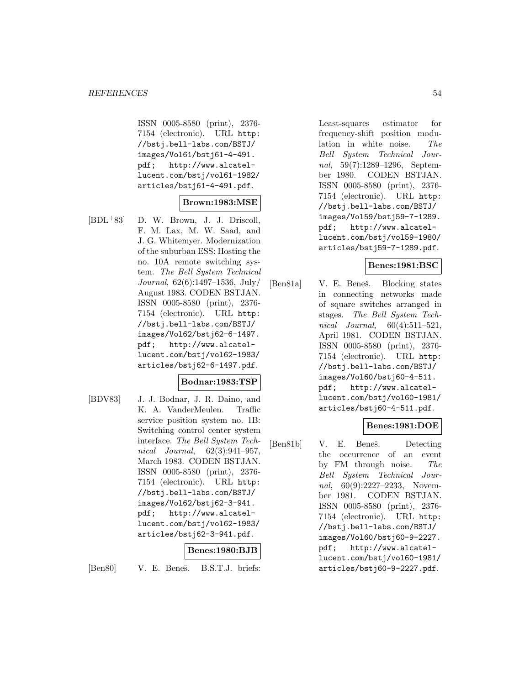ISSN 0005-8580 (print), 2376- 7154 (electronic). URL http: //bstj.bell-labs.com/BSTJ/ images/Vol61/bstj61-4-491. pdf; http://www.alcatellucent.com/bstj/vol61-1982/ articles/bstj61-4-491.pdf.

## **Brown:1983:MSE**

[BDL<sup>+</sup>83] D. W. Brown, J. J. Driscoll, F. M. Lax, M. W. Saad, and J. G. Whitemyer. Modernization of the suburban ESS: Hosting the no. 10A remote switching system. The Bell System Technical Journal, 62(6):1497–1536, July/ August 1983. CODEN BSTJAN. ISSN 0005-8580 (print), 2376- 7154 (electronic). URL http: //bstj.bell-labs.com/BSTJ/ images/Vol62/bstj62-6-1497. pdf; http://www.alcatellucent.com/bstj/vol62-1983/ articles/bstj62-6-1497.pdf.

## **Bodnar:1983:TSP**

[BDV83] J. J. Bodnar, J. R. Daino, and K. A. VanderMeulen. Traffic service position system no. 1B: Switching control center system interface. The Bell System Technical Journal, 62(3):941–957, March 1983. CODEN BSTJAN. ISSN 0005-8580 (print), 2376- 7154 (electronic). URL http: //bstj.bell-labs.com/BSTJ/ images/Vol62/bstj62-3-941. pdf; http://www.alcatellucent.com/bstj/vol62-1983/ articles/bstj62-3-941.pdf.

## **Benes:1980:BJB**

[Ben80] V. E. Beneš. B.S.T.J. briefs:

Least-squares estimator for frequency-shift position modulation in white noise. The Bell System Technical Journal, 59(7):1289–1296, September 1980. CODEN BSTJAN. ISSN 0005-8580 (print), 2376- 7154 (electronic). URL http: //bstj.bell-labs.com/BSTJ/ images/Vol59/bstj59-7-1289. pdf; http://www.alcatellucent.com/bstj/vol59-1980/ articles/bstj59-7-1289.pdf.

## **Benes:1981:BSC**

[Ben81a] V. E. Beneš. Blocking states in connecting networks made of square switches arranged in stages. The Bell System Technical Journal,  $60(4):511-521$ , April 1981. CODEN BSTJAN. ISSN 0005-8580 (print), 2376- 7154 (electronic). URL http: //bstj.bell-labs.com/BSTJ/ images/Vol60/bstj60-4-511. pdf; http://www.alcatellucent.com/bstj/vol60-1981/ articles/bstj60-4-511.pdf.

## **Benes:1981:DOE**

[Ben81b] V. E. Beneš. Detecting the occurrence of an event by FM through noise. The Bell System Technical Journal, 60(9):2227-2233, November 1981. CODEN BSTJAN. ISSN 0005-8580 (print), 2376- 7154 (electronic). URL http: //bstj.bell-labs.com/BSTJ/ images/Vol60/bstj60-9-2227. pdf; http://www.alcatellucent.com/bstj/vol60-1981/ articles/bstj60-9-2227.pdf.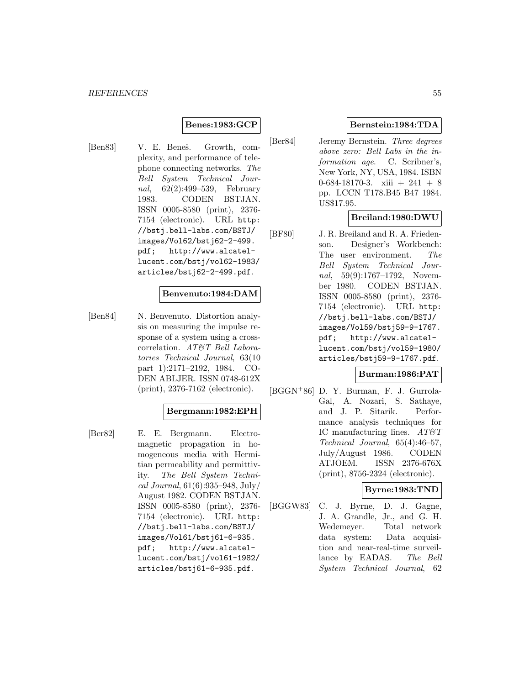## **Benes:1983:GCP**

[Ben83] V. E. Beneš. Growth, complexity, and performance of telephone connecting networks. The Bell System Technical Journal, 62(2):499–539, February 1983. CODEN BSTJAN. ISSN 0005-8580 (print), 2376- 7154 (electronic). URL http: //bstj.bell-labs.com/BSTJ/ images/Vol62/bstj62-2-499. pdf; http://www.alcatellucent.com/bstj/vol62-1983/ articles/bstj62-2-499.pdf.

#### **Benvenuto:1984:DAM**

[Ben84] N. Benvenuto. Distortion analysis on measuring the impulse response of a system using a crosscorrelation. AT&T Bell Laboratories Technical Journal, 63(10 part 1):2171–2192, 1984. CO-DEN ABLJER. ISSN 0748-612X (print), 2376-7162 (electronic).

## **Bergmann:1982:EPH**

[Ber82] E. E. Bergmann. Electromagnetic propagation in homogeneous media with Hermitian permeability and permittivity. The Bell System Technical Journal, 61(6):935–948, July/ August 1982. CODEN BSTJAN. ISSN 0005-8580 (print), 2376- 7154 (electronic). URL http: //bstj.bell-labs.com/BSTJ/ images/Vol61/bstj61-6-935. pdf; http://www.alcatellucent.com/bstj/vol61-1982/ articles/bstj61-6-935.pdf.

## **Bernstein:1984:TDA**

[Ber84] Jeremy Bernstein. Three degrees above zero: Bell Labs in the information age. C. Scribner's, New York, NY, USA, 1984. ISBN 0-684-18170-3. xiii  $+241 + 8$ pp. LCCN T178.B45 B47 1984. US\$17.95.

## **Breiland:1980:DWU**

[BF80] J. R. Breiland and R. A. Friedenson. Designer's Workbench: The user environment. The Bell System Technical Journal, 59(9):1767–1792, November 1980. CODEN BSTJAN. ISSN 0005-8580 (print), 2376- 7154 (electronic). URL http: //bstj.bell-labs.com/BSTJ/ images/Vol59/bstj59-9-1767. pdf; http://www.alcatellucent.com/bstj/vol59-1980/ articles/bstj59-9-1767.pdf.

## **Burman:1986:PAT**

[BGGN<sup>+</sup>86] D. Y. Burman, F. J. Gurrola-Gal, A. Nozari, S. Sathaye, and J. P. Sitarik. Performance analysis techniques for IC manufacturing lines.  $AT \& T$ Technical Journal, 65(4):46–57, July/August 1986. CODEN ATJOEM. ISSN 2376-676X (print), 8756-2324 (electronic).

## **Byrne:1983:TND**

[BGGW83] C. J. Byrne, D. J. Gagne, J. A. Grandle, Jr., and G. H. Wedemeyer. Total network data system: Data acquisition and near-real-time surveillance by EADAS. The Bell System Technical Journal, 62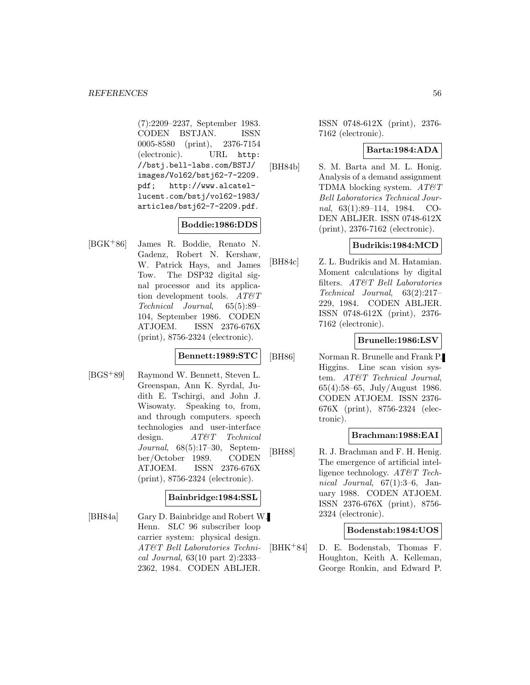(7):2209–2237, September 1983. CODEN BSTJAN. ISSN 0005-8580 (print), 2376-7154 (electronic). URL http: //bstj.bell-labs.com/BSTJ/ images/Vol62/bstj62-7-2209. pdf; http://www.alcatellucent.com/bstj/vol62-1983/ articles/bstj62-7-2209.pdf.

## **Boddie:1986:DDS**

[BGK<sup>+</sup>86] James R. Boddie, Renato N. Gadenz, Robert N. Kershaw, W. Patrick Hays, and James Tow. The DSP32 digital signal processor and its application development tools.  $AT \mathcal{C}T$ Technical Journal, 65(5):89– 104, September 1986. CODEN ATJOEM. ISSN 2376-676X (print), 8756-2324 (electronic).

## **Bennett:1989:STC**

[BGS<sup>+</sup>89] Raymond W. Bennett, Steven L. Greenspan, Ann K. Syrdal, Judith E. Tschirgi, and John J. Wisowaty. Speaking to, from, and through computers. speech technologies and user-interface design.  $AT\&T$  *chnical* Journal, 68(5):17–30, September/October 1989. CODEN ATJOEM. ISSN 2376-676X (print), 8756-2324 (electronic).

## **Bainbridge:1984:SSL**

[BH84a] Gary D. Bainbridge and Robert W. Henn. SLC 96 subscriber loop carrier system: physical design. AT&T Bell Laboratories Technical Journal, 63(10 part 2):2333– 2362, 1984. CODEN ABLJER.

ISSN 0748-612X (print), 2376- 7162 (electronic).

#### **Barta:1984:ADA**

[BH84b] S. M. Barta and M. L. Honig. Analysis of a demand assignment TDMA blocking system.  $AT\mathcal{O}T$ Bell Laboratories Technical Journal, 63(1):89–114, 1984. CO-DEN ABLJER. ISSN 0748-612X (print), 2376-7162 (electronic).

## **Budrikis:1984:MCD**

[BH84c] Z. L. Budrikis and M. Hatamian. Moment calculations by digital filters. AT&T Bell Laboratories Technical Journal, 63(2):217– 229, 1984. CODEN ABLJER. ISSN 0748-612X (print), 2376- 7162 (electronic).

## **Brunelle:1986:LSV**

[BH86] Norman R. Brunelle and Frank P. Higgins. Line scan vision system. AT&T Technical Journal, 65(4):58–65, July/August 1986. CODEN ATJOEM. ISSN 2376- 676X (print), 8756-2324 (electronic).

## **Brachman:1988:EAI**

[BH88] R. J. Brachman and F. H. Henig. The emergence of artificial intelligence technology. AT&T Technical Journal,  $67(1):3-6$ , January 1988. CODEN ATJOEM. ISSN 2376-676X (print), 8756- 2324 (electronic).

## **Bodenstab:1984:UOS**

[BHK<sup>+</sup>84] D. E. Bodenstab, Thomas F. Houghton, Keith A. Kelleman, George Ronkin, and Edward P.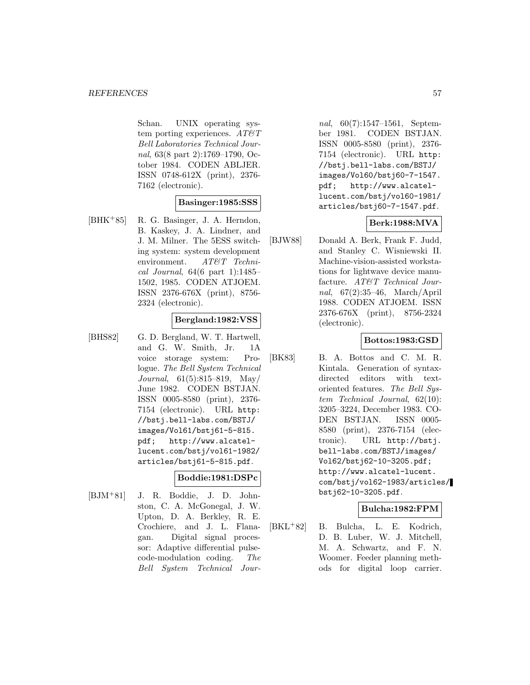Schan. UNIX operating system porting experiences.  $AT\mathcal{O}T$ Bell Laboratories Technical Journal, 63(8 part 2):1769–1790, October 1984. CODEN ABLJER. ISSN 0748-612X (print), 2376- 7162 (electronic).

## **Basinger:1985:SSS**

[BHK<sup>+</sup>85] R. G. Basinger, J. A. Herndon, B. Kaskey, J. A. Lindner, and J. M. Milner. The 5ESS switching system: system development environment. AT&T Technical Journal, 64(6 part 1):1485– 1502, 1985. CODEN ATJOEM. ISSN 2376-676X (print), 8756- 2324 (electronic).

## **Bergland:1982:VSS**

[BHS82] G. D. Bergland, W. T. Hartwell, and G. W. Smith, Jr. 1A voice storage system: Prologue. The Bell System Technical Journal, 61(5):815–819, May/ June 1982. CODEN BSTJAN. ISSN 0005-8580 (print), 2376- 7154 (electronic). URL http: //bstj.bell-labs.com/BSTJ/ images/Vol61/bstj61-5-815. pdf; http://www.alcatellucent.com/bstj/vol61-1982/ articles/bstj61-5-815.pdf.

## **Boddie:1981:DSPc**

[BJM<sup>+</sup>81] J. R. Boddie, J. D. Johnston, C. A. McGonegal, J. W. Upton, D. A. Berkley, R. E. Crochiere, and J. L. Flanagan. Digital signal processor: Adaptive differential pulsecode-modulation coding. The Bell System Technical Jour-

nal, 60(7):1547–1561, September 1981. CODEN BSTJAN. ISSN 0005-8580 (print), 2376- 7154 (electronic). URL http: //bstj.bell-labs.com/BSTJ/ images/Vol60/bstj60-7-1547. pdf; http://www.alcatellucent.com/bstj/vol60-1981/ articles/bstj60-7-1547.pdf.

## **Berk:1988:MVA**

[BJW88] Donald A. Berk, Frank F. Judd, and Stanley C. Wisniewski II. Machine-vision-assisted workstations for lightwave device manufacture. AT&T Technical Journal, 67(2):35–46, March/April 1988. CODEN ATJOEM. ISSN 2376-676X (print), 8756-2324 (electronic).

## **Bottos:1983:GSD**

[BK83] B. A. Bottos and C. M. R. Kintala. Generation of syntaxdirected editors with textoriented features. The Bell System Technical Journal, 62(10): 3205–3224, December 1983. CO-DEN BSTJAN. ISSN 0005- 8580 (print), 2376-7154 (electronic). URL http://bstj. bell-labs.com/BSTJ/images/ Vol62/bstj62-10-3205.pdf; http://www.alcatel-lucent. com/bstj/vol62-1983/articles/ bstj62-10-3205.pdf.

## **Bulcha:1982:FPM**

[BKL<sup>+</sup>82] B. Bulcha, L. E. Kodrich, D. B. Luber, W. J. Mitchell, M. A. Schwartz, and F. N. Woomer. Feeder planning methods for digital loop carrier.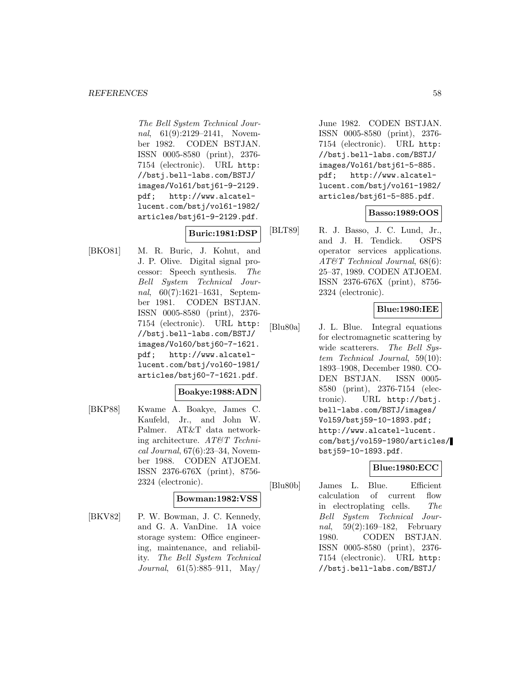The Bell System Technical Journal, 61(9):2129-2141, November 1982. CODEN BSTJAN. ISSN 0005-8580 (print), 2376- 7154 (electronic). URL http: //bstj.bell-labs.com/BSTJ/ images/Vol61/bstj61-9-2129. pdf; http://www.alcatellucent.com/bstj/vol61-1982/ articles/bstj61-9-2129.pdf.

# **Buric:1981:DSP**

[BKO81] M. R. Buric, J. Kohut, and J. P. Olive. Digital signal processor: Speech synthesis. The Bell System Technical Journal, 60(7):1621–1631, September 1981. CODEN BSTJAN. ISSN 0005-8580 (print), 2376- 7154 (electronic). URL http: //bstj.bell-labs.com/BSTJ/ images/Vol60/bstj60-7-1621. pdf; http://www.alcatellucent.com/bstj/vol60-1981/ articles/bstj60-7-1621.pdf.

## **Boakye:1988:ADN**

[BKP88] Kwame A. Boakye, James C. Kaufeld, Jr., and John W. Palmer. AT&T data networking architecture. AT&T Technical Journal, 67(6):23–34, November 1988. CODEN ATJOEM. ISSN 2376-676X (print), 8756- 2324 (electronic).

## **Bowman:1982:VSS**

[BKV82] P. W. Bowman, J. C. Kennedy, and G. A. VanDine. 1A voice storage system: Office engineering, maintenance, and reliability. The Bell System Technical Journal, 61(5):885–911, May/

June 1982. CODEN BSTJAN. ISSN 0005-8580 (print), 2376- 7154 (electronic). URL http: //bstj.bell-labs.com/BSTJ/ images/Vol61/bstj61-5-885. pdf; http://www.alcatellucent.com/bstj/vol61-1982/ articles/bstj61-5-885.pdf.

## **Basso:1989:OOS**

[BLT89] R. J. Basso, J. C. Lund, Jr., and J. H. Tendick. OSPS operator services applications. AT&T Technical Journal, 68(6): 25–37, 1989. CODEN ATJOEM. ISSN 2376-676X (print), 8756- 2324 (electronic).

## **Blue:1980:IEE**

[Blu80a] J. L. Blue. Integral equations for electromagnetic scattering by wide scatterers. The Bell System Technical Journal, 59(10): 1893–1908, December 1980. CO-DEN BSTJAN. ISSN 0005- 8580 (print), 2376-7154 (electronic). URL http://bstj. bell-labs.com/BSTJ/images/ Vol59/bstj59-10-1893.pdf; http://www.alcatel-lucent. com/bstj/vol59-1980/articles/ bstj59-10-1893.pdf.

## **Blue:1980:ECC**

[Blu80b] James L. Blue. Efficient calculation of current flow in electroplating cells. The Bell System Technical Journal, 59(2):169–182, February 1980. CODEN BSTJAN. ISSN 0005-8580 (print), 2376- 7154 (electronic). URL http: //bstj.bell-labs.com/BSTJ/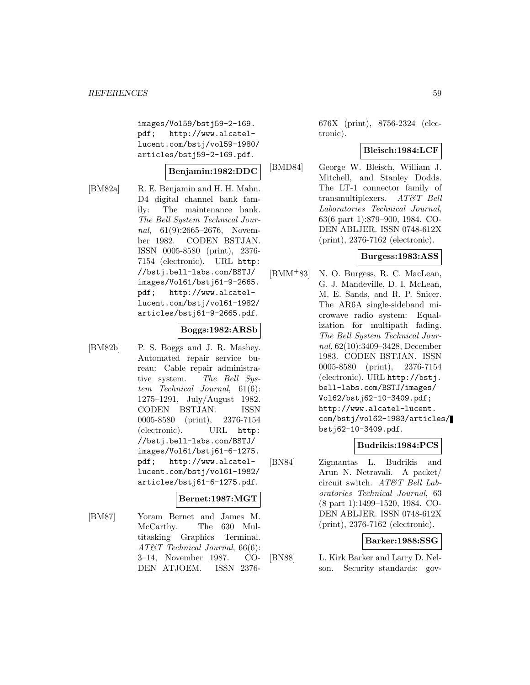images/Vol59/bstj59-2-169. pdf; http://www.alcatellucent.com/bstj/vol59-1980/ articles/bstj59-2-169.pdf.

## **Benjamin:1982:DDC**

[BM82a] R. E. Benjamin and H. H. Mahn. D4 digital channel bank family: The maintenance bank. The Bell System Technical Journal, 61(9):2665–2676, November 1982. CODEN BSTJAN. ISSN 0005-8580 (print), 2376- 7154 (electronic). URL http: //bstj.bell-labs.com/BSTJ/ images/Vol61/bstj61-9-2665. pdf; http://www.alcatellucent.com/bstj/vol61-1982/ articles/bstj61-9-2665.pdf.

## **Boggs:1982:ARSb**

[BM82b] P. S. Boggs and J. R. Mashey. Automated repair service bureau: Cable repair administrative system. The Bell System Technical Journal, 61(6): 1275–1291, July/August 1982. CODEN BSTJAN. ISSN 0005-8580 (print), 2376-7154 (electronic). URL http: //bstj.bell-labs.com/BSTJ/ images/Vol61/bstj61-6-1275. pdf; http://www.alcatellucent.com/bstj/vol61-1982/ articles/bstj61-6-1275.pdf.

## **Bernet:1987:MGT**

[BM87] Yoram Bernet and James M. McCarthy. The 630 Multitasking Graphics Terminal. AT&T Technical Journal, 66(6): 3–14, November 1987. CO-DEN ATJOEM. ISSN 2376676X (print), 8756-2324 (electronic).

## **Bleisch:1984:LCF**

[BMD84] George W. Bleisch, William J. Mitchell, and Stanley Dodds. The LT-1 connector family of transmultiplexers. AT&T Bell Laboratories Technical Journal, 63(6 part 1):879–900, 1984. CO-DEN ABLJER. ISSN 0748-612X (print), 2376-7162 (electronic).

#### **Burgess:1983:ASS**

[BMM<sup>+</sup>83] N. O. Burgess, R. C. MacLean, G. J. Mandeville, D. I. McLean, M. E. Sands, and R. P. Snicer. The AR6A single-sideband microwave radio system: Equalization for multipath fading. The Bell System Technical Journal, 62(10):3409–3428, December 1983. CODEN BSTJAN. ISSN 0005-8580 (print), 2376-7154 (electronic). URL http://bstj. bell-labs.com/BSTJ/images/ Vol62/bstj62-10-3409.pdf; http://www.alcatel-lucent. com/bstj/vol62-1983/articles/ bstj62-10-3409.pdf.

## **Budrikis:1984:PCS**

[BN84] Zigmantas L. Budrikis and Arun N. Netravali. A packet/ circuit switch. AT&T Bell Laboratories Technical Journal, 63 (8 part 1):1499–1520, 1984. CO-DEN ABLJER. ISSN 0748-612X (print), 2376-7162 (electronic).

## **Barker:1988:SSG**

[BN88] L. Kirk Barker and Larry D. Nelson. Security standards: gov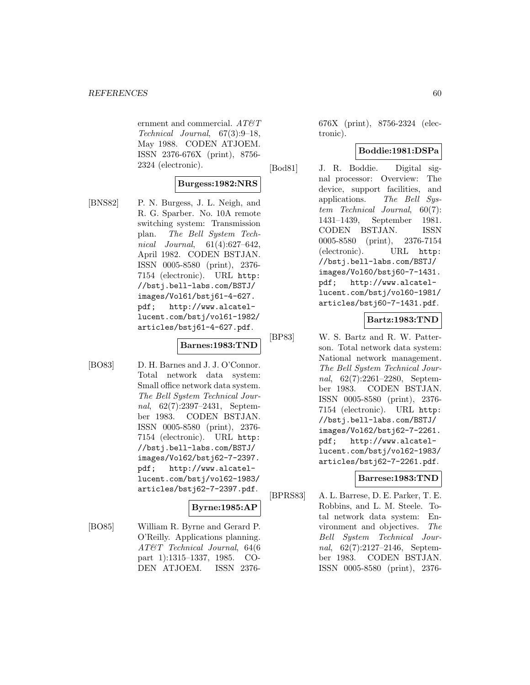ernment and commercial.  $AT \mathcal{C}T$ Technical Journal, 67(3):9–18, May 1988. CODEN ATJOEM. ISSN 2376-676X (print), 8756- 2324 (electronic).

## **Burgess:1982:NRS**

[BNS82] P. N. Burgess, J. L. Neigh, and R. G. Sparber. No. 10A remote switching system: Transmission plan. The Bell System Technical Journal, 61(4):627–642, April 1982. CODEN BSTJAN. ISSN 0005-8580 (print), 2376- 7154 (electronic). URL http: //bstj.bell-labs.com/BSTJ/ images/Vol61/bstj61-4-627. pdf; http://www.alcatellucent.com/bstj/vol61-1982/ articles/bstj61-4-627.pdf.

# **Barnes:1983:TND**

[BO83] D. H. Barnes and J. J. O'Connor. Total network data system: Small office network data system. The Bell System Technical Journal, 62(7):2397–2431, September 1983. CODEN BSTJAN. ISSN 0005-8580 (print), 2376- 7154 (electronic). URL http: //bstj.bell-labs.com/BSTJ/ images/Vol62/bstj62-7-2397. pdf; http://www.alcatellucent.com/bstj/vol62-1983/ articles/bstj62-7-2397.pdf.

# **Byrne:1985:AP**

[BO85] William R. Byrne and Gerard P. O'Reilly. Applications planning. AT&T Technical Journal, 64(6 part 1):1315–1337, 1985. CO-DEN ATJOEM. ISSN 2376676X (print), 8756-2324 (electronic).

## **Boddie:1981:DSPa**

[Bod81] J. R. Boddie. Digital signal processor: Overview: The device, support facilities, and applications. The Bell System Technical Journal, 60(7): 1431–1439, September 1981. CODEN BSTJAN. ISSN 0005-8580 (print), 2376-7154 (electronic). URL http: //bstj.bell-labs.com/BSTJ/ images/Vol60/bstj60-7-1431. pdf; http://www.alcatellucent.com/bstj/vol60-1981/ articles/bstj60-7-1431.pdf.

## **Bartz:1983:TND**

[BP83] W. S. Bartz and R. W. Patterson. Total network data system: National network management. The Bell System Technical Journal, 62(7):2261–2280, September 1983. CODEN BSTJAN. ISSN 0005-8580 (print), 2376- 7154 (electronic). URL http: //bstj.bell-labs.com/BSTJ/ images/Vol62/bstj62-7-2261. pdf; http://www.alcatellucent.com/bstj/vol62-1983/ articles/bstj62-7-2261.pdf.

## **Barrese:1983:TND**

[BPRS83] A. L. Barrese, D. E. Parker, T. E. Robbins, and L. M. Steele. Total network data system: Environment and objectives. The Bell System Technical Journal, 62(7):2127–2146, September 1983. CODEN BSTJAN. ISSN 0005-8580 (print), 2376-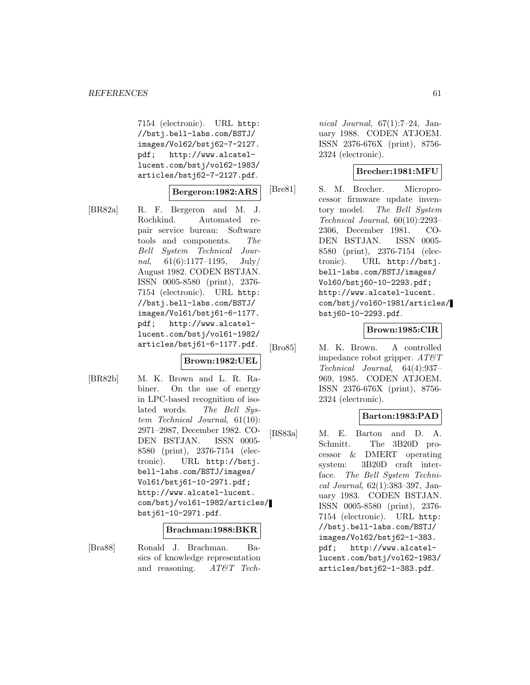7154 (electronic). URL http: //bstj.bell-labs.com/BSTJ/ images/Vol62/bstj62-7-2127. pdf; http://www.alcatellucent.com/bstj/vol62-1983/ articles/bstj62-7-2127.pdf.

#### **Bergeron:1982:ARS**

[BR82a] R. F. Bergeron and M. J. Rochkind. Automated repair service bureau: Software tools and components. The Bell System Technical Journal,  $61(6):1177-1195$ ,  $July/$ August 1982. CODEN BSTJAN. ISSN 0005-8580 (print), 2376- 7154 (electronic). URL http: //bstj.bell-labs.com/BSTJ/ images/Vol61/bstj61-6-1177. pdf; http://www.alcatellucent.com/bstj/vol61-1982/ articles/bstj61-6-1177.pdf.

## **Brown:1982:UEL**

[BR82b] M. K. Brown and L. R. Rabiner. On the use of energy in LPC-based recognition of isolated words. The Bell System Technical Journal, 61(10): 2971–2987, December 1982. CO-DEN BSTJAN. ISSN 0005- 8580 (print), 2376-7154 (electronic). URL http://bstj. bell-labs.com/BSTJ/images/ Vol61/bstj61-10-2971.pdf; http://www.alcatel-lucent. com/bstj/vol61-1982/articles/ bstj61-10-2971.pdf.

#### **Brachman:1988:BKR**

[Bra88] Ronald J. Brachman. Basics of knowledge representation and reasoning. AT&T Tech-

nical Journal,  $67(1):7-24$ , January 1988. CODEN ATJOEM. ISSN 2376-676X (print), 8756- 2324 (electronic).

## **Brecher:1981:MFU**

[Bre81] S. M. Brecher. Microprocessor firmware update inventory model. The Bell System Technical Journal, 60(10):2293– 2306, December 1981. CO-DEN BSTJAN. ISSN 0005- 8580 (print), 2376-7154 (electronic). URL http://bstj. bell-labs.com/BSTJ/images/ Vol60/bstj60-10-2293.pdf; http://www.alcatel-lucent. com/bstj/vol60-1981/articles/ bstj60-10-2293.pdf.

## **Brown:1985:CIR**

[Bro85] M. K. Brown. A controlled impedance robot gripper.  $AT\mathcal{O}T$ Technical Journal, 64(4):937– 969, 1985. CODEN ATJOEM. ISSN 2376-676X (print), 8756- 2324 (electronic).

## **Barton:1983:PAD**

[BS83a] M. E. Barton and D. A. Schmitt. The 3B20D processor & DMERT operating system: 3B20D craft interface. The Bell System Technical Journal, 62(1):383–397, January 1983. CODEN BSTJAN. ISSN 0005-8580 (print), 2376- 7154 (electronic). URL http: //bstj.bell-labs.com/BSTJ/ images/Vol62/bstj62-1-383. pdf; http://www.alcatellucent.com/bstj/vol62-1983/ articles/bstj62-1-383.pdf.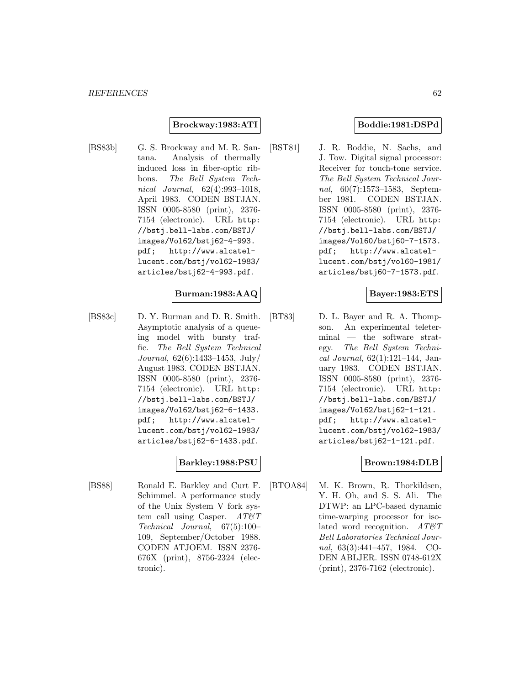## **Brockway:1983:ATI**

[BS83b] G. S. Brockway and M. R. Santana. Analysis of thermally induced loss in fiber-optic ribbons. The Bell System Technical Journal, 62(4):993–1018, April 1983. CODEN BSTJAN. ISSN 0005-8580 (print), 2376- 7154 (electronic). URL http: //bstj.bell-labs.com/BSTJ/ images/Vol62/bstj62-4-993. pdf; http://www.alcatellucent.com/bstj/vol62-1983/ articles/bstj62-4-993.pdf.

## **Burman:1983:AAQ**

[BS83c] D. Y. Burman and D. R. Smith. Asymptotic analysis of a queueing model with bursty traffic. The Bell System Technical Journal, 62(6):1433–1453, July/ August 1983. CODEN BSTJAN. ISSN 0005-8580 (print), 2376- 7154 (electronic). URL http: //bstj.bell-labs.com/BSTJ/ images/Vol62/bstj62-6-1433. pdf; http://www.alcatellucent.com/bstj/vol62-1983/ articles/bstj62-6-1433.pdf.

## **Barkley:1988:PSU**

[BS88] Ronald E. Barkley and Curt F. Schimmel. A performance study of the Unix System V fork system call using Casper.  $AT\&T$ Technical Journal, 67(5):100– 109, September/October 1988. CODEN ATJOEM. ISSN 2376- 676X (print), 8756-2324 (electronic).

## **Boddie:1981:DSPd**

[BST81] J. R. Boddie, N. Sachs, and J. Tow. Digital signal processor: Receiver for touch-tone service. The Bell System Technical Journal, 60(7):1573–1583, September 1981. CODEN BSTJAN. ISSN 0005-8580 (print), 2376- 7154 (electronic). URL http: //bstj.bell-labs.com/BSTJ/ images/Vol60/bstj60-7-1573. pdf; http://www.alcatellucent.com/bstj/vol60-1981/ articles/bstj60-7-1573.pdf.

#### **Bayer:1983:ETS**

[BT83] D. L. Bayer and R. A. Thompson. An experimental teleterminal — the software strategy. The Bell System Technical Journal,  $62(1):121-144$ , January 1983. CODEN BSTJAN. ISSN 0005-8580 (print), 2376- 7154 (electronic). URL http: //bstj.bell-labs.com/BSTJ/ images/Vol62/bstj62-1-121. pdf; http://www.alcatellucent.com/bstj/vol62-1983/ articles/bstj62-1-121.pdf.

## **Brown:1984:DLB**

[BTOA84] M. K. Brown, R. Thorkildsen, Y. H. Oh, and S. S. Ali. The DTWP: an LPC-based dynamic time-warping processor for isolated word recognition.  $AT \& T$ Bell Laboratories Technical Journal, 63(3):441–457, 1984. CO-DEN ABLJER. ISSN 0748-612X (print), 2376-7162 (electronic).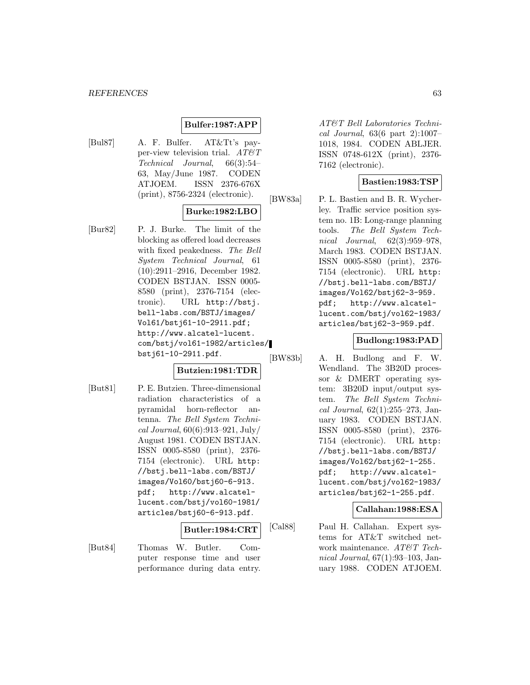## **Bulfer:1987:APP**

[Bul87] A. F. Bulfer. AT&Tt's payper-view television trial.  $AT\&T$ Technical Journal, 66(3):54– 63, May/June 1987. CODEN ATJOEM. ISSN 2376-676X (print), 8756-2324 (electronic).

## **Burke:1982:LBO**

[Bur82] P. J. Burke. The limit of the blocking as offered load decreases with fixed peakedness. The Bell System Technical Journal, 61 (10):2911–2916, December 1982. CODEN BSTJAN. ISSN 0005- 8580 (print), 2376-7154 (electronic). URL http://bstj. bell-labs.com/BSTJ/images/ Vol61/bstj61-10-2911.pdf; http://www.alcatel-lucent. com/bstj/vol61-1982/articles/ bstj61-10-2911.pdf.

## **Butzien:1981:TDR**

[But81] P. E. Butzien. Three-dimensional radiation characteristics of a pyramidal horn-reflector antenna. The Bell System Technical Journal, 60(6):913–921, July/ August 1981. CODEN BSTJAN. ISSN 0005-8580 (print), 2376- 7154 (electronic). URL http: //bstj.bell-labs.com/BSTJ/ images/Vol60/bstj60-6-913. pdf; http://www.alcatellucent.com/bstj/vol60-1981/ articles/bstj60-6-913.pdf.

#### **Butler:1984:CRT**

[But84] Thomas W. Butler. Computer response time and user performance during data entry.

AT&T Bell Laboratories Technical Journal, 63(6 part 2):1007– 1018, 1984. CODEN ABLJER. ISSN 0748-612X (print), 2376- 7162 (electronic).

## **Bastien:1983:TSP**

[BW83a] P. L. Bastien and B. R. Wycherley. Traffic service position system no. 1B: Long-range planning tools. The Bell System Technical Journal, 62(3):959–978, March 1983. CODEN BSTJAN. ISSN 0005-8580 (print), 2376- 7154 (electronic). URL http: //bstj.bell-labs.com/BSTJ/ images/Vol62/bstj62-3-959. pdf; http://www.alcatellucent.com/bstj/vol62-1983/ articles/bstj62-3-959.pdf.

## **Budlong:1983:PAD**

[BW83b] A. H. Budlong and F. W. Wendland. The 3B20D processor & DMERT operating system: 3B20D input/output system. The Bell System Technical Journal, 62(1):255–273, January 1983. CODEN BSTJAN. ISSN 0005-8580 (print), 2376- 7154 (electronic). URL http: //bstj.bell-labs.com/BSTJ/ images/Vol62/bstj62-1-255. pdf; http://www.alcatellucent.com/bstj/vol62-1983/ articles/bstj62-1-255.pdf.

## **Callahan:1988:ESA**

[Cal88] Paul H. Callahan. Expert systems for AT&T switched network maintenance. AT&T Technical Journal, 67(1):93–103, January 1988. CODEN ATJOEM.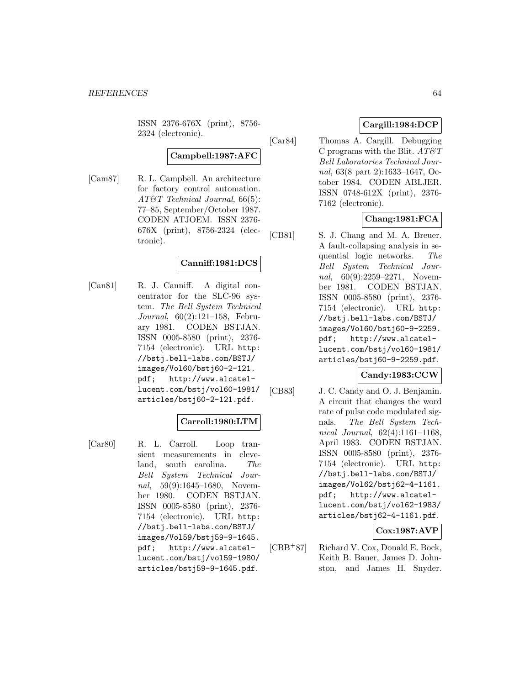ISSN 2376-676X (print), 8756- 2324 (electronic).

# **Campbell:1987:AFC**

[Cam87] R. L. Campbell. An architecture for factory control automation. AT&T Technical Journal, 66(5): 77–85, September/October 1987. CODEN ATJOEM. ISSN 2376- 676X (print), 8756-2324 (electronic).

## **Canniff:1981:DCS**

[Can81] R. J. Canniff. A digital concentrator for the SLC-96 system. The Bell System Technical Journal, 60(2):121–158, February 1981. CODEN BSTJAN. ISSN 0005-8580 (print), 2376- 7154 (electronic). URL http: //bstj.bell-labs.com/BSTJ/ images/Vol60/bstj60-2-121. pdf; http://www.alcatellucent.com/bstj/vol60-1981/ articles/bstj60-2-121.pdf.

## **Carroll:1980:LTM**

[Car80] R. L. Carroll. Loop transient measurements in cleveland, south carolina. The Bell System Technical Journal, 59(9):1645–1680, November 1980. CODEN BSTJAN. ISSN 0005-8580 (print), 2376- 7154 (electronic). URL http: //bstj.bell-labs.com/BSTJ/ images/Vol59/bstj59-9-1645. pdf; http://www.alcatellucent.com/bstj/vol59-1980/ articles/bstj59-9-1645.pdf.

# **Cargill:1984:DCP**

[Car84] Thomas A. Cargill. Debugging C programs with the Blit.  $AT\&T$ Bell Laboratories Technical Journal, 63(8 part 2):1633–1647, October 1984. CODEN ABLJER. ISSN 0748-612X (print), 2376- 7162 (electronic).

# **Chang:1981:FCA**

[CB81] S. J. Chang and M. A. Breuer. A fault-collapsing analysis in sequential logic networks. The Bell System Technical Journal, 60(9):2259-2271, November 1981. CODEN BSTJAN. ISSN 0005-8580 (print), 2376- 7154 (electronic). URL http: //bstj.bell-labs.com/BSTJ/ images/Vol60/bstj60-9-2259. pdf; http://www.alcatellucent.com/bstj/vol60-1981/ articles/bstj60-9-2259.pdf.

## **Candy:1983:CCW**

[CB83] J. C. Candy and O. J. Benjamin. A circuit that changes the word rate of pulse code modulated signals. The Bell System Technical Journal, 62(4):1161–1168, April 1983. CODEN BSTJAN. ISSN 0005-8580 (print), 2376- 7154 (electronic). URL http: //bstj.bell-labs.com/BSTJ/ images/Vol62/bstj62-4-1161. pdf; http://www.alcatellucent.com/bstj/vol62-1983/ articles/bstj62-4-1161.pdf.

## **Cox:1987:AVP**

[CBB<sup>+</sup>87] Richard V. Cox, Donald E. Bock, Keith B. Bauer, James D. Johnston, and James H. Snyder.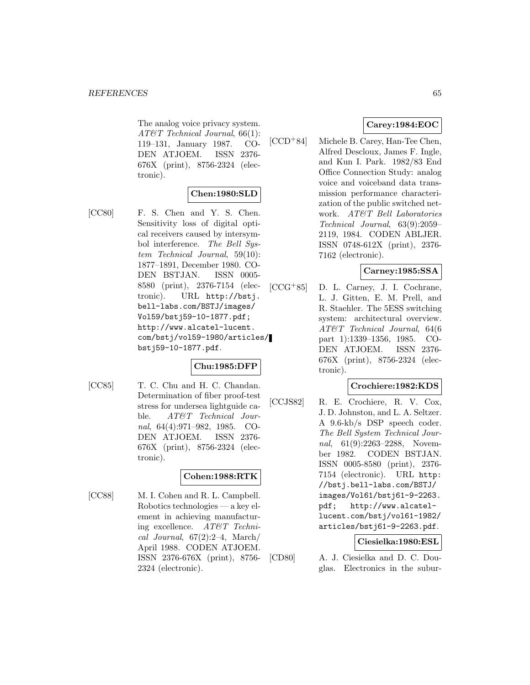The analog voice privacy system. AT&T Technical Journal, 66(1): 119–131, January 1987. CO-DEN ATJOEM. ISSN 2376- 676X (print), 8756-2324 (electronic).

## **Chen:1980:SLD**

[CC80] F. S. Chen and Y. S. Chen. Sensitivity loss of digital optical receivers caused by intersymbol interference. The Bell System Technical Journal, 59(10): 1877–1891, December 1980. CO-DEN BSTJAN. ISSN 0005- 8580 (print), 2376-7154 (electronic). URL http://bstj. bell-labs.com/BSTJ/images/ Vol59/bstj59-10-1877.pdf; http://www.alcatel-lucent. com/bstj/vol59-1980/articles/ bstj59-10-1877.pdf.

## **Chu:1985:DFP**

[CC85] T. C. Chu and H. C. Chandan. Determination of fiber proof-test stress for undersea lightguide cable. AT&T Technical Journal, 64(4):971–982, 1985. CO-DEN ATJOEM. ISSN 2376- 676X (print), 8756-2324 (electronic).

## **Cohen:1988:RTK**

[CC88] M. I. Cohen and R. L. Campbell. Robotics technologies — a key element in achieving manufacturing excellence. AT&T Technical Journal,  $67(2):2-4$ , March/ April 1988. CODEN ATJOEM. ISSN 2376-676X (print), 8756- 2324 (electronic).

## **Carey:1984:EOC**

[CCD<sup>+</sup>84] Michele B. Carey, Han-Tee Chen, Alfred Descloux, James F. Ingle, and Kun I. Park. 1982/83 End Office Connection Study: analog voice and voiceband data transmission performance characterization of the public switched network. AT&T Bell Laboratories Technical Journal, 63(9):2059– 2119, 1984. CODEN ABLJER. ISSN 0748-612X (print), 2376- 7162 (electronic).

## **Carney:1985:SSA**

[CCG<sup>+</sup>85] D. L. Carney, J. I. Cochrane, L. J. Gitten, E. M. Prell, and R. Staehler. The 5ESS switching system: architectural overview. AT&T Technical Journal, 64(6 part 1):1339–1356, 1985. CO-DEN ATJOEM. ISSN 2376- 676X (print), 8756-2324 (electronic).

## **Crochiere:1982:KDS**

[CCJS82] R. E. Crochiere, R. V. Cox, J. D. Johnston, and L. A. Seltzer. A 9.6-kb/s DSP speech coder. The Bell System Technical Journal, 61(9):2263-2288, November 1982. CODEN BSTJAN. ISSN 0005-8580 (print), 2376- 7154 (electronic). URL http: //bstj.bell-labs.com/BSTJ/ images/Vol61/bstj61-9-2263. pdf; http://www.alcatellucent.com/bstj/vol61-1982/ articles/bstj61-9-2263.pdf.

## **Ciesielka:1980:ESL**

[CD80] A. J. Ciesielka and D. C. Douglas. Electronics in the subur-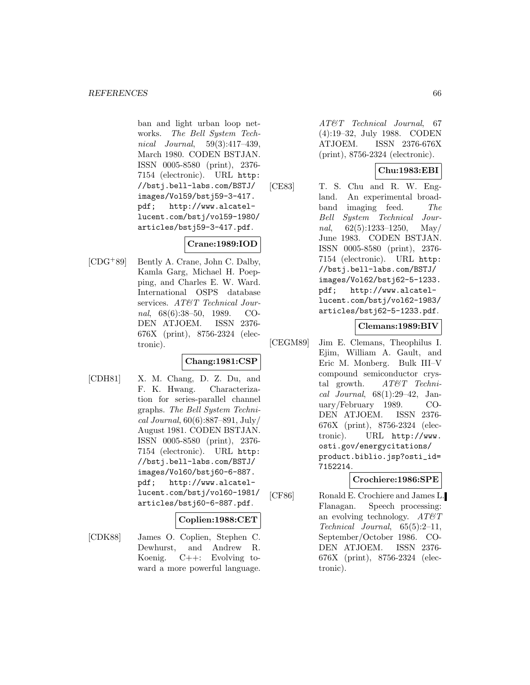ban and light urban loop networks. The Bell System Technical Journal, 59(3):417–439, March 1980. CODEN BSTJAN. ISSN 0005-8580 (print), 2376- 7154 (electronic). URL http: //bstj.bell-labs.com/BSTJ/ images/Vol59/bstj59-3-417. pdf; http://www.alcatellucent.com/bstj/vol59-1980/ articles/bstj59-3-417.pdf.

# **Crane:1989:IOD**

[CDG<sup>+</sup>89] Bently A. Crane, John C. Dalby, Kamla Garg, Michael H. Poepping, and Charles E. W. Ward. International OSPS database services. AT&T Technical Journal, 68(6):38–50, 1989. CO-DEN ATJOEM. ISSN 2376- 676X (print), 8756-2324 (electronic).

## **Chang:1981:CSP**

[CDH81] X. M. Chang, D. Z. Du, and F. K. Hwang. Characterization for series-parallel channel graphs. The Bell System Technical Journal, 60(6):887–891, July/ August 1981. CODEN BSTJAN. ISSN 0005-8580 (print), 2376- 7154 (electronic). URL http: //bstj.bell-labs.com/BSTJ/ images/Vol60/bstj60-6-887. pdf; http://www.alcatellucent.com/bstj/vol60-1981/ articles/bstj60-6-887.pdf.

## **Coplien:1988:CET**

[CDK88] James O. Coplien, Stephen C. Dewhurst, and Andrew R. Koenig. C++: Evolving toward a more powerful language.

AT&T Technical Journal, 67 (4):19–32, July 1988. CODEN ATJOEM. ISSN 2376-676X (print), 8756-2324 (electronic).

# **Chu:1983:EBI**

[CE83] T. S. Chu and R. W. England. An experimental broadband imaging feed. The Bell System Technical Journal,  $62(5):1233-1250$ , May June 1983. CODEN BSTJAN. ISSN 0005-8580 (print), 2376- 7154 (electronic). URL http: //bstj.bell-labs.com/BSTJ/ images/Vol62/bstj62-5-1233. pdf; http://www.alcatellucent.com/bstj/vol62-1983/ articles/bstj62-5-1233.pdf.

## **Clemans:1989:BIV**

[CEGM89] Jim E. Clemans, Theophilus I. Ejim, William A. Gault, and Eric M. Monberg. Bulk III–V compound semiconductor crystal growth.  $AT\&T$  Technical Journal, 68(1):29–42, January/February 1989. CO-DEN ATJOEM. ISSN 2376- 676X (print), 8756-2324 (electronic). URL http://www. osti.gov/energycitations/ product.biblio.jsp?osti\_id= 7152214.

## **Crochiere:1986:SPE**

[CF86] Ronald E. Crochiere and James L. Flanagan. Speech processing: an evolving technology.  $AT\&T$ Technical Journal, 65(5):2–11, September/October 1986. CO-DEN ATJOEM. ISSN 2376- 676X (print), 8756-2324 (electronic).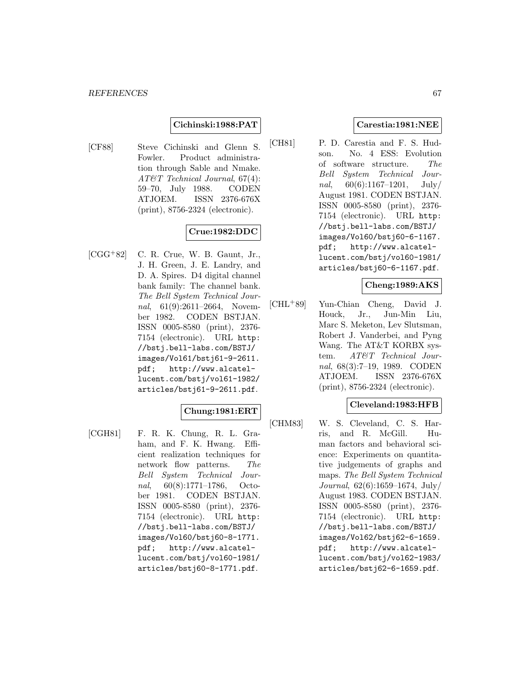## **Cichinski:1988:PAT**

[CF88] Steve Cichinski and Glenn S. Fowler. Product administration through Sable and Nmake. AT&T Technical Journal, 67(4): 59–70, July 1988. CODEN ATJOEM. ISSN 2376-676X (print), 8756-2324 (electronic).

# **Crue:1982:DDC**

 $[CGG<sup>+</sup>82]$  C. R. Crue, W. B. Gaunt, Jr., J. H. Green, J. E. Landry, and D. A. Spires. D4 digital channel bank family: The channel bank. The Bell System Technical Journal, 61(9):2611-2664, November 1982. CODEN BSTJAN. ISSN 0005-8580 (print), 2376- 7154 (electronic). URL http: //bstj.bell-labs.com/BSTJ/ images/Vol61/bstj61-9-2611. pdf; http://www.alcatellucent.com/bstj/vol61-1982/ articles/bstj61-9-2611.pdf.

## **Chung:1981:ERT**

[CGH81] F. R. K. Chung, R. L. Graham, and F. K. Hwang. Efficient realization techniques for network flow patterns. The Bell System Technical Journal, 60(8):1771–1786, October 1981. CODEN BSTJAN. ISSN 0005-8580 (print), 2376- 7154 (electronic). URL http: //bstj.bell-labs.com/BSTJ/ images/Vol60/bstj60-8-1771. pdf; http://www.alcatellucent.com/bstj/vol60-1981/ articles/bstj60-8-1771.pdf.

## **Carestia:1981:NEE**

[CH81] P. D. Carestia and F. S. Hudson. No. 4 ESS: Evolution of software structure. The Bell System Technical Journal,  $60(6):1167-1201$ , July/ August 1981. CODEN BSTJAN. ISSN 0005-8580 (print), 2376- 7154 (electronic). URL http: //bstj.bell-labs.com/BSTJ/ images/Vol60/bstj60-6-1167. pdf; http://www.alcatellucent.com/bstj/vol60-1981/ articles/bstj60-6-1167.pdf.

## **Cheng:1989:AKS**

[CHL<sup>+</sup>89] Yun-Chian Cheng, David J. Houck, Jr., Jun-Min Liu, Marc S. Meketon, Lev Slutsman, Robert J. Vanderbei, and Pyng Wang. The AT&T KORBX system. AT&T Technical Journal, 68(3):7–19, 1989. CODEN ATJOEM. ISSN 2376-676X (print), 8756-2324 (electronic).

## **Cleveland:1983:HFB**

[CHM83] W. S. Cleveland, C. S. Harris, and R. McGill. Human factors and behavioral science: Experiments on quantitative judgements of graphs and maps. The Bell System Technical Journal, 62(6):1659–1674, July/ August 1983. CODEN BSTJAN. ISSN 0005-8580 (print), 2376- 7154 (electronic). URL http: //bstj.bell-labs.com/BSTJ/ images/Vol62/bstj62-6-1659. pdf; http://www.alcatellucent.com/bstj/vol62-1983/ articles/bstj62-6-1659.pdf.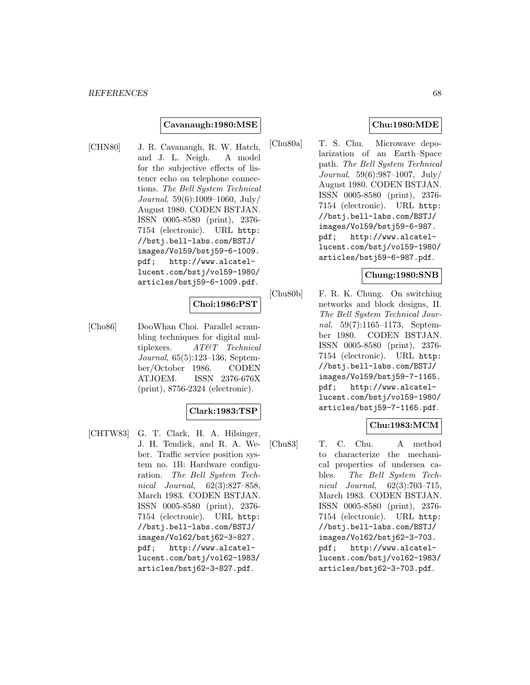#### **Cavanaugh:1980:MSE**

[CHN80] J. R. Cavanaugh, R. W. Hatch, and J. L. Neigh. A model for the subjective effects of listener echo on telephone connections. The Bell System Technical Journal, 59(6):1009–1060, July/ August 1980. CODEN BSTJAN. ISSN 0005-8580 (print), 2376- 7154 (electronic). URL http: //bstj.bell-labs.com/BSTJ/ images/Vol59/bstj59-6-1009. pdf; http://www.alcatellucent.com/bstj/vol59-1980/ articles/bstj59-6-1009.pdf.

## **Choi:1986:PST**

[Cho86] DooWhan Choi. Parallel scrambling techniques for digital multiplexers. AT&T Technical Journal, 65(5):123–136, September/October 1986. CODEN ATJOEM. ISSN 2376-676X (print), 8756-2324 (electronic).

#### **Clark:1983:TSP**

[CHTW83] G. T. Clark, H. A. Hilsinger, J. H. Tendick, and R. A. Weber. Traffic service position system no. 1B: Hardware configuration. The Bell System Technical Journal, 62(3):827–858, March 1983. CODEN BSTJAN. ISSN 0005-8580 (print), 2376- 7154 (electronic). URL http: //bstj.bell-labs.com/BSTJ/ images/Vol62/bstj62-3-827. pdf; http://www.alcatellucent.com/bstj/vol62-1983/ articles/bstj62-3-827.pdf.

## **Chu:1980:MDE**

[Chu80a] T. S. Chu. Microwave depolarization of an Earth–Space path. The Bell System Technical Journal, 59(6):987–1007, July/ August 1980. CODEN BSTJAN. ISSN 0005-8580 (print), 2376- 7154 (electronic). URL http: //bstj.bell-labs.com/BSTJ/ images/Vol59/bstj59-6-987. pdf; http://www.alcatellucent.com/bstj/vol59-1980/ articles/bstj59-6-987.pdf.

#### **Chung:1980:SNB**

[Chu80b] F. R. K. Chung. On switching networks and block designs, II. The Bell System Technical Journal, 59(7):1165–1173, September 1980. CODEN BSTJAN. ISSN 0005-8580 (print), 2376- 7154 (electronic). URL http: //bstj.bell-labs.com/BSTJ/ images/Vol59/bstj59-7-1165. pdf; http://www.alcatellucent.com/bstj/vol59-1980/ articles/bstj59-7-1165.pdf.

## **Chu:1983:MCM**

[Chu83] T. C. Chu. A method to characterize the mechanical properties of undersea cables. The Bell System Technical Journal, 62(3):703–715, March 1983. CODEN BSTJAN. ISSN 0005-8580 (print), 2376- 7154 (electronic). URL http: //bstj.bell-labs.com/BSTJ/ images/Vol62/bstj62-3-703. pdf; http://www.alcatellucent.com/bstj/vol62-1983/ articles/bstj62-3-703.pdf.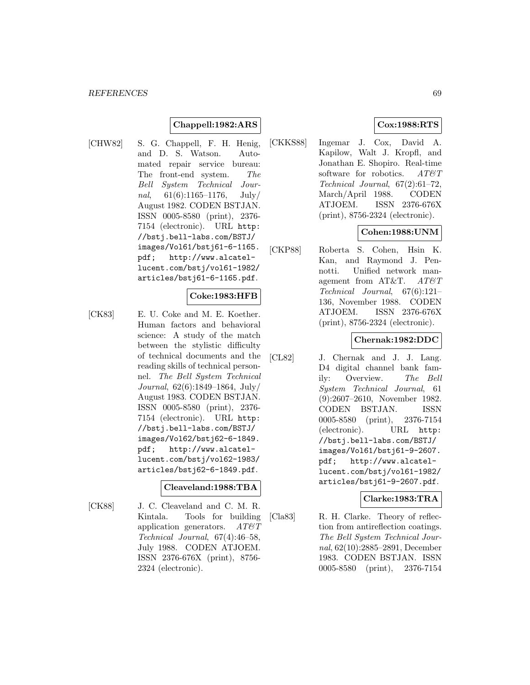## **Chappell:1982:ARS**

[CHW82] S. G. Chappell, F. H. Henig, and D. S. Watson. Automated repair service bureau: The front-end system. The Bell System Technical Journal,  $61(6):1165-1176$ , July/ August 1982. CODEN BSTJAN. ISSN 0005-8580 (print), 2376- 7154 (electronic). URL http: //bstj.bell-labs.com/BSTJ/ images/Vol61/bstj61-6-1165. pdf; http://www.alcatellucent.com/bstj/vol61-1982/ articles/bstj61-6-1165.pdf.

## **Coke:1983:HFB**

[CK83] E. U. Coke and M. E. Koether. Human factors and behavioral science: A study of the match between the stylistic difficulty of technical documents and the reading skills of technical personnel. The Bell System Technical Journal, 62(6):1849–1864, July/ August 1983. CODEN BSTJAN. ISSN 0005-8580 (print), 2376- 7154 (electronic). URL http: //bstj.bell-labs.com/BSTJ/ images/Vol62/bstj62-6-1849. pdf; http://www.alcatellucent.com/bstj/vol62-1983/ articles/bstj62-6-1849.pdf.

## **Cleaveland:1988:TBA**

[CK88] J. C. Cleaveland and C. M. R. Kintala. Tools for building application generators.  $AT \mathcal{C}T$ Technical Journal, 67(4):46–58, July 1988. CODEN ATJOEM. ISSN 2376-676X (print), 8756- 2324 (electronic).

## **Cox:1988:RTS**

[CKKS88] Ingemar J. Cox, David A. Kapilow, Walt J. Kropfl, and Jonathan E. Shopiro. Real-time software for robotics. AT&T Technical Journal, 67(2):61–72, March/April 1988. CODEN ATJOEM. ISSN 2376-676X (print), 8756-2324 (electronic).

## **Cohen:1988:UNM**

[CKP88] Roberta S. Cohen, Hsin K. Kan, and Raymond J. Pennotti. Unified network management from AT&T. AT&T Technical Journal, 67(6):121– 136, November 1988. CODEN ATJOEM. ISSN 2376-676X (print), 8756-2324 (electronic).

## **Chernak:1982:DDC**

[CL82] J. Chernak and J. J. Lang. D4 digital channel bank family: Overview. The Bell System Technical Journal, 61 (9):2607–2610, November 1982. CODEN BSTJAN. ISSN 0005-8580 (print), 2376-7154 (electronic). URL http: //bstj.bell-labs.com/BSTJ/ images/Vol61/bstj61-9-2607. pdf; http://www.alcatellucent.com/bstj/vol61-1982/ articles/bstj61-9-2607.pdf.

## **Clarke:1983:TRA**

[Cla83] R. H. Clarke. Theory of reflection from antireflection coatings. The Bell System Technical Journal, 62(10):2885–2891, December 1983. CODEN BSTJAN. ISSN 0005-8580 (print), 2376-7154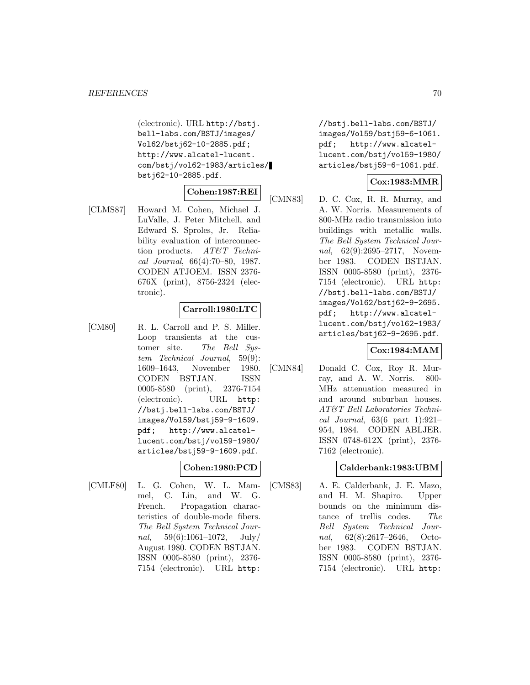(electronic). URL http://bstj. bell-labs.com/BSTJ/images/ Vol62/bstj62-10-2885.pdf; http://www.alcatel-lucent. com/bstj/vol62-1983/articles/ bstj62-10-2885.pdf.

## **Cohen:1987:REI**

[CLMS87] Howard M. Cohen, Michael J. LuValle, J. Peter Mitchell, and Edward S. Sproles, Jr. Reliability evaluation of interconnection products. AT&T Technical Journal, 66(4):70–80, 1987. CODEN ATJOEM. ISSN 2376- 676X (print), 8756-2324 (electronic).

## **Carroll:1980:LTC**

[CM80] R. L. Carroll and P. S. Miller. Loop transients at the customer site. The Bell System Technical Journal, 59(9): 1609–1643, November 1980. CODEN BSTJAN. ISSN 0005-8580 (print), 2376-7154 (electronic). URL http: //bstj.bell-labs.com/BSTJ/ images/Vol59/bstj59-9-1609. pdf; http://www.alcatellucent.com/bstj/vol59-1980/ articles/bstj59-9-1609.pdf.

## **Cohen:1980:PCD**

[CMLF80] L. G. Cohen, W. L. Mammel, C. Lin, and W. G. French. Propagation characteristics of double-mode fibers. The Bell System Technical Journal,  $59(6):1061-1072$ ,  $July/$ August 1980. CODEN BSTJAN. ISSN 0005-8580 (print), 2376- 7154 (electronic). URL http:

//bstj.bell-labs.com/BSTJ/ images/Vol59/bstj59-6-1061. pdf; http://www.alcatellucent.com/bstj/vol59-1980/ articles/bstj59-6-1061.pdf.

## **Cox:1983:MMR**

[CMN83] D. C. Cox, R. R. Murray, and A. W. Norris. Measurements of 800-MHz radio transmission into buildings with metallic walls. The Bell System Technical Journal, 62(9):2695-2717, November 1983. CODEN BSTJAN. ISSN 0005-8580 (print), 2376- 7154 (electronic). URL http: //bstj.bell-labs.com/BSTJ/ images/Vol62/bstj62-9-2695. pdf; http://www.alcatellucent.com/bstj/vol62-1983/ articles/bstj62-9-2695.pdf.

## **Cox:1984:MAM**

[CMN84] Donald C. Cox, Roy R. Murray, and A. W. Norris. 800- MHz attenuation measured in and around suburban houses. AT&T Bell Laboratories Technical Journal,  $63(6$  part 1):921-954, 1984. CODEN ABLJER. ISSN 0748-612X (print), 2376- 7162 (electronic).

## **Calderbank:1983:UBM**

[CMS83] A. E. Calderbank, J. E. Mazo, and H. M. Shapiro. Upper bounds on the minimum distance of trellis codes. The Bell System Technical Journal, 62(8):2617–2646, October 1983. CODEN BSTJAN. ISSN 0005-8580 (print), 2376- 7154 (electronic). URL http: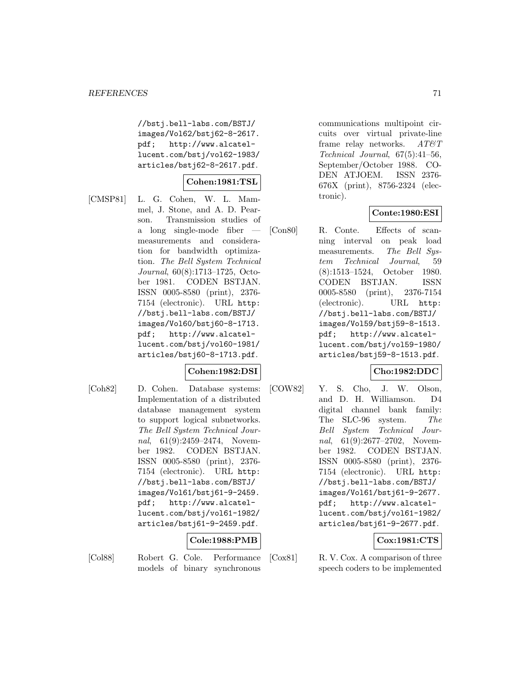//bstj.bell-labs.com/BSTJ/ images/Vol62/bstj62-8-2617. pdf; http://www.alcatellucent.com/bstj/vol62-1983/ articles/bstj62-8-2617.pdf.

# **Cohen:1981:TSL**

[CMSP81] L. G. Cohen, W. L. Mammel, J. Stone, and A. D. Pearson. Transmission studies of a long single-mode fiber measurements and consideration for bandwidth optimization. The Bell System Technical Journal, 60(8):1713–1725, October 1981. CODEN BSTJAN. ISSN 0005-8580 (print), 2376- 7154 (electronic). URL http: //bstj.bell-labs.com/BSTJ/ images/Vol60/bstj60-8-1713. pdf; http://www.alcatellucent.com/bstj/vol60-1981/ articles/bstj60-8-1713.pdf.

## **Cohen:1982:DSI**

[Coh82] D. Cohen. Database systems: Implementation of a distributed database management system to support logical subnetworks. The Bell System Technical Journal, 61(9):2459–2474, November 1982. CODEN BSTJAN. ISSN 0005-8580 (print), 2376- 7154 (electronic). URL http: //bstj.bell-labs.com/BSTJ/ images/Vol61/bstj61-9-2459. pdf; http://www.alcatellucent.com/bstj/vol61-1982/ articles/bstj61-9-2459.pdf.

## **Cole:1988:PMB**

- 
- [Col88] Robert G. Cole. Performance models of binary synchronous

communications multipoint circuits over virtual private-line frame relay networks.  $AT\&T$ Technical Journal, 67(5):41–56, September/October 1988. CO-DEN ATJOEM. ISSN 2376- 676X (print), 8756-2324 (electronic).

## **Conte:1980:ESI**

[Con80] R. Conte. Effects of scanning interval on peak load measurements. The Bell System Technical Journal, 59 (8):1513–1524, October 1980. CODEN BSTJAN. ISSN 0005-8580 (print), 2376-7154 (electronic). URL http: //bstj.bell-labs.com/BSTJ/ images/Vol59/bstj59-8-1513. pdf; http://www.alcatellucent.com/bstj/vol59-1980/ articles/bstj59-8-1513.pdf.

## **Cho:1982:DDC**

[COW82] Y. S. Cho, J. W. Olson, and D. H. Williamson. D4 digital channel bank family: The SLC-96 system. The Bell System Technical Journal, 61(9):2677–2702, November 1982. CODEN BSTJAN. ISSN 0005-8580 (print), 2376- 7154 (electronic). URL http: //bstj.bell-labs.com/BSTJ/ images/Vol61/bstj61-9-2677. pdf; http://www.alcatellucent.com/bstj/vol61-1982/ articles/bstj61-9-2677.pdf.

## **Cox:1981:CTS**

[Cox81] R. V. Cox. A comparison of three speech coders to be implemented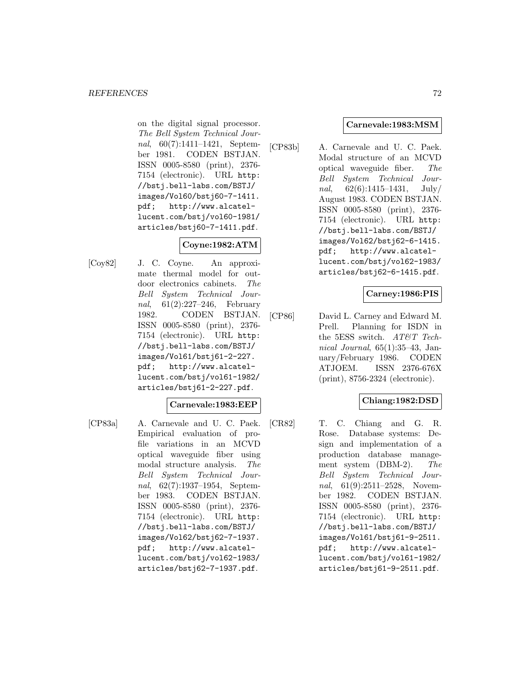on the digital signal processor. The Bell System Technical Journal, 60(7):1411–1421, September 1981. CODEN BSTJAN. ISSN 0005-8580 (print), 2376- 7154 (electronic). URL http: //bstj.bell-labs.com/BSTJ/ images/Vol60/bstj60-7-1411. pdf; http://www.alcatellucent.com/bstj/vol60-1981/ articles/bstj60-7-1411.pdf.

# **Coyne:1982:ATM**

[Coy82] J. C. Coyne. An approximate thermal model for outdoor electronics cabinets. The Bell System Technical Journal, 61(2):227–246, February 1982. CODEN BSTJAN. ISSN 0005-8580 (print), 2376- 7154 (electronic). URL http: //bstj.bell-labs.com/BSTJ/ images/Vol61/bstj61-2-227. pdf; http://www.alcatellucent.com/bstj/vol61-1982/ articles/bstj61-2-227.pdf.

## **Carnevale:1983:EEP**

- 
- [CP83a] A. Carnevale and U. C. Paek. Empirical evaluation of profile variations in an MCVD optical waveguide fiber using modal structure analysis. The Bell System Technical Journal, 62(7):1937–1954, September 1983. CODEN BSTJAN. ISSN 0005-8580 (print), 2376- 7154 (electronic). URL http: //bstj.bell-labs.com/BSTJ/ images/Vol62/bstj62-7-1937. pdf; http://www.alcatellucent.com/bstj/vol62-1983/ articles/bstj62-7-1937.pdf.

## **Carnevale:1983:MSM**

[CP83b] A. Carnevale and U. C. Paek. Modal structure of an MCVD optical waveguide fiber. The Bell System Technical Journal,  $62(6):1415-1431$ , July/ August 1983. CODEN BSTJAN. ISSN 0005-8580 (print), 2376- 7154 (electronic). URL http: //bstj.bell-labs.com/BSTJ/ images/Vol62/bstj62-6-1415. pdf; http://www.alcatellucent.com/bstj/vol62-1983/ articles/bstj62-6-1415.pdf.

## **Carney:1986:PIS**

[CP86] David L. Carney and Edward M. Prell. Planning for ISDN in the 5ESS switch. AT&T Technical Journal, 65(1):35–43, January/February 1986. CODEN ATJOEM. ISSN 2376-676X (print), 8756-2324 (electronic).

# **Chiang:1982:DSD**

[CR82] T. C. Chiang and G. R. Rose. Database systems: Design and implementation of a production database management system (DBM-2). The Bell System Technical Journal, 61(9):2511-2528, November 1982. CODEN BSTJAN. ISSN 0005-8580 (print), 2376- 7154 (electronic). URL http: //bstj.bell-labs.com/BSTJ/ images/Vol61/bstj61-9-2511. pdf; http://www.alcatellucent.com/bstj/vol61-1982/ articles/bstj61-9-2511.pdf.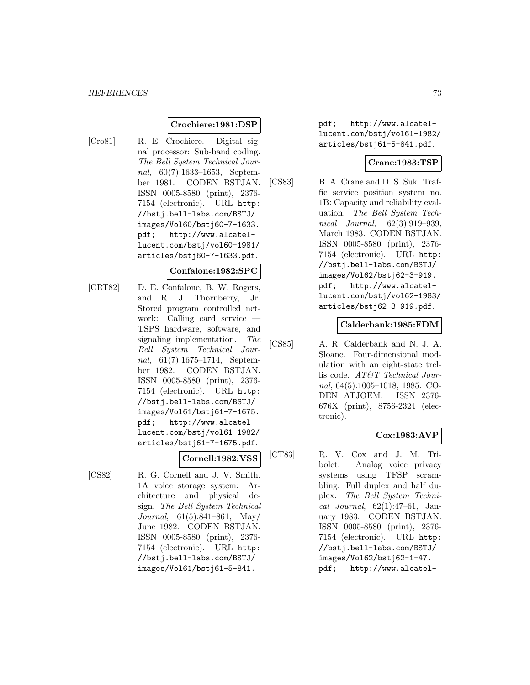### **Crochiere:1981:DSP**

[Cro81] R. E. Crochiere. Digital signal processor: Sub-band coding. The Bell System Technical Journal, 60(7):1633–1653, September 1981. CODEN BSTJAN. ISSN 0005-8580 (print), 2376- 7154 (electronic). URL http: //bstj.bell-labs.com/BSTJ/ images/Vol60/bstj60-7-1633. pdf; http://www.alcatellucent.com/bstj/vol60-1981/ articles/bstj60-7-1633.pdf.

### **Confalone:1982:SPC**

[CRT82] D. E. Confalone, B. W. Rogers, and R. J. Thornberry, Jr. Stored program controlled network: Calling card service — TSPS hardware, software, and signaling implementation. The Bell System Technical Journal, 61(7):1675–1714, September 1982. CODEN BSTJAN. ISSN 0005-8580 (print), 2376- 7154 (electronic). URL http: //bstj.bell-labs.com/BSTJ/ images/Vol61/bstj61-7-1675. pdf; http://www.alcatellucent.com/bstj/vol61-1982/ articles/bstj61-7-1675.pdf.

**Cornell:1982:VSS**

[CS82] R. G. Cornell and J. V. Smith. 1A voice storage system: Architecture and physical design. The Bell System Technical Journal, 61(5):841–861, May/ June 1982. CODEN BSTJAN. ISSN 0005-8580 (print), 2376- 7154 (electronic). URL http: //bstj.bell-labs.com/BSTJ/ images/Vol61/bstj61-5-841.

pdf; http://www.alcatellucent.com/bstj/vol61-1982/ articles/bstj61-5-841.pdf.

### **Crane:1983:TSP**

[CS83] B. A. Crane and D. S. Suk. Traffic service position system no. 1B: Capacity and reliability evaluation. The Bell System Technical Journal, 62(3):919–939, March 1983. CODEN BSTJAN. ISSN 0005-8580 (print), 2376- 7154 (electronic). URL http: //bstj.bell-labs.com/BSTJ/ images/Vol62/bstj62-3-919. pdf; http://www.alcatellucent.com/bstj/vol62-1983/ articles/bstj62-3-919.pdf.

### **Calderbank:1985:FDM**

[CS85] A. R. Calderbank and N. J. A. Sloane. Four-dimensional modulation with an eight-state trellis code. AT&T Technical Journal, 64(5):1005–1018, 1985. CO-DEN ATJOEM. ISSN 2376- 676X (print), 8756-2324 (electronic).

### **Cox:1983:AVP**

[CT83] R. V. Cox and J. M. Tribolet. Analog voice privacy systems using TFSP scrambling: Full duplex and half duplex. The Bell System Technical Journal,  $62(1):47-61$ , January 1983. CODEN BSTJAN. ISSN 0005-8580 (print), 2376- 7154 (electronic). URL http: //bstj.bell-labs.com/BSTJ/ images/Vol62/bstj62-1-47. pdf; http://www.alcatel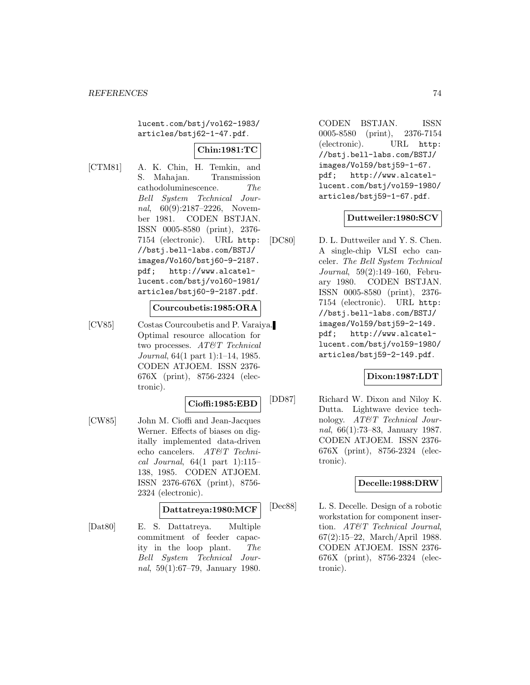lucent.com/bstj/vol62-1983/ articles/bstj62-1-47.pdf.

# **Chin:1981:TC**

[CTM81] A. K. Chin, H. Temkin, and S. Mahajan. Transmission cathodoluminescence. The Bell System Technical Journal, 60(9):2187–2226, November 1981. CODEN BSTJAN. ISSN 0005-8580 (print), 2376- 7154 (electronic). URL http: //bstj.bell-labs.com/BSTJ/ images/Vol60/bstj60-9-2187. pdf; http://www.alcatellucent.com/bstj/vol60-1981/ articles/bstj60-9-2187.pdf.

#### **Courcoubetis:1985:ORA**

[CV85] Costas Courcoubetis and P. Varaiya. Optimal resource allocation for two processes. AT&T Technical Journal, 64(1 part 1):1–14, 1985. CODEN ATJOEM. ISSN 2376- 676X (print), 8756-2324 (electronic).

### **Cioffi:1985:EBD**

[CW85] John M. Cioffi and Jean-Jacques Werner. Effects of biases on digitally implemented data-driven echo cancelers. AT&T Technical Journal,  $64(1$  part  $1):115-$ 138, 1985. CODEN ATJOEM. ISSN 2376-676X (print), 8756- 2324 (electronic).

# **Dattatreya:1980:MCF**

[Dat80] E. S. Dattatreya. Multiple commitment of feeder capacity in the loop plant. The Bell System Technical Journal, 59(1):67–79, January 1980.

CODEN BSTJAN. ISSN 0005-8580 (print), 2376-7154 (electronic). URL http: //bstj.bell-labs.com/BSTJ/ images/Vol59/bstj59-1-67. pdf; http://www.alcatellucent.com/bstj/vol59-1980/ articles/bstj59-1-67.pdf.

### **Duttweiler:1980:SCV**

[DC80] D. L. Duttweiler and Y. S. Chen. A single-chip VLSI echo canceler. The Bell System Technical Journal, 59(2):149–160, February 1980. CODEN BSTJAN. ISSN 0005-8580 (print), 2376- 7154 (electronic). URL http: //bstj.bell-labs.com/BSTJ/ images/Vol59/bstj59-2-149. pdf; http://www.alcatellucent.com/bstj/vol59-1980/ articles/bstj59-2-149.pdf.

### **Dixon:1987:LDT**

[DD87] Richard W. Dixon and Niloy K. Dutta. Lightwave device technology. AT&T Technical Journal, 66(1):73–83, January 1987. CODEN ATJOEM. ISSN 2376- 676X (print), 8756-2324 (electronic).

### **Decelle:1988:DRW**

[Dec88] L. S. Decelle. Design of a robotic workstation for component insertion. AT&T Technical Journal, 67(2):15–22, March/April 1988. CODEN ATJOEM. ISSN 2376- 676X (print), 8756-2324 (electronic).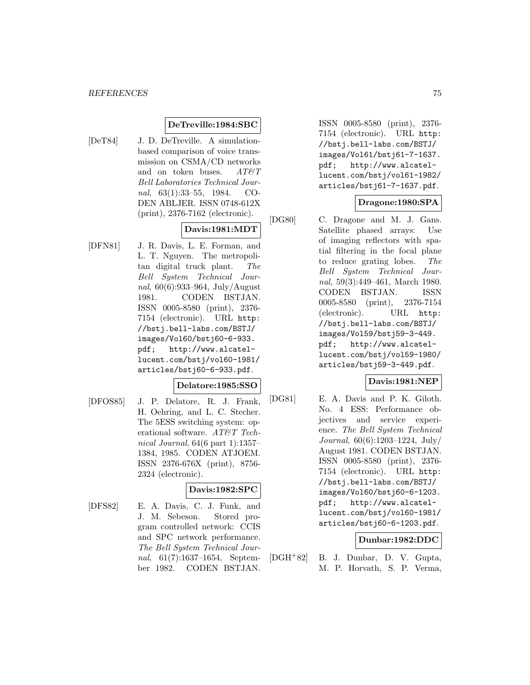### **DeTreville:1984:SBC**

[DeT84] J. D. DeTreville. A simulationbased comparison of voice transmission on CSMA/CD networks and on token buses.  $AT \mathcal{C}T$ Bell Laboratories Technical Journal, 63(1):33–55, 1984. CO-DEN ABLJER. ISSN 0748-612X (print), 2376-7162 (electronic).

# **Davis:1981:MDT**

[DFN81] J. R. Davis, L. E. Forman, and L. T. Nguyen. The metropolitan digital truck plant. The Bell System Technical Journal, 60(6):933–964, July/August 1981. CODEN BSTJAN. ISSN 0005-8580 (print), 2376- 7154 (electronic). URL http: //bstj.bell-labs.com/BSTJ/ images/Vol60/bstj60-6-933. pdf; http://www.alcatellucent.com/bstj/vol60-1981/ articles/bstj60-6-933.pdf.

### **Delatore:1985:SSO**

[DFOS85] J. P. Delatore, R. J. Frank, H. Oehring, and L. C. Stecher. The 5ESS switching system: operational software. AT&T Technical Journal, 64(6 part 1):1357– 1384, 1985. CODEN ATJOEM. ISSN 2376-676X (print), 8756- 2324 (electronic).

### **Davis:1982:SPC**

[DFS82] E. A. Davis, C. J. Funk, and J. M. Sebeson. Stored program controlled network: CCIS and SPC network performance. The Bell System Technical Journal, 61(7):1637–1654, September 1982. CODEN BSTJAN.

ISSN 0005-8580 (print), 2376- 7154 (electronic). URL http: //bstj.bell-labs.com/BSTJ/ images/Vol61/bstj61-7-1637. pdf; http://www.alcatellucent.com/bstj/vol61-1982/ articles/bstj61-7-1637.pdf.

# **Dragone:1980:SPA**

[DG80] C. Dragone and M. J. Gans. Satellite phased arrays: Use of imaging reflectors with spatial filtering in the focal plane to reduce grating lobes. The Bell System Technical Journal, 59(3):449–461, March 1980. CODEN BSTJAN. ISSN 0005-8580 (print), 2376-7154 (electronic). URL http: //bstj.bell-labs.com/BSTJ/ images/Vol59/bstj59-3-449. pdf; http://www.alcatellucent.com/bstj/vol59-1980/ articles/bstj59-3-449.pdf.

### **Davis:1981:NEP**

[DG81] E. A. Davis and P. K. Giloth. No. 4 ESS: Performance objectives and service experience. The Bell System Technical Journal, 60(6):1203–1224, July/ August 1981. CODEN BSTJAN. ISSN 0005-8580 (print), 2376- 7154 (electronic). URL http: //bstj.bell-labs.com/BSTJ/ images/Vol60/bstj60-6-1203. pdf; http://www.alcatellucent.com/bstj/vol60-1981/ articles/bstj60-6-1203.pdf.

### **Dunbar:1982:DDC**

[DGH<sup>+</sup>82] B. J. Dunbar, D. V. Gupta, M. P. Horvath, S. P. Verma,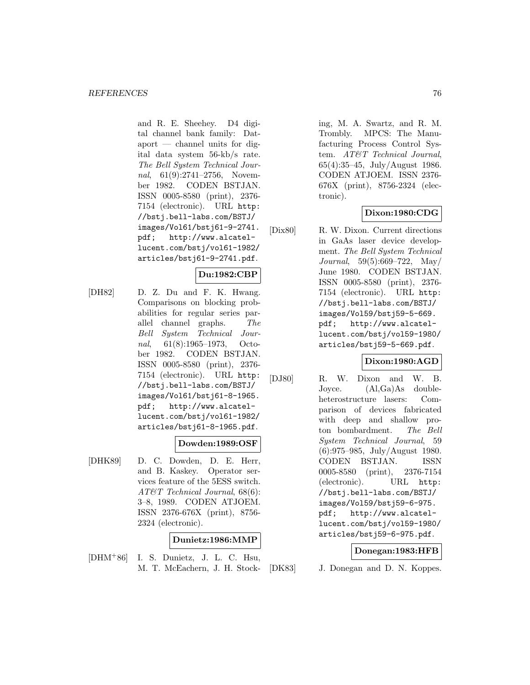and R. E. Sheehey. D4 digital channel bank family: Dataport — channel units for digital data system 56-kb/s rate. The Bell System Technical Journal, 61(9):2741–2756, November 1982. CODEN BSTJAN. ISSN 0005-8580 (print), 2376- 7154 (electronic). URL http: //bstj.bell-labs.com/BSTJ/ images/Vol61/bstj61-9-2741. pdf; http://www.alcatellucent.com/bstj/vol61-1982/ articles/bstj61-9-2741.pdf.

# **Du:1982:CBP**

[DH82] D. Z. Du and F. K. Hwang. Comparisons on blocking probabilities for regular series parallel channel graphs. The Bell System Technical Journal, 61(8):1965–1973, October 1982. CODEN BSTJAN. ISSN 0005-8580 (print), 2376- 7154 (electronic). URL http: //bstj.bell-labs.com/BSTJ/ images/Vol61/bstj61-8-1965. pdf; http://www.alcatellucent.com/bstj/vol61-1982/ articles/bstj61-8-1965.pdf.

### **Dowden:1989:OSF**

[DHK89] D. C. Dowden, D. E. Herr, and B. Kaskey. Operator services feature of the 5ESS switch. AT&T Technical Journal, 68(6): 3–8, 1989. CODEN ATJOEM. ISSN 2376-676X (print), 8756- 2324 (electronic).

### **Dunietz:1986:MMP**

[DHM<sup>+</sup>86] I. S. Dunietz, J. L. C. Hsu, M. T. McEachern, J. H. Stocking, M. A. Swartz, and R. M. Trombly. MPCS: The Manufacturing Process Control System. AT&T Technical Journal, 65(4):35–45, July/August 1986. CODEN ATJOEM. ISSN 2376- 676X (print), 8756-2324 (electronic).

## **Dixon:1980:CDG**

[Dix80] R. W. Dixon. Current directions in GaAs laser device development. The Bell System Technical Journal, 59(5):669–722, May/ June 1980. CODEN BSTJAN. ISSN 0005-8580 (print), 2376- 7154 (electronic). URL http: //bstj.bell-labs.com/BSTJ/ images/Vol59/bstj59-5-669. pdf; http://www.alcatellucent.com/bstj/vol59-1980/ articles/bstj59-5-669.pdf.

### **Dixon:1980:AGD**

[DJ80] R. W. Dixon and W. B. Joyce. (Al,Ga)As doubleheterostructure lasers: Comparison of devices fabricated with deep and shallow proton bombardment. The Bell System Technical Journal, 59 (6):975–985, July/August 1980. CODEN BSTJAN. ISSN 0005-8580 (print), 2376-7154 (electronic). URL http: //bstj.bell-labs.com/BSTJ/ images/Vol59/bstj59-6-975. pdf; http://www.alcatellucent.com/bstj/vol59-1980/ articles/bstj59-6-975.pdf.

#### **Donegan:1983:HFB**

[DK83] J. Donegan and D. N. Koppes.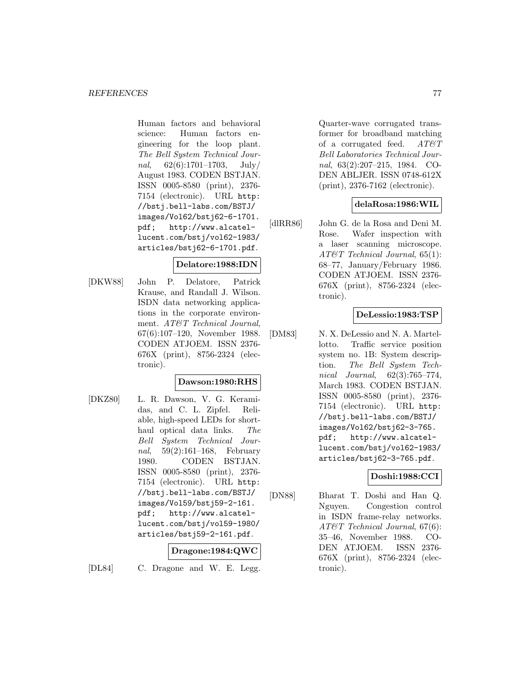Human factors and behavioral science: Human factors engineering for the loop plant. The Bell System Technical Journal,  $62(6):1701-1703$ , July/ August 1983. CODEN BSTJAN. ISSN 0005-8580 (print), 2376- 7154 (electronic). URL http: //bstj.bell-labs.com/BSTJ/ images/Vol62/bstj62-6-1701. pdf; http://www.alcatellucent.com/bstj/vol62-1983/ articles/bstj62-6-1701.pdf.

### **Delatore:1988:IDN**

[DKW88] John P. Delatore, Patrick Krause, and Randall J. Wilson. ISDN data networking applications in the corporate environment. AT&T Technical Journal, 67(6):107–120, November 1988. CODEN ATJOEM. ISSN 2376- 676X (print), 8756-2324 (electronic).

### **Dawson:1980:RHS**

[DKZ80] L. R. Dawson, V. G. Keramidas, and C. L. Zipfel. Reliable, high-speed LEDs for shorthaul optical data links. The Bell System Technical Journal, 59(2):161–168, February 1980. CODEN BSTJAN. ISSN 0005-8580 (print), 2376- 7154 (electronic). URL http: //bstj.bell-labs.com/BSTJ/ images/Vol59/bstj59-2-161. pdf; http://www.alcatellucent.com/bstj/vol59-1980/ articles/bstj59-2-161.pdf.

# **Dragone:1984:QWC**

[DL84] C. Dragone and W. E. Legg.

Quarter-wave corrugated transformer for broadband matching of a corrugated feed.  $AT \& T$ Bell Laboratories Technical Journal, 63(2):207–215, 1984. CO-DEN ABLJER. ISSN 0748-612X (print), 2376-7162 (electronic).

### **delaRosa:1986:WIL**

[dlRR86] John G. de la Rosa and Deni M. Rose. Wafer inspection with a laser scanning microscope. AT&T Technical Journal, 65(1): 68–77, January/February 1986. CODEN ATJOEM. ISSN 2376- 676X (print), 8756-2324 (electronic).

### **DeLessio:1983:TSP**

[DM83] N. X. DeLessio and N. A. Martellotto. Traffic service position system no. 1B: System description. The Bell System Technical Journal, 62(3):765–774, March 1983. CODEN BSTJAN. ISSN 0005-8580 (print), 2376- 7154 (electronic). URL http: //bstj.bell-labs.com/BSTJ/ images/Vol62/bstj62-3-765. pdf; http://www.alcatellucent.com/bstj/vol62-1983/ articles/bstj62-3-765.pdf.

### **Doshi:1988:CCI**

[DN88] Bharat T. Doshi and Han Q. Nguyen. Congestion control in ISDN frame-relay networks. AT&T Technical Journal, 67(6): 35–46, November 1988. CO-DEN ATJOEM. ISSN 2376- 676X (print), 8756-2324 (electronic).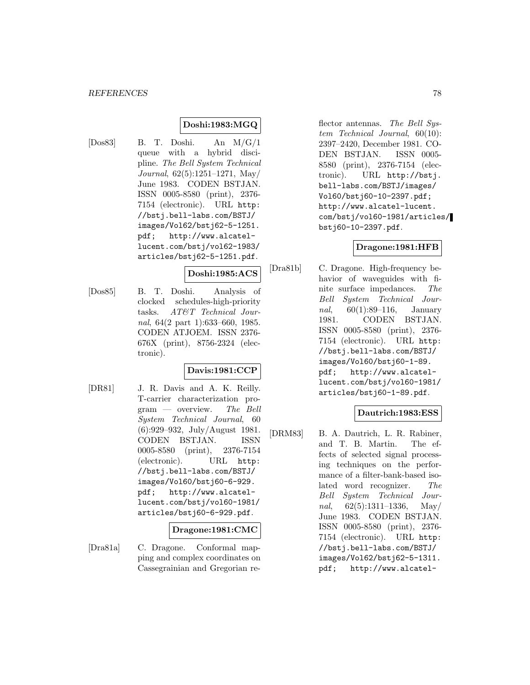# **Doshi:1983:MGQ**

[Dos83] B. T. Doshi. An M/G/1 queue with a hybrid discipline. The Bell System Technical Journal, 62(5):1251–1271, May/ June 1983. CODEN BSTJAN. ISSN 0005-8580 (print), 2376- 7154 (electronic). URL http: //bstj.bell-labs.com/BSTJ/ images/Vol62/bstj62-5-1251. pdf; http://www.alcatellucent.com/bstj/vol62-1983/ articles/bstj62-5-1251.pdf.

#### **Doshi:1985:ACS**

[Dos85] B. T. Doshi. Analysis of clocked schedules-high-priority tasks. AT&T Technical Journal, 64(2 part 1):633–660, 1985. CODEN ATJOEM. ISSN 2376- 676X (print), 8756-2324 (electronic).

# **Davis:1981:CCP**

[DR81] J. R. Davis and A. K. Reilly. T-carrier characterization pro- $\mathrm{gram}$  — overview. The Bell System Technical Journal, 60 (6):929–932, July/August 1981. CODEN BSTJAN. ISSN 0005-8580 (print), 2376-7154 (electronic). URL http: //bstj.bell-labs.com/BSTJ/ images/Vol60/bstj60-6-929. pdf; http://www.alcatellucent.com/bstj/vol60-1981/ articles/bstj60-6-929.pdf.

### **Dragone:1981:CMC**

[Dra81a] C. Dragone. Conformal mapping and complex coordinates on Cassegrainian and Gregorian re-

flector antennas. The Bell System Technical Journal, 60(10): 2397–2420, December 1981. CO-DEN BSTJAN. ISSN 0005- 8580 (print), 2376-7154 (electronic). URL http://bstj. bell-labs.com/BSTJ/images/ Vol60/bstj60-10-2397.pdf; http://www.alcatel-lucent. com/bstj/vol60-1981/articles/ bstj60-10-2397.pdf.

# **Dragone:1981:HFB**

[Dra81b] C. Dragone. High-frequency behavior of waveguides with finite surface impedances. The Bell System Technical Jour*nal*,  $60(1):89-116$ , January 1981. CODEN BSTJAN. ISSN 0005-8580 (print), 2376- 7154 (electronic). URL http: //bstj.bell-labs.com/BSTJ/ images/Vol60/bstj60-1-89. pdf; http://www.alcatellucent.com/bstj/vol60-1981/ articles/bstj60-1-89.pdf.

### **Dautrich:1983:ESS**

[DRM83] B. A. Dautrich, L. R. Rabiner, and T. B. Martin. The effects of selected signal processing techniques on the performance of a filter-bank-based isolated word recognizer. The Bell System Technical Journal,  $62(5):1311-1336$ , May June 1983. CODEN BSTJAN. ISSN 0005-8580 (print), 2376- 7154 (electronic). URL http: //bstj.bell-labs.com/BSTJ/ images/Vol62/bstj62-5-1311. pdf; http://www.alcatel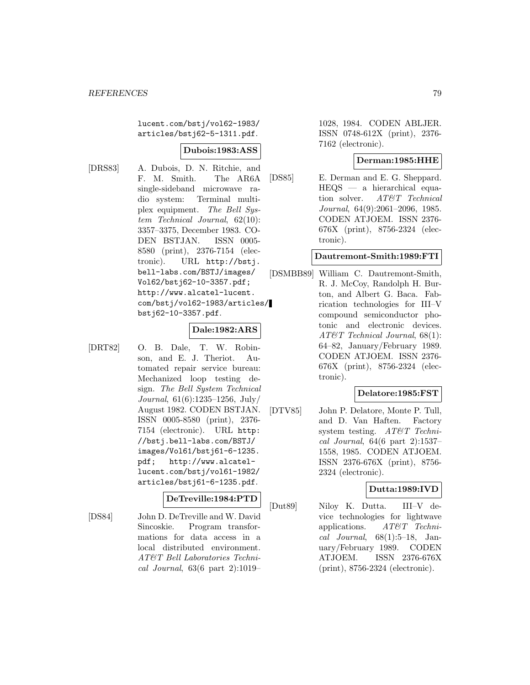lucent.com/bstj/vol62-1983/ articles/bstj62-5-1311.pdf.

#### **Dubois:1983:ASS**

[DRS83] A. Dubois, D. N. Ritchie, and F. M. Smith. The AR6A single-sideband microwave radio system: Terminal multiplex equipment. The Bell System Technical Journal, 62(10): 3357–3375, December 1983. CO-DEN BSTJAN. ISSN 0005- 8580 (print), 2376-7154 (electronic). URL http://bstj. bell-labs.com/BSTJ/images/ Vol62/bstj62-10-3357.pdf; http://www.alcatel-lucent. com/bstj/vol62-1983/articles/ bstj62-10-3357.pdf.

#### **Dale:1982:ARS**

- 
- [DRT82] O. B. Dale, T. W. Robinson, and E. J. Theriot. Automated repair service bureau: Mechanized loop testing design. The Bell System Technical Journal, 61(6):1235–1256, July/ August 1982. CODEN BSTJAN. ISSN 0005-8580 (print), 2376- 7154 (electronic). URL http: //bstj.bell-labs.com/BSTJ/ images/Vol61/bstj61-6-1235. pdf; http://www.alcatellucent.com/bstj/vol61-1982/ articles/bstj61-6-1235.pdf.

### **DeTreville:1984:PTD**

[DS84] John D. DeTreville and W. David Sincoskie. Program transformations for data access in a local distributed environment. AT&T Bell Laboratories Technical Journal, 63(6 part 2):1019–

1028, 1984. CODEN ABLJER. ISSN 0748-612X (print), 2376- 7162 (electronic).

# **Derman:1985:HHE**

[DS85] E. Derman and E. G. Sheppard. HEQS — a hierarchical equation solver. AT&T Technical Journal, 64(9):2061–2096, 1985. CODEN ATJOEM. ISSN 2376- 676X (print), 8756-2324 (electronic).

## **Dautremont-Smith:1989:FTI**

[DSMBB89] William C. Dautremont-Smith, R. J. McCoy, Randolph H. Burton, and Albert G. Baca. Fabrication technologies for III–V compound semiconductor photonic and electronic devices. AT&T Technical Journal, 68(1): 64–82, January/February 1989. CODEN ATJOEM. ISSN 2376- 676X (print), 8756-2324 (electronic).

### **Delatore:1985:FST**

[DTV85] John P. Delatore, Monte P. Tull, and D. Van Haften. Factory system testing. AT&T Technical Journal, 64(6 part 2):1537– 1558, 1985. CODEN ATJOEM. ISSN 2376-676X (print), 8756- 2324 (electronic).

#### **Dutta:1989:IVD**

[Dut89] Niloy K. Dutta. III–V device technologies for lightwave applications. AT&T Technical Journal, 68(1):5–18, January/February 1989. CODEN ATJOEM. ISSN 2376-676X (print), 8756-2324 (electronic).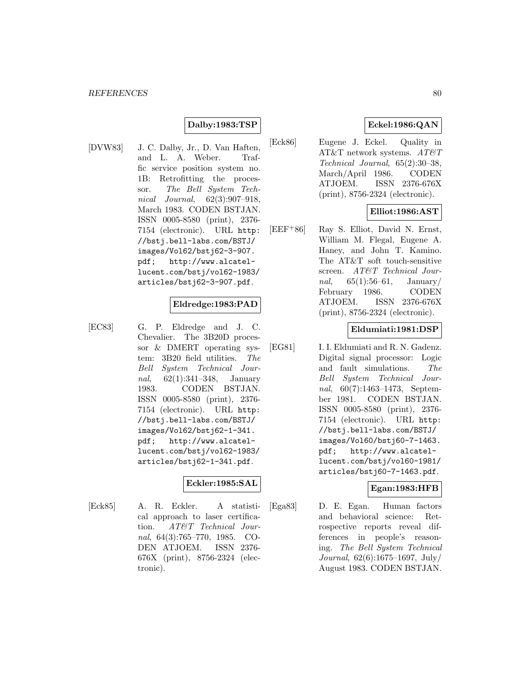### **Dalby:1983:TSP**

[DVW83] J. C. Dalby, Jr., D. Van Haften, and L. A. Weber. Traffic service position system no. 1B: Retrofitting the processor. The Bell System Technical Journal, 62(3):907–918, March 1983. CODEN BSTJAN. ISSN 0005-8580 (print), 2376- 7154 (electronic). URL http: //bstj.bell-labs.com/BSTJ/ images/Vol62/bstj62-3-907. pdf; http://www.alcatellucent.com/bstj/vol62-1983/ articles/bstj62-3-907.pdf.

### **Eldredge:1983:PAD**

[EC83] G. P. Eldredge and J. C. Chevalier. The 3B20D processor & DMERT operating system: 3B20 field utilities. The Bell System Technical Journal, 62(1):341–348, January 1983. CODEN BSTJAN. ISSN 0005-8580 (print), 2376- 7154 (electronic). URL http: //bstj.bell-labs.com/BSTJ/ images/Vol62/bstj62-1-341. pdf; http://www.alcatellucent.com/bstj/vol62-1983/ articles/bstj62-1-341.pdf.

### **Eckler:1985:SAL**

[Eck85] A. R. Eckler. A statistical approach to laser certification. AT&T Technical Journal, 64(3):765–770, 1985. CO-DEN ATJOEM. ISSN 2376- 676X (print), 8756-2324 (electronic).

# **Eckel:1986:QAN**

[Eck86] Eugene J. Eckel. Quality in AT&T network systems.  $AT \&T$ Technical Journal, 65(2):30–38, March/April 1986. CODEN ATJOEM. ISSN 2376-676X (print), 8756-2324 (electronic).

### **Elliot:1986:AST**

[EEF<sup>+</sup>86] Ray S. Elliot, David N. Ernst, William M. Flegal, Eugene A. Haney, and John T. Kamino. The AT&T soft touch-sensitive screen. AT&T Technical Jour*nal*,  $65(1):56-61$ , January/ February 1986. CODEN ATJOEM. ISSN 2376-676X (print), 8756-2324 (electronic).

## **Eldumiati:1981:DSP**

[EG81] I. I. Eldumiati and R. N. Gadenz. Digital signal processor: Logic and fault simulations. The Bell System Technical Journal, 60(7):1463–1473, September 1981. CODEN BSTJAN. ISSN 0005-8580 (print), 2376- 7154 (electronic). URL http: //bstj.bell-labs.com/BSTJ/ images/Vol60/bstj60-7-1463. pdf; http://www.alcatellucent.com/bstj/vol60-1981/ articles/bstj60-7-1463.pdf.

### **Egan:1983:HFB**

[Ega83] D. E. Egan. Human factors and behavioral science: Retrospective reports reveal differences in people's reasoning. The Bell System Technical Journal, 62(6):1675–1697, July/ August 1983. CODEN BSTJAN.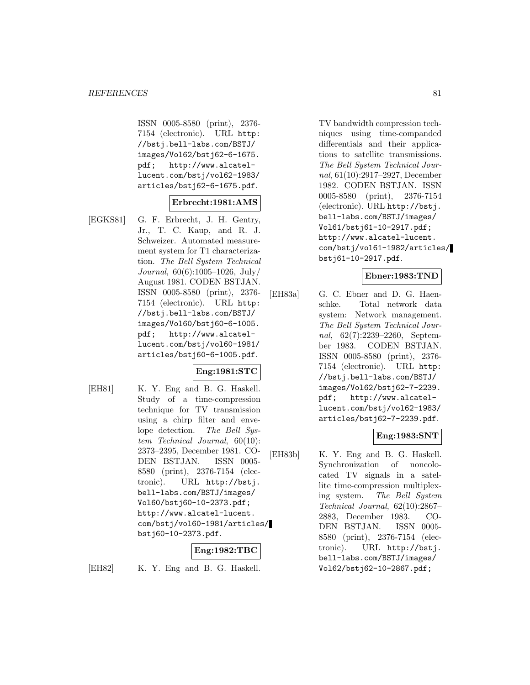ISSN 0005-8580 (print), 2376- 7154 (electronic). URL http: //bstj.bell-labs.com/BSTJ/ images/Vol62/bstj62-6-1675. pdf; http://www.alcatellucent.com/bstj/vol62-1983/ articles/bstj62-6-1675.pdf.

### **Erbrecht:1981:AMS**

[EGKS81] G. F. Erbrecht, J. H. Gentry, Jr., T. C. Kaup, and R. J. Schweizer. Automated measurement system for T1 characterization. The Bell System Technical Journal, 60(6):1005–1026, July/ August 1981. CODEN BSTJAN. ISSN 0005-8580 (print), 2376- 7154 (electronic). URL http: //bstj.bell-labs.com/BSTJ/ images/Vol60/bstj60-6-1005. pdf; http://www.alcatellucent.com/bstj/vol60-1981/ articles/bstj60-6-1005.pdf.

### **Eng:1981:STC**

[EH81] K. Y. Eng and B. G. Haskell. Study of a time-compression technique for TV transmission using a chirp filter and envelope detection. The Bell System Technical Journal, 60(10): 2373–2395, December 1981. CO-DEN BSTJAN. ISSN 0005- 8580 (print), 2376-7154 (electronic). URL http://bstj. bell-labs.com/BSTJ/images/ Vol60/bstj60-10-2373.pdf; http://www.alcatel-lucent. com/bstj/vol60-1981/articles/ bstj60-10-2373.pdf.

### **Eng:1982:TBC**

[EH82] K. Y. Eng and B. G. Haskell.

TV bandwidth compression techniques using time-companded differentials and their applications to satellite transmissions. The Bell System Technical Journal, 61(10):2917–2927, December 1982. CODEN BSTJAN. ISSN 0005-8580 (print), 2376-7154 (electronic). URL http://bstj. bell-labs.com/BSTJ/images/ Vol61/bstj61-10-2917.pdf; http://www.alcatel-lucent. com/bstj/vol61-1982/articles/ bstj61-10-2917.pdf.

#### **Ebner:1983:TND**

[EH83a] G. C. Ebner and D. G. Haenschke. Total network data system: Network management. The Bell System Technical Journal, 62(7):2239–2260, September 1983. CODEN BSTJAN. ISSN 0005-8580 (print), 2376- 7154 (electronic). URL http: //bstj.bell-labs.com/BSTJ/ images/Vol62/bstj62-7-2239. pdf; http://www.alcatellucent.com/bstj/vol62-1983/ articles/bstj62-7-2239.pdf.

### **Eng:1983:SNT**

[EH83b] K. Y. Eng and B. G. Haskell. Synchronization of noncolocated TV signals in a satellite time-compression multiplexing system. The Bell System Technical Journal, 62(10):2867– 2883, December 1983. CO-DEN BSTJAN. ISSN 0005- 8580 (print), 2376-7154 (electronic). URL http://bstj. bell-labs.com/BSTJ/images/ Vol62/bstj62-10-2867.pdf;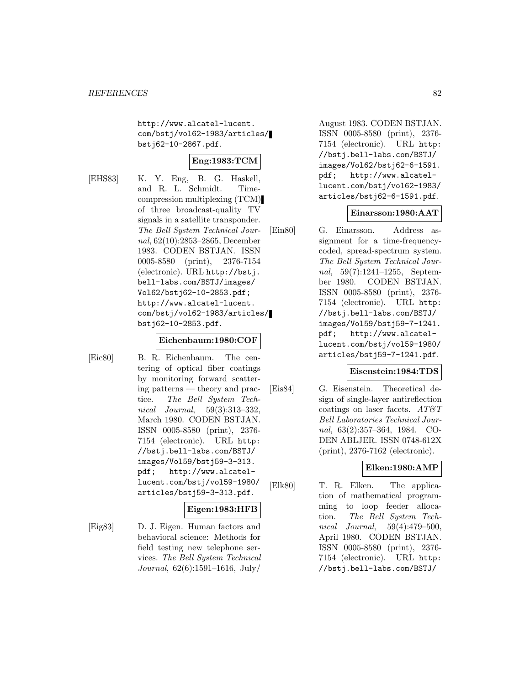http://www.alcatel-lucent. com/bstj/vol62-1983/articles/ bstj62-10-2867.pdf.

# **Eng:1983:TCM**

[EHS83] K. Y. Eng, B. G. Haskell, and R. L. Schmidt. Timecompression multiplexing (TCM) of three broadcast-quality TV signals in a satellite transponder. The Bell System Technical Journal, 62(10):2853–2865, December 1983. CODEN BSTJAN. ISSN 0005-8580 (print), 2376-7154 (electronic). URL http://bstj. bell-labs.com/BSTJ/images/ Vol62/bstj62-10-2853.pdf; http://www.alcatel-lucent. com/bstj/vol62-1983/articles/ bstj62-10-2853.pdf.

#### **Eichenbaum:1980:COF**

[Eic80] B. R. Eichenbaum. The centering of optical fiber coatings by monitoring forward scattering patterns — theory and practice. The Bell System Technical Journal, 59(3):313–332, March 1980. CODEN BSTJAN. ISSN 0005-8580 (print), 2376- 7154 (electronic). URL http: //bstj.bell-labs.com/BSTJ/ images/Vol59/bstj59-3-313. pdf; http://www.alcatellucent.com/bstj/vol59-1980/ articles/bstj59-3-313.pdf.

#### **Eigen:1983:HFB**

[Eig83] D. J. Eigen. Human factors and behavioral science: Methods for field testing new telephone services. The Bell System Technical Journal, 62(6):1591–1616, July/

August 1983. CODEN BSTJAN. ISSN 0005-8580 (print), 2376- 7154 (electronic). URL http: //bstj.bell-labs.com/BSTJ/ images/Vol62/bstj62-6-1591. pdf; http://www.alcatellucent.com/bstj/vol62-1983/ articles/bstj62-6-1591.pdf.

### **Einarsson:1980:AAT**

[Ein80] G. Einarsson. Address assignment for a time-frequencycoded, spread-spectrum system. The Bell System Technical Journal, 59(7):1241–1255, September 1980. CODEN BSTJAN. ISSN 0005-8580 (print), 2376- 7154 (electronic). URL http: //bstj.bell-labs.com/BSTJ/ images/Vol59/bstj59-7-1241. pdf; http://www.alcatellucent.com/bstj/vol59-1980/ articles/bstj59-7-1241.pdf.

#### **Eisenstein:1984:TDS**

[Eis84] G. Eisenstein. Theoretical design of single-layer antireflection coatings on laser facets.  $AT\&T$ Bell Laboratories Technical Journal, 63(2):357–364, 1984. CO-DEN ABLJER. ISSN 0748-612X (print), 2376-7162 (electronic).

### **Elken:1980:AMP**

[Elk80] T. R. Elken. The application of mathematical programming to loop feeder allocation. The Bell System Technical Journal, 59(4):479–500, April 1980. CODEN BSTJAN. ISSN 0005-8580 (print), 2376- 7154 (electronic). URL http: //bstj.bell-labs.com/BSTJ/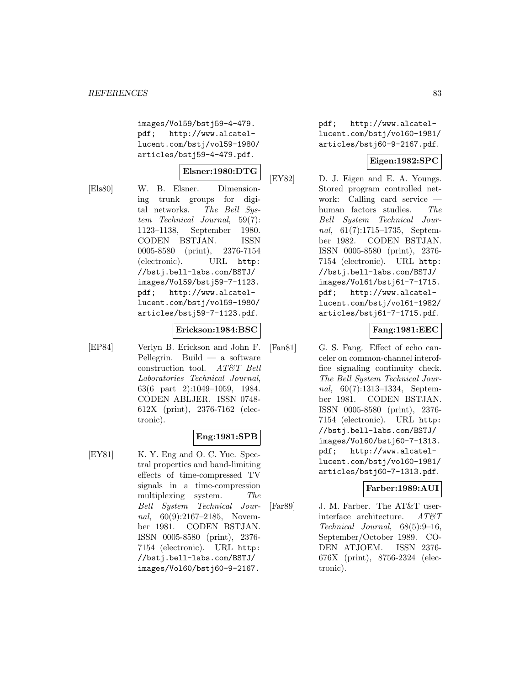images/Vol59/bstj59-4-479. pdf; http://www.alcatellucent.com/bstj/vol59-1980/ articles/bstj59-4-479.pdf.

### **Elsner:1980:DTG**

[Els80] W. B. Elsner. Dimensioning trunk groups for digital networks. The Bell System Technical Journal, 59(7): 1123–1138, September 1980. CODEN BSTJAN. ISSN 0005-8580 (print), 2376-7154 (electronic). URL http: //bstj.bell-labs.com/BSTJ/ images/Vol59/bstj59-7-1123. pdf; http://www.alcatellucent.com/bstj/vol59-1980/ articles/bstj59-7-1123.pdf.

### **Erickson:1984:BSC**

[EP84] Verlyn B. Erickson and John F. Pellegrin. Build  $-$  a software construction tool. AT&T Bell Laboratories Technical Journal, 63(6 part 2):1049–1059, 1984. CODEN ABLJER. ISSN 0748- 612X (print), 2376-7162 (electronic).

# **Eng:1981:SPB**

[EY81] K. Y. Eng and O. C. Yue. Spectral properties and band-limiting effects of time-compressed TV signals in a time-compression multiplexing system. The Bell System Technical Journal, 60(9):2167-2185, November 1981. CODEN BSTJAN. ISSN 0005-8580 (print), 2376- 7154 (electronic). URL http: //bstj.bell-labs.com/BSTJ/ images/Vol60/bstj60-9-2167.

pdf; http://www.alcatellucent.com/bstj/vol60-1981/ articles/bstj60-9-2167.pdf.

# **Eigen:1982:SPC**

[EY82] D. J. Eigen and E. A. Youngs. Stored program controlled network: Calling card service human factors studies. The Bell System Technical Journal, 61(7):1715–1735, September 1982. CODEN BSTJAN. ISSN 0005-8580 (print), 2376- 7154 (electronic). URL http: //bstj.bell-labs.com/BSTJ/ images/Vol61/bstj61-7-1715. pdf; http://www.alcatellucent.com/bstj/vol61-1982/ articles/bstj61-7-1715.pdf.

### **Fang:1981:EEC**

[Fan81] G. S. Fang. Effect of echo canceler on common-channel interoffice signaling continuity check. The Bell System Technical Journal, 60(7):1313–1334, September 1981. CODEN BSTJAN. ISSN 0005-8580 (print), 2376- 7154 (electronic). URL http: //bstj.bell-labs.com/BSTJ/ images/Vol60/bstj60-7-1313. pdf; http://www.alcatellucent.com/bstj/vol60-1981/ articles/bstj60-7-1313.pdf.

### **Farber:1989:AUI**

[Far89] J. M. Farber. The AT&T userinterface architecture.  $AT\mathcal{C}T$ Technical Journal, 68(5):9–16, September/October 1989. CO-DEN ATJOEM. ISSN 2376- 676X (print), 8756-2324 (electronic).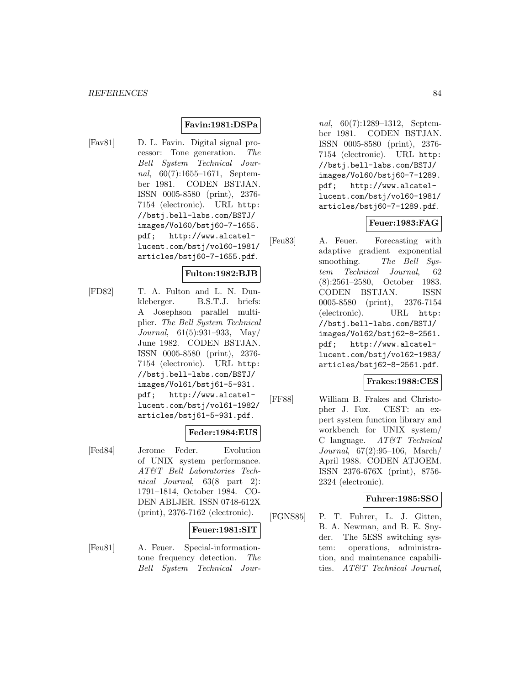### **Favin:1981:DSPa**

[Fav81] D. L. Favin. Digital signal processor: Tone generation. The Bell System Technical Journal, 60(7):1655–1671, September 1981. CODEN BSTJAN. ISSN 0005-8580 (print), 2376- 7154 (electronic). URL http: //bstj.bell-labs.com/BSTJ/ images/Vol60/bstj60-7-1655. pdf; http://www.alcatellucent.com/bstj/vol60-1981/ articles/bstj60-7-1655.pdf.

### **Fulton:1982:BJB**

[FD82] T. A. Fulton and L. N. Dunkleberger. B.S.T.J. briefs: A Josephson parallel multiplier. The Bell System Technical Journal, 61(5):931–933, May/ June 1982. CODEN BSTJAN. ISSN 0005-8580 (print), 2376- 7154 (electronic). URL http: //bstj.bell-labs.com/BSTJ/ images/Vol61/bstj61-5-931. pdf; http://www.alcatellucent.com/bstj/vol61-1982/ articles/bstj61-5-931.pdf.

#### **Feder:1984:EUS**

[Fed84] Jerome Feder. Evolution of UNIX system performance. AT&T Bell Laboratories Technical Journal, 63(8 part 2): 1791–1814, October 1984. CO-DEN ABLJER. ISSN 0748-612X (print), 2376-7162 (electronic).

#### **Feuer:1981:SIT**

[Feu81] A. Feuer. Special-informationtone frequency detection. The Bell System Technical Jour-

nal, 60(7):1289–1312, September 1981. CODEN BSTJAN. ISSN 0005-8580 (print), 2376- 7154 (electronic). URL http: //bstj.bell-labs.com/BSTJ/ images/Vol60/bstj60-7-1289. pdf; http://www.alcatellucent.com/bstj/vol60-1981/ articles/bstj60-7-1289.pdf.

### **Feuer:1983:FAG**

[Feu83] A. Feuer. Forecasting with adaptive gradient exponential smoothing. The Bell System Technical Journal, 62 (8):2561–2580, October 1983. CODEN BSTJAN. ISSN 0005-8580 (print), 2376-7154 (electronic). URL http: //bstj.bell-labs.com/BSTJ/ images/Vol62/bstj62-8-2561. pdf; http://www.alcatellucent.com/bstj/vol62-1983/ articles/bstj62-8-2561.pdf.

#### **Frakes:1988:CES**

[FF88] William B. Frakes and Christopher J. Fox. CEST: an expert system function library and workbench for UNIX system/ C language. AT&T Technical Journal, 67(2):95–106, March/ April 1988. CODEN ATJOEM. ISSN 2376-676X (print), 8756- 2324 (electronic).

### **Fuhrer:1985:SSO**

[FGNS85] P. T. Fuhrer, L. J. Gitten, B. A. Newman, and B. E. Snyder. The 5ESS switching system: operations, administration, and maintenance capabilities. AT&T Technical Journal,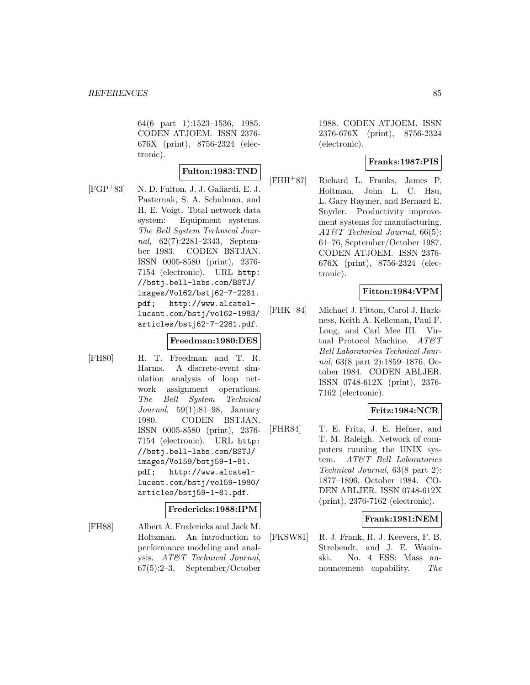64(6 part 1):1523–1536, 1985. CODEN ATJOEM. ISSN 2376- 676X (print), 8756-2324 (electronic).

### **Fulton:1983:TND**

[FGP<sup>+</sup>83] N. D. Fulton, J. J. Galiardi, E. J. Pasternak, S. A. Schulman, and H. E. Voigt. Total network data system: Equipment systems. The Bell System Technical Journal, 62(7):2281–2343, September 1983. CODEN BSTJAN. ISSN 0005-8580 (print), 2376- 7154 (electronic). URL http: //bstj.bell-labs.com/BSTJ/ images/Vol62/bstj62-7-2281. pdf; http://www.alcatellucent.com/bstj/vol62-1983/ articles/bstj62-7-2281.pdf.

### **Freedman:1980:DES**

[FH80] H. T. Freedman and T. R. Harms. A discrete-event simulation analysis of loop network assignment operations. The Bell System Technical Journal, 59(1):81–98, January 1980. CODEN BSTJAN. ISSN 0005-8580 (print), 2376- 7154 (electronic). URL http: //bstj.bell-labs.com/BSTJ/ images/Vol59/bstj59-1-81. pdf; http://www.alcatellucent.com/bstj/vol59-1980/ articles/bstj59-1-81.pdf.

### **Fredericks:1988:IPM**

[FH88] Albert A. Fredericks and Jack M. Holtzman. An introduction to performance modeling and analysis. AT&T Technical Journal, 67(5):2–3, September/October

1988. CODEN ATJOEM. ISSN 2376-676X (print), 8756-2324 (electronic).

## **Franks:1987:PIS**

[FHH<sup>+</sup>87] Richard L. Franks, James P. Holtman, John L. C. Hsu, L. Gary Raymer, and Bernard E. Snyder. Productivity improvement systems for manufacturing. AT&T Technical Journal, 66(5): 61–76, September/October 1987. CODEN ATJOEM. ISSN 2376- 676X (print), 8756-2324 (electronic).

### **Fitton:1984:VPM**

[FHK<sup>+</sup>84] Michael J. Fitton, Carol J. Harkness, Keith A. Kelleman, Paul F. Long, and Carl Mee III. Virtual Protocol Machine. AT&T Bell Laboratories Technical Journal, 63(8 part 2):1859–1876, October 1984. CODEN ABLJER. ISSN 0748-612X (print), 2376- 7162 (electronic).

# **Fritz:1984:NCR**

[FHR84] T. E. Fritz, J. E. Hefner, and T. M. Raleigh. Network of computers running the UNIX system. AT&T Bell Laboratories Technical Journal, 63(8 part 2): 1877–1896, October 1984. CO-DEN ABLJER. ISSN 0748-612X (print), 2376-7162 (electronic).

### **Frank:1981:NEM**

[FKSW81] R. J. Frank, R. J. Keevers, F. B. Strebendt, and J. E. Waninski. No. 4 ESS: Mass announcement capability. The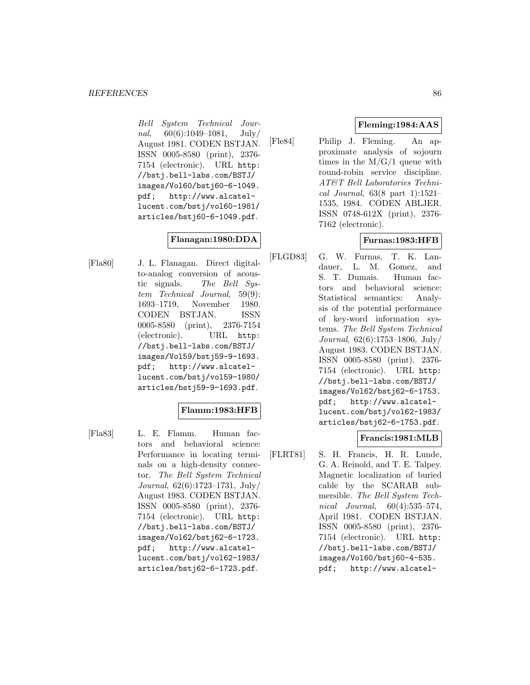Bell System Technical Journal,  $60(6):1049-1081$ , July/ August 1981. CODEN BSTJAN. ISSN 0005-8580 (print), 2376- 7154 (electronic). URL http: //bstj.bell-labs.com/BSTJ/ images/Vol60/bstj60-6-1049. pdf; http://www.alcatellucent.com/bstj/vol60-1981/ articles/bstj60-6-1049.pdf.

# **Flanagan:1980:DDA**

[Fla80] J. L. Flanagan. Direct digitalto-analog conversion of acoustic signals. The Bell System Technical Journal, 59(9): 1693–1719, November 1980. CODEN BSTJAN. ISSN 0005-8580 (print), 2376-7154 (electronic). URL http: //bstj.bell-labs.com/BSTJ/ images/Vol59/bstj59-9-1693. pdf; http://www.alcatellucent.com/bstj/vol59-1980/ articles/bstj59-9-1693.pdf.

# **Flamm:1983:HFB**

[Fla83] L. E. Flamm. Human factors and behavioral science: Performance in locating terminals on a high-density connector. The Bell System Technical Journal, 62(6):1723–1731, July/ August 1983. CODEN BSTJAN. ISSN 0005-8580 (print), 2376- 7154 (electronic). URL http: //bstj.bell-labs.com/BSTJ/ images/Vol62/bstj62-6-1723. pdf; http://www.alcatellucent.com/bstj/vol62-1983/ articles/bstj62-6-1723.pdf.

# **Fleming:1984:AAS**

[Fle84] Philip J. Fleming. An approximate analysis of sojourn times in the  $M/G/1$  queue with round-robin service discipline. AT&T Bell Laboratories Technical Journal, 63(8 part 1):1521– 1535, 1984. CODEN ABLJER. ISSN 0748-612X (print), 2376- 7162 (electronic).

# **Furnas:1983:HFB**

[FLGD83] G. W. Furnas, T. K. Landauer, L. M. Gomez, and S. T. Dumais. Human factors and behavioral science: Statistical semantics: Analysis of the potential performance of key-word information systems. The Bell System Technical Journal, 62(6):1753–1806, July/ August 1983. CODEN BSTJAN. ISSN 0005-8580 (print), 2376- 7154 (electronic). URL http: //bstj.bell-labs.com/BSTJ/ images/Vol62/bstj62-6-1753. pdf; http://www.alcatellucent.com/bstj/vol62-1983/ articles/bstj62-6-1753.pdf.

# **Francis:1981:MLB**

[FLRT81] S. H. Francis, H. R. Lunde, G. A. Reinold, and T. E. Talpey. Magnetic localization of buried cable by the SCARAB submersible. The Bell System Technical Journal, 60(4):535–574, April 1981. CODEN BSTJAN. ISSN 0005-8580 (print), 2376- 7154 (electronic). URL http: //bstj.bell-labs.com/BSTJ/ images/Vol60/bstj60-4-535. pdf; http://www.alcatel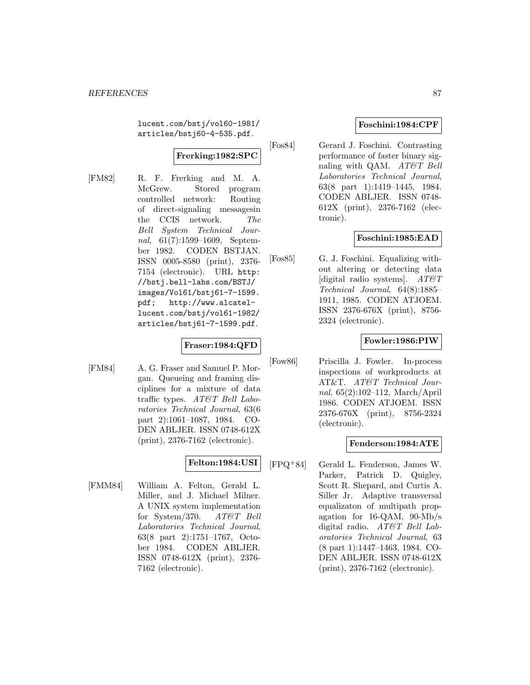lucent.com/bstj/vol60-1981/ articles/bstj60-4-535.pdf.

# **Frerking:1982:SPC**

[FM82] R. F. Frerking and M. A. McGrew. Stored program controlled network: Routing of direct-signaling messagesin the CCIS network. The Bell System Technical Journal, 61(7):1599–1609, September 1982. CODEN BSTJAN. ISSN 0005-8580 (print), 2376- 7154 (electronic). URL http: //bstj.bell-labs.com/BSTJ/ images/Vol61/bstj61-7-1599. pdf; http://www.alcatellucent.com/bstj/vol61-1982/ articles/bstj61-7-1599.pdf.

# **Fraser:1984:QFD**

[FM84] A. G. Fraser and Samuel P. Morgan. Queueing and framing disciplines for a mixture of data traffic types. AT&T Bell Laboratories Technical Journal, 63(6 part 2):1061–1087, 1984. CO-DEN ABLJER. ISSN 0748-612X (print), 2376-7162 (electronic).

# **Felton:1984:USI**

[FMM84] William A. Felton, Gerald L. Miller, and J. Michael Milner. A UNIX system implementation for System/370.  $AT\&T$  Bell Laboratories Technical Journal, 63(8 part 2):1751–1767, October 1984. CODEN ABLJER. ISSN 0748-612X (print), 2376- 7162 (electronic).

## **Foschini:1984:CPF**

[Fos84] Gerard J. Foschini. Contrasting performance of faster binary signaling with QAM. AT&T Bell Laboratories Technical Journal, 63(8 part 1):1419–1445, 1984. CODEN ABLJER. ISSN 0748- 612X (print), 2376-7162 (electronic).

# **Foschini:1985:EAD**

[Fos85] G. J. Foschini. Equalizing without altering or detecting data [digital radio systems].  $AT\&T$ Technical Journal, 64(8):1885– 1911, 1985. CODEN ATJOEM. ISSN 2376-676X (print), 8756- 2324 (electronic).

### **Fowler:1986:PIW**

[Fow86] Priscilla J. Fowler. In-process inspections of workproducts at AT&T. AT&T Technical Journal, 65(2):102–112, March/April 1986. CODEN ATJOEM. ISSN 2376-676X (print), 8756-2324 (electronic).

### **Fenderson:1984:ATE**

[FPQ<sup>+</sup>84] Gerald L. Fenderson, James W. Parker, Patrick D. Quigley, Scott R. Shepard, and Curtis A. Siller Jr. Adaptive transversal equalizaton of multipath propagation for 16-QAM, 90-Mb/s digital radio. AT&T Bell Laboratories Technical Journal, 63 (8 part 1):1447–1463, 1984. CO-DEN ABLJER. ISSN 0748-612X (print), 2376-7162 (electronic).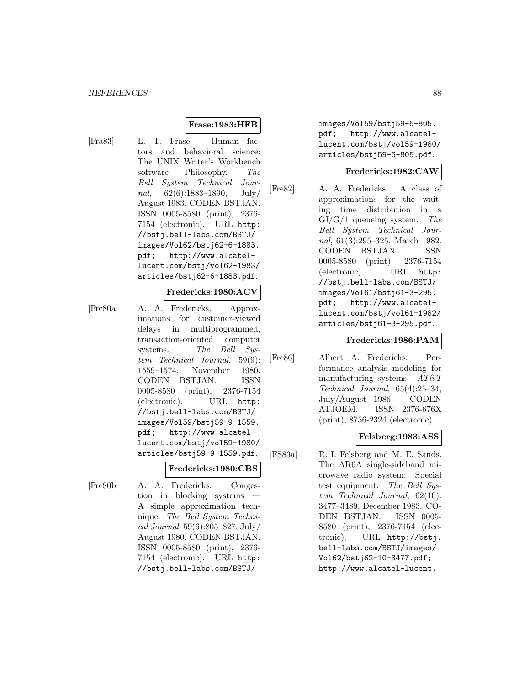### **Frase:1983:HFB**

[Fra83] L. T. Frase. Human factors and behavioral science: The UNIX Writer's Workbench software: Philosophy. The Bell System Technical Journal,  $62(6):1883-1890$ , July/ August 1983. CODEN BSTJAN. ISSN 0005-8580 (print), 2376- 7154 (electronic). URL http: //bstj.bell-labs.com/BSTJ/ images/Vol62/bstj62-6-1883. pdf; http://www.alcatellucent.com/bstj/vol62-1983/ articles/bstj62-6-1883.pdf.

#### **Fredericks:1980:ACV**

[Fre80a] A. A. Fredericks. Approximations for customer-viewed delays in multiprogrammed, transaction-oriented computer systems. The Bell System Technical Journal, 59(9): 1559–1574, November 1980. CODEN BSTJAN. ISSN 0005-8580 (print), 2376-7154 (electronic). URL http: //bstj.bell-labs.com/BSTJ/ images/Vol59/bstj59-9-1559. pdf; http://www.alcatellucent.com/bstj/vol59-1980/ articles/bstj59-9-1559.pdf.

#### **Fredericks:1980:CBS**

[Fre80b] A. A. Fredericks. Congestion in blocking systems A simple approximation technique. The Bell System Technical Journal, 59(6):805–827, July/ August 1980. CODEN BSTJAN. ISSN 0005-8580 (print), 2376- 7154 (electronic). URL http: //bstj.bell-labs.com/BSTJ/

images/Vol59/bstj59-6-805. pdf; http://www.alcatellucent.com/bstj/vol59-1980/ articles/bstj59-6-805.pdf.

#### **Fredericks:1982:CAW**

[Fre82] A. A. Fredericks. A class of approximations for the waiting time distribution in a  $GI/G/1$  queueing system. The Bell System Technical Journal, 61(3):295–325, March 1982. CODEN BSTJAN. ISSN 0005-8580 (print), 2376-7154 (electronic). URL http: //bstj.bell-labs.com/BSTJ/ images/Vol61/bstj61-3-295. pdf; http://www.alcatellucent.com/bstj/vol61-1982/ articles/bstj61-3-295.pdf.

#### **Fredericks:1986:PAM**

[Fre86] Albert A. Fredericks. Performance analysis modeling for manufacturing systems.  $AT \& T$ Technical Journal, 65(4):25–34, July/August 1986. CODEN ATJOEM. ISSN 2376-676X (print), 8756-2324 (electronic).

### **Felsberg:1983:ASS**

[FS83a] R. I. Felsberg and M. E. Sands. The AR6A single-sideband microwave radio system: Special test equipment. The Bell System Technical Journal, 62(10): 3477–3489, December 1983. CO-DEN BSTJAN. ISSN 0005- 8580 (print), 2376-7154 (electronic). URL http://bstj. bell-labs.com/BSTJ/images/ Vol62/bstj62-10-3477.pdf; http://www.alcatel-lucent.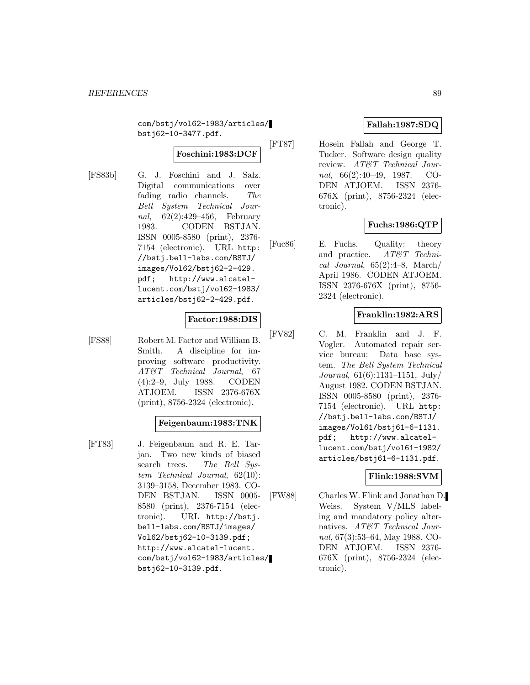com/bstj/vol62-1983/articles/ bstj62-10-3477.pdf.

# **Foschini:1983:DCF**

[FS83b] G. J. Foschini and J. Salz. Digital communications over fading radio channels. The Bell System Technical Journal, 62(2):429–456, February 1983. CODEN BSTJAN. ISSN 0005-8580 (print), 2376- 7154 (electronic). URL http: //bstj.bell-labs.com/BSTJ/ images/Vol62/bstj62-2-429. pdf; http://www.alcatellucent.com/bstj/vol62-1983/ articles/bstj62-2-429.pdf.

### **Factor:1988:DIS**

[FS88] Robert M. Factor and William B. Smith. A discipline for improving software productivity. AT&T Technical Journal, 67 (4):2–9, July 1988. CODEN ATJOEM. ISSN 2376-676X (print), 8756-2324 (electronic).

#### **Feigenbaum:1983:TNK**

[FT83] J. Feigenbaum and R. E. Tarjan. Two new kinds of biased search trees. The Bell System Technical Journal, 62(10): 3139–3158, December 1983. CO-DEN BSTJAN. ISSN 0005- 8580 (print), 2376-7154 (electronic). URL http://bstj. bell-labs.com/BSTJ/images/ Vol62/bstj62-10-3139.pdf; http://www.alcatel-lucent. com/bstj/vol62-1983/articles/ bstj62-10-3139.pdf.

# **Fallah:1987:SDQ**

[FT87] Hosein Fallah and George T. Tucker. Software design quality review. AT&T Technical Journal, 66(2):40–49, 1987. CO-DEN ATJOEM. ISSN 2376- 676X (print), 8756-2324 (electronic).

# **Fuchs:1986:QTP**

[Fuc86] E. Fuchs. Quality: theory and practice. AT&T Technical Journal, 65(2):4–8, March/ April 1986. CODEN ATJOEM. ISSN 2376-676X (print), 8756- 2324 (electronic).

# **Franklin:1982:ARS**

[FV82] C. M. Franklin and J. F. Vogler. Automated repair service bureau: Data base system. The Bell System Technical Journal, 61(6):1131–1151, July/ August 1982. CODEN BSTJAN. ISSN 0005-8580 (print), 2376- 7154 (electronic). URL http: //bstj.bell-labs.com/BSTJ/ images/Vol61/bstj61-6-1131. pdf; http://www.alcatellucent.com/bstj/vol61-1982/ articles/bstj61-6-1131.pdf.

### **Flink:1988:SVM**

[FW88] Charles W. Flink and Jonathan D. Weiss. System V/MLS labeling and mandatory policy alternatives. AT&T Technical Journal, 67(3):53–64, May 1988. CO-DEN ATJOEM. ISSN 2376- 676X (print), 8756-2324 (electronic).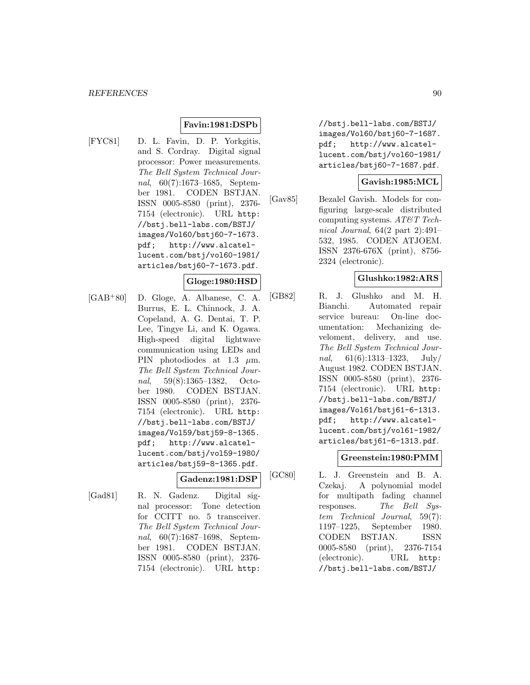### **Favin:1981:DSPb**

[FYC81] D. L. Favin, D. P. Yorkgitis, and S. Cordray. Digital signal processor: Power measurements. The Bell System Technical Journal, 60(7):1673–1685, September 1981. CODEN BSTJAN. ISSN 0005-8580 (print), 2376- 7154 (electronic). URL http: //bstj.bell-labs.com/BSTJ/ images/Vol60/bstj60-7-1673. pdf; http://www.alcatellucent.com/bstj/vol60-1981/ articles/bstj60-7-1673.pdf.

# **Gloge:1980:HSD**

[GAB<sup>+</sup>80] D. Gloge, A. Albanese, C. A. Burrus, E. L. Chinnock, J. A. Copeland, A. G. Dentai, T. P. Lee, Tingye Li, and K. Ogawa. High-speed digital lightwave communication using LEDs and PIN photodiodes at 1.3  $\mu$ m. The Bell System Technical Journal, 59(8):1365–1382, October 1980. CODEN BSTJAN. ISSN 0005-8580 (print), 2376- 7154 (electronic). URL http: //bstj.bell-labs.com/BSTJ/ images/Vol59/bstj59-8-1365. pdf; http://www.alcatellucent.com/bstj/vol59-1980/ articles/bstj59-8-1365.pdf.

### **Gadenz:1981:DSP**

[Gad81] R. N. Gadenz. Digital signal processor: Tone detection for CCITT no. 5 transceiver. The Bell System Technical Journal, 60(7):1687–1698, September 1981. CODEN BSTJAN. ISSN 0005-8580 (print), 2376-

7154 (electronic). URL http:

//bstj.bell-labs.com/BSTJ/ images/Vol60/bstj60-7-1687. pdf; http://www.alcatellucent.com/bstj/vol60-1981/ articles/bstj60-7-1687.pdf.

### **Gavish:1985:MCL**

[Gav85] Bezalel Gavish. Models for configuring large-scale distributed computing systems. AT&T Technical Journal, 64(2 part 2):491– 532, 1985. CODEN ATJOEM. ISSN 2376-676X (print), 8756- 2324 (electronic).

### **Glushko:1982:ARS**

[GB82] R. J. Glushko and M. H. Bianchi. Automated repair service bureau: On-line documentation: Mechanizing develoment, delivery, and use. The Bell System Technical Journal,  $61(6):1313-1323$ , July/ August 1982. CODEN BSTJAN. ISSN 0005-8580 (print), 2376- 7154 (electronic). URL http: //bstj.bell-labs.com/BSTJ/ images/Vol61/bstj61-6-1313. pdf; http://www.alcatellucent.com/bstj/vol61-1982/ articles/bstj61-6-1313.pdf.

## **Greenstein:1980:PMM**

[GC80] L. J. Greenstein and B. A. Czekaj. A polynomial model for multipath fading channel responses. The Bell System Technical Journal, 59(7): 1197–1225, September 1980. CODEN BSTJAN. ISSN 0005-8580 (print), 2376-7154 (electronic). URL http: //bstj.bell-labs.com/BSTJ/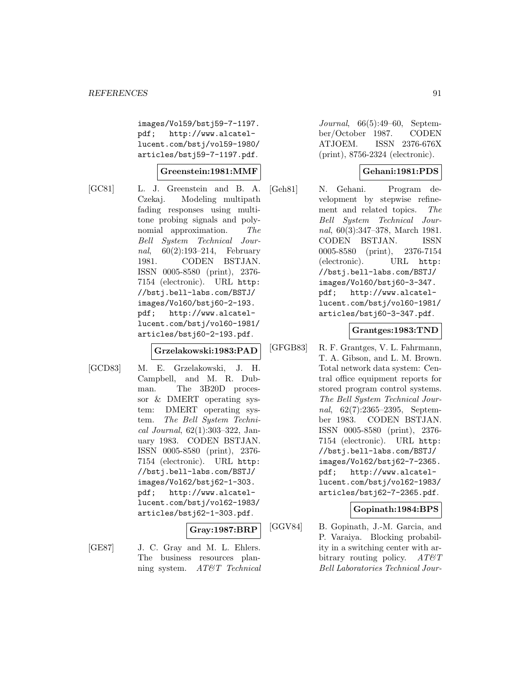images/Vol59/bstj59-7-1197. pdf; http://www.alcatellucent.com/bstj/vol59-1980/ articles/bstj59-7-1197.pdf.

### **Greenstein:1981:MMF**

[GC81] L. J. Greenstein and B. A. Czekaj. Modeling multipath fading responses using multitone probing signals and polynomial approximation. The Bell System Technical Journal, 60(2):193–214, February 1981. CODEN BSTJAN. ISSN 0005-8580 (print), 2376- 7154 (electronic). URL http: //bstj.bell-labs.com/BSTJ/ images/Vol60/bstj60-2-193. pdf; http://www.alcatellucent.com/bstj/vol60-1981/ articles/bstj60-2-193.pdf.

#### **Grzelakowski:1983:PAD**

[GCD83] M. E. Grzelakowski, J. H. Campbell, and M. R. Dubman. The 3B20D processor & DMERT operating system: DMERT operating system. The Bell System Technical Journal, 62(1):303–322, January 1983. CODEN BSTJAN. ISSN 0005-8580 (print), 2376- 7154 (electronic). URL http: //bstj.bell-labs.com/BSTJ/ images/Vol62/bstj62-1-303. pdf; http://www.alcatellucent.com/bstj/vol62-1983/ articles/bstj62-1-303.pdf.

#### **Gray:1987:BRP**

- 
- [GE87] J. C. Gray and M. L. Ehlers. The business resources planning system. AT&T Technical

Journal, 66(5):49–60, September/October 1987. CODEN ATJOEM. ISSN 2376-676X (print), 8756-2324 (electronic).

# **Gehani:1981:PDS**

[Geh81] N. Gehani. Program development by stepwise refinement and related topics. The Bell System Technical Journal, 60(3):347–378, March 1981. CODEN BSTJAN. ISSN 0005-8580 (print), 2376-7154 (electronic). URL http: //bstj.bell-labs.com/BSTJ/ images/Vol60/bstj60-3-347. pdf; http://www.alcatellucent.com/bstj/vol60-1981/ articles/bstj60-3-347.pdf.

### **Grantges:1983:TND**

[GFGB83] R. F. Grantges, V. L. Fahrmann, T. A. Gibson, and L. M. Brown. Total network data system: Central office equipment reports for stored program control systems. The Bell System Technical Journal, 62(7):2365–2395, September 1983. CODEN BSTJAN. ISSN 0005-8580 (print), 2376- 7154 (electronic). URL http: //bstj.bell-labs.com/BSTJ/ images/Vol62/bstj62-7-2365. pdf; http://www.alcatellucent.com/bstj/vol62-1983/ articles/bstj62-7-2365.pdf.

### **Gopinath:1984:BPS**

[GGV84] B. Gopinath, J.-M. Garcia, and P. Varaiya. Blocking probability in a switching center with arbitrary routing policy.  $AT\&T$ Bell Laboratories Technical Jour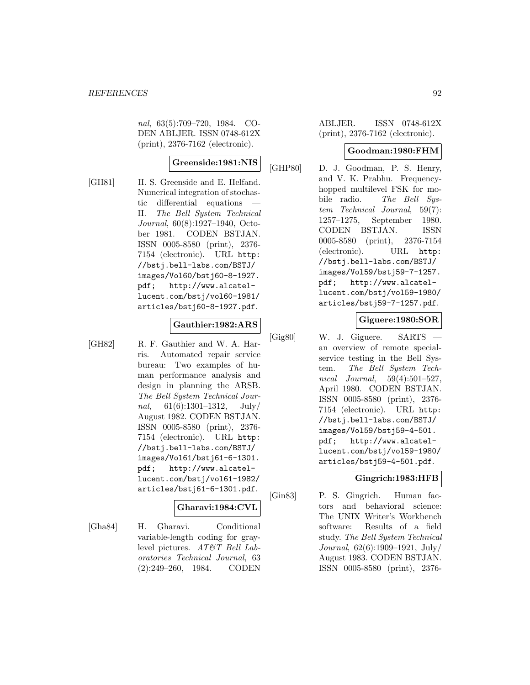nal, 63(5):709–720, 1984. CO-DEN ABLJER. ISSN 0748-612X (print), 2376-7162 (electronic).

## **Greenside:1981:NIS**

[GH81] H. S. Greenside and E. Helfand. Numerical integration of stochastic differential equations II. The Bell System Technical Journal, 60(8):1927–1940, October 1981. CODEN BSTJAN. ISSN 0005-8580 (print), 2376- 7154 (electronic). URL http: //bstj.bell-labs.com/BSTJ/ images/Vol60/bstj60-8-1927. pdf; http://www.alcatellucent.com/bstj/vol60-1981/ articles/bstj60-8-1927.pdf.

#### **Gauthier:1982:ARS**

[GH82] R. F. Gauthier and W. A. Harris. Automated repair service bureau: Two examples of human performance analysis and design in planning the ARSB. The Bell System Technical Journal,  $61(6):1301-1312$ , July/ August 1982. CODEN BSTJAN. ISSN 0005-8580 (print), 2376- 7154 (electronic). URL http: //bstj.bell-labs.com/BSTJ/ images/Vol61/bstj61-6-1301. pdf; http://www.alcatellucent.com/bstj/vol61-1982/ articles/bstj61-6-1301.pdf.

# **Gharavi:1984:CVL**

[Gha84] H. Gharavi. Conditional variable-length coding for graylevel pictures. AT&T Bell Laboratories Technical Journal, 63 (2):249–260, 1984. CODEN

ABLJER. ISSN 0748-612X (print), 2376-7162 (electronic).

### **Goodman:1980:FHM**

[GHP80] D. J. Goodman, P. S. Henry, and V. K. Prabhu. Frequencyhopped multilevel FSK for mobile radio. The Bell System Technical Journal, 59(7): 1257–1275, September 1980. CODEN BSTJAN. ISSN 0005-8580 (print), 2376-7154 (electronic). URL http: //bstj.bell-labs.com/BSTJ/ images/Vol59/bstj59-7-1257. pdf; http://www.alcatellucent.com/bstj/vol59-1980/ articles/bstj59-7-1257.pdf.

### **Giguere:1980:SOR**

[Gig80] W. J. Giguere. SARTS an overview of remote specialservice testing in the Bell System. The Bell System Technical Journal, 59(4):501–527, April 1980. CODEN BSTJAN. ISSN 0005-8580 (print), 2376- 7154 (electronic). URL http: //bstj.bell-labs.com/BSTJ/ images/Vol59/bstj59-4-501. pdf; http://www.alcatellucent.com/bstj/vol59-1980/ articles/bstj59-4-501.pdf.

### **Gingrich:1983:HFB**

[Gin83] P. S. Gingrich. Human factors and behavioral science: The UNIX Writer's Workbench software: Results of a field study. The Bell System Technical Journal, 62(6):1909–1921, July/ August 1983. CODEN BSTJAN. ISSN 0005-8580 (print), 2376-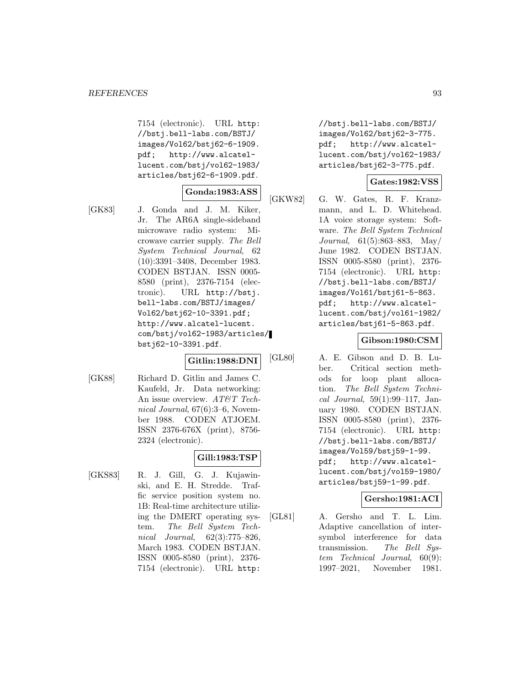7154 (electronic). URL http: //bstj.bell-labs.com/BSTJ/ images/Vol62/bstj62-6-1909. pdf; http://www.alcatellucent.com/bstj/vol62-1983/ articles/bstj62-6-1909.pdf.

### **Gonda:1983:ASS**

[GK83] J. Gonda and J. M. Kiker, Jr. The AR6A single-sideband microwave radio system: Microwave carrier supply. The Bell System Technical Journal, 62 (10):3391–3408, December 1983. CODEN BSTJAN. ISSN 0005- 8580 (print), 2376-7154 (electronic). URL http://bstj. bell-labs.com/BSTJ/images/ Vol62/bstj62-10-3391.pdf; http://www.alcatel-lucent. com/bstj/vol62-1983/articles/ bstj62-10-3391.pdf.

# **Gitlin:1988:DNI**

[GK88] Richard D. Gitlin and James C. Kaufeld, Jr. Data networking: An issue overview. AT&T Technical Journal, 67(6):3–6, November 1988. CODEN ATJOEM. ISSN 2376-676X (print), 8756- 2324 (electronic).

### **Gill:1983:TSP**

[GKS83] R. J. Gill, G. J. Kujawinski, and E. H. Stredde. Traffic service position system no. 1B: Real-time architecture utilizing the DMERT operating system. The Bell System Technical Journal, 62(3):775–826, March 1983. CODEN BSTJAN. ISSN 0005-8580 (print), 2376- 7154 (electronic). URL http:

//bstj.bell-labs.com/BSTJ/ images/Vol62/bstj62-3-775. pdf; http://www.alcatellucent.com/bstj/vol62-1983/ articles/bstj62-3-775.pdf.

### **Gates:1982:VSS**

[GKW82] G. W. Gates, R. F. Kranzmann, and L. D. Whitehead. 1A voice storage system: Software. The Bell System Technical Journal, 61(5):863–883, May/ June 1982. CODEN BSTJAN. ISSN 0005-8580 (print), 2376- 7154 (electronic). URL http: //bstj.bell-labs.com/BSTJ/ images/Vol61/bstj61-5-863. pdf; http://www.alcatellucent.com/bstj/vol61-1982/ articles/bstj61-5-863.pdf.

### **Gibson:1980:CSM**

[GL80] A. E. Gibson and D. B. Luber. Critical section methods for loop plant allocation. The Bell System Technical Journal, 59(1):99–117, January 1980. CODEN BSTJAN. ISSN 0005-8580 (print), 2376- 7154 (electronic). URL http: //bstj.bell-labs.com/BSTJ/ images/Vol59/bstj59-1-99. pdf; http://www.alcatellucent.com/bstj/vol59-1980/ articles/bstj59-1-99.pdf.

### **Gersho:1981:ACI**

[GL81] A. Gersho and T. L. Lim. Adaptive cancellation of intersymbol interference for data transmission. The Bell System Technical Journal, 60(9): 1997–2021, November 1981.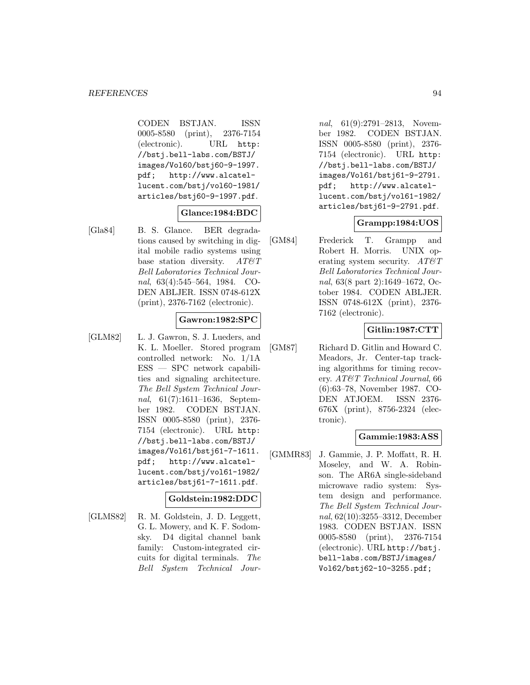CODEN BSTJAN. ISSN 0005-8580 (print), 2376-7154 (electronic). URL http: //bstj.bell-labs.com/BSTJ/ images/Vol60/bstj60-9-1997. pdf; http://www.alcatellucent.com/bstj/vol60-1981/ articles/bstj60-9-1997.pdf.

### **Glance:1984:BDC**

[Gla84] B. S. Glance. BER degradations caused by switching in digital mobile radio systems using base station diversity.  $AT \mathcal{C} T$ Bell Laboratories Technical Journal, 63(4):545–564, 1984. CO-DEN ABLJER. ISSN 0748-612X (print), 2376-7162 (electronic).

### **Gawron:1982:SPC**

[GLM82] L. J. Gawron, S. J. Lueders, and K. L. Moeller. Stored program controlled network: No. 1/1A ESS — SPC network capabilities and signaling architecture. The Bell System Technical Journal, 61(7):1611–1636, September 1982. CODEN BSTJAN. ISSN 0005-8580 (print), 2376- 7154 (electronic). URL http: //bstj.bell-labs.com/BSTJ/ images/Vol61/bstj61-7-1611. pdf; http://www.alcatellucent.com/bstj/vol61-1982/ articles/bstj61-7-1611.pdf.

### **Goldstein:1982:DDC**

[GLMS82] R. M. Goldstein, J. D. Leggett, G. L. Mowery, and K. F. Sodomsky. D4 digital channel bank family: Custom-integrated circuits for digital terminals. The Bell System Technical Jour-

nal, 61(9):2791–2813, November 1982. CODEN BSTJAN. ISSN 0005-8580 (print), 2376- 7154 (electronic). URL http: //bstj.bell-labs.com/BSTJ/ images/Vol61/bstj61-9-2791. pdf; http://www.alcatellucent.com/bstj/vol61-1982/ articles/bstj61-9-2791.pdf.

# **Grampp:1984:UOS**

[GM84] Frederick T. Grampp and Robert H. Morris. UNIX operating system security.  $AT\&T$ Bell Laboratories Technical Journal, 63(8 part 2):1649–1672, October 1984. CODEN ABLJER. ISSN 0748-612X (print), 2376- 7162 (electronic).

### **Gitlin:1987:CTT**

[GM87] Richard D. Gitlin and Howard C. Meadors, Jr. Center-tap tracking algorithms for timing recovery. AT&T Technical Journal, 66 (6):63–78, November 1987. CO-DEN ATJOEM. ISSN 2376- 676X (print), 8756-2324 (electronic).

### **Gammie:1983:ASS**

[GMMR83] J. Gammie, J. P. Moffatt, R. H. Moseley, and W. A. Robinson. The AR6A single-sideband microwave radio system: System design and performance. The Bell System Technical Journal, 62(10):3255–3312, December 1983. CODEN BSTJAN. ISSN 0005-8580 (print), 2376-7154 (electronic). URL http://bstj. bell-labs.com/BSTJ/images/ Vol62/bstj62-10-3255.pdf;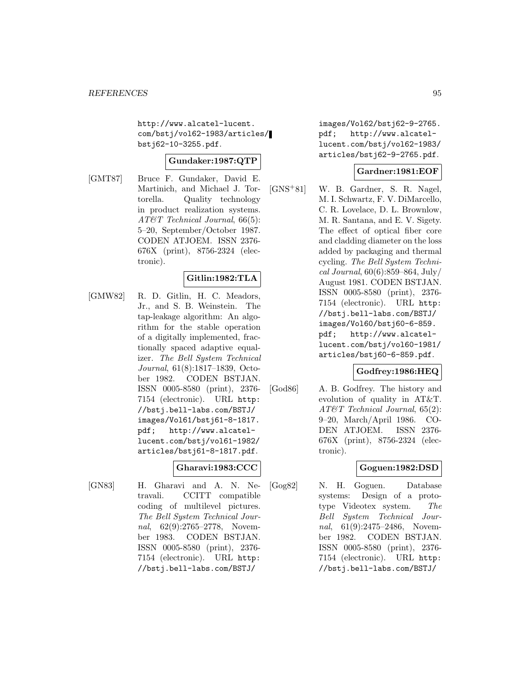http://www.alcatel-lucent. com/bstj/vol62-1983/articles/ bstj62-10-3255.pdf.

## **Gundaker:1987:QTP**

[GMT87] Bruce F. Gundaker, David E. Martinich, and Michael J. Tortorella. Quality technology in product realization systems. AT&T Technical Journal, 66(5): 5–20, September/October 1987. CODEN ATJOEM. ISSN 2376- 676X (print), 8756-2324 (electronic).

# **Gitlin:1982:TLA**

[GMW82] R. D. Gitlin, H. C. Meadors, Jr., and S. B. Weinstein. The tap-leakage algorithm: An algorithm for the stable operation of a digitally implemented, fractionally spaced adaptive equalizer. The Bell System Technical Journal, 61(8):1817–1839, October 1982. CODEN BSTJAN. ISSN 0005-8580 (print), 2376- 7154 (electronic). URL http: //bstj.bell-labs.com/BSTJ/ images/Vol61/bstj61-8-1817. pdf; http://www.alcatellucent.com/bstj/vol61-1982/ articles/bstj61-8-1817.pdf.

## **Gharavi:1983:CCC**

[GN83] H. Gharavi and A. N. Netravali. CCITT compatible coding of multilevel pictures. The Bell System Technical Journal, 62(9):2765–2778, November 1983. CODEN BSTJAN. ISSN 0005-8580 (print), 2376- 7154 (electronic). URL http: //bstj.bell-labs.com/BSTJ/

images/Vol62/bstj62-9-2765. pdf; http://www.alcatellucent.com/bstj/vol62-1983/ articles/bstj62-9-2765.pdf.

### **Gardner:1981:EOF**

[GNS<sup>+</sup>81] W. B. Gardner, S. R. Nagel, M. I. Schwartz, F. V. DiMarcello, C. R. Lovelace, D. L. Brownlow, M. R. Santana, and E. V. Sigety. The effect of optical fiber core and cladding diameter on the loss added by packaging and thermal cycling. The Bell System Techni $cal Journal, 60(6):859–864, July/$ August 1981. CODEN BSTJAN. ISSN 0005-8580 (print), 2376- 7154 (electronic). URL http: //bstj.bell-labs.com/BSTJ/ images/Vol60/bstj60-6-859. pdf; http://www.alcatellucent.com/bstj/vol60-1981/ articles/bstj60-6-859.pdf.

### **Godfrey:1986:HEQ**

[God86] A. B. Godfrey. The history and evolution of quality in AT&T. AT&T Technical Journal, 65(2): 9–20, March/April 1986. CO-DEN ATJOEM. ISSN 2376- 676X (print), 8756-2324 (electronic).

# **Goguen:1982:DSD**

[Gog82] N. H. Goguen. Database systems: Design of a prototype Videotex system. The Bell System Technical Journal, 61(9):2475–2486, November 1982. CODEN BSTJAN. ISSN 0005-8580 (print), 2376- 7154 (electronic). URL http: //bstj.bell-labs.com/BSTJ/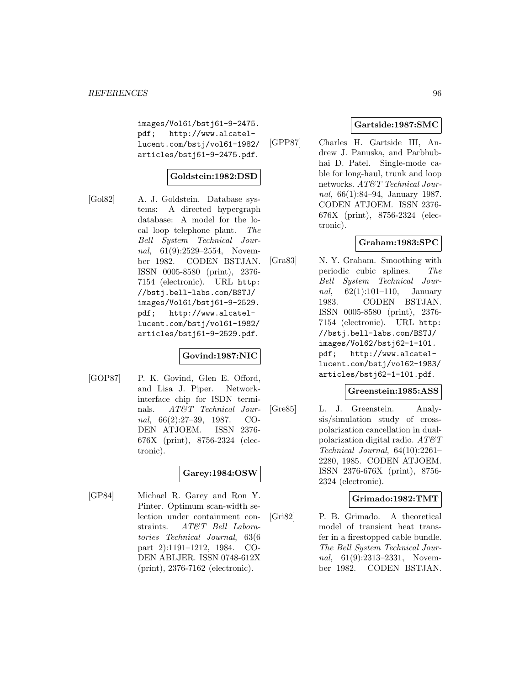images/Vol61/bstj61-9-2475. pdf; http://www.alcatellucent.com/bstj/vol61-1982/ articles/bstj61-9-2475.pdf.

## **Goldstein:1982:DSD**

[Gol82] A. J. Goldstein. Database systems: A directed hypergraph database: A model for the local loop telephone plant. The Bell System Technical Journal, 61(9):2529–2554, November 1982. CODEN BSTJAN. ISSN 0005-8580 (print), 2376- 7154 (electronic). URL http: //bstj.bell-labs.com/BSTJ/ images/Vol61/bstj61-9-2529. pdf; http://www.alcatellucent.com/bstj/vol61-1982/ articles/bstj61-9-2529.pdf.

### **Govind:1987:NIC**

[GOP87] P. K. Govind, Glen E. Offord, and Lisa J. Piper. Networkinterface chip for ISDN terminals. AT&T Technical Journal, 66(2):27–39, 1987. CO-DEN ATJOEM. ISSN 2376- 676X (print), 8756-2324 (electronic).

# **Garey:1984:OSW**

[GP84] Michael R. Garey and Ron Y. Pinter. Optimum scan-width selection under containment constraints. AT&T Bell Laboratories Technical Journal, 63(6 part 2):1191–1212, 1984. CO-DEN ABLJER. ISSN 0748-612X (print), 2376-7162 (electronic).

### **Gartside:1987:SMC**

[GPP87] Charles H. Gartside III, Andrew J. Panuska, and Parbhubhai D. Patel. Single-mode cable for long-haul, trunk and loop networks. AT&T Technical Journal, 66(1):84–94, January 1987. CODEN ATJOEM. ISSN 2376- 676X (print), 8756-2324 (electronic).

# **Graham:1983:SPC**

[Gra83] N. Y. Graham. Smoothing with periodic cubic splines. The Bell System Technical Jour*nal*,  $62(1):101-110$ , January 1983. CODEN BSTJAN. ISSN 0005-8580 (print), 2376- 7154 (electronic). URL http: //bstj.bell-labs.com/BSTJ/ images/Vol62/bstj62-1-101. pdf; http://www.alcatellucent.com/bstj/vol62-1983/ articles/bstj62-1-101.pdf.

### **Greenstein:1985:ASS**

[Gre85] L. J. Greenstein. Analysis/simulation study of crosspolarization cancellation in dualpolarization digital radio.  $AT\&T$ Technical Journal, 64(10):2261– 2280, 1985. CODEN ATJOEM. ISSN 2376-676X (print), 8756- 2324 (electronic).

### **Grimado:1982:TMT**

[Gri82] P. B. Grimado. A theoretical model of transient heat transfer in a firestopped cable bundle. The Bell System Technical Journal, 61(9):2313–2331, November 1982. CODEN BSTJAN.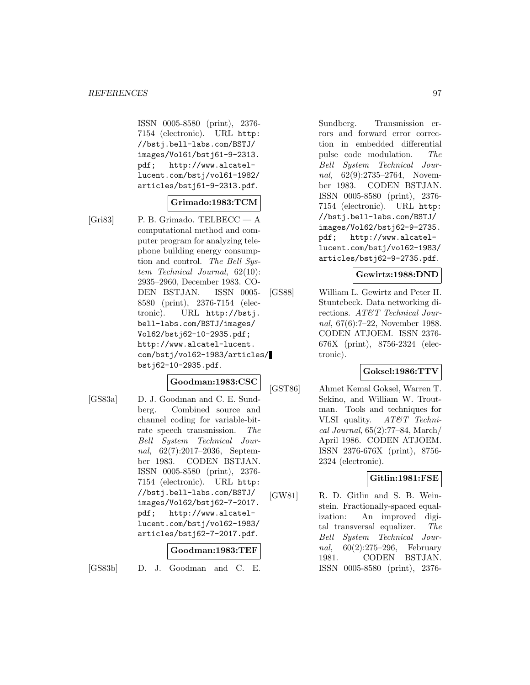ISSN 0005-8580 (print), 2376- 7154 (electronic). URL http: //bstj.bell-labs.com/BSTJ/ images/Vol61/bstj61-9-2313. pdf; http://www.alcatellucent.com/bstj/vol61-1982/ articles/bstj61-9-2313.pdf.

# **Grimado:1983:TCM**

[Gri83] P. B. Grimado. TELBECC — A computational method and computer program for analyzing telephone building energy consumption and control. The Bell System Technical Journal, 62(10): 2935–2960, December 1983. CO-DEN BSTJAN. ISSN 0005- 8580 (print), 2376-7154 (electronic). URL http://bstj. bell-labs.com/BSTJ/images/ Vol62/bstj62-10-2935.pdf; http://www.alcatel-lucent. com/bstj/vol62-1983/articles/ bstj62-10-2935.pdf.

### **Goodman:1983:CSC**

[GS83a] D. J. Goodman and C. E. Sundberg. Combined source and channel coding for variable-bitrate speech transmission. The Bell System Technical Journal, 62(7):2017–2036, September 1983. CODEN BSTJAN. ISSN 0005-8580 (print), 2376- 7154 (electronic). URL http: //bstj.bell-labs.com/BSTJ/ images/Vol62/bstj62-7-2017. pdf; http://www.alcatellucent.com/bstj/vol62-1983/ articles/bstj62-7-2017.pdf.

### **Goodman:1983:TEF**

[GS83b] D. J. Goodman and C. E.

Sundberg. Transmission errors and forward error correction in embedded differential pulse code modulation. The Bell System Technical Journal, 62(9):2735–2764, November 1983. CODEN BSTJAN. ISSN 0005-8580 (print), 2376- 7154 (electronic). URL http: //bstj.bell-labs.com/BSTJ/ images/Vol62/bstj62-9-2735. pdf; http://www.alcatellucent.com/bstj/vol62-1983/ articles/bstj62-9-2735.pdf.

#### **Gewirtz:1988:DND**

[GS88] William L. Gewirtz and Peter H. Stuntebeck. Data networking directions. AT&T Technical Journal, 67(6):7–22, November 1988. CODEN ATJOEM. ISSN 2376- 676X (print), 8756-2324 (electronic).

# **Goksel:1986:TTV**

[GST86] Ahmet Kemal Goksel, Warren T. Sekino, and William W. Troutman. Tools and techniques for VLSI quality. AT&T Technical Journal, 65(2):77–84, March/ April 1986. CODEN ATJOEM. ISSN 2376-676X (print), 8756- 2324 (electronic).

### **Gitlin:1981:FSE**

[GW81] R. D. Gitlin and S. B. Weinstein. Fractionally-spaced equalization: An improved digital transversal equalizer. The Bell System Technical Journal, 60(2):275–296, February 1981. CODEN BSTJAN. ISSN 0005-8580 (print), 2376-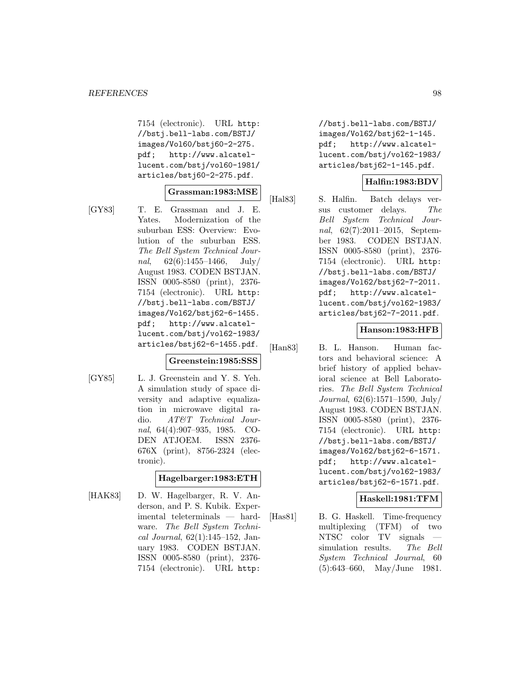7154 (electronic). URL http: //bstj.bell-labs.com/BSTJ/ images/Vol60/bstj60-2-275. pdf; http://www.alcatellucent.com/bstj/vol60-1981/ articles/bstj60-2-275.pdf.

#### **Grassman:1983:MSE**

- 
- [GY83] T. E. Grassman and J. E. Yates. Modernization of the suburban ESS: Overview: Evolution of the suburban ESS. The Bell System Technical Journal,  $62(6):1455-1466$ , July/ August 1983. CODEN BSTJAN. ISSN 0005-8580 (print), 2376- 7154 (electronic). URL http: //bstj.bell-labs.com/BSTJ/ images/Vol62/bstj62-6-1455. pdf; http://www.alcatellucent.com/bstj/vol62-1983/ articles/bstj62-6-1455.pdf.

#### **Greenstein:1985:SSS**

[GY85] L. J. Greenstein and Y. S. Yeh. A simulation study of space diversity and adaptive equalization in microwave digital radio. AT&T Technical Journal, 64(4):907–935, 1985. CO-DEN ATJOEM. ISSN 2376- 676X (print), 8756-2324 (electronic).

### **Hagelbarger:1983:ETH**

[HAK83] D. W. Hagelbarger, R. V. Anderson, and P. S. Kubik. Experimental teleterminals — hardware. The Bell System Technical Journal, 62(1):145–152, January 1983. CODEN BSTJAN. ISSN 0005-8580 (print), 2376- 7154 (electronic). URL http:

//bstj.bell-labs.com/BSTJ/ images/Vol62/bstj62-1-145. pdf; http://www.alcatellucent.com/bstj/vol62-1983/ articles/bstj62-1-145.pdf.

### **Halfin:1983:BDV**

[Hal83] S. Halfin. Batch delays versus customer delays. The Bell System Technical Journal, 62(7):2011–2015, September 1983. CODEN BSTJAN. ISSN 0005-8580 (print), 2376- 7154 (electronic). URL http: //bstj.bell-labs.com/BSTJ/ images/Vol62/bstj62-7-2011. pdf; http://www.alcatellucent.com/bstj/vol62-1983/ articles/bstj62-7-2011.pdf.

### **Hanson:1983:HFB**

[Han83] B. L. Hanson. Human factors and behavioral science: A brief history of applied behavioral science at Bell Laboratories. The Bell System Technical Journal, 62(6):1571–1590, July/ August 1983. CODEN BSTJAN. ISSN 0005-8580 (print), 2376- 7154 (electronic). URL http: //bstj.bell-labs.com/BSTJ/ images/Vol62/bstj62-6-1571. pdf; http://www.alcatellucent.com/bstj/vol62-1983/ articles/bstj62-6-1571.pdf.

### **Haskell:1981:TFM**

[Has81] B. G. Haskell. Time-frequency multiplexing (TFM) of two NTSC color TV signals simulation results. The Bell System Technical Journal, 60 (5):643–660, May/June 1981.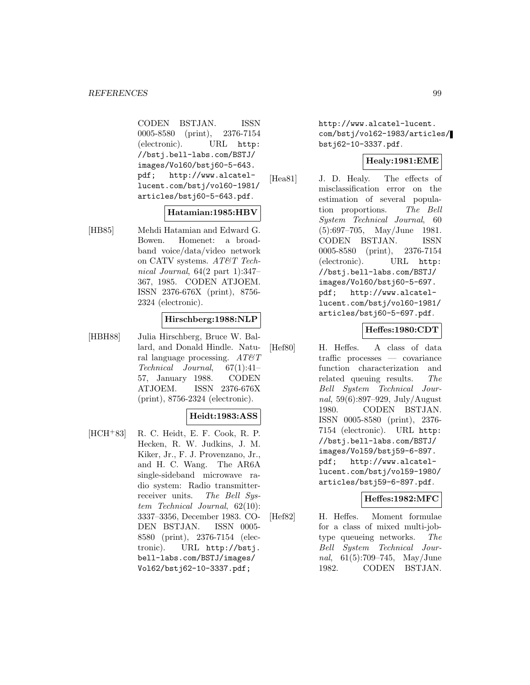CODEN BSTJAN. ISSN 0005-8580 (print), 2376-7154 (electronic). URL http: //bstj.bell-labs.com/BSTJ/ images/Vol60/bstj60-5-643. pdf; http://www.alcatellucent.com/bstj/vol60-1981/ articles/bstj60-5-643.pdf.

### **Hatamian:1985:HBV**

[HB85] Mehdi Hatamian and Edward G. Bowen. Homenet: a broadband voice/data/video network on CATV systems. AT&T Technical Journal, 64(2 part 1):347– 367, 1985. CODEN ATJOEM. ISSN 2376-676X (print), 8756- 2324 (electronic).

### **Hirschberg:1988:NLP**

[HBH88] Julia Hirschberg, Bruce W. Ballard, and Donald Hindle. Natural language processing.  $AT\&T$ Technical Journal, 67(1):41– 57, January 1988. CODEN ATJOEM. ISSN 2376-676X (print), 8756-2324 (electronic).

### **Heidt:1983:ASS**

[HCH<sup>+</sup>83] R. C. Heidt, E. F. Cook, R. P. Hecken, R. W. Judkins, J. M. Kiker, Jr., F. J. Provenzano, Jr., and H. C. Wang. The AR6A single-sideband microwave radio system: Radio transmitterreceiver units. The Bell System Technical Journal, 62(10): 3337–3356, December 1983. CO-DEN BSTJAN. ISSN 0005- 8580 (print), 2376-7154 (electronic). URL http://bstj. bell-labs.com/BSTJ/images/ Vol62/bstj62-10-3337.pdf;

http://www.alcatel-lucent. com/bstj/vol62-1983/articles/ bstj62-10-3337.pdf.

### **Healy:1981:EME**

[Hea81] J. D. Healy. The effects of misclassification error on the estimation of several population proportions. The Bell System Technical Journal, 60 (5):697–705, May/June 1981. CODEN BSTJAN. ISSN 0005-8580 (print), 2376-7154 (electronic). URL http: //bstj.bell-labs.com/BSTJ/ images/Vol60/bstj60-5-697. pdf; http://www.alcatellucent.com/bstj/vol60-1981/ articles/bstj60-5-697.pdf.

### **Heffes:1980:CDT**

[Hef80] H. Heffes. A class of data traffic processes — covariance function characterization and related queuing results. The Bell System Technical Journal, 59(6):897–929, July/August 1980. CODEN BSTJAN. ISSN 0005-8580 (print), 2376- 7154 (electronic). URL http: //bstj.bell-labs.com/BSTJ/ images/Vol59/bstj59-6-897. pdf; http://www.alcatellucent.com/bstj/vol59-1980/ articles/bstj59-6-897.pdf.

### **Heffes:1982:MFC**

[Hef82] H. Heffes. Moment formulae for a class of mixed multi-jobtype queueing networks. The Bell System Technical Journal, 61(5):709–745, May/June 1982. CODEN BSTJAN.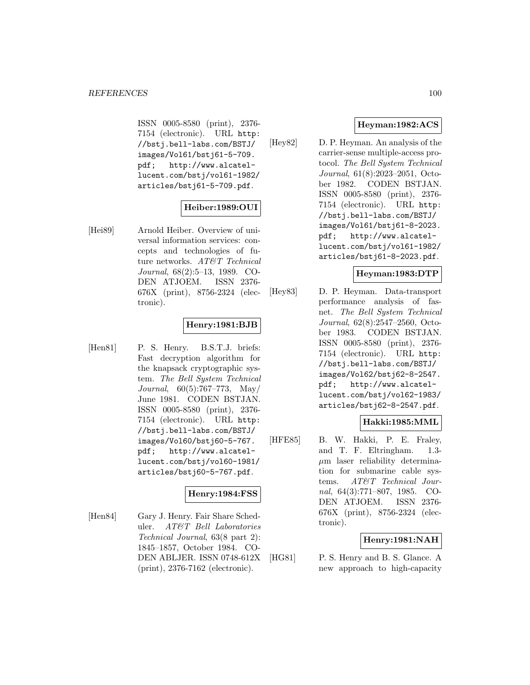ISSN 0005-8580 (print), 2376- 7154 (electronic). URL http: //bstj.bell-labs.com/BSTJ/ images/Vol61/bstj61-5-709. pdf; http://www.alcatellucent.com/bstj/vol61-1982/ articles/bstj61-5-709.pdf.

# **Heiber:1989:OUI**

[Hei89] Arnold Heiber. Overview of universal information services: concepts and technologies of future networks. AT&T Technical Journal, 68(2):5–13, 1989. CO-DEN ATJOEM. ISSN 2376- 676X (print), 8756-2324 (electronic).

# **Henry:1981:BJB**

[Hen81] P. S. Henry. B.S.T.J. briefs: Fast decryption algorithm for the knapsack cryptographic system. The Bell System Technical Journal, 60(5):767–773, May/ June 1981. CODEN BSTJAN. ISSN 0005-8580 (print), 2376- 7154 (electronic). URL http: //bstj.bell-labs.com/BSTJ/ images/Vol60/bstj60-5-767. pdf; http://www.alcatellucent.com/bstj/vol60-1981/ articles/bstj60-5-767.pdf.

# **Henry:1984:FSS**

[Hen84] Gary J. Henry. Fair Share Scheduler. AT&T Bell Laboratories Technical Journal, 63(8 part 2): 1845–1857, October 1984. CO-DEN ABLJER. ISSN 0748-612X (print), 2376-7162 (electronic).

# **Heyman:1982:ACS**

[Hey82] D. P. Heyman. An analysis of the carrier-sense multiple-access protocol. The Bell System Technical Journal, 61(8):2023–2051, October 1982. CODEN BSTJAN. ISSN 0005-8580 (print), 2376- 7154 (electronic). URL http: //bstj.bell-labs.com/BSTJ/ images/Vol61/bstj61-8-2023. pdf; http://www.alcatellucent.com/bstj/vol61-1982/ articles/bstj61-8-2023.pdf.

# **Heyman:1983:DTP**

[Hey83] D. P. Heyman. Data-transport performance analysis of fasnet. The Bell System Technical Journal, 62(8):2547–2560, October 1983. CODEN BSTJAN. ISSN 0005-8580 (print), 2376- 7154 (electronic). URL http: //bstj.bell-labs.com/BSTJ/ images/Vol62/bstj62-8-2547. pdf; http://www.alcatellucent.com/bstj/vol62-1983/ articles/bstj62-8-2547.pdf.

### **Hakki:1985:MML**

[HFE85] B. W. Hakki, P. E. Fraley, and T. F. Eltringham. 1.3-  $\mu$ m laser reliability determination for submarine cable systems. AT&T Technical Journal, 64(3):771–807, 1985. CO-DEN ATJOEM. ISSN 2376- 676X (print), 8756-2324 (electronic).

# **Henry:1981:NAH**

[HG81] P. S. Henry and B. S. Glance. A new approach to high-capacity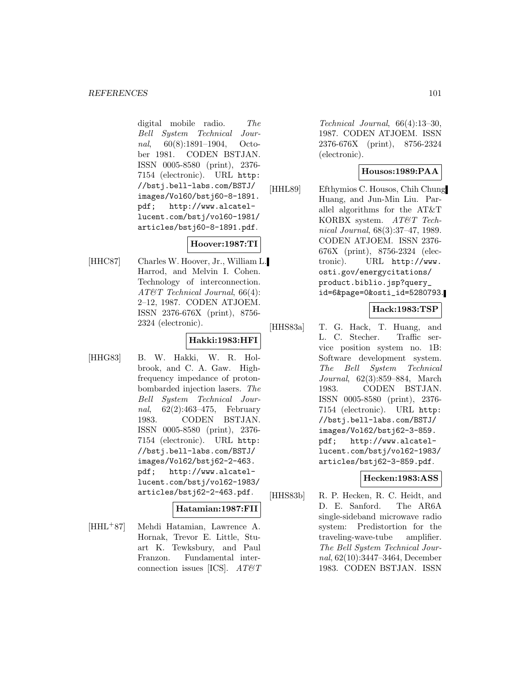digital mobile radio. The Bell System Technical Journal, 60(8):1891–1904, October 1981. CODEN BSTJAN. ISSN 0005-8580 (print), 2376- 7154 (electronic). URL http: //bstj.bell-labs.com/BSTJ/ images/Vol60/bstj60-8-1891. pdf; http://www.alcatellucent.com/bstj/vol60-1981/ articles/bstj60-8-1891.pdf.

# **Hoover:1987:TI**

[HHC87] Charles W. Hoover, Jr., William L. Harrod, and Melvin I. Cohen. Technology of interconnection. AT&T Technical Journal, 66(4): 2–12, 1987. CODEN ATJOEM. ISSN 2376-676X (print), 8756- 2324 (electronic).

### **Hakki:1983:HFI**

[HHG83] B. W. Hakki, W. R. Holbrook, and C. A. Gaw. Highfrequency impedance of protonbombarded injection lasers. The Bell System Technical Journal, 62(2):463–475, February 1983. CODEN BSTJAN. ISSN 0005-8580 (print), 2376- 7154 (electronic). URL http: //bstj.bell-labs.com/BSTJ/ images/Vol62/bstj62-2-463. pdf; http://www.alcatellucent.com/bstj/vol62-1983/ articles/bstj62-2-463.pdf.

# **Hatamian:1987:FII**

[HHL<sup>+</sup>87] Mehdi Hatamian, Lawrence A. Hornak, Trevor E. Little, Stuart K. Tewksbury, and Paul Franzon. Fundamental interconnection issues [ICS].  $AT \& T$ 

Technical Journal, 66(4):13–30, 1987. CODEN ATJOEM. ISSN 2376-676X (print), 8756-2324 (electronic).

# **Housos:1989:PAA**

[HHL89] Efthymios C. Housos, Chih Chung Huang, and Jun-Min Liu. Parallel algorithms for the AT&T KORBX system. AT&T Technical Journal, 68(3):37–47, 1989. CODEN ATJOEM. ISSN 2376- 676X (print), 8756-2324 (electronic). URL http://www. osti.gov/energycitations/ product.biblio.jsp?query\_ id=6&page=0&osti\_id=5280793.

# **Hack:1983:TSP**

[HHS83a] T. G. Hack, T. Huang, and L. C. Stecher. Traffic service position system no. 1B: Software development system. The Bell System Technical Journal, 62(3):859–884, March 1983. CODEN BSTJAN. ISSN 0005-8580 (print), 2376- 7154 (electronic). URL http: //bstj.bell-labs.com/BSTJ/ images/Vol62/bstj62-3-859. pdf; http://www.alcatellucent.com/bstj/vol62-1983/ articles/bstj62-3-859.pdf.

# **Hecken:1983:ASS**

[HHS83b] R. P. Hecken, R. C. Heidt, and D. E. Sanford. The AR6A single-sideband microwave radio system: Predistortion for the traveling-wave-tube amplifier. The Bell System Technical Journal, 62(10):3447–3464, December 1983. CODEN BSTJAN. ISSN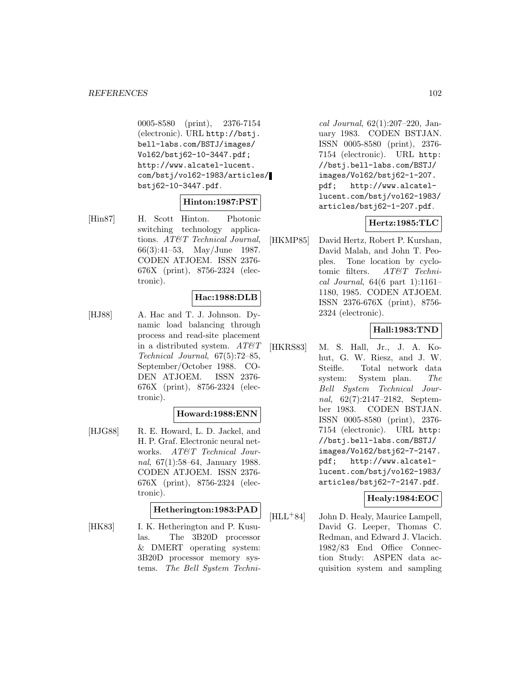0005-8580 (print), 2376-7154 (electronic). URL http://bstj. bell-labs.com/BSTJ/images/ Vol62/bstj62-10-3447.pdf; http://www.alcatel-lucent. com/bstj/vol62-1983/articles/ bstj62-10-3447.pdf.

### **Hinton:1987:PST**

[Hin87] H. Scott Hinton. Photonic switching technology applications. AT&T Technical Journal, 66(3):41–53, May/June 1987. CODEN ATJOEM. ISSN 2376- 676X (print), 8756-2324 (electronic).

### **Hac:1988:DLB**

[HJ88] A. Hac and T. J. Johnson. Dynamic load balancing through process and read-site placement in a distributed system.  $AT \mathcal{C}T$ Technical Journal, 67(5):72–85, September/October 1988. CO-DEN ATJOEM. ISSN 2376- 676X (print), 8756-2324 (electronic).

### **Howard:1988:ENN**

[HJG88] R. E. Howard, L. D. Jackel, and H. P. Graf. Electronic neural networks. AT&T Technical Journal, 67(1):58–64, January 1988. CODEN ATJOEM. ISSN 2376- 676X (print), 8756-2324 (electronic).

### **Hetherington:1983:PAD**

[HK83] I. K. Hetherington and P. Kusulas. The 3B20D processor & DMERT operating system: 3B20D processor memory systems. The Bell System Techni-

cal Journal, 62(1):207–220, January 1983. CODEN BSTJAN. ISSN 0005-8580 (print), 2376- 7154 (electronic). URL http: //bstj.bell-labs.com/BSTJ/ images/Vol62/bstj62-1-207. pdf; http://www.alcatellucent.com/bstj/vol62-1983/ articles/bstj62-1-207.pdf.

### **Hertz:1985:TLC**

[HKMP85] David Hertz, Robert P. Kurshan, David Malah, and John T. Peoples. Tone location by cyclotomic filters. AT&T Technical Journal,  $64(6$  part 1):1161-1180, 1985. CODEN ATJOEM. ISSN 2376-676X (print), 8756- 2324 (electronic).

### **Hall:1983:TND**

[HKRS83] M. S. Hall, Jr., J. A. Kohut, G. W. Riesz, and J. W. Steifle. Total network data system: System plan. The Bell System Technical Journal, 62(7):2147–2182, September 1983. CODEN BSTJAN. ISSN 0005-8580 (print), 2376- 7154 (electronic). URL http: //bstj.bell-labs.com/BSTJ/ images/Vol62/bstj62-7-2147. pdf; http://www.alcatellucent.com/bstj/vol62-1983/ articles/bstj62-7-2147.pdf.

# **Healy:1984:EOC**

[HLL<sup>+</sup>84] John D. Healy, Maurice Lampell, David G. Leeper, Thomas C. Redman, and Edward J. Vlacich. 1982/83 End Office Connection Study: ASPEN data acquisition system and sampling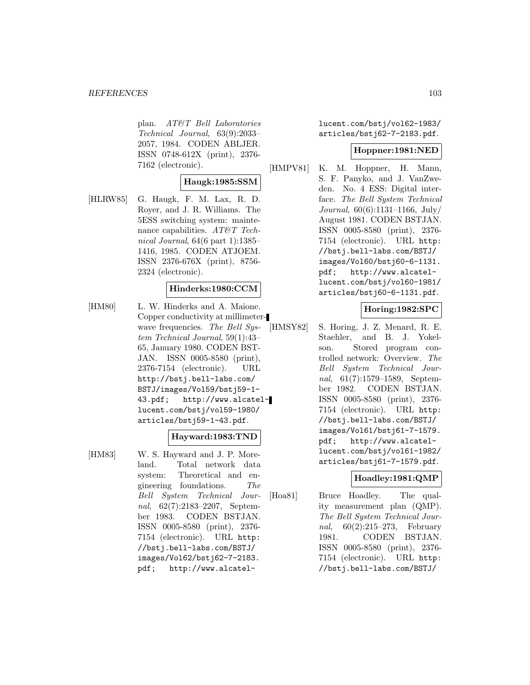plan. AT&T Bell Laboratories Technical Journal, 63(9):2033– 2057, 1984. CODEN ABLJER. ISSN 0748-612X (print), 2376- 7162 (electronic).

# **Haugk:1985:SSM**

[HLRW85] G. Haugk, F. M. Lax, R. D. Royer, and J. R. Williams. The 5ESS switching system: maintenance capabilities.  $AT\&T$  Technical Journal, 64(6 part 1):1385– 1416, 1985. CODEN ATJOEM. ISSN 2376-676X (print), 8756- 2324 (electronic).

### **Hinderks:1980:CCM**

[HM80] L. W. Hinderks and A. Maione. Copper conductivity at millimeterwave frequencies. The Bell System Technical Journal, 59(1):43– 65, January 1980. CODEN BST-JAN. ISSN 0005-8580 (print), 2376-7154 (electronic). URL http://bstj.bell-labs.com/ BSTJ/images/Vol59/bstj59-1- 43.pdf; http://www.alcatellucent.com/bstj/vol59-1980/ articles/bstj59-1-43.pdf.

### **Hayward:1983:TND**

[HM83] W. S. Hayward and J. P. Moreland. Total network data system: Theoretical and engineering foundations. The Bell System Technical Journal, 62(7):2183–2207, September 1983. CODEN BSTJAN. ISSN 0005-8580 (print), 2376- 7154 (electronic). URL http: //bstj.bell-labs.com/BSTJ/ images/Vol62/bstj62-7-2183. pdf; http://www.alcatellucent.com/bstj/vol62-1983/ articles/bstj62-7-2183.pdf.

### **Hoppner:1981:NED**

[HMPV81] K. M. Hoppner, H. Mann, S. F. Panyko, and J. VanZweden. No. 4 ESS: Digital interface. The Bell System Technical Journal, 60(6):1131–1166, July/ August 1981. CODEN BSTJAN. ISSN 0005-8580 (print), 2376- 7154 (electronic). URL http: //bstj.bell-labs.com/BSTJ/ images/Vol60/bstj60-6-1131. pdf; http://www.alcatellucent.com/bstj/vol60-1981/ articles/bstj60-6-1131.pdf.

### **Horing:1982:SPC**

[HMSY82] S. Horing, J. Z. Menard, R. E. Staehler, and B. J. Yokelson. Stored program controlled network: Overview. The Bell System Technical Journal, 61(7):1579–1589, September 1982. CODEN BSTJAN. ISSN 0005-8580 (print), 2376- 7154 (electronic). URL http: //bstj.bell-labs.com/BSTJ/ images/Vol61/bstj61-7-1579. pdf; http://www.alcatellucent.com/bstj/vol61-1982/ articles/bstj61-7-1579.pdf.

### **Hoadley:1981:QMP**

[Hoa81] Bruce Hoadley. The quality measurement plan (QMP). The Bell System Technical Journal, 60(2):215–273, February 1981. CODEN BSTJAN. ISSN 0005-8580 (print), 2376- 7154 (electronic). URL http: //bstj.bell-labs.com/BSTJ/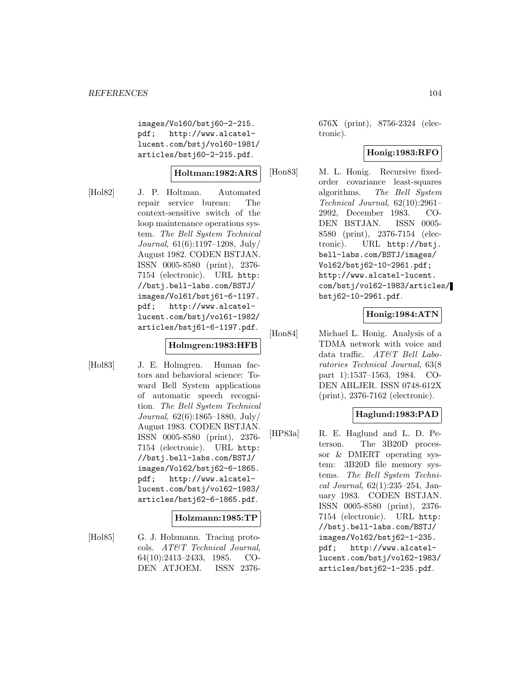images/Vol60/bstj60-2-215. pdf; http://www.alcatellucent.com/bstj/vol60-1981/ articles/bstj60-2-215.pdf.

### **Holtman:1982:ARS**

[Hol82] J. P. Holtman. Automated repair service bureau: The context-sensitive switch of the loop maintenance operations system. The Bell System Technical Journal, 61(6):1197–1208, July/ August 1982. CODEN BSTJAN. ISSN 0005-8580 (print), 2376- 7154 (electronic). URL http: //bstj.bell-labs.com/BSTJ/ images/Vol61/bstj61-6-1197. pdf; http://www.alcatellucent.com/bstj/vol61-1982/ articles/bstj61-6-1197.pdf.

# **Holmgren:1983:HFB**

[Hol83] J. E. Holmgren. Human factors and behavioral science: Toward Bell System applications of automatic speech recognition. The Bell System Technical Journal, 62(6):1865–1880, July/ August 1983. CODEN BSTJAN. ISSN 0005-8580 (print), 2376- 7154 (electronic). URL http: //bstj.bell-labs.com/BSTJ/ images/Vol62/bstj62-6-1865. pdf; http://www.alcatellucent.com/bstj/vol62-1983/ articles/bstj62-6-1865.pdf.

### **Holzmann:1985:TP**

[Hol85] G. J. Holzmann. Tracing protocols. AT&T Technical Journal, 64(10):2413–2433, 1985. CO-DEN ATJOEM. ISSN 2376676X (print), 8756-2324 (electronic).

### **Honig:1983:RFO**

[Hon83] M. L. Honig. Recursive fixedorder covariance least-squares algorithms. The Bell System Technical Journal, 62(10):2961– 2992, December 1983. CO-DEN BSTJAN. ISSN 0005- 8580 (print), 2376-7154 (electronic). URL http://bstj. bell-labs.com/BSTJ/images/ Vol62/bstj62-10-2961.pdf; http://www.alcatel-lucent. com/bstj/vol62-1983/articles/ bstj62-10-2961.pdf.

# **Honig:1984:ATN**

[Hon84] Michael L. Honig. Analysis of a TDMA network with voice and data traffic. AT&T Bell Laboratories Technical Journal, 63(8 part 1):1537–1563, 1984. CO-DEN ABLJER. ISSN 0748-612X (print), 2376-7162 (electronic).

### **Haglund:1983:PAD**

[HP83a] R. E. Haglund and L. D. Peterson. The 3B20D processor & DMERT operating system: 3B20D file memory systems. The Bell System Technical Journal, 62(1):235–254, January 1983. CODEN BSTJAN. ISSN 0005-8580 (print), 2376- 7154 (electronic). URL http: //bstj.bell-labs.com/BSTJ/ images/Vol62/bstj62-1-235. pdf; http://www.alcatellucent.com/bstj/vol62-1983/ articles/bstj62-1-235.pdf.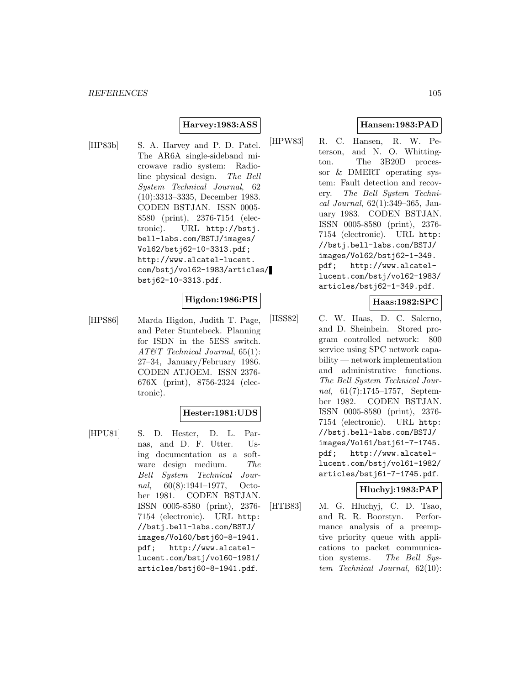# **Harvey:1983:ASS**

[HP83b] S. A. Harvey and P. D. Patel. The AR6A single-sideband microwave radio system: Radioline physical design. The Bell System Technical Journal, 62 (10):3313–3335, December 1983. CODEN BSTJAN. ISSN 0005- 8580 (print), 2376-7154 (electronic). URL http://bstj. bell-labs.com/BSTJ/images/ Vol62/bstj62-10-3313.pdf; http://www.alcatel-lucent. com/bstj/vol62-1983/articles/ bstj62-10-3313.pdf.

# **Higdon:1986:PIS**

[HPS86] Marda Higdon, Judith T. Page, and Peter Stuntebeck. Planning for ISDN in the 5ESS switch. AT&T Technical Journal, 65(1): 27–34, January/February 1986. CODEN ATJOEM. ISSN 2376- 676X (print), 8756-2324 (electronic).

# **Hester:1981:UDS**

[HPU81] S. D. Hester, D. L. Parnas, and D. F. Utter. Using documentation as a software design medium. The Bell System Technical Journal, 60(8):1941–1977, October 1981. CODEN BSTJAN. ISSN 0005-8580 (print), 2376- 7154 (electronic). URL http: //bstj.bell-labs.com/BSTJ/ images/Vol60/bstj60-8-1941. pdf; http://www.alcatellucent.com/bstj/vol60-1981/ articles/bstj60-8-1941.pdf.

# **Hansen:1983:PAD**

[HPW83] R. C. Hansen, R. W. Peterson, and N. O. Whittington. The 3B20D processor & DMERT operating system: Fault detection and recovery. The Bell System Technical Journal, 62(1):349–365, January 1983. CODEN BSTJAN. ISSN 0005-8580 (print), 2376- 7154 (electronic). URL http: //bstj.bell-labs.com/BSTJ/ images/Vol62/bstj62-1-349. pdf; http://www.alcatellucent.com/bstj/vol62-1983/ articles/bstj62-1-349.pdf.

# **Haas:1982:SPC**

[HSS82] C. W. Haas, D. C. Salerno, and D. Sheinbein. Stored program controlled network: 800 service using SPC network capability — network implementation and administrative functions. The Bell System Technical Journal, 61(7):1745–1757, September 1982. CODEN BSTJAN. ISSN 0005-8580 (print), 2376- 7154 (electronic). URL http: //bstj.bell-labs.com/BSTJ/ images/Vol61/bstj61-7-1745. pdf; http://www.alcatellucent.com/bstj/vol61-1982/ articles/bstj61-7-1745.pdf.

# **Hluchyj:1983:PAP**

[HTB83] M. G. Hluchyj, C. D. Tsao, and R. R. Boorstyn. Performance analysis of a preemptive priority queue with applications to packet communication systems. The Bell System Technical Journal, 62(10):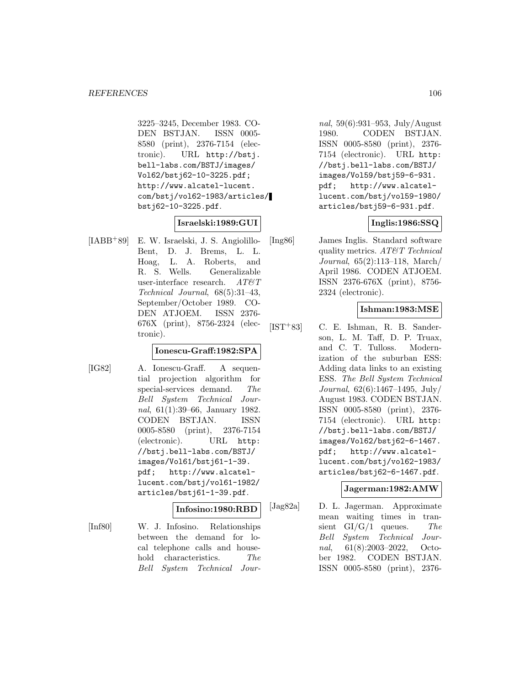3225–3245, December 1983. CO-DEN BSTJAN. ISSN 0005- 8580 (print), 2376-7154 (electronic). URL http://bstj. bell-labs.com/BSTJ/images/ Vol62/bstj62-10-3225.pdf; http://www.alcatel-lucent. com/bstj/vol62-1983/articles/ bstj62-10-3225.pdf.

### **Israelski:1989:GUI**

[IABB<sup>+</sup>89] E. W. Israelski, J. S. Angiolillo-Bent, D. J. Brems, L. L. Hoag, L. A. Roberts, and R. S. Wells. Generalizable user-interface research.  $AT\&T$ Technical Journal, 68(5):31–43, September/October 1989. CO-DEN ATJOEM. ISSN 2376- 676X (print), 8756-2324 (electronic).

#### **Ionescu-Graff:1982:SPA**

[IG82] A. Ionescu-Graff. A sequential projection algorithm for special-services demand. The Bell System Technical Journal, 61(1):39–66, January 1982. CODEN BSTJAN. ISSN 0005-8580 (print), 2376-7154 (electronic). URL http: //bstj.bell-labs.com/BSTJ/ images/Vol61/bstj61-1-39. pdf; http://www.alcatellucent.com/bstj/vol61-1982/ articles/bstj61-1-39.pdf.

# **Infosino:1980:RBD**

[Inf80] W. J. Infosino. Relationships between the demand for local telephone calls and household characteristics. The Bell System Technical Jour-

nal, 59(6):931–953, July/August 1980. CODEN BSTJAN. ISSN 0005-8580 (print), 2376- 7154 (electronic). URL http: //bstj.bell-labs.com/BSTJ/ images/Vol59/bstj59-6-931. pdf; http://www.alcatellucent.com/bstj/vol59-1980/ articles/bstj59-6-931.pdf.

### **Inglis:1986:SSQ**

[Ing86] James Inglis. Standard software quality metrics. AT&T Technical Journal, 65(2):113–118, March/ April 1986. CODEN ATJOEM. ISSN 2376-676X (print), 8756- 2324 (electronic).

### **Ishman:1983:MSE**

[IST<sup>+</sup>83] C. E. Ishman, R. B. Sanderson, L. M. Taff, D. P. Truax, and C. T. Tulloss. Modernization of the suburban ESS: Adding data links to an existing ESS. The Bell System Technical Journal, 62(6):1467–1495, July/ August 1983. CODEN BSTJAN. ISSN 0005-8580 (print), 2376- 7154 (electronic). URL http: //bstj.bell-labs.com/BSTJ/ images/Vol62/bstj62-6-1467. pdf; http://www.alcatellucent.com/bstj/vol62-1983/ articles/bstj62-6-1467.pdf.

### **Jagerman:1982:AMW**

[Jag82a] D. L. Jagerman. Approximate mean waiting times in transient  $GI/G/1$  queues. The Bell System Technical Journal, 61(8):2003–2022, October 1982. CODEN BSTJAN. ISSN 0005-8580 (print), 2376-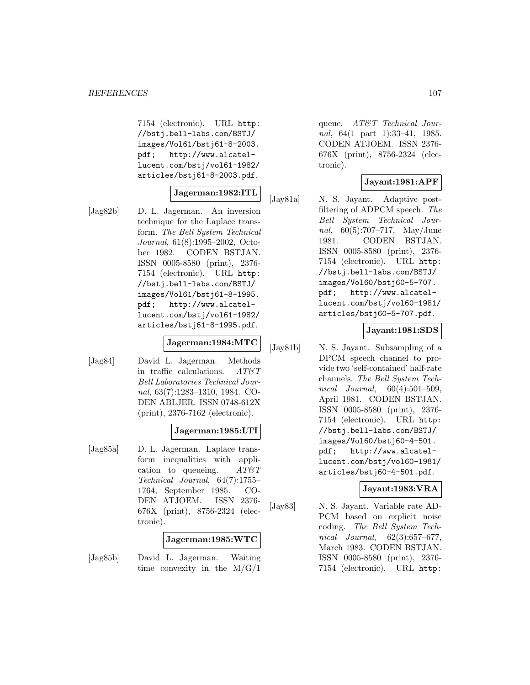7154 (electronic). URL http: //bstj.bell-labs.com/BSTJ/ images/Vol61/bstj61-8-2003. pdf; http://www.alcatellucent.com/bstj/vol61-1982/ articles/bstj61-8-2003.pdf.

### **Jagerman:1982:ITL**

[Jag82b] D. L. Jagerman. An inversion technique for the Laplace transform. The Bell System Technical Journal, 61(8):1995–2002, October 1982. CODEN BSTJAN. ISSN 0005-8580 (print), 2376- 7154 (electronic). URL http: //bstj.bell-labs.com/BSTJ/ images/Vol61/bstj61-8-1995. pdf; http://www.alcatellucent.com/bstj/vol61-1982/ articles/bstj61-8-1995.pdf.

# **Jagerman:1984:MTC**

[Jag84] David L. Jagerman. Methods in traffic calculations.  $AT \& T$ Bell Laboratories Technical Journal, 63(7):1283–1310, 1984. CO-DEN ABLJER. ISSN 0748-612X (print), 2376-7162 (electronic).

### **Jagerman:1985:LTI**

[Jag85a] D. L. Jagerman. Laplace transform inequalities with application to queueing.  $AT\&T$ Technical Journal, 64(7):1755– 1764, September 1985. CO-DEN ATJOEM. ISSN 2376- 676X (print), 8756-2324 (electronic).

### **Jagerman:1985:WTC**

[Jag85b] David L. Jagerman. Waiting time convexity in the  $M/G/1$ 

queue. AT&T Technical Journal, 64(1 part 1):33–41, 1985. CODEN ATJOEM. ISSN 2376- 676X (print), 8756-2324 (electronic).

### **Jayant:1981:APF**

[Jay81a] N. S. Jayant. Adaptive postfiltering of ADPCM speech. The Bell System Technical Journal, 60(5):707–717, May/June 1981. CODEN BSTJAN. ISSN 0005-8580 (print), 2376- 7154 (electronic). URL http: //bstj.bell-labs.com/BSTJ/ images/Vol60/bstj60-5-707. pdf; http://www.alcatellucent.com/bstj/vol60-1981/ articles/bstj60-5-707.pdf.

#### **Jayant:1981:SDS**

[Jay81b] N. S. Jayant. Subsampling of a DPCM speech channel to provide two 'self-contained' half-rate channels. The Bell System Technical Journal, 60(4):501–509, April 1981. CODEN BSTJAN. ISSN 0005-8580 (print), 2376- 7154 (electronic). URL http: //bstj.bell-labs.com/BSTJ/ images/Vol60/bstj60-4-501. pdf; http://www.alcatellucent.com/bstj/vol60-1981/ articles/bstj60-4-501.pdf.

# **Jayant:1983:VRA**

[Jay83] N. S. Jayant. Variable rate AD-PCM based on explicit noise coding. The Bell System Technical Journal, 62(3):657–677, March 1983. CODEN BSTJAN. ISSN 0005-8580 (print), 2376- 7154 (electronic). URL http: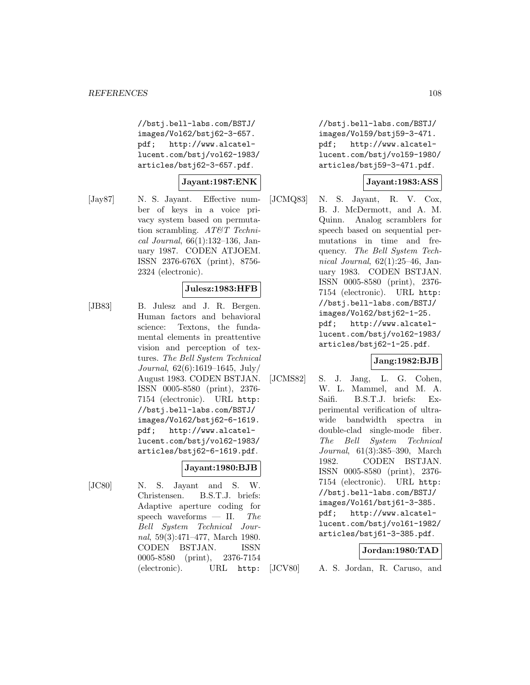//bstj.bell-labs.com/BSTJ/ images/Vol62/bstj62-3-657. pdf; http://www.alcatellucent.com/bstj/vol62-1983/ articles/bstj62-3-657.pdf.

**Jayant:1987:ENK**

[Jay87] N. S. Jayant. Effective number of keys in a voice privacy system based on permutation scrambling. AT&T Technical Journal, 66(1):132–136, January 1987. CODEN ATJOEM. ISSN 2376-676X (print), 8756- 2324 (electronic).

### **Julesz:1983:HFB**

[JB83] B. Julesz and J. R. Bergen. Human factors and behavioral science: Textons, the fundamental elements in preattentive vision and perception of textures. The Bell System Technical Journal, 62(6):1619–1645, July/ August 1983. CODEN BSTJAN. ISSN 0005-8580 (print), 2376- 7154 (electronic). URL http: //bstj.bell-labs.com/BSTJ/ images/Vol62/bstj62-6-1619. pdf; http://www.alcatellucent.com/bstj/vol62-1983/ articles/bstj62-6-1619.pdf.

### **Jayant:1980:BJB**

[JC80] N. S. Jayant and S. W. Christensen. B.S.T.J. briefs: Adaptive aperture coding for speech waveforms  $-$  II. The Bell System Technical Journal, 59(3):471–477, March 1980. CODEN BSTJAN. ISSN 0005-8580 (print), 2376-7154 (electronic). URL http:

//bstj.bell-labs.com/BSTJ/ images/Vol59/bstj59-3-471. pdf; http://www.alcatellucent.com/bstj/vol59-1980/ articles/bstj59-3-471.pdf.

#### **Jayant:1983:ASS**

[JCMQ83] N. S. Jayant, R. V. Cox, B. J. McDermott, and A. M. Quinn. Analog scramblers for speech based on sequential permutations in time and frequency. The Bell System Technical Journal, 62(1):25–46, January 1983. CODEN BSTJAN. ISSN 0005-8580 (print), 2376- 7154 (electronic). URL http: //bstj.bell-labs.com/BSTJ/ images/Vol62/bstj62-1-25. pdf; http://www.alcatellucent.com/bstj/vol62-1983/ articles/bstj62-1-25.pdf.

## **Jang:1982:BJB**

[JCMS82] S. J. Jang, L. G. Cohen, W. L. Mammel, and M. A. Saifi. B.S.T.J. briefs: Experimental verification of ultrawide bandwidth spectra in double-clad single-mode fiber. The Bell System Technical Journal, 61(3):385–390, March 1982. CODEN BSTJAN. ISSN 0005-8580 (print), 2376- 7154 (electronic). URL http: //bstj.bell-labs.com/BSTJ/ images/Vol61/bstj61-3-385. pdf; http://www.alcatellucent.com/bstj/vol61-1982/ articles/bstj61-3-385.pdf.

### **Jordan:1980:TAD**

[JCV80] A. S. Jordan, R. Caruso, and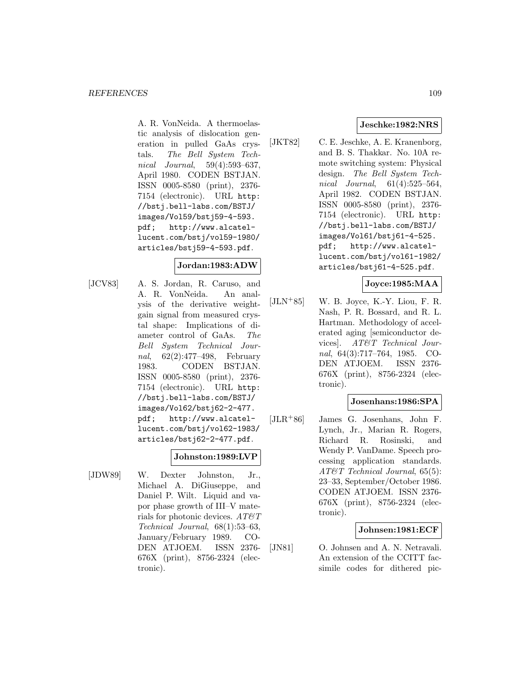A. R. VonNeida. A thermoelastic analysis of dislocation generation in pulled GaAs crystals. The Bell System Technical Journal, 59(4):593–637, April 1980. CODEN BSTJAN. ISSN 0005-8580 (print), 2376- 7154 (electronic). URL http: //bstj.bell-labs.com/BSTJ/ images/Vol59/bstj59-4-593. pdf; http://www.alcatellucent.com/bstj/vol59-1980/ articles/bstj59-4-593.pdf.

### **Jordan:1983:ADW**

[JCV83] A. S. Jordan, R. Caruso, and A. R. VonNeida. An analysis of the derivative weightgain signal from measured crystal shape: Implications of diameter control of GaAs. The Bell System Technical Journal, 62(2):477–498, February 1983. CODEN BSTJAN. ISSN 0005-8580 (print), 2376- 7154 (electronic). URL http: //bstj.bell-labs.com/BSTJ/ images/Vol62/bstj62-2-477. pdf; http://www.alcatellucent.com/bstj/vol62-1983/ articles/bstj62-2-477.pdf.

## **Johnston:1989:LVP**

[JDW89] W. Dexter Johnston, Jr., Michael A. DiGiuseppe, and Daniel P. Wilt. Liquid and vapor phase growth of III–V materials for photonic devices.  $AT\mathcal{O}T$ Technical Journal, 68(1):53–63, January/February 1989. CO-DEN ATJOEM. ISSN 2376- 676X (print), 8756-2324 (electronic).

## **Jeschke:1982:NRS**

[JKT82] C. E. Jeschke, A. E. Kranenborg, and B. S. Thakkar. No. 10A remote switching system: Physical design. The Bell System Technical Journal, 61(4):525–564, April 1982. CODEN BSTJAN. ISSN 0005-8580 (print), 2376- 7154 (electronic). URL http: //bstj.bell-labs.com/BSTJ/ images/Vol61/bstj61-4-525. pdf; http://www.alcatellucent.com/bstj/vol61-1982/ articles/bstj61-4-525.pdf.

#### **Joyce:1985:MAA**

 $[JLN+85]$  W. B. Joyce, K.-Y. Liou, F. R. Nash, P. R. Bossard, and R. L. Hartman. Methodology of accelerated aging [semiconductor devices]. AT&T Technical Journal, 64(3):717–764, 1985. CO-DEN ATJOEM. ISSN 2376- 676X (print), 8756-2324 (electronic).

### **Josenhans:1986:SPA**

[JLR<sup>+</sup>86] James G. Josenhans, John F. Lynch, Jr., Marian R. Rogers, Richard R. Rosinski, and Wendy P. VanDame. Speech processing application standards. AT&T Technical Journal, 65(5): 23–33, September/October 1986. CODEN ATJOEM. ISSN 2376- 676X (print), 8756-2324 (electronic).

### **Johnsen:1981:ECF**

[JN81] O. Johnsen and A. N. Netravali. An extension of the CCITT facsimile codes for dithered pic-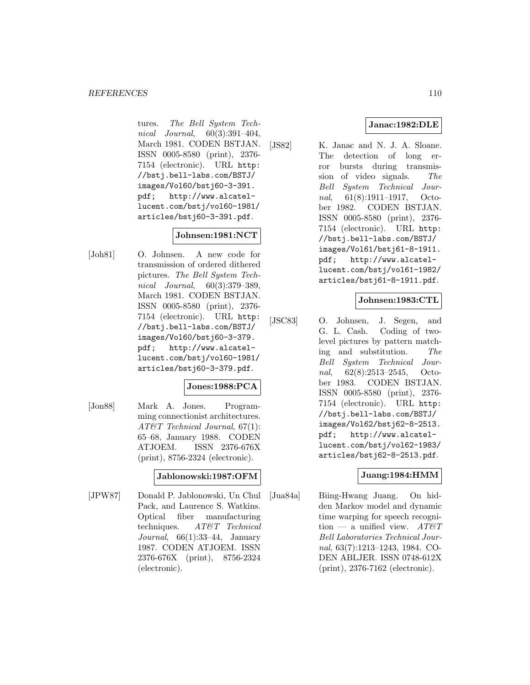tures. The Bell System Technical Journal, 60(3):391–404, March 1981. CODEN BSTJAN. ISSN 0005-8580 (print), 2376- 7154 (electronic). URL http: //bstj.bell-labs.com/BSTJ/ images/Vol60/bstj60-3-391. pdf; http://www.alcatellucent.com/bstj/vol60-1981/ articles/bstj60-3-391.pdf.

# **Johnsen:1981:NCT**

[Joh81] O. Johnsen. A new code for transmission of ordered dithered pictures. The Bell System Technical Journal, 60(3):379–389, March 1981. CODEN BSTJAN. ISSN 0005-8580 (print), 2376- 7154 (electronic). URL http: //bstj.bell-labs.com/BSTJ/ images/Vol60/bstj60-3-379. pdf; http://www.alcatellucent.com/bstj/vol60-1981/ articles/bstj60-3-379.pdf.

## **Jones:1988:PCA**

[Jon88] Mark A. Jones. Programming connectionist architectures. AT&T Technical Journal, 67(1): 65–68, January 1988. CODEN ATJOEM. ISSN 2376-676X (print), 8756-2324 (electronic).

## **Jablonowski:1987:OFM**

[JPW87] Donald P. Jablonowski, Un Chul Pack, and Laurence S. Watkins. Optical fiber manufacturing techniques. AT&T Technical Journal,  $66(1):33-44$ , January 1987. CODEN ATJOEM. ISSN 2376-676X (print), 8756-2324 (electronic).

# **Janac:1982:DLE**

[JS82] K. Janac and N. J. A. Sloane. The detection of long error bursts during transmission of video signals. The Bell System Technical Journal, 61(8):1911–1917, October 1982. CODEN BSTJAN. ISSN 0005-8580 (print), 2376- 7154 (electronic). URL http: //bstj.bell-labs.com/BSTJ/ images/Vol61/bstj61-8-1911. pdf; http://www.alcatellucent.com/bstj/vol61-1982/ articles/bstj61-8-1911.pdf.

## **Johnsen:1983:CTL**

[JSC83] O. Johnsen, J. Segen, and G. L. Cash. Coding of twolevel pictures by pattern matching and substitution. The Bell System Technical Journal, 62(8):2513–2545, October 1983. CODEN BSTJAN. ISSN 0005-8580 (print), 2376- 7154 (electronic). URL http: //bstj.bell-labs.com/BSTJ/ images/Vol62/bstj62-8-2513. pdf; http://www.alcatellucent.com/bstj/vol62-1983/ articles/bstj62-8-2513.pdf.

## **Juang:1984:HMM**

[Jua84a] Biing-Hwang Juang. On hidden Markov model and dynamic time warping for speech recognition — a unified view.  $AT \mathcal{C}T$ Bell Laboratories Technical Journal, 63(7):1213–1243, 1984. CO-DEN ABLJER. ISSN 0748-612X (print), 2376-7162 (electronic).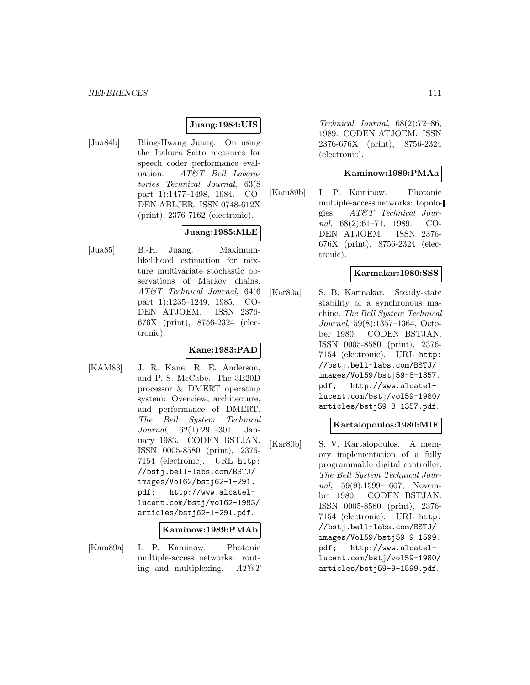### **Juang:1984:UIS**

[Jua84b] Biing-Hwang Juang. On using the Itakura–Saito measures for speech coder performance evaluation. AT&T Bell Laboratories Technical Journal, 63(8 part 1):1477–1498, 1984. CO-DEN ABLJER. ISSN 0748-612X (print), 2376-7162 (electronic).

## **Juang:1985:MLE**

[Jua85] B.-H. Juang. Maximumlikelihood estimation for mixture multivariate stochastic observations of Markov chains. AT&T Technical Journal, 64(6 part 1):1235–1249, 1985. CO-DEN ATJOEM. ISSN 2376- 676X (print), 8756-2324 (electronic).

## **Kane:1983:PAD**

[KAM83] J. R. Kane, R. E. Anderson, and P. S. McCabe. The 3B20D processor & DMERT operating system: Overview, architecture, and performance of DMERT. The Bell System Technical Journal, 62(1):291–301, January 1983. CODEN BSTJAN. ISSN 0005-8580 (print), 2376- 7154 (electronic). URL http: //bstj.bell-labs.com/BSTJ/ images/Vol62/bstj62-1-291. pdf; http://www.alcatellucent.com/bstj/vol62-1983/ articles/bstj62-1-291.pdf.

### **Kaminow:1989:PMAb**

- 
- [Kam89a] I. P. Kaminow. Photonic multiple-access networks: routing and multiplexing.  $AT \& T$

Technical Journal, 68(2):72–86, 1989. CODEN ATJOEM. ISSN 2376-676X (print), 8756-2324 (electronic).

### **Kaminow:1989:PMAa**

[Kam89b] I. P. Kaminow. Photonic multiple-access networks: topologies. AT&T Technical Journal, 68(2):61–71, 1989. CO-DEN ATJOEM. ISSN 2376- 676X (print), 8756-2324 (electronic).

### **Karmakar:1980:SSS**

[Kar80a] S. B. Karmakar. Steady-state stability of a synchronous machine. The Bell System Technical Journal, 59(8):1357–1364, October 1980. CODEN BSTJAN. ISSN 0005-8580 (print), 2376- 7154 (electronic). URL http: //bstj.bell-labs.com/BSTJ/ images/Vol59/bstj59-8-1357. pdf; http://www.alcatellucent.com/bstj/vol59-1980/ articles/bstj59-8-1357.pdf.

### **Kartalopoulos:1980:MIF**

[Kar80b] S. V. Kartalopoulos. A memory implementation of a fully programmable digital controller. The Bell System Technical Journal, 59(9):1599–1607, November 1980. CODEN BSTJAN. ISSN 0005-8580 (print), 2376- 7154 (electronic). URL http: //bstj.bell-labs.com/BSTJ/ images/Vol59/bstj59-9-1599. pdf; http://www.alcatellucent.com/bstj/vol59-1980/ articles/bstj59-9-1599.pdf.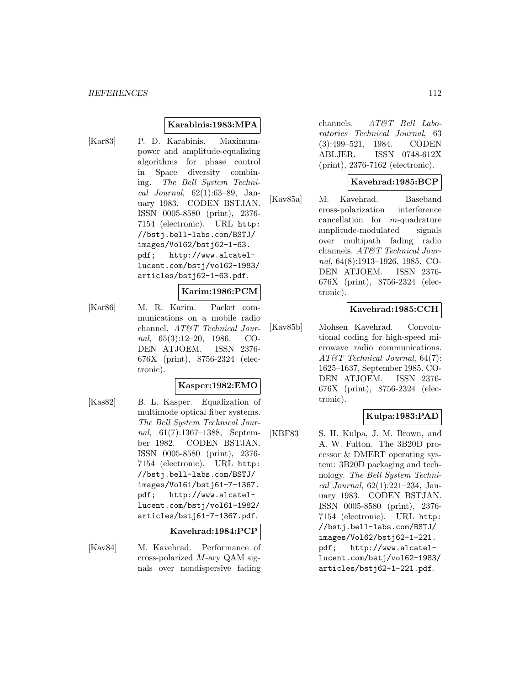### **Karabinis:1983:MPA**

[Kar83] P. D. Karabinis. Maximumpower and amplitude-equalizing algorithms for phase control in Space diversity combining. The Bell System Technical Journal, 62(1):63–89, January 1983. CODEN BSTJAN. ISSN 0005-8580 (print), 2376- 7154 (electronic). URL http: //bstj.bell-labs.com/BSTJ/ images/Vol62/bstj62-1-63. pdf; http://www.alcatellucent.com/bstj/vol62-1983/ articles/bstj62-1-63.pdf.

#### **Karim:1986:PCM**

[Kar86] M. R. Karim. Packet communications on a mobile radio channel. AT&T Technical Journal, 65(3):12–20, 1986. CO-DEN ATJOEM. ISSN 2376- 676X (print), 8756-2324 (electronic).

### **Kasper:1982:EMO**

[Kas82] B. L. Kasper. Equalization of multimode optical fiber systems. The Bell System Technical Journal, 61(7):1367–1388, September 1982. CODEN BSTJAN. ISSN 0005-8580 (print), 2376- 7154 (electronic). URL http: //bstj.bell-labs.com/BSTJ/ images/Vol61/bstj61-7-1367. pdf; http://www.alcatellucent.com/bstj/vol61-1982/ articles/bstj61-7-1367.pdf.

#### **Kavehrad:1984:PCP**

[Kav84] M. Kavehrad. Performance of cross-polarized M-ary QAM signals over nondispersive fading channels. AT&T Bell Laboratories Technical Journal, 63 (3):499–521, 1984. CODEN ABLJER. ISSN 0748-612X (print), 2376-7162 (electronic).

### **Kavehrad:1985:BCP**

[Kav85a] M. Kavehrad. Baseband cross-polarization interference cancellation for m-quadrature amplitude-modulated signals over multipath fading radio channels. AT&T Technical Journal, 64(8):1913–1926, 1985. CO-DEN ATJOEM. ISSN 2376- 676X (print), 8756-2324 (electronic).

### **Kavehrad:1985:CCH**

[Kav85b] Mohsen Kavehrad. Convolutional coding for high-speed microwave radio communications. AT&T Technical Journal, 64(7): 1625–1637, September 1985. CO-DEN ATJOEM. ISSN 2376- 676X (print), 8756-2324 (electronic).

### **Kulpa:1983:PAD**

[KBF83] S. H. Kulpa, J. M. Brown, and A. W. Fulton. The 3B20D processor & DMERT operating system: 3B20D packaging and technology. The Bell System Technical Journal, 62(1):221–234, January 1983. CODEN BSTJAN. ISSN 0005-8580 (print), 2376- 7154 (electronic). URL http: //bstj.bell-labs.com/BSTJ/ images/Vol62/bstj62-1-221. pdf; http://www.alcatellucent.com/bstj/vol62-1983/ articles/bstj62-1-221.pdf.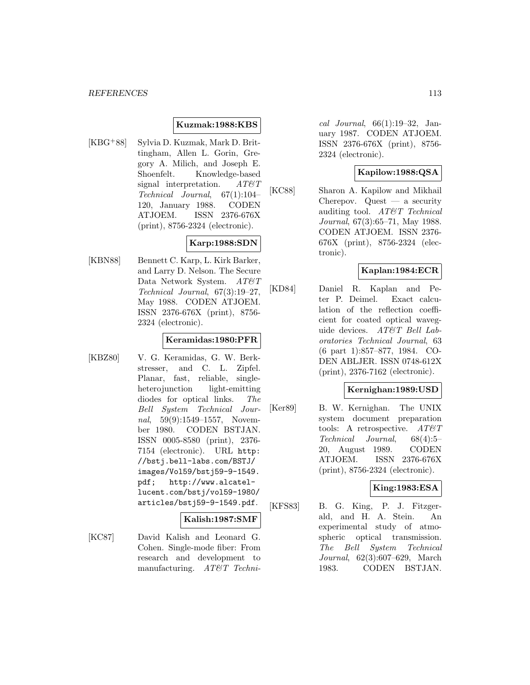### **Kuzmak:1988:KBS**

[KBG<sup>+</sup>88] Sylvia D. Kuzmak, Mark D. Brittingham, Allen L. Gorin, Gregory A. Milich, and Joseph E. Shoenfelt. Knowledge-based signal interpretation.  $AT\mathcal{O}T$ Technical Journal, 67(1):104– 120, January 1988. CODEN ATJOEM. ISSN 2376-676X (print), 8756-2324 (electronic).

# **Karp:1988:SDN**

[KBN88] Bennett C. Karp, L. Kirk Barker, and Larry D. Nelson. The Secure Data Network System.  $AT\&T$ Technical Journal, 67(3):19–27, May 1988. CODEN ATJOEM. ISSN 2376-676X (print), 8756- 2324 (electronic).

### **Keramidas:1980:PFR**

[KBZ80] V. G. Keramidas, G. W. Berkstresser, and C. L. Zipfel. Planar, fast, reliable, singleheterojunction light-emitting diodes for optical links. The Bell System Technical Journal, 59(9):1549–1557, November 1980. CODEN BSTJAN. ISSN 0005-8580 (print), 2376- 7154 (electronic). URL http: //bstj.bell-labs.com/BSTJ/ images/Vol59/bstj59-9-1549. pdf; http://www.alcatellucent.com/bstj/vol59-1980/ articles/bstj59-9-1549.pdf.

#### **Kalish:1987:SMF**

[KC87] David Kalish and Leonard G. Cohen. Single-mode fiber: From research and development to manufacturing. AT&T Techni-

cal Journal, 66(1):19–32, January 1987. CODEN ATJOEM. ISSN 2376-676X (print), 8756- 2324 (electronic).

### **Kapilow:1988:QSA**

[KC88] Sharon A. Kapilow and Mikhail Cherepov. Quest — a security auditing tool. AT&T Technical Journal, 67(3):65–71, May 1988. CODEN ATJOEM. ISSN 2376- 676X (print), 8756-2324 (electronic).

## **Kaplan:1984:ECR**

[KD84] Daniel R. Kaplan and Peter P. Deimel. Exact calculation of the reflection coefficient for coated optical waveguide devices. AT&T Bell Laboratories Technical Journal, 63 (6 part 1):857–877, 1984. CO-DEN ABLJER. ISSN 0748-612X (print), 2376-7162 (electronic).

#### **Kernighan:1989:USD**

[Ker89] B. W. Kernighan. The UNIX system document preparation tools: A retrospective.  $AT\&T$ Technical Journal, 68(4):5– 20, August 1989. CODEN ATJOEM. ISSN 2376-676X (print), 8756-2324 (electronic).

### **King:1983:ESA**

[KFS83] B. G. King, P. J. Fitzgerald, and H. A. Stein. An experimental study of atmospheric optical transmission. The Bell System Technical Journal, 62(3):607–629, March 1983. CODEN BSTJAN.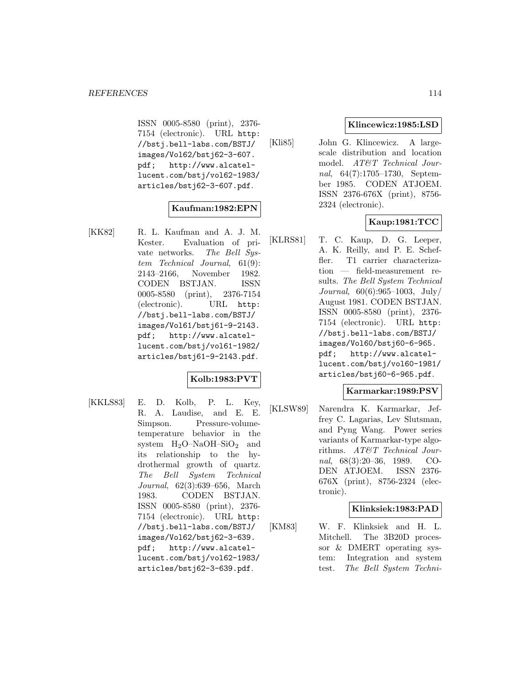ISSN 0005-8580 (print), 2376- 7154 (electronic). URL http: //bstj.bell-labs.com/BSTJ/ images/Vol62/bstj62-3-607. pdf; http://www.alcatellucent.com/bstj/vol62-1983/ articles/bstj62-3-607.pdf.

## **Kaufman:1982:EPN**

[KK82] R. L. Kaufman and A. J. M. Kester. Evaluation of private networks. The Bell System Technical Journal, 61(9): 2143–2166, November 1982. CODEN BSTJAN. ISSN 0005-8580 (print), 2376-7154 (electronic). URL http: //bstj.bell-labs.com/BSTJ/ images/Vol61/bstj61-9-2143. pdf; http://www.alcatellucent.com/bstj/vol61-1982/ articles/bstj61-9-2143.pdf.

## **Kolb:1983:PVT**

[KKLS83] E. D. Kolb, P. L. Key, R. A. Laudise, and E. E. Simpson. Pressure-volumetemperature behavior in the system  $H_2O-NaOH-SiO_2$  and its relationship to the hydrothermal growth of quartz. The Bell System Technical Journal, 62(3):639–656, March 1983. CODEN BSTJAN. ISSN 0005-8580 (print), 2376- 7154 (electronic). URL http: //bstj.bell-labs.com/BSTJ/ images/Vol62/bstj62-3-639. pdf; http://www.alcatellucent.com/bstj/vol62-1983/ articles/bstj62-3-639.pdf.

### **Klincewicz:1985:LSD**

[Kli85] John G. Klincewicz. A largescale distribution and location model. AT&T Technical Journal, 64(7):1705–1730, September 1985. CODEN ATJOEM. ISSN 2376-676X (print), 8756- 2324 (electronic).

## **Kaup:1981:TCC**

[KLRS81] T. C. Kaup, D. G. Leeper, A. K. Reilly, and P. E. Scheffler. T1 carrier characterization — field-measurement results. The Bell System Technical Journal, 60(6):965–1003, July/ August 1981. CODEN BSTJAN. ISSN 0005-8580 (print), 2376- 7154 (electronic). URL http: //bstj.bell-labs.com/BSTJ/ images/Vol60/bstj60-6-965. pdf; http://www.alcatellucent.com/bstj/vol60-1981/ articles/bstj60-6-965.pdf.

### **Karmarkar:1989:PSV**

[KLSW89] Narendra K. Karmarkar, Jeffrey C. Lagarias, Lev Slutsman, and Pyng Wang. Power series variants of Karmarkar-type algorithms. AT&T Technical Journal, 68(3):20–36, 1989. CO-DEN ATJOEM. ISSN 2376- 676X (print), 8756-2324 (electronic).

### **Klinksiek:1983:PAD**

[KM83] W. F. Klinksiek and H. L. Mitchell. The 3B20D processor & DMERT operating system: Integration and system test. The Bell System Techni-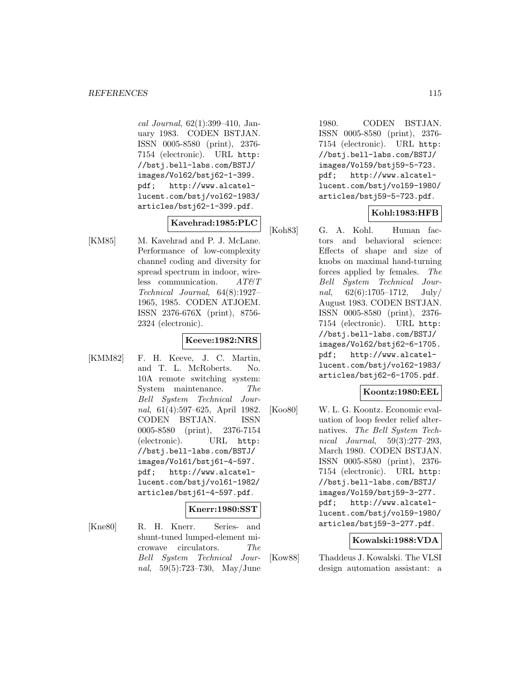cal Journal, 62(1):399–410, January 1983. CODEN BSTJAN. ISSN 0005-8580 (print), 2376- 7154 (electronic). URL http: //bstj.bell-labs.com/BSTJ/ images/Vol62/bstj62-1-399. pdf; http://www.alcatellucent.com/bstj/vol62-1983/ articles/bstj62-1-399.pdf.

### **Kavehrad:1985:PLC**

[KM85] M. Kavehrad and P. J. McLane. Performance of low-complexity channel coding and diversity for spread spectrum in indoor, wireless communication.  $AT \& T$ Technical Journal, 64(8):1927– 1965, 1985. CODEN ATJOEM. ISSN 2376-676X (print), 8756- 2324 (electronic).

## **Keeve:1982:NRS**

[KMM82] F. H. Keeve, J. C. Martin, and T. L. McRoberts. No. 10A remote switching system: System maintenance. The Bell System Technical Journal, 61(4):597–625, April 1982. CODEN BSTJAN. ISSN 0005-8580 (print), 2376-7154 (electronic). URL http: //bstj.bell-labs.com/BSTJ/ images/Vol61/bstj61-4-597. pdf; http://www.alcatellucent.com/bstj/vol61-1982/ articles/bstj61-4-597.pdf.

### **Knerr:1980:SST**

[Kne80] R. H. Knerr. Series- and shunt-tuned lumped-element microwave circulators. The Bell System Technical Journal, 59(5):723–730, May/June

1980. CODEN BSTJAN. ISSN 0005-8580 (print), 2376- 7154 (electronic). URL http: //bstj.bell-labs.com/BSTJ/ images/Vol59/bstj59-5-723. pdf; http://www.alcatellucent.com/bstj/vol59-1980/ articles/bstj59-5-723.pdf.

# **Kohl:1983:HFB**

[Koh83] G. A. Kohl. Human factors and behavioral science: Effects of shape and size of knobs on maximal hand-turning forces applied by females. The Bell System Technical Journal,  $62(6):1705-1712$ , July/ August 1983. CODEN BSTJAN. ISSN 0005-8580 (print), 2376- 7154 (electronic). URL http: //bstj.bell-labs.com/BSTJ/ images/Vol62/bstj62-6-1705. pdf; http://www.alcatellucent.com/bstj/vol62-1983/ articles/bstj62-6-1705.pdf.

### **Koontz:1980:EEL**

[Koo80] W. L. G. Koontz. Economic evaluation of loop feeder relief alternatives. The Bell System Technical Journal, 59(3):277–293, March 1980. CODEN BSTJAN. ISSN 0005-8580 (print), 2376- 7154 (electronic). URL http: //bstj.bell-labs.com/BSTJ/ images/Vol59/bstj59-3-277. pdf; http://www.alcatellucent.com/bstj/vol59-1980/ articles/bstj59-3-277.pdf.

### **Kowalski:1988:VDA**

[Kow88] Thaddeus J. Kowalski. The VLSI design automation assistant: a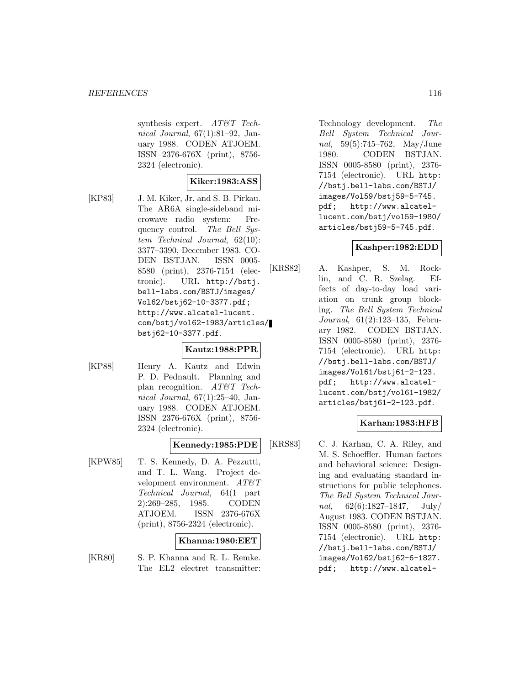synthesis expert. AT&T Technical Journal, 67(1):81–92, January 1988. CODEN ATJOEM. ISSN 2376-676X (print), 8756- 2324 (electronic).

### **Kiker:1983:ASS**

[KP83] J. M. Kiker, Jr. and S. B. Pirkau. The AR6A single-sideband microwave radio system: Frequency control. The Bell System Technical Journal, 62(10): 3377–3390, December 1983. CO-DEN BSTJAN. ISSN 0005- 8580 (print), 2376-7154 (electronic). URL http://bstj. bell-labs.com/BSTJ/images/ Vol62/bstj62-10-3377.pdf; http://www.alcatel-lucent. com/bstj/vol62-1983/articles/ bstj62-10-3377.pdf.

## **Kautz:1988:PPR**

[KP88] Henry A. Kautz and Edwin P. D. Pednault. Planning and plan recognition. AT&T Technical Journal, 67(1):25–40, January 1988. CODEN ATJOEM. ISSN 2376-676X (print), 8756- 2324 (electronic).

### **Kennedy:1985:PDE**

[KPW85] T. S. Kennedy, D. A. Pezzutti, and T. L. Wang. Project development environment. AT&T Technical Journal, 64(1 part 2):269–285, 1985. CODEN ATJOEM. ISSN 2376-676X (print), 8756-2324 (electronic).

#### **Khanna:1980:EET**

[KR80] S. P. Khanna and R. L. Remke. The EL2 electret transmitter:

Technology development. The Bell System Technical Journal, 59(5):745–762, May/June 1980. CODEN BSTJAN. ISSN 0005-8580 (print), 2376- 7154 (electronic). URL http: //bstj.bell-labs.com/BSTJ/ images/Vol59/bstj59-5-745. pdf; http://www.alcatellucent.com/bstj/vol59-1980/ articles/bstj59-5-745.pdf.

### **Kashper:1982:EDD**

[KRS82] A. Kashper, S. M. Rocklin, and C. R. Szelag. Effects of day-to-day load variation on trunk group blocking. The Bell System Technical Journal, 61(2):123–135, February 1982. CODEN BSTJAN. ISSN 0005-8580 (print), 2376- 7154 (electronic). URL http: //bstj.bell-labs.com/BSTJ/ images/Vol61/bstj61-2-123. pdf; http://www.alcatellucent.com/bstj/vol61-1982/ articles/bstj61-2-123.pdf.

# **Karhan:1983:HFB**

[KRS83] C. J. Karhan, C. A. Riley, and M. S. Schoeffler. Human factors and behavioral science: Designing and evaluating standard instructions for public telephones. The Bell System Technical Journal,  $62(6):1827-1847$ , July/ August 1983. CODEN BSTJAN. ISSN 0005-8580 (print), 2376- 7154 (electronic). URL http: //bstj.bell-labs.com/BSTJ/ images/Vol62/bstj62-6-1827. pdf; http://www.alcatel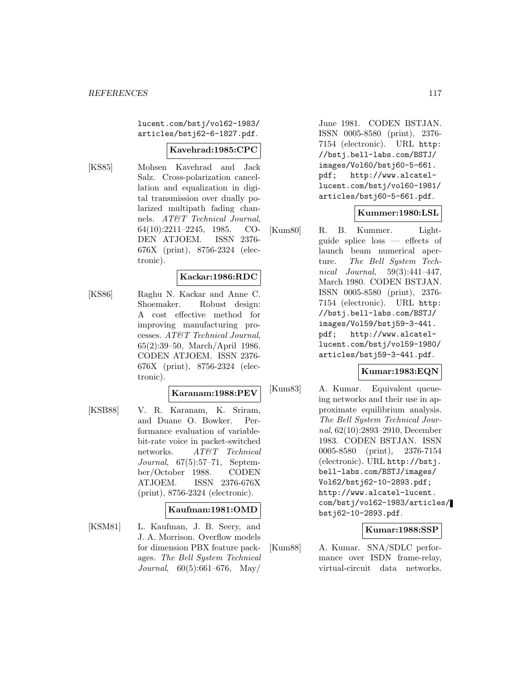lucent.com/bstj/vol62-1983/ articles/bstj62-6-1827.pdf.

#### **Kavehrad:1985:CPC**

[KS85] Mohsen Kavehrad and Jack Salz. Cross-polarization cancellation and equalization in digital transmission over dually polarized multipath fading channels. AT&T Technical Journal, 64(10):2211–2245, 1985. CO-DEN ATJOEM. ISSN 2376- 676X (print), 8756-2324 (electronic).

### **Kackar:1986:RDC**

[KS86] Raghu N. Kackar and Anne C. Shoemaker. Robust design: A cost effective method for improving manufacturing processes. AT&T Technical Journal, 65(2):39–50, March/April 1986. CODEN ATJOEM. ISSN 2376- 676X (print), 8756-2324 (electronic).

# **Karanam:1988:PEV**

[KSB88] V. R. Karanam, K. Sriram, and Duane O. Bowker. Performance evaluation of variablebit-rate voice in packet-switched networks. AT&T Technical Journal, 67(5):57–71, September/October 1988. CODEN ATJOEM. ISSN 2376-676X (print), 8756-2324 (electronic).

#### **Kaufman:1981:OMD**

[KSM81] L. Kaufman, J. B. Seery, and J. A. Morrison. Overflow models for dimension PBX feature packages. The Bell System Technical Journal, 60(5):661–676, May/

June 1981. CODEN BSTJAN. ISSN 0005-8580 (print), 2376- 7154 (electronic). URL http: //bstj.bell-labs.com/BSTJ/ images/Vol60/bstj60-5-661. pdf; http://www.alcatellucent.com/bstj/vol60-1981/ articles/bstj60-5-661.pdf.

### **Kummer:1980:LSL**

[Kum80] R. B. Kummer. Lightguide splice loss — effects of launch beam numerical aperture. The Bell System Technical Journal, 59(3):441–447, March 1980. CODEN BSTJAN. ISSN 0005-8580 (print), 2376- 7154 (electronic). URL http: //bstj.bell-labs.com/BSTJ/ images/Vol59/bstj59-3-441. pdf; http://www.alcatellucent.com/bstj/vol59-1980/ articles/bstj59-3-441.pdf.

### **Kumar:1983:EQN**

[Kum83] A. Kumar. Equivalent queueing networks and their use in approximate equilibrium analysis. The Bell System Technical Journal, 62(10):2893–2910, December 1983. CODEN BSTJAN. ISSN 0005-8580 (print), 2376-7154 (electronic). URL http://bstj. bell-labs.com/BSTJ/images/ Vol62/bstj62-10-2893.pdf; http://www.alcatel-lucent. com/bstj/vol62-1983/articles/ bstj62-10-2893.pdf.

### **Kumar:1988:SSP**

[Kum88] A. Kumar. SNA/SDLC performance over ISDN frame-relay, virtual-circuit data networks.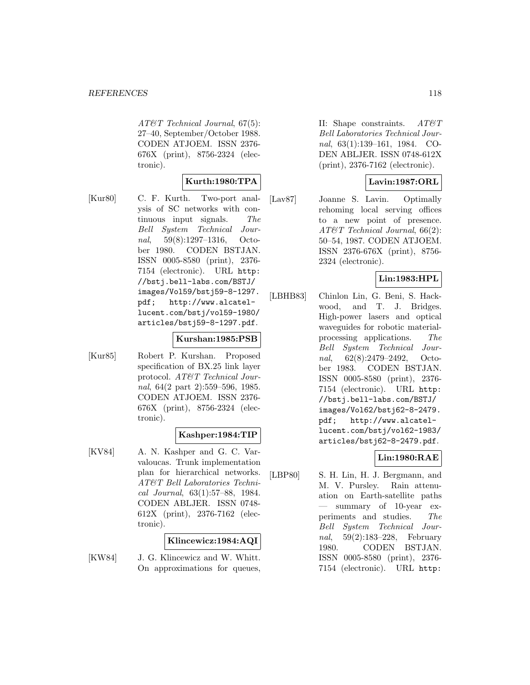AT&T Technical Journal, 67(5): 27–40, September/October 1988. CODEN ATJOEM. ISSN 2376- 676X (print), 8756-2324 (electronic).

# **Kurth:1980:TPA**

- 
- [Kur80] C. F. Kurth. Two-port analysis of SC networks with continuous input signals. The Bell System Technical Journal, 59(8):1297–1316, October 1980. CODEN BSTJAN. ISSN 0005-8580 (print), 2376- 7154 (electronic). URL http: //bstj.bell-labs.com/BSTJ/ images/Vol59/bstj59-8-1297. pdf; http://www.alcatellucent.com/bstj/vol59-1980/ articles/bstj59-8-1297.pdf.

#### **Kurshan:1985:PSB**

[Kur85] Robert P. Kurshan. Proposed specification of BX.25 link layer protocol. AT&T Technical Journal, 64(2 part 2):559–596, 1985. CODEN ATJOEM. ISSN 2376- 676X (print), 8756-2324 (electronic).

## **Kashper:1984:TIP**

[KV84] A. N. Kashper and G. C. Varvaloucas. Trunk implementation plan for hierarchical networks. AT&T Bell Laboratories Technical Journal, 63(1):57–88, 1984. CODEN ABLJER. ISSN 0748- 612X (print), 2376-7162 (electronic).

### **Klincewicz:1984:AQI**

[KW84] J. G. Klincewicz and W. Whitt. On approximations for queues,

II: Shape constraints. AT&T Bell Laboratories Technical Journal, 63(1):139–161, 1984. CO-DEN ABLJER. ISSN 0748-612X (print), 2376-7162 (electronic).

## **Lavin:1987:ORL**

[Lav87] Joanne S. Lavin. Optimally rehoming local serving offices to a new point of presence. AT&T Technical Journal, 66(2): 50–54, 1987. CODEN ATJOEM. ISSN 2376-676X (print), 8756- 2324 (electronic).

### **Lin:1983:HPL**

[LBHB83] Chinlon Lin, G. Beni, S. Hackwood, and T. J. Bridges. High-power lasers and optical waveguides for robotic materialprocessing applications. The Bell System Technical Journal, 62(8):2479–2492, October 1983. CODEN BSTJAN. ISSN 0005-8580 (print), 2376- 7154 (electronic). URL http: //bstj.bell-labs.com/BSTJ/ images/Vol62/bstj62-8-2479. pdf; http://www.alcatellucent.com/bstj/vol62-1983/ articles/bstj62-8-2479.pdf.

## **Lin:1980:RAE**

[LBP80] S. H. Lin, H. J. Bergmann, and M. V. Pursley. Rain attenuation on Earth-satellite paths summary of 10-year experiments and studies. The Bell System Technical Journal, 59(2):183–228, February 1980. CODEN BSTJAN. ISSN 0005-8580 (print), 2376- 7154 (electronic). URL http: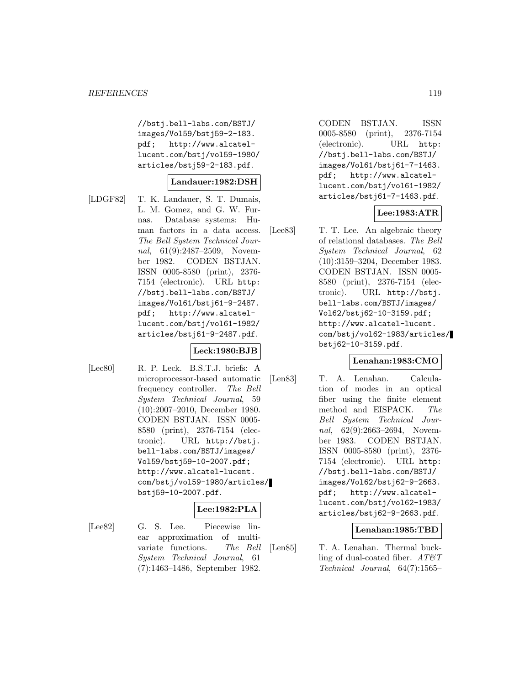//bstj.bell-labs.com/BSTJ/ images/Vol59/bstj59-2-183. pdf; http://www.alcatellucent.com/bstj/vol59-1980/ articles/bstj59-2-183.pdf.

### **Landauer:1982:DSH**

[LDGF82] T. K. Landauer, S. T. Dumais, L. M. Gomez, and G. W. Furnas. Database systems: Human factors in a data access. The Bell System Technical Journal, 61(9):2487-2509, November 1982. CODEN BSTJAN. ISSN 0005-8580 (print), 2376- 7154 (electronic). URL http: //bstj.bell-labs.com/BSTJ/ images/Vol61/bstj61-9-2487. pdf; http://www.alcatellucent.com/bstj/vol61-1982/ articles/bstj61-9-2487.pdf.

## **Leck:1980:BJB**

[Lec80] R. P. Leck. B.S.T.J. briefs: A microprocessor-based automatic frequency controller. The Bell System Technical Journal, 59 (10):2007–2010, December 1980. CODEN BSTJAN. ISSN 0005- 8580 (print), 2376-7154 (electronic). URL http://bstj. bell-labs.com/BSTJ/images/ Vol59/bstj59-10-2007.pdf; http://www.alcatel-lucent. com/bstj/vol59-1980/articles/ bstj59-10-2007.pdf.

### **Lee:1982:PLA**

[Lee82] G. S. Lee. Piecewise linear approximation of multivariate functions. The Bell System Technical Journal, 61 (7):1463–1486, September 1982.

CODEN BSTJAN. ISSN 0005-8580 (print), 2376-7154 (electronic). URL http: //bstj.bell-labs.com/BSTJ/ images/Vol61/bstj61-7-1463. pdf; http://www.alcatellucent.com/bstj/vol61-1982/ articles/bstj61-7-1463.pdf.

### **Lee:1983:ATR**

[Lee83] T. T. Lee. An algebraic theory of relational databases. The Bell System Technical Journal, 62 (10):3159–3204, December 1983. CODEN BSTJAN. ISSN 0005- 8580 (print), 2376-7154 (electronic). URL http://bstj. bell-labs.com/BSTJ/images/ Vol62/bstj62-10-3159.pdf; http://www.alcatel-lucent. com/bstj/vol62-1983/articles/ bstj62-10-3159.pdf.

### **Lenahan:1983:CMO**

[Len83] T. A. Lenahan. Calculation of modes in an optical fiber using the finite element method and EISPACK. The Bell System Technical Journal, 62(9):2663–2694, November 1983. CODEN BSTJAN. ISSN 0005-8580 (print), 2376- 7154 (electronic). URL http: //bstj.bell-labs.com/BSTJ/ images/Vol62/bstj62-9-2663. pdf; http://www.alcatellucent.com/bstj/vol62-1983/ articles/bstj62-9-2663.pdf.

### **Lenahan:1985:TBD**

[Len85] T. A. Lenahan. Thermal buckling of dual-coated fiber.  $AT \& T$ Technical Journal, 64(7):1565–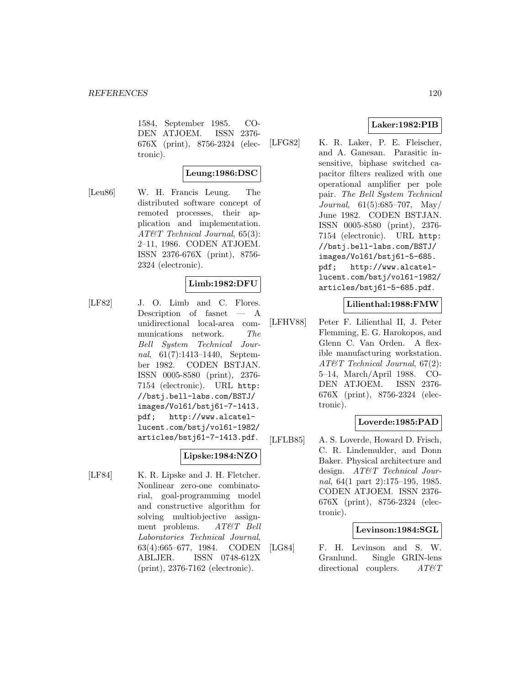1584, September 1985. CO-DEN ATJOEM. ISSN 2376- 676X (print), 8756-2324 (electronic).

# **Leung:1986:DSC**

[Leu86] W. H. Francis Leung. The distributed software concept of remoted processes, their application and implementation. AT&T Technical Journal, 65(3): 2–11, 1986. CODEN ATJOEM. ISSN 2376-676X (print), 8756- 2324 (electronic).

## **Limb:1982:DFU**

[LF82] J. O. Limb and C. Flores. Description of fasnet — A unidirectional local-area communications network. The Bell System Technical Journal, 61(7):1413–1440, September 1982. CODEN BSTJAN. ISSN 0005-8580 (print), 2376- 7154 (electronic). URL http: //bstj.bell-labs.com/BSTJ/ images/Vol61/bstj61-7-1413. pdf; http://www.alcatellucent.com/bstj/vol61-1982/ articles/bstj61-7-1413.pdf.

### **Lipske:1984:NZO**

[LF84] K. R. Lipske and J. H. Fletcher. Nonlinear zero-one combinatorial, goal-programming model and constructive algorithm for solving multiobjective assignment problems. AT&T Bell Laboratories Technical Journal, 63(4):665–677, 1984. CODEN ABLJER. ISSN 0748-612X (print), 2376-7162 (electronic).

## **Laker:1982:PIB**

[LFG82] K. R. Laker, P. E. Fleischer, and A. Ganesan. Parasitic insensitive, biphase switched capacitor filters realized with one operational amplifier per pole pair. The Bell System Technical Journal, 61(5):685–707, May/ June 1982. CODEN BSTJAN. ISSN 0005-8580 (print), 2376- 7154 (electronic). URL http: //bstj.bell-labs.com/BSTJ/ images/Vol61/bstj61-5-685. pdf; http://www.alcatellucent.com/bstj/vol61-1982/ articles/bstj61-5-685.pdf.

### **Lilienthal:1988:FMW**

[LFHV88] Peter F. Lilienthal II, J. Peter Flemming, E. G. Harokopos, and Glenn C. Van Orden. A flexible manufacturing workstation. AT&T Technical Journal, 67(2): 5–14, March/April 1988. CO-DEN ATJOEM. ISSN 2376- 676X (print), 8756-2324 (electronic).

## **Loverde:1985:PAD**

[LFLB85] A. S. Loverde, Howard D. Frisch, C. R. Lindemulder, and Donn Baker. Physical architecture and design. AT&T Technical Journal, 64(1 part 2):175–195, 1985. CODEN ATJOEM. ISSN 2376- 676X (print), 8756-2324 (electronic).

### **Levinson:1984:SGL**

[LG84] F. H. Levinson and S. W. Granlund. Single GRIN-lens directional couplers.  $AT\&T$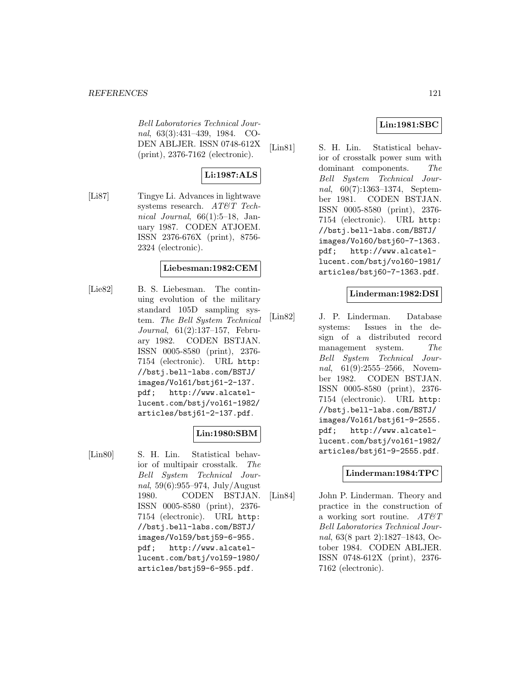Bell Laboratories Technical Journal, 63(3):431–439, 1984. CO-DEN ABLJER. ISSN 0748-612X (print), 2376-7162 (electronic).

# **Li:1987:ALS**

[Li87] Tingye Li. Advances in lightwave systems research. AT&T Technical Journal,  $66(1):5-18$ , January 1987. CODEN ATJOEM. ISSN 2376-676X (print), 8756- 2324 (electronic).

# **Liebesman:1982:CEM**

[Lie82] B. S. Liebesman. The continuing evolution of the military standard 105D sampling system. The Bell System Technical Journal, 61(2):137–157, February 1982. CODEN BSTJAN. ISSN 0005-8580 (print), 2376- 7154 (electronic). URL http: //bstj.bell-labs.com/BSTJ/ images/Vol61/bstj61-2-137. pdf; http://www.alcatellucent.com/bstj/vol61-1982/ articles/bstj61-2-137.pdf.

# **Lin:1980:SBM**

[Lin80] S. H. Lin. Statistical behavior of multipair crosstalk. The Bell System Technical Journal, 59(6):955–974, July/August 1980. CODEN BSTJAN. ISSN 0005-8580 (print), 2376- 7154 (electronic). URL http: //bstj.bell-labs.com/BSTJ/ images/Vol59/bstj59-6-955. pdf; http://www.alcatellucent.com/bstj/vol59-1980/ articles/bstj59-6-955.pdf.

# **Lin:1981:SBC**

[Lin81] S. H. Lin. Statistical behavior of crosstalk power sum with dominant components. The Bell System Technical Journal, 60(7):1363–1374, September 1981. CODEN BSTJAN. ISSN 0005-8580 (print), 2376- 7154 (electronic). URL http: //bstj.bell-labs.com/BSTJ/ images/Vol60/bstj60-7-1363. pdf; http://www.alcatellucent.com/bstj/vol60-1981/ articles/bstj60-7-1363.pdf.

## **Linderman:1982:DSI**

[Lin82] J. P. Linderman. Database systems: Issues in the design of a distributed record management system. The Bell System Technical Journal, 61(9):2555-2566, November 1982. CODEN BSTJAN. ISSN 0005-8580 (print), 2376- 7154 (electronic). URL http: //bstj.bell-labs.com/BSTJ/ images/Vol61/bstj61-9-2555. pdf; http://www.alcatellucent.com/bstj/vol61-1982/ articles/bstj61-9-2555.pdf.

### **Linderman:1984:TPC**

[Lin84] John P. Linderman. Theory and practice in the construction of a working sort routine.  $AT \& T$ Bell Laboratories Technical Journal, 63(8 part 2):1827–1843, October 1984. CODEN ABLJER. ISSN 0748-612X (print), 2376- 7162 (electronic).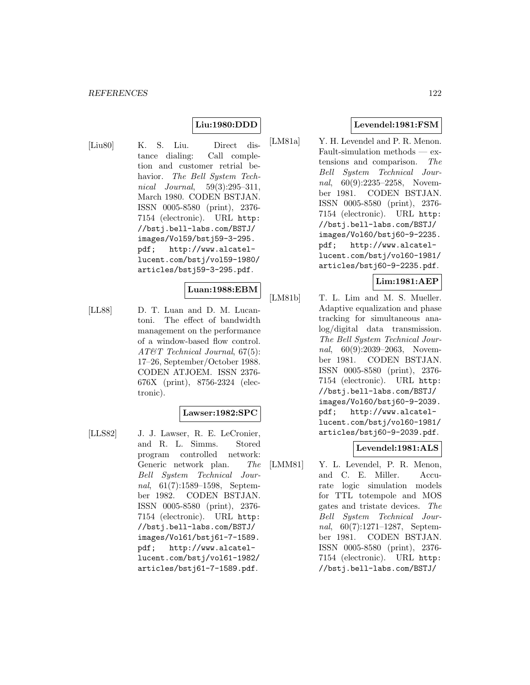### **Liu:1980:DDD**

[Liu80] K. S. Liu. Direct distance dialing: Call completion and customer retrial behavior. The Bell System Technical Journal, 59(3):295–311, March 1980. CODEN BSTJAN. ISSN 0005-8580 (print), 2376- 7154 (electronic). URL http: //bstj.bell-labs.com/BSTJ/ images/Vol59/bstj59-3-295. pdf; http://www.alcatellucent.com/bstj/vol59-1980/ articles/bstj59-3-295.pdf.

#### **Luan:1988:EBM**

[LL88] D. T. Luan and D. M. Lucantoni. The effect of bandwidth management on the performance of a window-based flow control. AT&T Technical Journal, 67(5): 17–26, September/October 1988. CODEN ATJOEM. ISSN 2376- 676X (print), 8756-2324 (electronic).

### **Lawser:1982:SPC**

[LLS82] J. J. Lawser, R. E. LeCronier, and R. L. Simms. Stored program controlled network: Generic network plan. The Bell System Technical Journal, 61(7):1589–1598, September 1982. CODEN BSTJAN. ISSN 0005-8580 (print), 2376- 7154 (electronic). URL http: //bstj.bell-labs.com/BSTJ/ images/Vol61/bstj61-7-1589. pdf; http://www.alcatellucent.com/bstj/vol61-1982/ articles/bstj61-7-1589.pdf.

### **Levendel:1981:FSM**

[LM81a] Y. H. Levendel and P. R. Menon. Fault-simulation methods — extensions and comparison. The Bell System Technical Journal, 60(9):2235-2258, November 1981. CODEN BSTJAN. ISSN 0005-8580 (print), 2376- 7154 (electronic). URL http: //bstj.bell-labs.com/BSTJ/ images/Vol60/bstj60-9-2235. pdf; http://www.alcatellucent.com/bstj/vol60-1981/ articles/bstj60-9-2235.pdf.

### **Lim:1981:AEP**

[LM81b] T. L. Lim and M. S. Mueller. Adaptive equalization and phase tracking for simultaneous analog/digital data transmission. The Bell System Technical Journal, 60(9):2039–2063, November 1981. CODEN BSTJAN. ISSN 0005-8580 (print), 2376- 7154 (electronic). URL http: //bstj.bell-labs.com/BSTJ/ images/Vol60/bstj60-9-2039. pdf; http://www.alcatellucent.com/bstj/vol60-1981/ articles/bstj60-9-2039.pdf.

### **Levendel:1981:ALS**

[LMM81] Y. L. Levendel, P. R. Menon, and C. E. Miller. Accurate logic simulation models for TTL totempole and MOS gates and tristate devices. The Bell System Technical Journal, 60(7):1271–1287, September 1981. CODEN BSTJAN. ISSN 0005-8580 (print), 2376- 7154 (electronic). URL http: //bstj.bell-labs.com/BSTJ/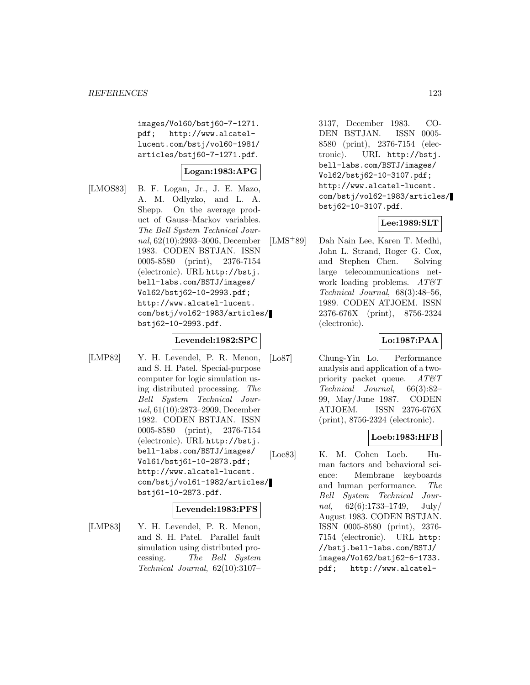images/Vol60/bstj60-7-1271. pdf; http://www.alcatellucent.com/bstj/vol60-1981/ articles/bstj60-7-1271.pdf.

### **Logan:1983:APG**

[LMOS83] B. F. Logan, Jr., J. E. Mazo, A. M. Odlyzko, and L. A. Shepp. On the average product of Gauss–Markov variables. The Bell System Technical Journal, 62(10):2993–3006, December 1983. CODEN BSTJAN. ISSN 0005-8580 (print), 2376-7154 (electronic). URL http://bstj. bell-labs.com/BSTJ/images/ Vol62/bstj62-10-2993.pdf; http://www.alcatel-lucent. com/bstj/vol62-1983/articles/ bstj62-10-2993.pdf.

#### **Levendel:1982:SPC**

[LMP82] Y. H. Levendel, P. R. Menon, and S. H. Patel. Special-purpose computer for logic simulation using distributed processing. The Bell System Technical Journal, 61(10):2873–2909, December 1982. CODEN BSTJAN. ISSN 0005-8580 (print), 2376-7154 (electronic). URL http://bstj. bell-labs.com/BSTJ/images/ Vol61/bstj61-10-2873.pdf; http://www.alcatel-lucent. com/bstj/vol61-1982/articles/ bstj61-10-2873.pdf.

#### **Levendel:1983:PFS**

[LMP83] Y. H. Levendel, P. R. Menon, and S. H. Patel. Parallel fault simulation using distributed processing. The Bell System Technical Journal, 62(10):3107–

3137, December 1983. CO-DEN BSTJAN. ISSN 0005- 8580 (print), 2376-7154 (electronic). URL http://bstj. bell-labs.com/BSTJ/images/ Vol62/bstj62-10-3107.pdf; http://www.alcatel-lucent. com/bstj/vol62-1983/articles/ bstj62-10-3107.pdf.

### **Lee:1989:SLT**

[LMS<sup>+</sup>89] Dah Nain Lee, Karen T. Medhi, John L. Strand, Roger G. Cox, and Stephen Chen. Solving large telecommunications network loading problems.  $AT \& T$ Technical Journal, 68(3):48–56, 1989. CODEN ATJOEM. ISSN 2376-676X (print), 8756-2324 (electronic).

### **Lo:1987:PAA**

[Lo87] Chung-Yin Lo. Performance analysis and application of a twopriority packet queue.  $AT\&T$ Technical Journal, 66(3):82– 99, May/June 1987. CODEN ATJOEM. ISSN 2376-676X (print), 8756-2324 (electronic).

### **Loeb:1983:HFB**

[Loe83] K. M. Cohen Loeb. Human factors and behavioral science: Membrane keyboards and human performance. The Bell System Technical Journal,  $62(6):1733-1749$ , July/ August 1983. CODEN BSTJAN. ISSN 0005-8580 (print), 2376- 7154 (electronic). URL http: //bstj.bell-labs.com/BSTJ/ images/Vol62/bstj62-6-1733. pdf; http://www.alcatel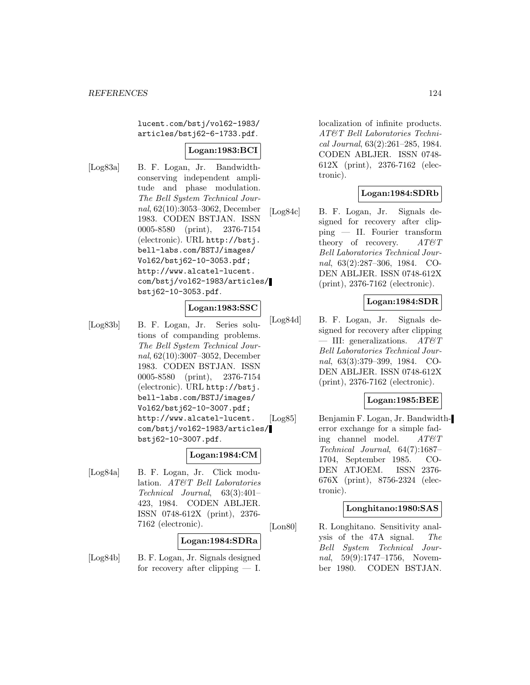lucent.com/bstj/vol62-1983/ articles/bstj62-6-1733.pdf.

### **Logan:1983:BCI**

[Log83a] B. F. Logan, Jr. Bandwidthconserving independent amplitude and phase modulation. The Bell System Technical Journal, 62(10):3053–3062, December 1983. CODEN BSTJAN. ISSN 0005-8580 (print), 2376-7154 (electronic). URL http://bstj. bell-labs.com/BSTJ/images/ Vol62/bstj62-10-3053.pdf; http://www.alcatel-lucent. com/bstj/vol62-1983/articles/ bstj62-10-3053.pdf.

#### **Logan:1983:SSC**

[Log83b] B. F. Logan, Jr. Series solutions of companding problems. The Bell System Technical Journal, 62(10):3007–3052, December 1983. CODEN BSTJAN. ISSN 0005-8580 (print), 2376-7154 (electronic). URL http://bstj. bell-labs.com/BSTJ/images/ Vol62/bstj62-10-3007.pdf; http://www.alcatel-lucent. com/bstj/vol62-1983/articles/ bstj62-10-3007.pdf.

### **Logan:1984:CM**

[Log84a] B. F. Logan, Jr. Click modulation. AT&T Bell Laboratories Technical Journal, 63(3):401– 423, 1984. CODEN ABLJER. ISSN 0748-612X (print), 2376- 7162 (electronic).

#### **Logan:1984:SDRa**

[Log84b] B. F. Logan, Jr. Signals designed for recovery after clipping  $- I$ . localization of infinite products. AT&T Bell Laboratories Technical Journal, 63(2):261–285, 1984. CODEN ABLJER. ISSN 0748- 612X (print), 2376-7162 (electronic).

# **Logan:1984:SDRb**

[Log84c] B. F. Logan, Jr. Signals designed for recovery after clipping — II. Fourier transform theory of recovery.  $AT\mathcal{O}T$ Bell Laboratories Technical Journal, 63(2):287–306, 1984. CO-DEN ABLJER. ISSN 0748-612X (print), 2376-7162 (electronic).

### **Logan:1984:SDR**

[Log84d] B. F. Logan, Jr. Signals designed for recovery after clipping — III: generalizations.  $AT\&T$ Bell Laboratories Technical Journal, 63(3):379–399, 1984. CO-DEN ABLJER. ISSN 0748-612X (print), 2376-7162 (electronic).

### **Logan:1985:BEE**

[Log85] Benjamin F. Logan, Jr. Bandwidtherror exchange for a simple fading channel model. AT&T Technical Journal, 64(7):1687– 1704, September 1985. CO-DEN ATJOEM. ISSN 2376- 676X (print), 8756-2324 (electronic).

### **Longhitano:1980:SAS**

[Lon80] R. Longhitano. Sensitivity analysis of the 47A signal. The Bell System Technical Journal, 59(9):1747–1756, November 1980. CODEN BSTJAN.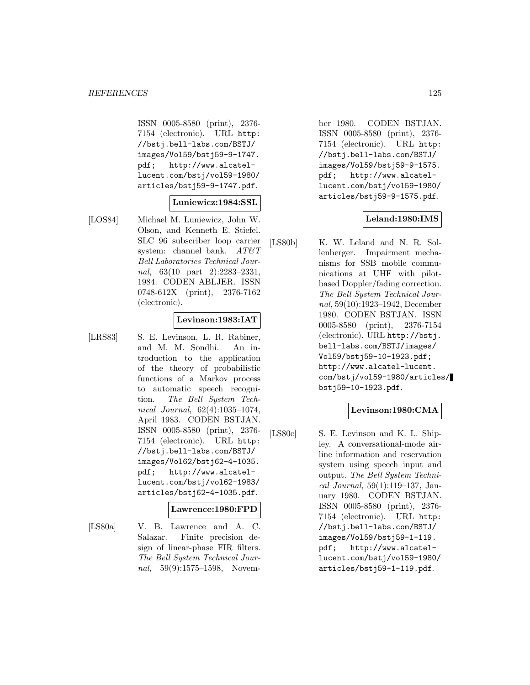ISSN 0005-8580 (print), 2376- 7154 (electronic). URL http: //bstj.bell-labs.com/BSTJ/ images/Vol59/bstj59-9-1747. pdf; http://www.alcatellucent.com/bstj/vol59-1980/ articles/bstj59-9-1747.pdf.

### **Luniewicz:1984:SSL**

[LOS84] Michael M. Luniewicz, John W. Olson, and Kenneth E. Stiefel. SLC 96 subscriber loop carrier system: channel bank.  $AT\mathcal{O}T$ Bell Laboratories Technical Journal, 63(10 part 2):2283-2331, 1984. CODEN ABLJER. ISSN 0748-612X (print), 2376-7162 (electronic).

#### **Levinson:1983:IAT**

[LRS83] S. E. Levinson, L. R. Rabiner, and M. M. Sondhi. An introduction to the application of the theory of probabilistic functions of a Markov process to automatic speech recognition. The Bell System Technical Journal, 62(4):1035–1074, April 1983. CODEN BSTJAN. ISSN 0005-8580 (print), 2376- 7154 (electronic). URL http: //bstj.bell-labs.com/BSTJ/ images/Vol62/bstj62-4-1035. pdf; http://www.alcatellucent.com/bstj/vol62-1983/ articles/bstj62-4-1035.pdf.

#### **Lawrence:1980:FPD**

[LS80a] V. B. Lawrence and A. C. Salazar. Finite precision design of linear-phase FIR filters. The Bell System Technical Journal, 59(9):1575–1598, Novem-

ber 1980. CODEN BSTJAN. ISSN 0005-8580 (print), 2376- 7154 (electronic). URL http: //bstj.bell-labs.com/BSTJ/ images/Vol59/bstj59-9-1575. pdf; http://www.alcatellucent.com/bstj/vol59-1980/ articles/bstj59-9-1575.pdf.

### **Leland:1980:IMS**

[LS80b] K. W. Leland and N. R. Sollenberger. Impairment mechanisms for SSB mobile communications at UHF with pilotbased Doppler/fading correction. The Bell System Technical Journal, 59(10):1923–1942, December 1980. CODEN BSTJAN. ISSN 0005-8580 (print), 2376-7154 (electronic). URL http://bstj. bell-labs.com/BSTJ/images/ Vol59/bstj59-10-1923.pdf; http://www.alcatel-lucent. com/bstj/vol59-1980/articles/ bstj59-10-1923.pdf.

### **Levinson:1980:CMA**

[LS80c] S. E. Levinson and K. L. Shipley. A conversational-mode airline information and reservation system using speech input and output. The Bell System Technical Journal, 59(1):119–137, January 1980. CODEN BSTJAN. ISSN 0005-8580 (print), 2376- 7154 (electronic). URL http: //bstj.bell-labs.com/BSTJ/ images/Vol59/bstj59-1-119. pdf; http://www.alcatellucent.com/bstj/vol59-1980/ articles/bstj59-1-119.pdf.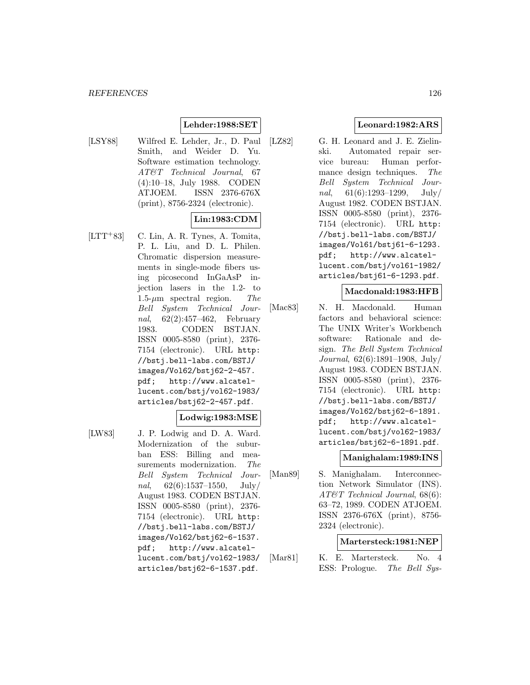## **Lehder:1988:SET**

[LSY88] Wilfred E. Lehder, Jr., D. Paul Smith, and Weider D. Yu. Software estimation technology. AT&T Technical Journal, 67 (4):10–18, July 1988. CODEN ATJOEM. ISSN 2376-676X (print), 8756-2324 (electronic).

## **Lin:1983:CDM**

 $[LTT+83]$  C. Lin, A. R. Tynes, A. Tomita, P. L. Liu, and D. L. Philen. Chromatic dispersion measurements in single-mode fibers using picosecond InGaAsP injection lasers in the 1.2- to 1.5- $\mu$ m spectral region. The Bell System Technical Journal, 62(2):457–462, February 1983. CODEN BSTJAN. ISSN 0005-8580 (print), 2376- 7154 (electronic). URL http: //bstj.bell-labs.com/BSTJ/ images/Vol62/bstj62-2-457. pdf; http://www.alcatellucent.com/bstj/vol62-1983/ articles/bstj62-2-457.pdf.

#### **Lodwig:1983:MSE**

- 
- [LW83] J. P. Lodwig and D. A. Ward. Modernization of the suburban ESS: Billing and measurements modernization. The Bell System Technical Journal,  $62(6):1537-1550$ , July/ August 1983. CODEN BSTJAN. ISSN 0005-8580 (print), 2376- 7154 (electronic). URL http: //bstj.bell-labs.com/BSTJ/ images/Vol62/bstj62-6-1537. pdf; http://www.alcatellucent.com/bstj/vol62-1983/ articles/bstj62-6-1537.pdf.

## **Leonard:1982:ARS**

[LZ82] G. H. Leonard and J. E. Zielinski. Automated repair service bureau: Human performance design techniques. The Bell System Technical Journal,  $61(6):1293-1299$ , July/ August 1982. CODEN BSTJAN. ISSN 0005-8580 (print), 2376- 7154 (electronic). URL http: //bstj.bell-labs.com/BSTJ/ images/Vol61/bstj61-6-1293. pdf; http://www.alcatellucent.com/bstj/vol61-1982/ articles/bstj61-6-1293.pdf.

#### **Macdonald:1983:HFB**

[Mac83] N. H. Macdonald. Human factors and behavioral science: The UNIX Writer's Workbench software: Rationale and design. The Bell System Technical Journal, 62(6):1891–1908, July/ August 1983. CODEN BSTJAN. ISSN 0005-8580 (print), 2376- 7154 (electronic). URL http: //bstj.bell-labs.com/BSTJ/ images/Vol62/bstj62-6-1891. pdf; http://www.alcatellucent.com/bstj/vol62-1983/ articles/bstj62-6-1891.pdf.

### **Manighalam:1989:INS**

[Man89] S. Manighalam. Interconnection Network Simulator (INS). AT&T Technical Journal, 68(6): 63–72, 1989. CODEN ATJOEM. ISSN 2376-676X (print), 8756- 2324 (electronic).

### **Martersteck:1981:NEP**

[Mar81] K. E. Martersteck. No. 4 ESS: Prologue. The Bell Sys-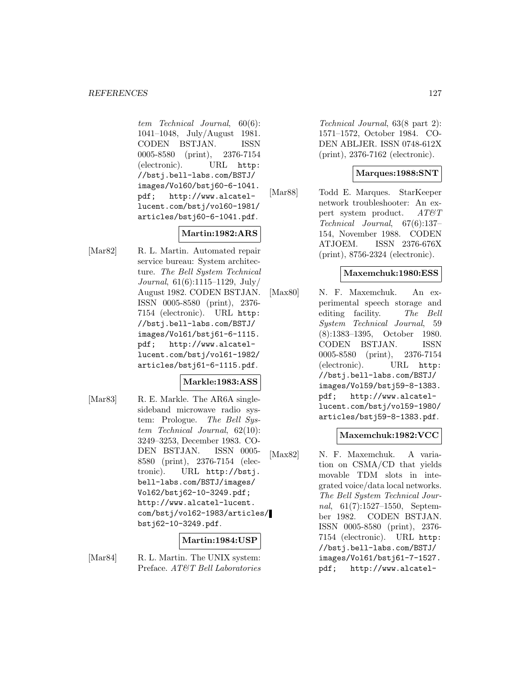tem Technical Journal, 60(6): 1041–1048, July/August 1981. CODEN BSTJAN. ISSN 0005-8580 (print), 2376-7154 (electronic). URL http: //bstj.bell-labs.com/BSTJ/ images/Vol60/bstj60-6-1041. pdf; http://www.alcatellucent.com/bstj/vol60-1981/ articles/bstj60-6-1041.pdf.

# **Martin:1982:ARS**

[Mar82] R. L. Martin. Automated repair service bureau: System architecture. The Bell System Technical Journal, 61(6):1115–1129, July/ August 1982. CODEN BSTJAN. ISSN 0005-8580 (print), 2376- 7154 (electronic). URL http: //bstj.bell-labs.com/BSTJ/ images/Vol61/bstj61-6-1115. pdf; http://www.alcatellucent.com/bstj/vol61-1982/ articles/bstj61-6-1115.pdf.

## **Markle:1983:ASS**

[Mar83] R. E. Markle. The AR6A singlesideband microwave radio system: Prologue. The Bell System Technical Journal, 62(10): 3249–3253, December 1983. CO-DEN BSTJAN. ISSN 0005- 8580 (print), 2376-7154 (electronic). URL http://bstj. bell-labs.com/BSTJ/images/ Vol62/bstj62-10-3249.pdf; http://www.alcatel-lucent. com/bstj/vol62-1983/articles/ bstj62-10-3249.pdf.

## **Martin:1984:USP**

[Mar84] R. L. Martin. The UNIX system: Preface. AT&T Bell Laboratories

Technical Journal, 63(8 part 2): 1571–1572, October 1984. CO-DEN ABLJER. ISSN 0748-612X (print), 2376-7162 (electronic).

## **Marques:1988:SNT**

[Mar88] Todd E. Marques. StarKeeper network troubleshooter: An expert system product. AT&T Technical Journal, 67(6):137– 154, November 1988. CODEN ATJOEM. ISSN 2376-676X (print), 8756-2324 (electronic).

## **Maxemchuk:1980:ESS**

[Max80] N. F. Maxemchuk. An experimental speech storage and editing facility. The Bell System Technical Journal, 59 (8):1383–1395, October 1980. CODEN BSTJAN. ISSN 0005-8580 (print), 2376-7154 (electronic). URL http: //bstj.bell-labs.com/BSTJ/ images/Vol59/bstj59-8-1383. pdf; http://www.alcatellucent.com/bstj/vol59-1980/ articles/bstj59-8-1383.pdf.

## **Maxemchuk:1982:VCC**

[Max82] N. F. Maxemchuk. A variation on CSMA/CD that yields movable TDM slots in integrated voice/data local networks. The Bell System Technical Journal, 61(7):1527–1550, September 1982. CODEN BSTJAN. ISSN 0005-8580 (print), 2376- 7154 (electronic). URL http: //bstj.bell-labs.com/BSTJ/ images/Vol61/bstj61-7-1527. pdf; http://www.alcatel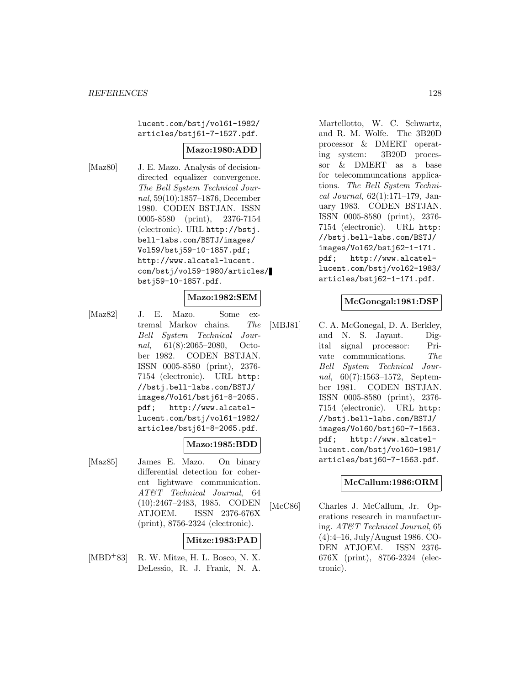lucent.com/bstj/vol61-1982/ articles/bstj61-7-1527.pdf.

## **Mazo:1980:ADD**

[Maz80] J. E. Mazo. Analysis of decisiondirected equalizer convergence. The Bell System Technical Journal, 59(10):1857–1876, December 1980. CODEN BSTJAN. ISSN 0005-8580 (print), 2376-7154 (electronic). URL http://bstj. bell-labs.com/BSTJ/images/ Vol59/bstj59-10-1857.pdf; http://www.alcatel-lucent. com/bstj/vol59-1980/articles/ bstj59-10-1857.pdf.

### **Mazo:1982:SEM**

[Maz82] J. E. Mazo. Some extremal Markov chains. The Bell System Technical Journal, 61(8):2065–2080, October 1982. CODEN BSTJAN. ISSN 0005-8580 (print), 2376- 7154 (electronic). URL http: //bstj.bell-labs.com/BSTJ/ images/Vol61/bstj61-8-2065. pdf; http://www.alcatellucent.com/bstj/vol61-1982/ articles/bstj61-8-2065.pdf.

## **Mazo:1985:BDD**

[Maz85] James E. Mazo. On binary differential detection for coherent lightwave communication. AT&T Technical Journal, 64 (10):2467–2483, 1985. CODEN ATJOEM. ISSN 2376-676X (print), 8756-2324 (electronic).

## **Mitze:1983:PAD**

[MBD<sup>+</sup>83] R. W. Mitze, H. L. Bosco, N. X. DeLessio, R. J. Frank, N. A.

Martellotto, W. C. Schwartz, and R. M. Wolfe. The 3B20D processor & DMERT operating system: 3B20D processor & DMERT as a base for telecommuncations applications. The Bell System Technical Journal, 62(1):171–179, January 1983. CODEN BSTJAN. ISSN 0005-8580 (print), 2376- 7154 (electronic). URL http: //bstj.bell-labs.com/BSTJ/ images/Vol62/bstj62-1-171. pdf; http://www.alcatellucent.com/bstj/vol62-1983/ articles/bstj62-1-171.pdf.

#### **McGonegal:1981:DSP**

[MBJ81] C. A. McGonegal, D. A. Berkley, and N. S. Jayant. Digital signal processor: Private communications. The Bell System Technical Journal, 60(7):1563–1572, September 1981. CODEN BSTJAN. ISSN 0005-8580 (print), 2376- 7154 (electronic). URL http: //bstj.bell-labs.com/BSTJ/ images/Vol60/bstj60-7-1563. pdf; http://www.alcatellucent.com/bstj/vol60-1981/ articles/bstj60-7-1563.pdf.

### **McCallum:1986:ORM**

[McC86] Charles J. McCallum, Jr. Operations research in manufacturing. AT&T Technical Journal, 65 (4):4–16, July/August 1986. CO-DEN ATJOEM. ISSN 2376- 676X (print), 8756-2324 (electronic).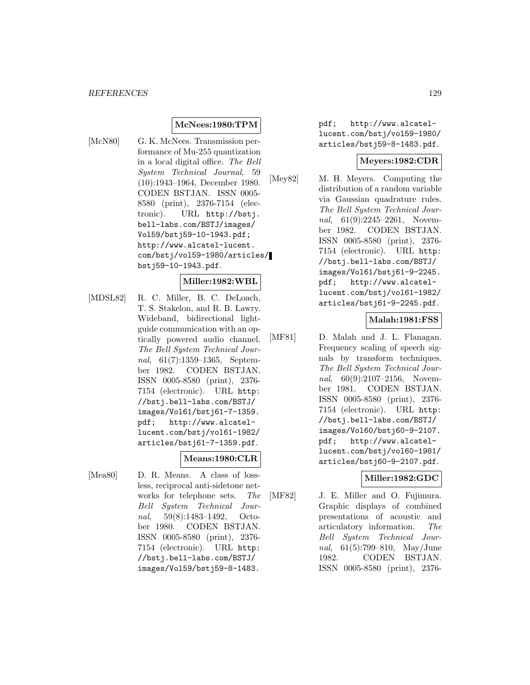### **McNees:1980:TPM**

[McN80] G. K. McNees. Transmission performance of Mu-255 quantization in a local digital office. The Bell System Technical Journal, 59 (10):1943–1964, December 1980. CODEN BSTJAN. ISSN 0005- 8580 (print), 2376-7154 (electronic). URL http://bstj. bell-labs.com/BSTJ/images/ Vol59/bstj59-10-1943.pdf; http://www.alcatel-lucent. com/bstj/vol59-1980/articles/ bstj59-10-1943.pdf.

### **Miller:1982:WBL**

[MDSL82] R. C. Miller, B. C. DeLoach, T. S. Stakelon, and R. B. Lawry. Wideband, bidirectional lightguide communication with an optically powered audio channel. The Bell System Technical Journal, 61(7):1359–1365, September 1982. CODEN BSTJAN. ISSN 0005-8580 (print), 2376- 7154 (electronic). URL http: //bstj.bell-labs.com/BSTJ/ images/Vol61/bstj61-7-1359. pdf; http://www.alcatellucent.com/bstj/vol61-1982/ articles/bstj61-7-1359.pdf.

### **Means:1980:CLR**

[Mea80] D. R. Means. A class of lossless, reciprocal anti-sidetone networks for telephone sets. The Bell System Technical Journal, 59(8):1483–1492, October 1980. CODEN BSTJAN. ISSN 0005-8580 (print), 2376- 7154 (electronic). URL http: //bstj.bell-labs.com/BSTJ/ images/Vol59/bstj59-8-1483.

pdf; http://www.alcatellucent.com/bstj/vol59-1980/ articles/bstj59-8-1483.pdf.

#### **Meyers:1982:CDR**

[Mey82] M. H. Meyers. Computing the distribution of a random variable via Gaussian quadrature rules. The Bell System Technical Journal, 61(9):2245-2261, November 1982. CODEN BSTJAN. ISSN 0005-8580 (print), 2376- 7154 (electronic). URL http: //bstj.bell-labs.com/BSTJ/ images/Vol61/bstj61-9-2245. pdf; http://www.alcatellucent.com/bstj/vol61-1982/ articles/bstj61-9-2245.pdf.

### **Malah:1981:FSS**

[MF81] D. Malah and J. L. Flanagan. Frequency scaling of speech signals by transform techniques. The Bell System Technical Journal, 60(9):2107-2156, November 1981. CODEN BSTJAN. ISSN 0005-8580 (print), 2376- 7154 (electronic). URL http: //bstj.bell-labs.com/BSTJ/ images/Vol60/bstj60-9-2107. pdf; http://www.alcatellucent.com/bstj/vol60-1981/ articles/bstj60-9-2107.pdf.

### **Miller:1982:GDC**

[MF82] J. E. Miller and O. Fujimura. Graphic displays of combined presentations of acoustic and articulatory information. The Bell System Technical Journal, 61(5):799–810, May/June 1982. CODEN BSTJAN. ISSN 0005-8580 (print), 2376-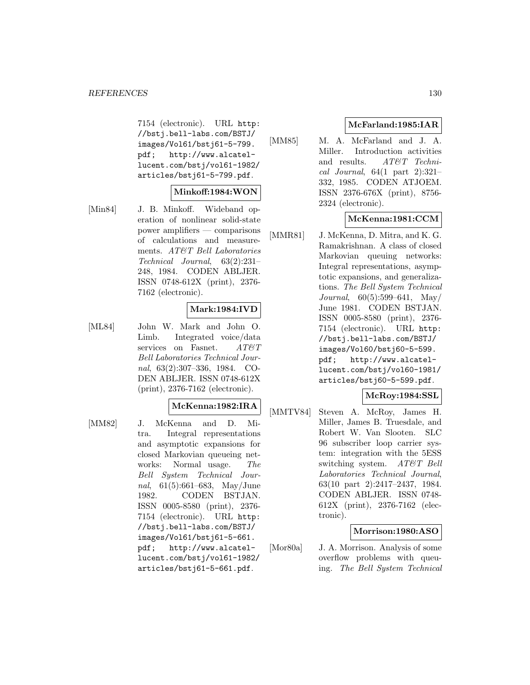7154 (electronic). URL http: //bstj.bell-labs.com/BSTJ/ images/Vol61/bstj61-5-799. pdf; http://www.alcatellucent.com/bstj/vol61-1982/ articles/bstj61-5-799.pdf.

### **Minkoff:1984:WON**

[Min84] J. B. Minkoff. Wideband operation of nonlinear solid-state power amplifiers — comparisons of calculations and measurements. AT&T Bell Laboratories Technical Journal, 63(2):231– 248, 1984. CODEN ABLJER. ISSN 0748-612X (print), 2376- 7162 (electronic).

### **Mark:1984:IVD**

[ML84] John W. Mark and John O. Limb. Integrated voice/data services on Fasnet.  $AT\mathcal{C}T$ Bell Laboratories Technical Journal, 63(2):307–336, 1984. CO-DEN ABLJER. ISSN 0748-612X (print), 2376-7162 (electronic).

#### **McKenna:1982:IRA**

[MM82] J. McKenna and D. Mitra. Integral representations and asymptotic expansions for closed Markovian queueing networks: Normal usage. The Bell System Technical Journal, 61(5):661–683, May/June 1982. CODEN BSTJAN. ISSN 0005-8580 (print), 2376- 7154 (electronic). URL http: //bstj.bell-labs.com/BSTJ/ images/Vol61/bstj61-5-661. pdf; http://www.alcatellucent.com/bstj/vol61-1982/ articles/bstj61-5-661.pdf.

## **McFarland:1985:IAR**

[MM85] M. A. McFarland and J. A. Miller. Introduction activities and results. AT&T Technical Journal,  $64(1$  part  $2):321-$ 332, 1985. CODEN ATJOEM. ISSN 2376-676X (print), 8756- 2324 (electronic).

## **McKenna:1981:CCM**

[MMR81] J. McKenna, D. Mitra, and K. G. Ramakrishnan. A class of closed Markovian queuing networks: Integral representations, asymptotic expansions, and generalizations. The Bell System Technical Journal, 60(5):599–641, May/ June 1981. CODEN BSTJAN. ISSN 0005-8580 (print), 2376- 7154 (electronic). URL http: //bstj.bell-labs.com/BSTJ/ images/Vol60/bstj60-5-599. pdf; http://www.alcatellucent.com/bstj/vol60-1981/ articles/bstj60-5-599.pdf.

### **McRoy:1984:SSL**

[MMTV84] Steven A. McRoy, James H. Miller, James B. Truesdale, and Robert W. Van Slooten. SLC 96 subscriber loop carrier system: integration with the 5ESS switching system. AT&T Bell Laboratories Technical Journal, 63(10 part 2):2417–2437, 1984. CODEN ABLJER. ISSN 0748- 612X (print), 2376-7162 (electronic).

### **Morrison:1980:ASO**

[Mor80a] J. A. Morrison. Analysis of some overflow problems with queuing. The Bell System Technical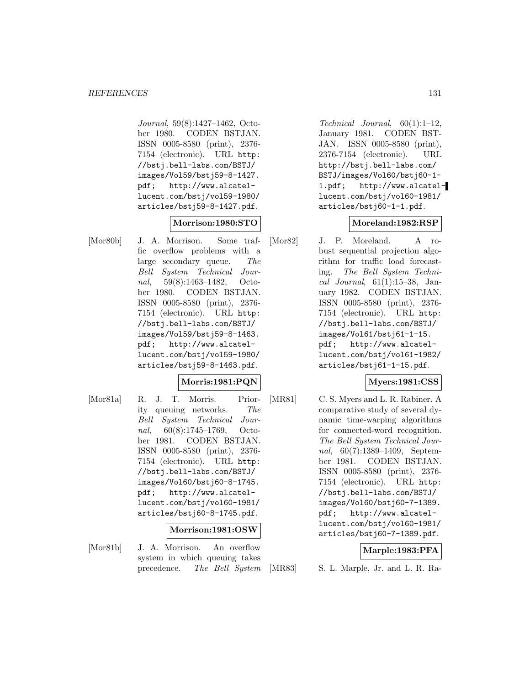Journal, 59(8):1427–1462, October 1980. CODEN BSTJAN. ISSN 0005-8580 (print), 2376- 7154 (electronic). URL http: //bstj.bell-labs.com/BSTJ/ images/Vol59/bstj59-8-1427. pdf; http://www.alcatellucent.com/bstj/vol59-1980/ articles/bstj59-8-1427.pdf.

## **Morrison:1980:STO**

[Mor80b] J. A. Morrison. Some traffic overflow problems with a large secondary queue. The Bell System Technical Journal, 59(8):1463–1482, October 1980. CODEN BSTJAN. ISSN 0005-8580 (print), 2376- 7154 (electronic). URL http: //bstj.bell-labs.com/BSTJ/ images/Vol59/bstj59-8-1463. pdf; http://www.alcatellucent.com/bstj/vol59-1980/ articles/bstj59-8-1463.pdf.

## **Morris:1981:PQN**

[Mor81a] R. J. T. Morris. Priority queuing networks. The Bell System Technical Journal, 60(8):1745–1769, October 1981. CODEN BSTJAN. ISSN 0005-8580 (print), 2376- 7154 (electronic). URL http: //bstj.bell-labs.com/BSTJ/ images/Vol60/bstj60-8-1745. pdf; http://www.alcatellucent.com/bstj/vol60-1981/ articles/bstj60-8-1745.pdf.

### **Morrison:1981:OSW**

- 
- [Mor81b] J. A. Morrison. An overflow system in which queuing takes precedence. The Bell System

Technical Journal, 60(1):1–12, January 1981. CODEN BST-JAN. ISSN 0005-8580 (print), 2376-7154 (electronic). URL http://bstj.bell-labs.com/ BSTJ/images/Vol60/bstj60-1- 1.pdf; http://www.alcatellucent.com/bstj/vol60-1981/ articles/bstj60-1-1.pdf.

### **Moreland:1982:RSP**

[Mor82] J. P. Moreland. A robust sequential projection algorithm for traffic load forecasting. The Bell System Technical Journal,  $61(1):15-38$ , January 1982. CODEN BSTJAN. ISSN 0005-8580 (print), 2376- 7154 (electronic). URL http: //bstj.bell-labs.com/BSTJ/ images/Vol61/bstj61-1-15. pdf; http://www.alcatellucent.com/bstj/vol61-1982/ articles/bstj61-1-15.pdf.

### **Myers:1981:CSS**

[MR81] C. S. Myers and L. R. Rabiner. A comparative study of several dynamic time-warping algorithms for connected-word recognition. The Bell System Technical Journal, 60(7):1389–1409, September 1981. CODEN BSTJAN. ISSN 0005-8580 (print), 2376- 7154 (electronic). URL http: //bstj.bell-labs.com/BSTJ/ images/Vol60/bstj60-7-1389. pdf; http://www.alcatellucent.com/bstj/vol60-1981/ articles/bstj60-7-1389.pdf.

### **Marple:1983:PFA**

[MR83] S. L. Marple, Jr. and L. R. Ra-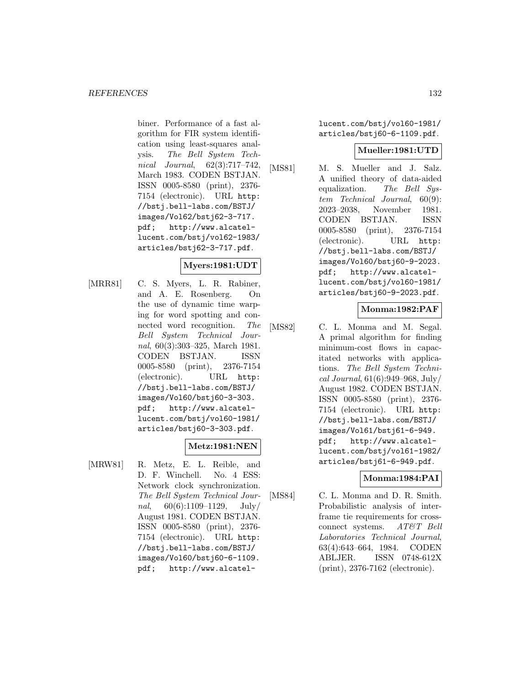biner. Performance of a fast algorithm for FIR system identification using least-squares analysis. The Bell System Technical Journal, 62(3):717–742, March 1983. CODEN BSTJAN. ISSN 0005-8580 (print), 2376- 7154 (electronic). URL http: //bstj.bell-labs.com/BSTJ/ images/Vol62/bstj62-3-717. pdf; http://www.alcatellucent.com/bstj/vol62-1983/ articles/bstj62-3-717.pdf.

# **Myers:1981:UDT**

[MRR81] C. S. Myers, L. R. Rabiner, and A. E. Rosenberg. On the use of dynamic time warping for word spotting and connected word recognition. The Bell System Technical Journal, 60(3):303–325, March 1981. CODEN BSTJAN. ISSN 0005-8580 (print), 2376-7154 (electronic). URL http: //bstj.bell-labs.com/BSTJ/ images/Vol60/bstj60-3-303. pdf; http://www.alcatellucent.com/bstj/vol60-1981/ articles/bstj60-3-303.pdf.

### **Metz:1981:NEN**

[MRW81] R. Metz, E. L. Reible, and D. F. Winchell. No. 4 ESS: Network clock synchronization. The Bell System Technical Journal,  $60(6):1109-1129$ , July/ August 1981. CODEN BSTJAN. ISSN 0005-8580 (print), 2376- 7154 (electronic). URL http: //bstj.bell-labs.com/BSTJ/ images/Vol60/bstj60-6-1109. pdf; http://www.alcatellucent.com/bstj/vol60-1981/ articles/bstj60-6-1109.pdf.

### **Mueller:1981:UTD**

[MS81] M. S. Mueller and J. Salz. A unified theory of data-aided equalization. The Bell System Technical Journal, 60(9): 2023–2038, November 1981. CODEN BSTJAN. ISSN 0005-8580 (print), 2376-7154 (electronic). URL http: //bstj.bell-labs.com/BSTJ/ images/Vol60/bstj60-9-2023. pdf; http://www.alcatellucent.com/bstj/vol60-1981/ articles/bstj60-9-2023.pdf.

### **Monma:1982:PAF**

[MS82] C. L. Monma and M. Segal. A primal algorithm for finding minimum-cost flows in capacitated networks with applications. The Bell System Technical Journal, 61(6):949–968, July/ August 1982. CODEN BSTJAN. ISSN 0005-8580 (print), 2376- 7154 (electronic). URL http: //bstj.bell-labs.com/BSTJ/ images/Vol61/bstj61-6-949. pdf; http://www.alcatellucent.com/bstj/vol61-1982/ articles/bstj61-6-949.pdf.

### **Monma:1984:PAI**

[MS84] C. L. Monma and D. R. Smith. Probabilistic analysis of interframe tie requirements for crossconnect systems. AT&T Bell Laboratories Technical Journal, 63(4):643–664, 1984. CODEN ABLJER. ISSN 0748-612X (print), 2376-7162 (electronic).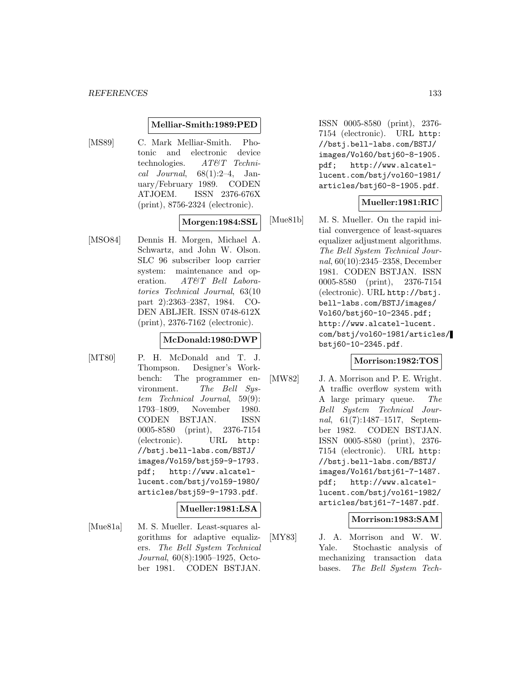#### **Melliar-Smith:1989:PED**

[MS89] C. Mark Melliar-Smith. Photonic and electronic device technologies. AT&T Technical Journal,  $68(1):2-4$ , January/February 1989. CODEN ATJOEM. ISSN 2376-676X (print), 8756-2324 (electronic).

### **Morgen:1984:SSL**

[MSO84] Dennis H. Morgen, Michael A. Schwartz, and John W. Olson. SLC 96 subscriber loop carrier system: maintenance and operation. AT&T Bell Laboratories Technical Journal, 63(10 part 2):2363–2387, 1984. CO-DEN ABLJER. ISSN 0748-612X (print), 2376-7162 (electronic).

### **McDonald:1980:DWP**

[MT80] P. H. McDonald and T. J. Thompson. Designer's Workbench: The programmer environment. The Bell System Technical Journal, 59(9): 1793–1809, November 1980. CODEN BSTJAN. ISSN 0005-8580 (print), 2376-7154 (electronic). URL http: //bstj.bell-labs.com/BSTJ/ images/Vol59/bstj59-9-1793. pdf; http://www.alcatellucent.com/bstj/vol59-1980/ articles/bstj59-9-1793.pdf.

### **Mueller:1981:LSA**

[Mue81a] M. S. Mueller. Least-squares algorithms for adaptive equalizers. The Bell System Technical Journal, 60(8):1905–1925, October 1981. CODEN BSTJAN.

ISSN 0005-8580 (print), 2376- 7154 (electronic). URL http: //bstj.bell-labs.com/BSTJ/ images/Vol60/bstj60-8-1905. pdf; http://www.alcatellucent.com/bstj/vol60-1981/ articles/bstj60-8-1905.pdf.

### **Mueller:1981:RIC**

[Mue81b] M. S. Mueller. On the rapid initial convergence of least-squares equalizer adjustment algorithms. The Bell System Technical Journal, 60(10):2345–2358, December 1981. CODEN BSTJAN. ISSN 0005-8580 (print), 2376-7154 (electronic). URL http://bstj. bell-labs.com/BSTJ/images/ Vol60/bstj60-10-2345.pdf; http://www.alcatel-lucent. com/bstj/vol60-1981/articles/ bstj60-10-2345.pdf.

#### **Morrison:1982:TOS**

[MW82] J. A. Morrison and P. E. Wright. A traffic overflow system with A large primary queue. The Bell System Technical Journal, 61(7):1487–1517, September 1982. CODEN BSTJAN. ISSN 0005-8580 (print), 2376- 7154 (electronic). URL http: //bstj.bell-labs.com/BSTJ/ images/Vol61/bstj61-7-1487. pdf; http://www.alcatellucent.com/bstj/vol61-1982/ articles/bstj61-7-1487.pdf.

### **Morrison:1983:SAM**

[MY83] J. A. Morrison and W. W. Yale. Stochastic analysis of mechanizing transaction data bases. The Bell System Tech-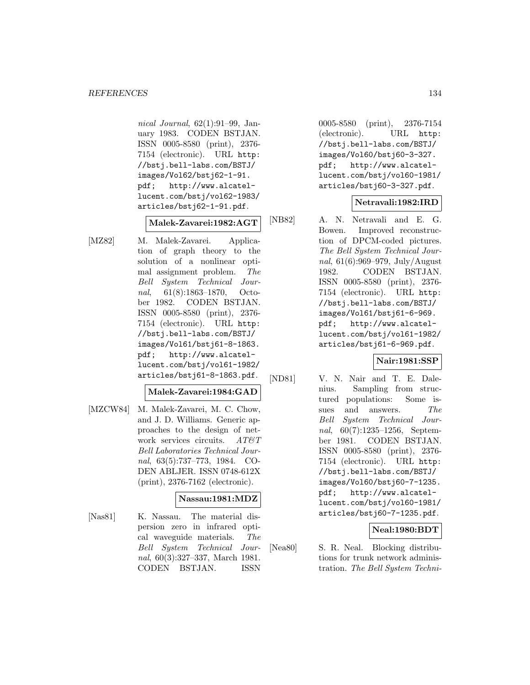nical Journal, 62(1):91–99, January 1983. CODEN BSTJAN. ISSN 0005-8580 (print), 2376- 7154 (electronic). URL http: //bstj.bell-labs.com/BSTJ/ images/Vol62/bstj62-1-91. pdf; http://www.alcatellucent.com/bstj/vol62-1983/ articles/bstj62-1-91.pdf.

# **Malek-Zavarei:1982:AGT**

[MZ82] M. Malek-Zavarei. Application of graph theory to the solution of a nonlinear optimal assignment problem. The Bell System Technical Journal, 61(8):1863–1870, October 1982. CODEN BSTJAN. ISSN 0005-8580 (print), 2376- 7154 (electronic). URL http: //bstj.bell-labs.com/BSTJ/ images/Vol61/bstj61-8-1863. pdf; http://www.alcatellucent.com/bstj/vol61-1982/ articles/bstj61-8-1863.pdf.

### **Malek-Zavarei:1984:GAD**

[MZCW84] M. Malek-Zavarei, M. C. Chow, and J. D. Williams. Generic approaches to the design of network services circuits.  $AT\&T$ Bell Laboratories Technical Journal, 63(5):737–773, 1984. CO-DEN ABLJER. ISSN 0748-612X (print), 2376-7162 (electronic).

### **Nassau:1981:MDZ**

[Nas81] K. Nassau. The material dispersion zero in infrared optical waveguide materials. The Bell System Technical Journal, 60(3):327–337, March 1981. CODEN BSTJAN. ISSN

0005-8580 (print), 2376-7154 (electronic). URL http: //bstj.bell-labs.com/BSTJ/ images/Vol60/bstj60-3-327. pdf; http://www.alcatellucent.com/bstj/vol60-1981/ articles/bstj60-3-327.pdf.

## **Netravali:1982:IRD**

[NB82] A. N. Netravali and E. G. Bowen. Improved reconstruction of DPCM-coded pictures. The Bell System Technical Journal, 61(6):969–979, July/August 1982. CODEN BSTJAN. ISSN 0005-8580 (print), 2376- 7154 (electronic). URL http: //bstj.bell-labs.com/BSTJ/ images/Vol61/bstj61-6-969. pdf; http://www.alcatellucent.com/bstj/vol61-1982/ articles/bstj61-6-969.pdf.

### **Nair:1981:SSP**

[ND81] V. N. Nair and T. E. Dalenius. Sampling from structured populations: Some issues and answers. The Bell System Technical Journal, 60(7):1235–1256, September 1981. CODEN BSTJAN. ISSN 0005-8580 (print), 2376- 7154 (electronic). URL http: //bstj.bell-labs.com/BSTJ/ images/Vol60/bstj60-7-1235. pdf; http://www.alcatellucent.com/bstj/vol60-1981/ articles/bstj60-7-1235.pdf.

## **Neal:1980:BDT**

[Nea80] S. R. Neal. Blocking distributions for trunk network administration. The Bell System Techni-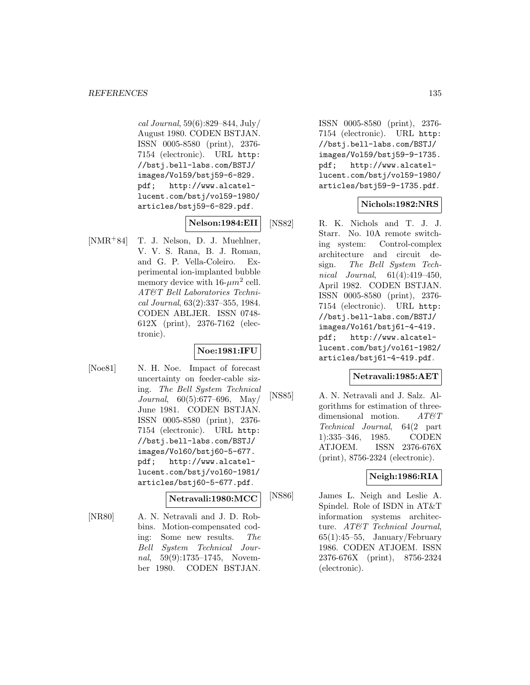cal Journal, 59(6):829–844, July/ August 1980. CODEN BSTJAN. ISSN 0005-8580 (print), 2376- 7154 (electronic). URL http: //bstj.bell-labs.com/BSTJ/ images/Vol59/bstj59-6-829. pdf; http://www.alcatellucent.com/bstj/vol59-1980/ articles/bstj59-6-829.pdf.

## **Nelson:1984:EII**

[NMR<sup>+</sup>84] T. J. Nelson, D. J. Muehlner, V. V. S. Rana, B. J. Roman, and G. P. Vella-Coleiro. Experimental ion-implanted bubble memory device with  $16-\mu m^2$  cell. AT&T Bell Laboratories Technical Journal, 63(2):337–355, 1984. CODEN ABLJER. ISSN 0748- 612X (print), 2376-7162 (electronic).

## **Noe:1981:IFU**

[Noe81] N. H. Noe. Impact of forecast uncertainty on feeder-cable sizing. The Bell System Technical Journal, 60(5):677–696, May/ June 1981. CODEN BSTJAN. ISSN 0005-8580 (print), 2376- 7154 (electronic). URL http: //bstj.bell-labs.com/BSTJ/ images/Vol60/bstj60-5-677. pdf; http://www.alcatellucent.com/bstj/vol60-1981/ articles/bstj60-5-677.pdf.

### **Netravali:1980:MCC**

[NR80] A. N. Netravali and J. D. Robbins. Motion-compensated coding: Some new results. The Bell System Technical Journal, 59(9):1735–1745, November 1980. CODEN BSTJAN.

ISSN 0005-8580 (print), 2376- 7154 (electronic). URL http: //bstj.bell-labs.com/BSTJ/ images/Vol59/bstj59-9-1735. pdf; http://www.alcatellucent.com/bstj/vol59-1980/ articles/bstj59-9-1735.pdf.

### **Nichols:1982:NRS**

[NS82] R. K. Nichols and T. J. J. Starr. No. 10A remote switching system: Control-complex architecture and circuit design. The Bell System Technical Journal, 61(4):419–450, April 1982. CODEN BSTJAN. ISSN 0005-8580 (print), 2376- 7154 (electronic). URL http: //bstj.bell-labs.com/BSTJ/ images/Vol61/bstj61-4-419. pdf; http://www.alcatellucent.com/bstj/vol61-1982/ articles/bstj61-4-419.pdf.

### **Netravali:1985:AET**

[NS85] A. N. Netravali and J. Salz. Algorithms for estimation of threedimensional motion. AT&T Technical Journal, 64(2 part 1):335–346, 1985. CODEN ATJOEM. ISSN 2376-676X (print), 8756-2324 (electronic).

## **Neigh:1986:RIA**

[NS86] James L. Neigh and Leslie A. Spindel. Role of ISDN in AT&T information systems architecture. AT&T Technical Journal,  $65(1):45-55$ , January/February 1986. CODEN ATJOEM. ISSN 2376-676X (print), 8756-2324 (electronic).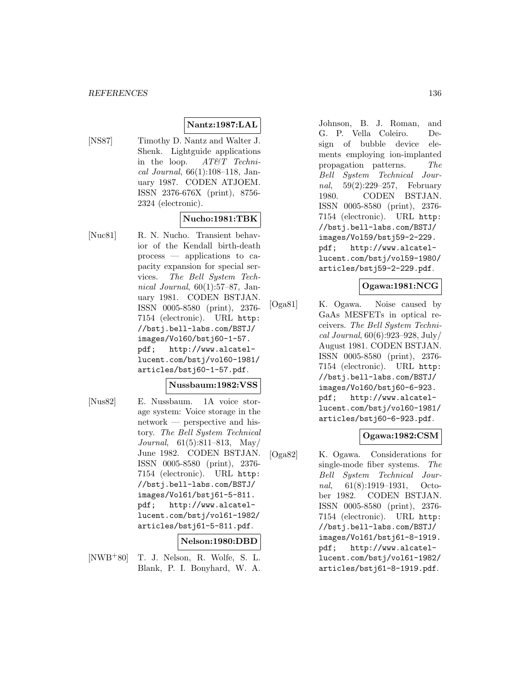# **Nantz:1987:LAL**

[NS87] Timothy D. Nantz and Walter J. Shenk. Lightguide applications in the loop. AT&T Technical Journal, 66(1):108–118, January 1987. CODEN ATJOEM. ISSN 2376-676X (print), 8756- 2324 (electronic).

## **Nucho:1981:TBK**

[Nuc81] R. N. Nucho. Transient behavior of the Kendall birth-death process — applications to capacity expansion for special services. The Bell System Technical Journal,  $60(1):57-87$ , January 1981. CODEN BSTJAN. ISSN 0005-8580 (print), 2376- 7154 (electronic). URL http: //bstj.bell-labs.com/BSTJ/ images/Vol60/bstj60-1-57. pdf; http://www.alcatellucent.com/bstj/vol60-1981/ articles/bstj60-1-57.pdf.

### **Nussbaum:1982:VSS**

[Nus82] E. Nussbaum. 1A voice storage system: Voice storage in the network — perspective and history. The Bell System Technical Journal, 61(5):811–813, May/ June 1982. CODEN BSTJAN. ISSN 0005-8580 (print), 2376- 7154 (electronic). URL http: //bstj.bell-labs.com/BSTJ/ images/Vol61/bstj61-5-811. pdf; http://www.alcatellucent.com/bstj/vol61-1982/ articles/bstj61-5-811.pdf.

### **Nelson:1980:DBD**

[NWB<sup>+</sup>80] T. J. Nelson, R. Wolfe, S. L. Blank, P. I. Bonyhard, W. A.

Johnson, B. J. Roman, and G. P. Vella Coleiro. Design of bubble device elements employing ion-implanted propagation patterns. The Bell System Technical Journal, 59(2):229–257, February 1980. CODEN BSTJAN. ISSN 0005-8580 (print), 2376- 7154 (electronic). URL http: //bstj.bell-labs.com/BSTJ/ images/Vol59/bstj59-2-229. pdf; http://www.alcatellucent.com/bstj/vol59-1980/ articles/bstj59-2-229.pdf.

### **Ogawa:1981:NCG**

[Oga81] K. Ogawa. Noise caused by GaAs MESFETs in optical receivers. The Bell System Technical Journal, 60(6):923–928, July/ August 1981. CODEN BSTJAN. ISSN 0005-8580 (print), 2376- 7154 (electronic). URL http: //bstj.bell-labs.com/BSTJ/ images/Vol60/bstj60-6-923. pdf; http://www.alcatellucent.com/bstj/vol60-1981/ articles/bstj60-6-923.pdf.

### **Ogawa:1982:CSM**

[Oga82] K. Ogawa. Considerations for single-mode fiber systems. The Bell System Technical Journal, 61(8):1919–1931, October 1982. CODEN BSTJAN. ISSN 0005-8580 (print), 2376- 7154 (electronic). URL http: //bstj.bell-labs.com/BSTJ/ images/Vol61/bstj61-8-1919. pdf; http://www.alcatellucent.com/bstj/vol61-1982/ articles/bstj61-8-1919.pdf.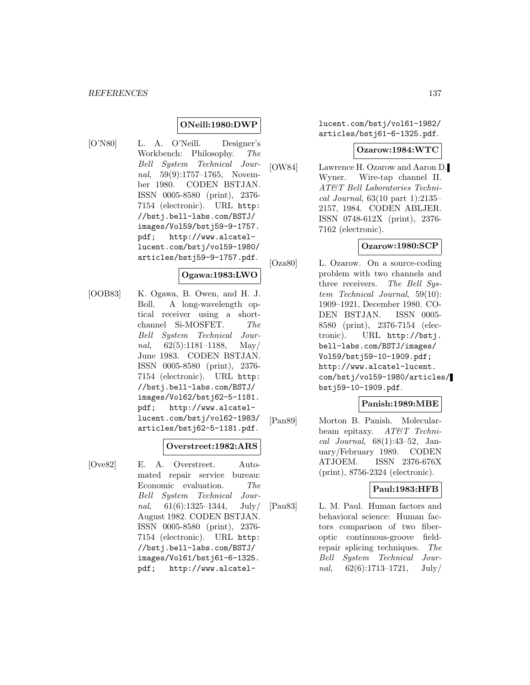### **ONeill:1980:DWP**

[O'N80] L. A. O'Neill. Designer's Workbench: Philosophy. The Bell System Technical Journal, 59(9):1757–1765, November 1980. CODEN BSTJAN. ISSN 0005-8580 (print), 2376- 7154 (electronic). URL http: //bstj.bell-labs.com/BSTJ/ images/Vol59/bstj59-9-1757. pdf; http://www.alcatellucent.com/bstj/vol59-1980/ articles/bstj59-9-1757.pdf.

### **Ogawa:1983:LWO**

[OOB83] K. Ogawa, B. Owen, and H. J. Boll. A long-wavelength optical receiver using a shortchannel Si-MOSFET. The Bell System Technical Journal,  $62(5):1181-1188$ , May/ June 1983. CODEN BSTJAN. ISSN 0005-8580 (print), 2376- 7154 (electronic). URL http: //bstj.bell-labs.com/BSTJ/ images/Vol62/bstj62-5-1181. pdf; http://www.alcatellucent.com/bstj/vol62-1983/ articles/bstj62-5-1181.pdf.

#### **Overstreet:1982:ARS**

[Ove82] E. A. Overstreet. Automated repair service bureau: Economic evaluation. The Bell System Technical Journal,  $61(6):1325-1344$ , July/ August 1982. CODEN BSTJAN. ISSN 0005-8580 (print), 2376- 7154 (electronic). URL http: //bstj.bell-labs.com/BSTJ/ images/Vol61/bstj61-6-1325. pdf; http://www.alcatellucent.com/bstj/vol61-1982/ articles/bstj61-6-1325.pdf.

#### **Ozarow:1984:WTC**

[OW84] Lawrence H. Ozarow and Aaron D. Wyner. Wire-tap channel II. AT&T Bell Laboratories Technical Journal, 63(10 part 1):2135– 2157, 1984. CODEN ABLJER. ISSN 0748-612X (print), 2376- 7162 (electronic).

### **Ozarow:1980:SCP**

[Oza80] L. Ozarow. On a source-coding problem with two channels and three receivers. The Bell System Technical Journal, 59(10): 1909–1921, December 1980. CO-DEN BSTJAN. ISSN 0005- 8580 (print), 2376-7154 (electronic). URL http://bstj. bell-labs.com/BSTJ/images/ Vol59/bstj59-10-1909.pdf; http://www.alcatel-lucent. com/bstj/vol59-1980/articles/ bstj59-10-1909.pdf.

### **Panish:1989:MBE**

[Pan89] Morton B. Panish. Molecularbeam epitaxy. AT&T Technical Journal, 68(1):43–52, January/February 1989. CODEN ATJOEM. ISSN 2376-676X (print), 8756-2324 (electronic).

### **Paul:1983:HFB**

[Pau83] L. M. Paul. Human factors and behavioral science: Human factors comparison of two fiberoptic continuous-groove fieldrepair splicing techniques. The Bell System Technical Journal,  $62(6):1713-1721$ , July/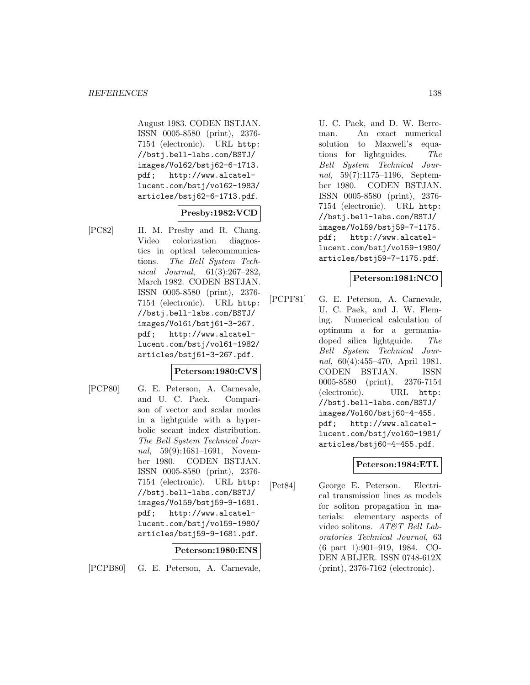August 1983. CODEN BSTJAN. ISSN 0005-8580 (print), 2376- 7154 (electronic). URL http: //bstj.bell-labs.com/BSTJ/ images/Vol62/bstj62-6-1713. pdf; http://www.alcatellucent.com/bstj/vol62-1983/ articles/bstj62-6-1713.pdf.

# **Presby:1982:VCD**

[PC82] H. M. Presby and R. Chang. Video colorization diagnostics in optical telecommunications. The Bell System Technical Journal, 61(3):267–282, March 1982. CODEN BSTJAN. ISSN 0005-8580 (print), 2376- 7154 (electronic). URL http: //bstj.bell-labs.com/BSTJ/ images/Vol61/bstj61-3-267. pdf; http://www.alcatellucent.com/bstj/vol61-1982/ articles/bstj61-3-267.pdf.

### **Peterson:1980:CVS**

[PCP80] G. E. Peterson, A. Carnevale, and U. C. Paek. Comparison of vector and scalar modes in a lightguide with a hyperbolic secant index distribution. The Bell System Technical Journal, 59(9):1681–1691, November 1980. CODEN BSTJAN. ISSN 0005-8580 (print), 2376- 7154 (electronic). URL http: //bstj.bell-labs.com/BSTJ/ images/Vol59/bstj59-9-1681. pdf; http://www.alcatellucent.com/bstj/vol59-1980/ articles/bstj59-9-1681.pdf.

### **Peterson:1980:ENS**

[PCPB80] G. E. Peterson, A. Carnevale,

U. C. Paek, and D. W. Berreman. An exact numerical solution to Maxwell's equations for lightguides. The Bell System Technical Journal, 59(7):1175–1196, September 1980. CODEN BSTJAN. ISSN 0005-8580 (print), 2376- 7154 (electronic). URL http: //bstj.bell-labs.com/BSTJ/ images/Vol59/bstj59-7-1175. pdf; http://www.alcatellucent.com/bstj/vol59-1980/ articles/bstj59-7-1175.pdf.

### **Peterson:1981:NCO**

[PCPF81] G. E. Peterson, A. Carnevale, U. C. Paek, and J. W. Fleming. Numerical calculation of optimum a for a germaniadoped silica lightguide. The Bell System Technical Journal, 60(4):455–470, April 1981. CODEN BSTJAN. ISSN 0005-8580 (print), 2376-7154 (electronic). URL http: //bstj.bell-labs.com/BSTJ/ images/Vol60/bstj60-4-455. pdf; http://www.alcatellucent.com/bstj/vol60-1981/ articles/bstj60-4-455.pdf.

## **Peterson:1984:ETL**

[Pet84] George E. Peterson. Electrical transmission lines as models for soliton propagation in materials: elementary aspects of video solitons. AT&T Bell Laboratories Technical Journal, 63 (6 part 1):901–919, 1984. CO-DEN ABLJER. ISSN 0748-612X (print), 2376-7162 (electronic).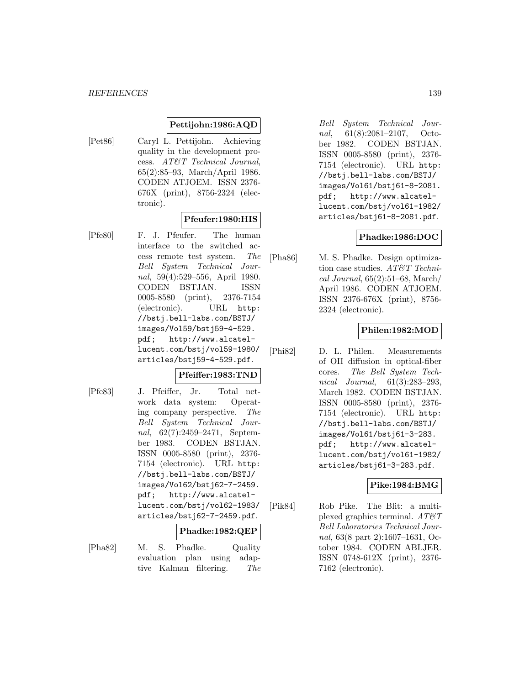### **Pettijohn:1986:AQD**

[Pet86] Caryl L. Pettijohn. Achieving quality in the development process. AT&T Technical Journal, 65(2):85–93, March/April 1986. CODEN ATJOEM. ISSN 2376- 676X (print), 8756-2324 (electronic).

## **Pfeufer:1980:HIS**

[Pfe80] F. J. Pfeufer. The human interface to the switched access remote test system. The Bell System Technical Journal, 59(4):529–556, April 1980. CODEN BSTJAN. ISSN 0005-8580 (print), 2376-7154 (electronic). URL http: //bstj.bell-labs.com/BSTJ/ images/Vol59/bstj59-4-529. pdf; http://www.alcatellucent.com/bstj/vol59-1980/ articles/bstj59-4-529.pdf.

### **Pfeiffer:1983:TND**

[Pfe83] J. Pfeiffer, Jr. Total network data system: Operating company perspective. The Bell System Technical Journal, 62(7):2459–2471, September 1983. CODEN BSTJAN. ISSN 0005-8580 (print), 2376- 7154 (electronic). URL http: //bstj.bell-labs.com/BSTJ/ images/Vol62/bstj62-7-2459. pdf; http://www.alcatellucent.com/bstj/vol62-1983/ articles/bstj62-7-2459.pdf.

#### **Phadke:1982:QEP**

[Pha82] M. S. Phadke. Quality evaluation plan using adaptive Kalman filtering. The

Bell System Technical Journal, 61(8):2081–2107, October 1982. CODEN BSTJAN. ISSN 0005-8580 (print), 2376- 7154 (electronic). URL http: //bstj.bell-labs.com/BSTJ/ images/Vol61/bstj61-8-2081. pdf; http://www.alcatellucent.com/bstj/vol61-1982/ articles/bstj61-8-2081.pdf.

### **Phadke:1986:DOC**

[Pha86] M. S. Phadke. Design optimization case studies. AT&T Technical Journal, 65(2):51–68, March/ April 1986. CODEN ATJOEM. ISSN 2376-676X (print), 8756- 2324 (electronic).

### **Philen:1982:MOD**

[Phi82] D. L. Philen. Measurements of OH diffusion in optical-fiber cores. The Bell System Technical Journal, 61(3):283–293, March 1982. CODEN BSTJAN. ISSN 0005-8580 (print), 2376- 7154 (electronic). URL http: //bstj.bell-labs.com/BSTJ/ images/Vol61/bstj61-3-283. pdf; http://www.alcatellucent.com/bstj/vol61-1982/ articles/bstj61-3-283.pdf.

### **Pike:1984:BMG**

[Pik84] Rob Pike. The Blit: a multiplexed graphics terminal.  $AT \mathcal{C}T$ Bell Laboratories Technical Journal, 63(8 part 2):1607–1631, October 1984. CODEN ABLJER. ISSN 0748-612X (print), 2376- 7162 (electronic).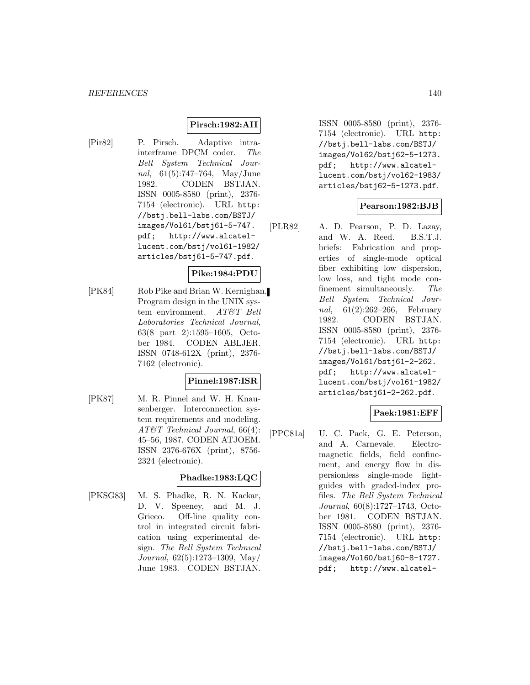### **Pirsch:1982:AII**

[Pir82] P. Pirsch. Adaptive intrainterframe DPCM coder. The Bell System Technical Journal, 61(5):747–764, May/June 1982. CODEN BSTJAN. ISSN 0005-8580 (print), 2376- 7154 (electronic). URL http: //bstj.bell-labs.com/BSTJ/ images/Vol61/bstj61-5-747. pdf; http://www.alcatellucent.com/bstj/vol61-1982/ articles/bstj61-5-747.pdf.

### **Pike:1984:PDU**

[PK84] Rob Pike and Brian W. Kernighan. Program design in the UNIX system environment. AT&T Bell Laboratories Technical Journal, 63(8 part 2):1595–1605, October 1984. CODEN ABLJER. ISSN 0748-612X (print), 2376- 7162 (electronic).

## **Pinnel:1987:ISR**

[PK87] M. R. Pinnel and W. H. Knausenberger. Interconnection system requirements and modeling. AT&T Technical Journal, 66(4): 45–56, 1987. CODEN ATJOEM. ISSN 2376-676X (print), 8756- 2324 (electronic).

## **Phadke:1983:LQC**

[PKSG83] M. S. Phadke, R. N. Kackar, D. V. Speeney, and M. J. Grieco. Off-line quality control in integrated circuit fabrication using experimental design. The Bell System Technical Journal, 62(5):1273–1309, May/ June 1983. CODEN BSTJAN.

ISSN 0005-8580 (print), 2376- 7154 (electronic). URL http: //bstj.bell-labs.com/BSTJ/ images/Vol62/bstj62-5-1273. pdf; http://www.alcatellucent.com/bstj/vol62-1983/ articles/bstj62-5-1273.pdf.

### **Pearson:1982:BJB**

[PLR82] A. D. Pearson, P. D. Lazay, and W. A. Reed. B.S.T.J. briefs: Fabrication and properties of single-mode optical fiber exhibiting low dispersion, low loss, and tight mode confinement simultaneously. The Bell System Technical Journal, 61(2):262–266, February 1982. CODEN BSTJAN. ISSN 0005-8580 (print), 2376- 7154 (electronic). URL http: //bstj.bell-labs.com/BSTJ/ images/Vol61/bstj61-2-262. pdf; http://www.alcatellucent.com/bstj/vol61-1982/ articles/bstj61-2-262.pdf.

## **Paek:1981:EFF**

[PPC81a] U. C. Paek, G. E. Peterson, and A. Carnevale. Electromagnetic fields, field confinement, and energy flow in dispersionless single-mode lightguides with graded-index profiles. The Bell System Technical Journal, 60(8):1727–1743, October 1981. CODEN BSTJAN. ISSN 0005-8580 (print), 2376- 7154 (electronic). URL http: //bstj.bell-labs.com/BSTJ/ images/Vol60/bstj60-8-1727. pdf; http://www.alcatel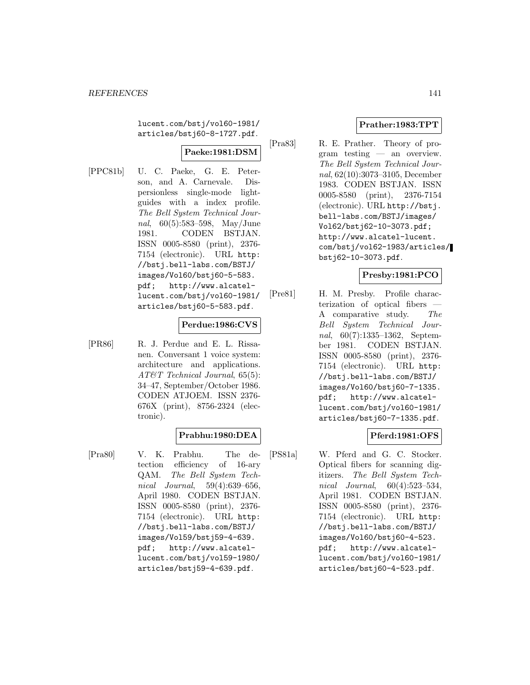lucent.com/bstj/vol60-1981/ articles/bstj60-8-1727.pdf.

# **Paeke:1981:DSM**

[PPC81b] U. C. Paeke, G. E. Peterson, and A. Carnevale. Dispersionless single-mode lightguides with a index profile. The Bell System Technical Journal, 60(5):583–598, May/June 1981. CODEN BSTJAN. ISSN 0005-8580 (print), 2376- 7154 (electronic). URL http: //bstj.bell-labs.com/BSTJ/ images/Vol60/bstj60-5-583. pdf; http://www.alcatellucent.com/bstj/vol60-1981/ articles/bstj60-5-583.pdf.

### **Perdue:1986:CVS**

[PR86] R. J. Perdue and E. L. Rissanen. Conversant 1 voice system: architecture and applications. AT&T Technical Journal, 65(5): 34–47, September/October 1986. CODEN ATJOEM. ISSN 2376- 676X (print), 8756-2324 (electronic).

### **Prabhu:1980:DEA**

[Pra80] V. K. Prabhu. The detection efficiency of 16-ary QAM. The Bell System Technical Journal, 59(4):639–656, April 1980. CODEN BSTJAN. ISSN 0005-8580 (print), 2376- 7154 (electronic). URL http: //bstj.bell-labs.com/BSTJ/ images/Vol59/bstj59-4-639. pdf; http://www.alcatellucent.com/bstj/vol59-1980/ articles/bstj59-4-639.pdf.

# **Prather:1983:TPT**

[Pra83] R. E. Prather. Theory of program testing — an overview. The Bell System Technical Journal, 62(10):3073–3105, December 1983. CODEN BSTJAN. ISSN 0005-8580 (print), 2376-7154 (electronic). URL http://bstj. bell-labs.com/BSTJ/images/ Vol62/bstj62-10-3073.pdf; http://www.alcatel-lucent. com/bstj/vol62-1983/articles/ bstj62-10-3073.pdf.

## **Presby:1981:PCO**

[Pre81] H. M. Presby. Profile characterization of optical fibers A comparative study. The Bell System Technical Journal, 60(7):1335–1362, September 1981. CODEN BSTJAN. ISSN 0005-8580 (print), 2376- 7154 (electronic). URL http: //bstj.bell-labs.com/BSTJ/ images/Vol60/bstj60-7-1335. pdf; http://www.alcatellucent.com/bstj/vol60-1981/ articles/bstj60-7-1335.pdf.

## **Pferd:1981:OFS**

[PS81a] W. Pferd and G. C. Stocker. Optical fibers for scanning digitizers. The Bell System Technical Journal, 60(4):523–534, April 1981. CODEN BSTJAN. ISSN 0005-8580 (print), 2376- 7154 (electronic). URL http: //bstj.bell-labs.com/BSTJ/ images/Vol60/bstj60-4-523. pdf; http://www.alcatellucent.com/bstj/vol60-1981/ articles/bstj60-4-523.pdf.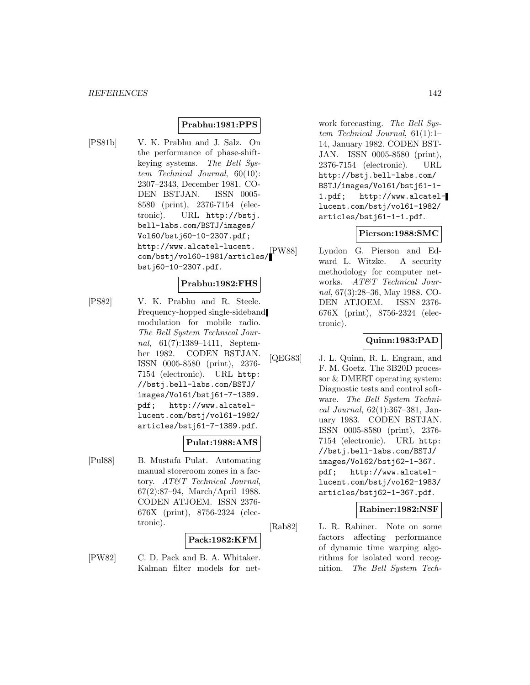### **Prabhu:1981:PPS**

[PS81b] V. K. Prabhu and J. Salz. On the performance of phase-shiftkeying systems. The Bell System Technical Journal, 60(10): 2307–2343, December 1981. CO-DEN BSTJAN. ISSN 0005- 8580 (print), 2376-7154 (electronic). URL http://bstj. bell-labs.com/BSTJ/images/ Vol60/bstj60-10-2307.pdf; http://www.alcatel-lucent. com/bstj/vol60-1981/articles/ bstj60-10-2307.pdf.

#### **Prabhu:1982:FHS**

[PS82] V. K. Prabhu and R. Steele. Frequency-hopped single-sideband modulation for mobile radio. The Bell System Technical Journal, 61(7):1389–1411, September 1982. CODEN BSTJAN. ISSN 0005-8580 (print), 2376- 7154 (electronic). URL http: //bstj.bell-labs.com/BSTJ/ images/Vol61/bstj61-7-1389. pdf; http://www.alcatellucent.com/bstj/vol61-1982/ articles/bstj61-7-1389.pdf.

### **Pulat:1988:AMS**

[Pul88] B. Mustafa Pulat. Automating manual storeroom zones in a factory. AT&T Technical Journal, 67(2):87–94, March/April 1988. CODEN ATJOEM. ISSN 2376- 676X (print), 8756-2324 (electronic).

#### **Pack:1982:KFM**

[PW82] C. D. Pack and B. A. Whitaker. Kalman filter models for net-

work forecasting. The Bell System Technical Journal, 61(1):1– 14, January 1982. CODEN BST-JAN. ISSN 0005-8580 (print), 2376-7154 (electronic). URL http://bstj.bell-labs.com/ BSTJ/images/Vol61/bstj61-1- 1.pdf; http://www.alcatellucent.com/bstj/vol61-1982/ articles/bstj61-1-1.pdf.

#### **Pierson:1988:SMC**

[PW88] Lyndon G. Pierson and Edward L. Witzke. A security methodology for computer networks. AT&T Technical Journal, 67(3):28–36, May 1988. CO-DEN ATJOEM. ISSN 2376- 676X (print), 8756-2324 (electronic).

### **Quinn:1983:PAD**

[QEG83] J. L. Quinn, R. L. Engram, and F. M. Goetz. The 3B20D processor & DMERT operating system: Diagnostic tests and control software. The Bell System Technical Journal, 62(1):367–381, January 1983. CODEN BSTJAN. ISSN 0005-8580 (print), 2376- 7154 (electronic). URL http: //bstj.bell-labs.com/BSTJ/ images/Vol62/bstj62-1-367. pdf; http://www.alcatellucent.com/bstj/vol62-1983/ articles/bstj62-1-367.pdf.

### **Rabiner:1982:NSF**

[Rab82] L. R. Rabiner. Note on some factors affecting performance of dynamic time warping algorithms for isolated word recognition. The Bell System Tech-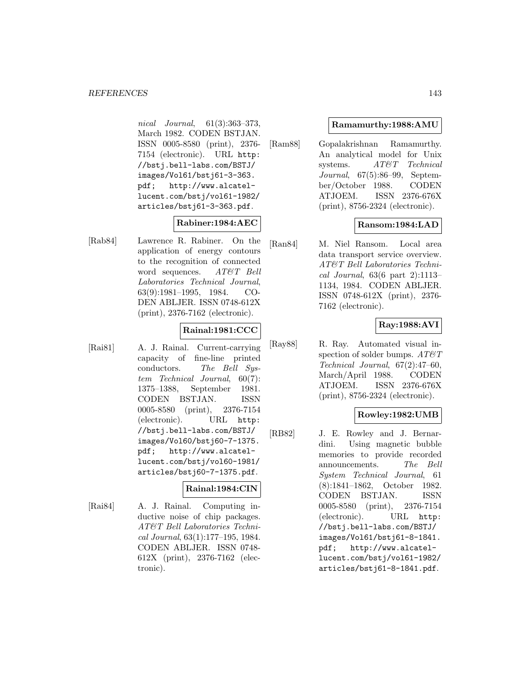nical Journal, 61(3):363–373, March 1982. CODEN BSTJAN. ISSN 0005-8580 (print), 2376- 7154 (electronic). URL http: //bstj.bell-labs.com/BSTJ/ images/Vol61/bstj61-3-363. pdf; http://www.alcatellucent.com/bstj/vol61-1982/ articles/bstj61-3-363.pdf.

### **Rabiner:1984:AEC**

[Rab84] Lawrence R. Rabiner. On the application of energy contours to the recognition of connected word sequences. AT&T Bell Laboratories Technical Journal, 63(9):1981–1995, 1984. CO-DEN ABLJER. ISSN 0748-612X (print), 2376-7162 (electronic).

# **Rainal:1981:CCC**

[Rai81] A. J. Rainal. Current-carrying capacity of fine-line printed conductors. The Bell System Technical Journal, 60(7): 1375–1388, September 1981. CODEN BSTJAN. ISSN 0005-8580 (print), 2376-7154 (electronic). URL http: //bstj.bell-labs.com/BSTJ/ images/Vol60/bstj60-7-1375. pdf; http://www.alcatellucent.com/bstj/vol60-1981/ articles/bstj60-7-1375.pdf.

# **Rainal:1984:CIN**

[Rai84] A. J. Rainal. Computing inductive noise of chip packages. AT&T Bell Laboratories Technical Journal, 63(1):177–195, 1984. CODEN ABLJER. ISSN 0748- 612X (print), 2376-7162 (electronic).

### **Ramamurthy:1988:AMU**

[Ram88] Gopalakrishnan Ramamurthy. An analytical model for Unix systems.  $AT\&T$  Technical Journal, 67(5):86–99, September/October 1988. CODEN ATJOEM. ISSN 2376-676X (print), 8756-2324 (electronic).

## **Ransom:1984:LAD**

[Ran84] M. Niel Ransom. Local area data transport service overview. AT&T Bell Laboratories Technical Journal, 63(6 part 2):1113– 1134, 1984. CODEN ABLJER. ISSN 0748-612X (print), 2376- 7162 (electronic).

# **Ray:1988:AVI**

[Ray88] R. Ray. Automated visual inspection of solder bumps.  $AT\ensuremath{\mathcal{C}} T$ Technical Journal, 67(2):47–60, March/April 1988. CODEN ATJOEM. ISSN 2376-676X (print), 8756-2324 (electronic).

### **Rowley:1982:UMB**

[RB82] J. E. Rowley and J. Bernardini. Using magnetic bubble memories to provide recorded announcements. The Bell System Technical Journal, 61 (8):1841–1862, October 1982. CODEN BSTJAN. ISSN 0005-8580 (print), 2376-7154 (electronic). URL http: //bstj.bell-labs.com/BSTJ/ images/Vol61/bstj61-8-1841. pdf; http://www.alcatellucent.com/bstj/vol61-1982/ articles/bstj61-8-1841.pdf.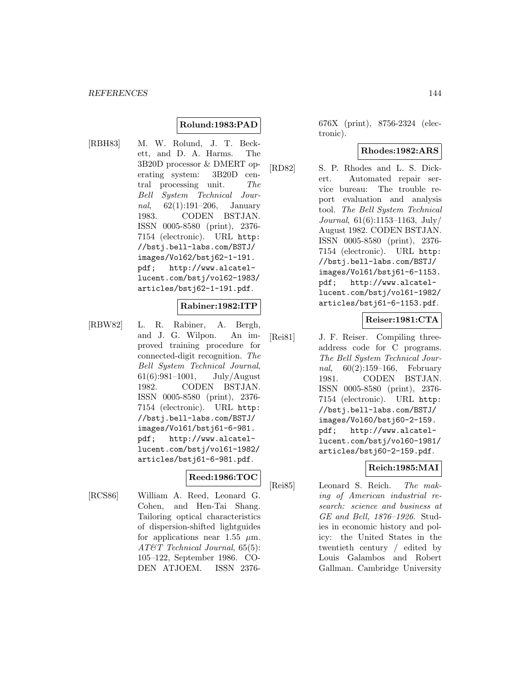### **Rolund:1983:PAD**

[RBH83] M. W. Rolund, J. T. Beckett, and D. A. Harms. The 3B20D processor & DMERT operating system: 3B20D central processing unit. The Bell System Technical Journal, 62(1):191–206, January 1983. CODEN BSTJAN. ISSN 0005-8580 (print), 2376- 7154 (electronic). URL http: //bstj.bell-labs.com/BSTJ/ images/Vol62/bstj62-1-191. pdf; http://www.alcatellucent.com/bstj/vol62-1983/ articles/bstj62-1-191.pdf.

#### **Rabiner:1982:ITP**

[RBW82] L. R. Rabiner, A. Bergh, and J. G. Wilpon. An improved training procedure for connected-digit recognition. The Bell System Technical Journal,  $61(6):981-1001$ , July/August 1982. CODEN BSTJAN. ISSN 0005-8580 (print), 2376- 7154 (electronic). URL http: //bstj.bell-labs.com/BSTJ/ images/Vol61/bstj61-6-981. pdf; http://www.alcatellucent.com/bstj/vol61-1982/ articles/bstj61-6-981.pdf.

# **Reed:1986:TOC**

[RCS86] William A. Reed, Leonard G. Cohen, and Hen-Tai Shang. Tailoring optical characteristics of dispersion-shifted lightguides for applications near 1.55  $\mu$ m. AT&T Technical Journal, 65(5): 105–122, September 1986. CO-DEN ATJOEM. ISSN 2376676X (print), 8756-2324 (electronic).

### **Rhodes:1982:ARS**

[RD82] S. P. Rhodes and L. S. Dickert. Automated repair service bureau: The trouble report evaluation and analysis tool. The Bell System Technical Journal, 61(6):1153–1163, July/ August 1982. CODEN BSTJAN. ISSN 0005-8580 (print), 2376- 7154 (electronic). URL http: //bstj.bell-labs.com/BSTJ/ images/Vol61/bstj61-6-1153. pdf; http://www.alcatellucent.com/bstj/vol61-1982/ articles/bstj61-6-1153.pdf.

**Reiser:1981:CTA**

[Rei81] J. F. Reiser. Compiling threeaddress code for C programs. The Bell System Technical Journal, 60(2):159–166, February 1981. CODEN BSTJAN. ISSN 0005-8580 (print), 2376- 7154 (electronic). URL http: //bstj.bell-labs.com/BSTJ/ images/Vol60/bstj60-2-159. pdf; http://www.alcatellucent.com/bstj/vol60-1981/ articles/bstj60-2-159.pdf.

## **Reich:1985:MAI**

[Rei85] Leonard S. Reich. The making of American industrial research: science and business at GE and Bell, 1876–1926. Studies in economic history and policy: the United States in the twentieth century / edited by Louis Galambos and Robert Gallman. Cambridge University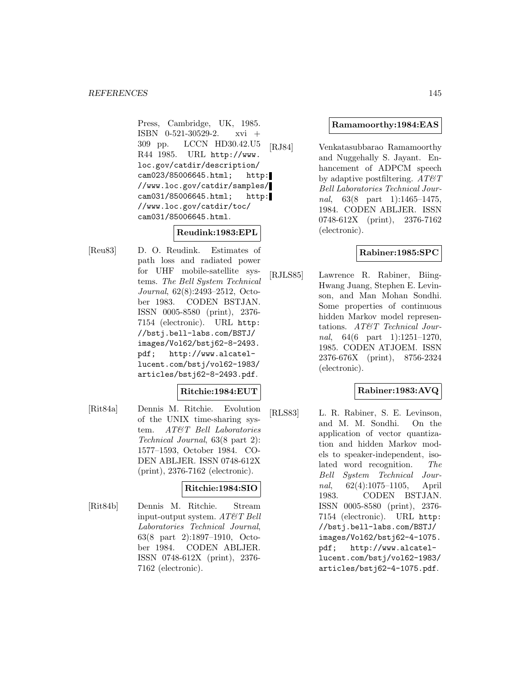Press, Cambridge, UK, 1985. ISBN 0-521-30529-2. xvi + 309 pp. LCCN HD30.42.U5 R44 1985. URL http://www. loc.gov/catdir/description/ cam023/85006645.html; http: //www.loc.gov/catdir/samples/ cam031/85006645.html; http: //www.loc.gov/catdir/toc/ cam031/85006645.html.

# **Reudink:1983:EPL**

[Reu83] D. O. Reudink. Estimates of path loss and radiated power for UHF mobile-satellite systems. The Bell System Technical Journal, 62(8):2493–2512, October 1983. CODEN BSTJAN. ISSN 0005-8580 (print), 2376- 7154 (electronic). URL http: //bstj.bell-labs.com/BSTJ/ images/Vol62/bstj62-8-2493. pdf; http://www.alcatellucent.com/bstj/vol62-1983/ articles/bstj62-8-2493.pdf.

#### **Ritchie:1984:EUT**

[Rit84a] Dennis M. Ritchie. Evolution of the UNIX time-sharing system. AT&T Bell Laboratories Technical Journal, 63(8 part 2): 1577–1593, October 1984. CO-DEN ABLJER. ISSN 0748-612X (print), 2376-7162 (electronic).

# **Ritchie:1984:SIO**

[Rit84b] Dennis M. Ritchie. Stream input-output system.  $AT\&T$  Bell Laboratories Technical Journal, 63(8 part 2):1897–1910, October 1984. CODEN ABLJER. ISSN 0748-612X (print), 2376- 7162 (electronic).

#### **Ramamoorthy:1984:EAS**

[RJ84] Venkatasubbarao Ramamoorthy and Nuggehally S. Jayant. Enhancement of ADPCM speech by adaptive postfiltering.  $AT\&T$ Bell Laboratories Technical Journal, 63(8 part 1):1465-1475, 1984. CODEN ABLJER. ISSN 0748-612X (print), 2376-7162 (electronic).

# **Rabiner:1985:SPC**

[RJLS85] Lawrence R. Rabiner, Biing-Hwang Juang, Stephen E. Levinson, and Man Mohan Sondhi. Some properties of continuous hidden Markov model representations. AT&T Technical Journal, 64(6 part 1):1251-1270, 1985. CODEN ATJOEM. ISSN 2376-676X (print), 8756-2324 (electronic).

# **Rabiner:1983:AVQ**

[RLS83] L. R. Rabiner, S. E. Levinson, and M. M. Sondhi. On the application of vector quantization and hidden Markov models to speaker-independent, isolated word recognition. The Bell System Technical Journal, 62(4):1075–1105, April 1983. CODEN BSTJAN. ISSN 0005-8580 (print), 2376- 7154 (electronic). URL http: //bstj.bell-labs.com/BSTJ/ images/Vol62/bstj62-4-1075. pdf; http://www.alcatellucent.com/bstj/vol62-1983/ articles/bstj62-4-1075.pdf.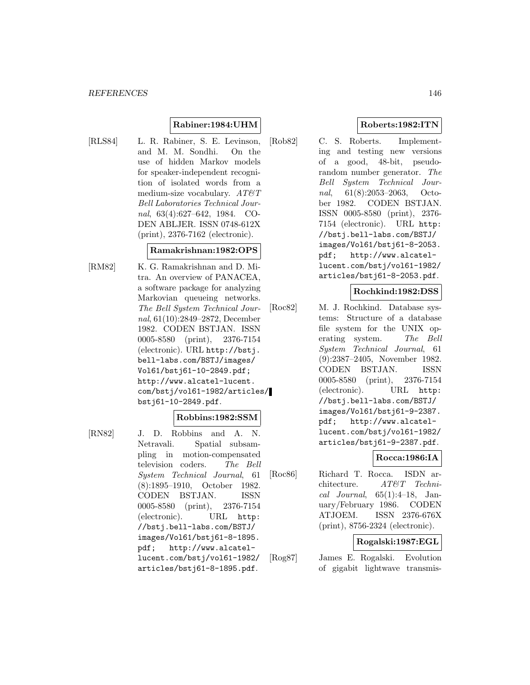# **Rabiner:1984:UHM**

[RLS84] L. R. Rabiner, S. E. Levinson, and M. M. Sondhi. On the use of hidden Markov models for speaker-independent recognition of isolated words from a medium-size vocabulary.  $AT\&T$ Bell Laboratories Technical Journal, 63(4):627–642, 1984. CO-DEN ABLJER. ISSN 0748-612X (print), 2376-7162 (electronic).

#### **Ramakrishnan:1982:OPS**

[RM82] K. G. Ramakrishnan and D. Mitra. An overview of PANACEA, a software package for analyzing Markovian queueing networks. The Bell System Technical Journal, 61(10):2849–2872, December 1982. CODEN BSTJAN. ISSN 0005-8580 (print), 2376-7154 (electronic). URL http://bstj. bell-labs.com/BSTJ/images/ Vol61/bstj61-10-2849.pdf; http://www.alcatel-lucent. com/bstj/vol61-1982/articles/ bstj61-10-2849.pdf.

#### **Robbins:1982:SSM**

[RN82] J. D. Robbins and A. N. Netravali. Spatial subsampling in motion-compensated television coders. The Bell System Technical Journal, 61 (8):1895–1910, October 1982. CODEN BSTJAN. ISSN 0005-8580 (print), 2376-7154 (electronic). URL http: //bstj.bell-labs.com/BSTJ/ images/Vol61/bstj61-8-1895. pdf; http://www.alcatellucent.com/bstj/vol61-1982/ articles/bstj61-8-1895.pdf.

# **Roberts:1982:ITN**

[Rob82] C. S. Roberts. Implementing and testing new versions of a good, 48-bit, pseudorandom number generator. The Bell System Technical Journal, 61(8):2053–2063, October 1982. CODEN BSTJAN. ISSN 0005-8580 (print), 2376- 7154 (electronic). URL http: //bstj.bell-labs.com/BSTJ/ images/Vol61/bstj61-8-2053. pdf; http://www.alcatellucent.com/bstj/vol61-1982/ articles/bstj61-8-2053.pdf.

#### **Rochkind:1982:DSS**

[Roc82] M. J. Rochkind. Database systems: Structure of a database file system for the UNIX operating system. The Bell System Technical Journal, 61 (9):2387–2405, November 1982. CODEN BSTJAN. ISSN 0005-8580 (print), 2376-7154 (electronic). URL http: //bstj.bell-labs.com/BSTJ/ images/Vol61/bstj61-9-2387. pdf; http://www.alcatellucent.com/bstj/vol61-1982/ articles/bstj61-9-2387.pdf.

### **Rocca:1986:IA**

[Roc86] Richard T. Rocca. ISDN architecture. AT&T Technical Journal, 65(1):4–18, January/February 1986. CODEN ATJOEM. ISSN 2376-676X (print), 8756-2324 (electronic).

### **Rogalski:1987:EGL**

[Rog87] James E. Rogalski. Evolution of gigabit lightwave transmis-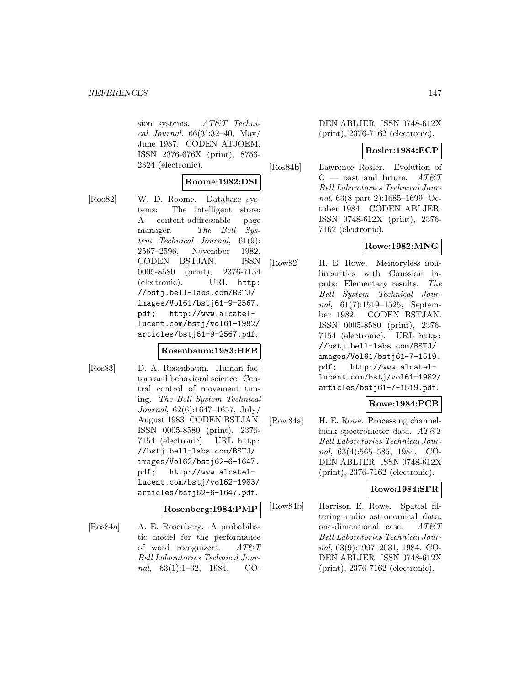sion systems. AT&T Technical Journal,  $66(3):32-40$ , May/ June 1987. CODEN ATJOEM. ISSN 2376-676X (print), 8756- 2324 (electronic).

# **Roome:1982:DSI**

[Roo82] W. D. Roome. Database systems: The intelligent store: A content-addressable page manager. The Bell System Technical Journal, 61(9): 2567–2596, November 1982. CODEN BSTJAN. ISSN 0005-8580 (print), 2376-7154 (electronic). URL http: //bstj.bell-labs.com/BSTJ/ images/Vol61/bstj61-9-2567. pdf; http://www.alcatellucent.com/bstj/vol61-1982/ articles/bstj61-9-2567.pdf.

# **Rosenbaum:1983:HFB**

[Ros83] D. A. Rosenbaum. Human factors and behavioral science: Central control of movement timing. The Bell System Technical Journal, 62(6):1647–1657, July/ August 1983. CODEN BSTJAN. ISSN 0005-8580 (print), 2376- 7154 (electronic). URL http: //bstj.bell-labs.com/BSTJ/ images/Vol62/bstj62-6-1647. pdf; http://www.alcatellucent.com/bstj/vol62-1983/ articles/bstj62-6-1647.pdf.

#### **Rosenberg:1984:PMP**

[Ros84a] A. E. Rosenberg. A probabilistic model for the performance of word recognizers.  $AT\mathcal{O}T$ Bell Laboratories Technical Journal,  $63(1):1-32$ , 1984. CO-

DEN ABLJER. ISSN 0748-612X (print), 2376-7162 (electronic).

### **Rosler:1984:ECP**

[Ros84b] Lawrence Rosler. Evolution of  $C$  — past and future. AT&T Bell Laboratories Technical Journal, 63(8 part 2):1685–1699, October 1984. CODEN ABLJER. ISSN 0748-612X (print), 2376- 7162 (electronic).

# **Rowe:1982:MNG**

[Row82] H. E. Rowe. Memoryless nonlinearities with Gaussian inputs: Elementary results. The Bell System Technical Journal, 61(7):1519–1525, September 1982. CODEN BSTJAN. ISSN 0005-8580 (print), 2376- 7154 (electronic). URL http: //bstj.bell-labs.com/BSTJ/ images/Vol61/bstj61-7-1519. pdf; http://www.alcatellucent.com/bstj/vol61-1982/ articles/bstj61-7-1519.pdf.

# **Rowe:1984:PCB**

[Row84a] H. E. Rowe. Processing channelbank spectrometer data.  $AT\&T$ Bell Laboratories Technical Journal, 63(4):565–585, 1984. CO-DEN ABLJER. ISSN 0748-612X (print), 2376-7162 (electronic).

#### **Rowe:1984:SFR**

[Row84b] Harrison E. Rowe. Spatial filtering radio astronomical data: one-dimensional case. AT&T Bell Laboratories Technical Journal, 63(9):1997–2031, 1984. CO-DEN ABLJER. ISSN 0748-612X (print), 2376-7162 (electronic).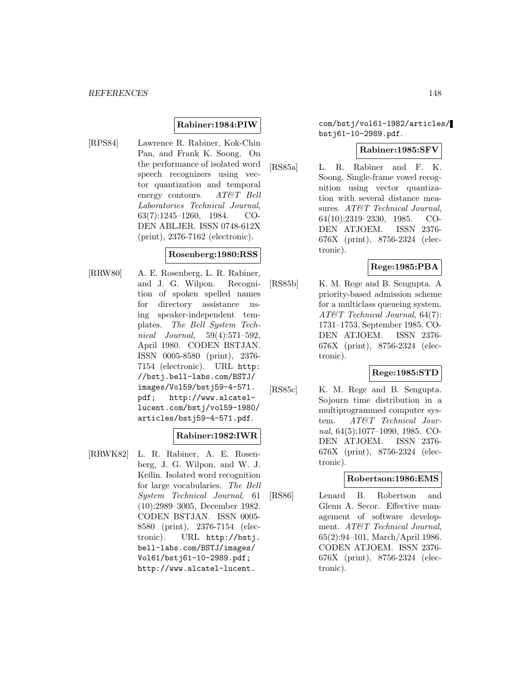### **Rabiner:1984:PIW**

[RPS84] Lawrence R. Rabiner, Kok-Chin Pan, and Frank K. Soong. On the performance of isolated word speech recognizers using vector quantization and temporal energy contours. AT&T Bell Laboratories Technical Journal, 63(7):1245–1260, 1984. CO-DEN ABLJER. ISSN 0748-612X (print), 2376-7162 (electronic).

#### **Rosenberg:1980:RSS**

[RRW80] A. E. Rosenberg, L. R. Rabiner, and J. G. Wilpon. Recognition of spoken spelled names for directory assistance using speaker-independent templates. The Bell System Technical Journal, 59(4):571–592, April 1980. CODEN BSTJAN. ISSN 0005-8580 (print), 2376- 7154 (electronic). URL http: //bstj.bell-labs.com/BSTJ/ images/Vol59/bstj59-4-571. pdf; http://www.alcatellucent.com/bstj/vol59-1980/ articles/bstj59-4-571.pdf.

#### **Rabiner:1982:IWR**

[RRWK82] L. R. Rabiner, A. E. Rosenberg, J. G. Wilpon, and W. J. Keilin. Isolated word recognition for large vocabularies. The Bell System Technical Journal, 61 (10):2989–3005, December 1982. CODEN BSTJAN. ISSN 0005- 8580 (print), 2376-7154 (electronic). URL http://bstj. bell-labs.com/BSTJ/images/ Vol61/bstj61-10-2989.pdf; http://www.alcatel-lucent.

com/bstj/vol61-1982/articles/ bstj61-10-2989.pdf.

#### **Rabiner:1985:SFV**

[RS85a] L. R. Rabiner and F. K. Soong. Single-frame vowel recognition using vector quantization with several distance measures. AT&T Technical Journal, 64(10):2319–2330, 1985. CO-DEN ATJOEM. ISSN 2376- 676X (print), 8756-2324 (electronic).

# **Rege:1985:PBA**

[RS85b] K. M. Rege and B. Sengupta. A priority-based admission scheme for a multiclass queueing system. AT&T Technical Journal, 64(7): 1731–1753, September 1985. CO-DEN ATJOEM. ISSN 2376- 676X (print), 8756-2324 (electronic).

#### **Rege:1985:STD**

[RS85c] K. M. Rege and B. Sengupta. Sojourn time distribution in a multiprogrammed computer system. AT&T Technical Journal, 64(5):1077–1090, 1985. CO-DEN ATJOEM. ISSN 2376- 676X (print), 8756-2324 (electronic).

#### **Robertson:1986:EMS**

[RS86] Lenard B. Robertson and Glenn A. Secor. Effective management of software development. AT&T Technical Journal, 65(2):94–101, March/April 1986. CODEN ATJOEM. ISSN 2376- 676X (print), 8756-2324 (electronic).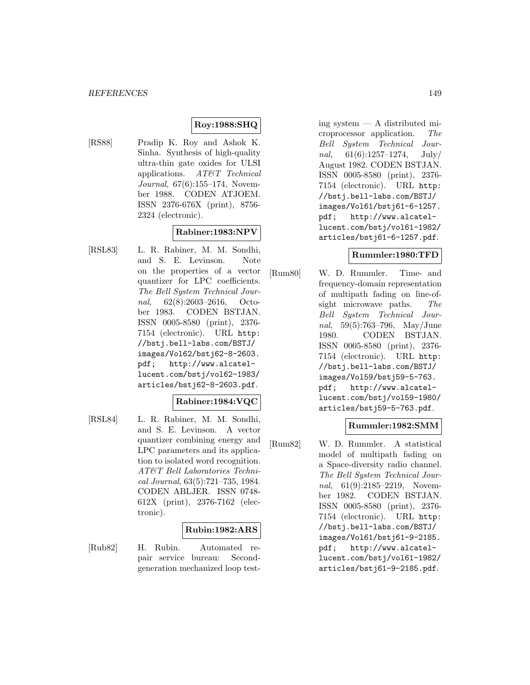# **Roy:1988:SHQ**

[RS88] Pradip K. Roy and Ashok K. Sinha. Synthesis of high-quality ultra-thin gate oxides for ULSI applications. AT&T Technical Journal, 67(6):155–174, November 1988. CODEN ATJOEM. ISSN 2376-676X (print), 8756- 2324 (electronic).

### **Rabiner:1983:NPV**

[RSL83] L. R. Rabiner, M. M. Sondhi, and S. E. Levinson. Note on the properties of a vector quantizer for LPC coefficients. The Bell System Technical Journal, 62(8):2603–2616, October 1983. CODEN BSTJAN. ISSN 0005-8580 (print), 2376- 7154 (electronic). URL http: //bstj.bell-labs.com/BSTJ/ images/Vol62/bstj62-8-2603. pdf; http://www.alcatellucent.com/bstj/vol62-1983/ articles/bstj62-8-2603.pdf.

#### **Rabiner:1984:VQC**

[RSL84] L. R. Rabiner, M. M. Sondhi, and S. E. Levinson. A vector quantizer combining energy and LPC parameters and its application to isolated word recognition. AT&T Bell Laboratories Technical Journal, 63(5):721–735, 1984. CODEN ABLJER. ISSN 0748- 612X (print), 2376-7162 (electronic).

#### **Rubin:1982:ARS**

[Rub82] H. Rubin. Automated repair service bureau: Secondgeneration mechanized loop test-

ing system — A distributed microprocessor application. The Bell System Technical Journal,  $61(6):1257-1274$ , July/ August 1982. CODEN BSTJAN. ISSN 0005-8580 (print), 2376- 7154 (electronic). URL http: //bstj.bell-labs.com/BSTJ/ images/Vol61/bstj61-6-1257. pdf; http://www.alcatellucent.com/bstj/vol61-1982/ articles/bstj61-6-1257.pdf.

### **Rummler:1980:TFD**

[Rum80] W. D. Rummler. Time- and frequency-domain representation of multipath fading on line-ofsight microwave paths. The Bell System Technical Journal, 59(5):763–796, May/June 1980. CODEN BSTJAN. ISSN 0005-8580 (print), 2376- 7154 (electronic). URL http: //bstj.bell-labs.com/BSTJ/ images/Vol59/bstj59-5-763. pdf; http://www.alcatellucent.com/bstj/vol59-1980/ articles/bstj59-5-763.pdf.

#### **Rummler:1982:SMM**

[Rum82] W. D. Rummler. A statistical model of multipath fading on a Space-diversity radio channel. The Bell System Technical Journal, 61(9):2185-2219, November 1982. CODEN BSTJAN. ISSN 0005-8580 (print), 2376- 7154 (electronic). URL http: //bstj.bell-labs.com/BSTJ/ images/Vol61/bstj61-9-2185. pdf; http://www.alcatellucent.com/bstj/vol61-1982/ articles/bstj61-9-2185.pdf.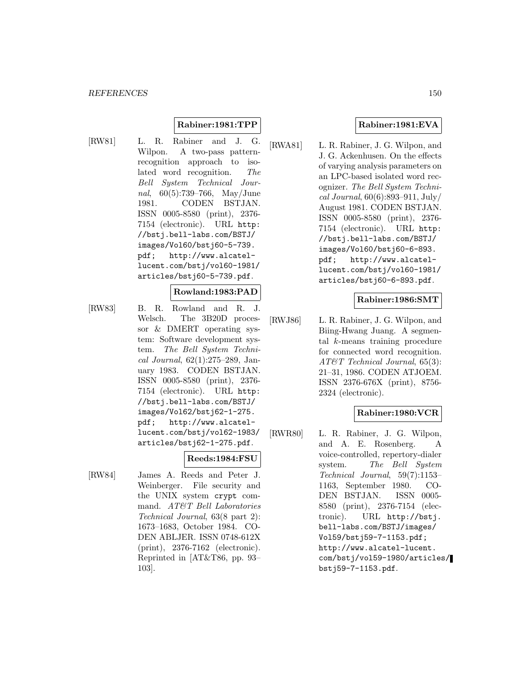### **Rabiner:1981:TPP**

[RW81] L. R. Rabiner and J. G. Wilpon. A two-pass patternrecognition approach to isolated word recognition. The Bell System Technical Journal, 60(5):739–766, May/June 1981. CODEN BSTJAN. ISSN 0005-8580 (print), 2376- 7154 (electronic). URL http: //bstj.bell-labs.com/BSTJ/ images/Vol60/bstj60-5-739. pdf; http://www.alcatellucent.com/bstj/vol60-1981/ articles/bstj60-5-739.pdf.

#### **Rowland:1983:PAD**

[RW83] B. R. Rowland and R. J. Welsch. The 3B20D processor & DMERT operating system: Software development system. The Bell System Technical Journal, 62(1):275–289, January 1983. CODEN BSTJAN. ISSN 0005-8580 (print), 2376- 7154 (electronic). URL http: //bstj.bell-labs.com/BSTJ/ images/Vol62/bstj62-1-275. pdf; http://www.alcatellucent.com/bstj/vol62-1983/ articles/bstj62-1-275.pdf.

#### **Reeds:1984:FSU**

[RW84] James A. Reeds and Peter J. Weinberger. File security and the UNIX system crypt command. AT&T Bell Laboratories Technical Journal, 63(8 part 2): 1673–1683, October 1984. CO-DEN ABLJER. ISSN 0748-612X (print), 2376-7162 (electronic). Reprinted in [AT&T86, pp. 93– 103].

### **Rabiner:1981:EVA**

[RWA81] L. R. Rabiner, J. G. Wilpon, and J. G. Ackenhusen. On the effects of varying analysis parameters on an LPC-based isolated word recognizer. The Bell System Technical Journal, 60(6):893–911, July/ August 1981. CODEN BSTJAN. ISSN 0005-8580 (print), 2376- 7154 (electronic). URL http: //bstj.bell-labs.com/BSTJ/ images/Vol60/bstj60-6-893. pdf; http://www.alcatellucent.com/bstj/vol60-1981/ articles/bstj60-6-893.pdf.

### **Rabiner:1986:SMT**

[RWJ86] L. R. Rabiner, J. G. Wilpon, and Biing-Hwang Juang. A segmental k-means training procedure for connected word recognition. AT&T Technical Journal, 65(3): 21–31, 1986. CODEN ATJOEM. ISSN 2376-676X (print), 8756- 2324 (electronic).

# **Rabiner:1980:VCR**

[RWR80] L. R. Rabiner, J. G. Wilpon, and A. E. Rosenberg. A voice-controlled, repertory-dialer system. The Bell System Technical Journal, 59(7):1153– 1163, September 1980. CO-DEN BSTJAN. ISSN 0005- 8580 (print), 2376-7154 (electronic). URL http://bstj. bell-labs.com/BSTJ/images/ Vol59/bstj59-7-1153.pdf; http://www.alcatel-lucent. com/bstj/vol59-1980/articles/ bstj59-7-1153.pdf.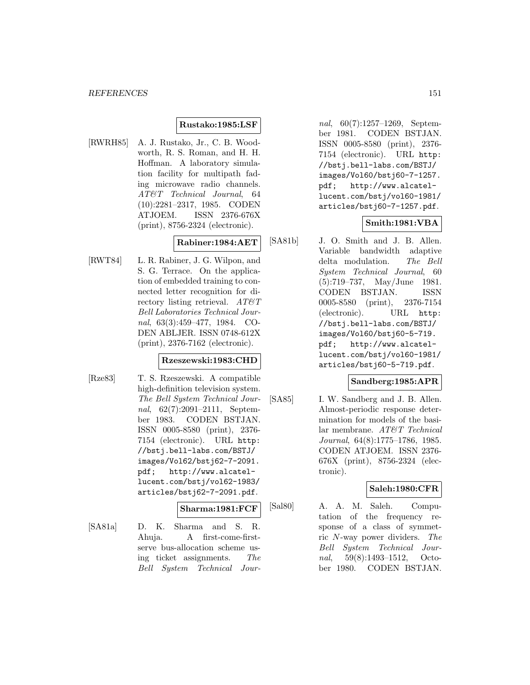#### **Rustako:1985:LSF**

[RWRH85] A. J. Rustako, Jr., C. B. Woodworth, R. S. Roman, and H. H. Hoffman. A laboratory simulation facility for multipath fading microwave radio channels. AT&T Technical Journal, 64 (10):2281–2317, 1985. CODEN ATJOEM. ISSN 2376-676X (print), 8756-2324 (electronic).

#### **Rabiner:1984:AET**

[RWT84] L. R. Rabiner, J. G. Wilpon, and S. G. Terrace. On the application of embedded training to connected letter recognition for directory listing retrieval.  $AT\&T$ Bell Laboratories Technical Journal, 63(3):459–477, 1984. CO-DEN ABLJER. ISSN 0748-612X (print), 2376-7162 (electronic).

### **Rzeszewski:1983:CHD**

[Rze83] T. S. Rzeszewski. A compatible high-definition television system. The Bell System Technical Journal, 62(7):2091–2111, September 1983. CODEN BSTJAN. ISSN 0005-8580 (print), 2376- 7154 (electronic). URL http: //bstj.bell-labs.com/BSTJ/ images/Vol62/bstj62-7-2091. pdf; http://www.alcatellucent.com/bstj/vol62-1983/ articles/bstj62-7-2091.pdf.

#### **Sharma:1981:FCF**

[SA81a] D. K. Sharma and S. R. Ahuja. A first-come-firstserve bus-allocation scheme using ticket assignments. The Bell System Technical Jour-

nal, 60(7):1257–1269, September 1981. CODEN BSTJAN. ISSN 0005-8580 (print), 2376- 7154 (electronic). URL http: //bstj.bell-labs.com/BSTJ/ images/Vol60/bstj60-7-1257. pdf; http://www.alcatellucent.com/bstj/vol60-1981/ articles/bstj60-7-1257.pdf.

#### **Smith:1981:VBA**

[SA81b] J. O. Smith and J. B. Allen. Variable bandwidth adaptive delta modulation. The Bell System Technical Journal, 60 (5):719–737, May/June 1981. CODEN BSTJAN. ISSN 0005-8580 (print), 2376-7154 (electronic). URL http: //bstj.bell-labs.com/BSTJ/ images/Vol60/bstj60-5-719. pdf; http://www.alcatellucent.com/bstj/vol60-1981/ articles/bstj60-5-719.pdf.

### **Sandberg:1985:APR**

[SA85] I. W. Sandberg and J. B. Allen. Almost-periodic response determination for models of the basilar membrane. AT&T Technical Journal, 64(8):1775–1786, 1985. CODEN ATJOEM. ISSN 2376- 676X (print), 8756-2324 (electronic).

#### **Saleh:1980:CFR**

[Sal80] A. A. M. Saleh. Computation of the frequency response of a class of symmetric N-way power dividers. The Bell System Technical Journal, 59(8):1493–1512, October 1980. CODEN BSTJAN.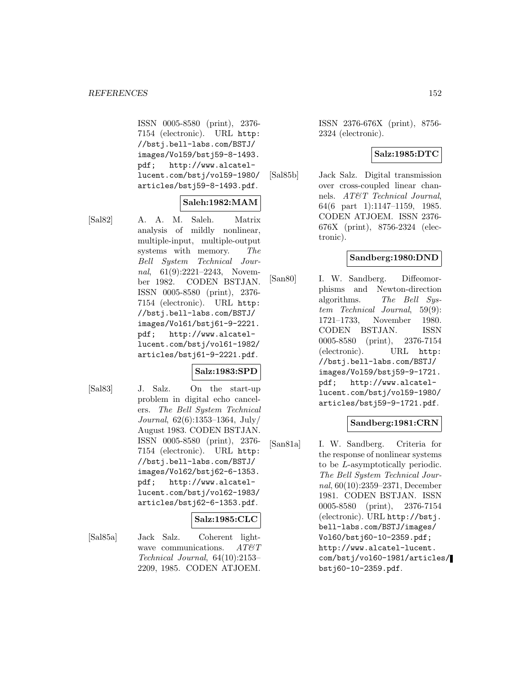ISSN 0005-8580 (print), 2376- 7154 (electronic). URL http: //bstj.bell-labs.com/BSTJ/ images/Vol59/bstj59-8-1493. pdf; http://www.alcatellucent.com/bstj/vol59-1980/ articles/bstj59-8-1493.pdf.

# **Saleh:1982:MAM**

[Sal82] A. A. M. Saleh. Matrix analysis of mildly nonlinear, multiple-input, multiple-output systems with memory. The Bell System Technical Journal, 61(9):2221-2243, November 1982. CODEN BSTJAN. ISSN 0005-8580 (print), 2376- 7154 (electronic). URL http: //bstj.bell-labs.com/BSTJ/ images/Vol61/bstj61-9-2221. pdf; http://www.alcatellucent.com/bstj/vol61-1982/ articles/bstj61-9-2221.pdf.

# **Salz:1983:SPD**

[Sal83] J. Salz. On the start-up problem in digital echo cancelers. The Bell System Technical Journal, 62(6):1353–1364, July/ August 1983. CODEN BSTJAN. ISSN 0005-8580 (print), 2376- 7154 (electronic). URL http: //bstj.bell-labs.com/BSTJ/ images/Vol62/bstj62-6-1353. pdf; http://www.alcatellucent.com/bstj/vol62-1983/ articles/bstj62-6-1353.pdf.

#### **Salz:1985:CLC**

[Sal85a] Jack Salz. Coherent lightwave communications.  $AT \& T$ Technical Journal, 64(10):2153– 2209, 1985. CODEN ATJOEM.

ISSN 2376-676X (print), 8756- 2324 (electronic).

### **Salz:1985:DTC**

[Sal85b] Jack Salz. Digital transmission over cross-coupled linear channels. AT&T Technical Journal, 64(6 part 1):1147–1159, 1985. CODEN ATJOEM. ISSN 2376- 676X (print), 8756-2324 (electronic).

### **Sandberg:1980:DND**

[San80] I. W. Sandberg. Diffeomorphisms and Newton-direction algorithms. The Bell System Technical Journal, 59(9): 1721–1733, November 1980. CODEN BSTJAN. ISSN 0005-8580 (print), 2376-7154 (electronic). URL http: //bstj.bell-labs.com/BSTJ/ images/Vol59/bstj59-9-1721. pdf; http://www.alcatellucent.com/bstj/vol59-1980/ articles/bstj59-9-1721.pdf.

# **Sandberg:1981:CRN**

[San81a] I. W. Sandberg. Criteria for the response of nonlinear systems to be L-asymptotically periodic. The Bell System Technical Journal, 60(10):2359–2371, December 1981. CODEN BSTJAN. ISSN 0005-8580 (print), 2376-7154 (electronic). URL http://bstj. bell-labs.com/BSTJ/images/ Vol60/bstj60-10-2359.pdf; http://www.alcatel-lucent. com/bstj/vol60-1981/articles/ bstj60-10-2359.pdf.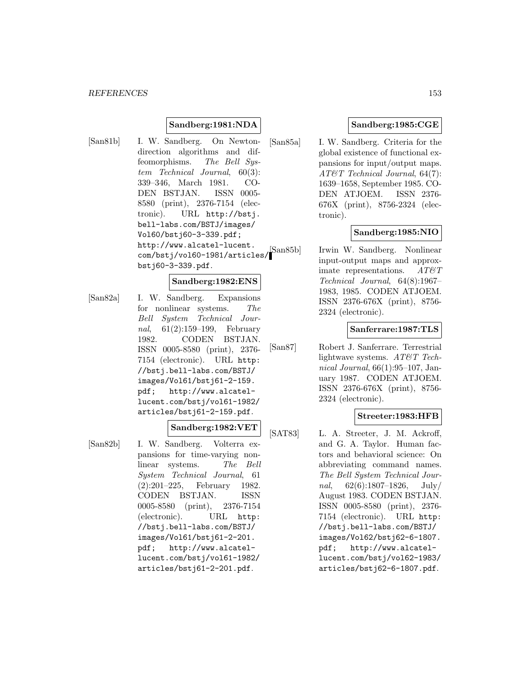#### **Sandberg:1981:NDA**

[San81b] I. W. Sandberg. On Newtondirection algorithms and diffeomorphisms. The Bell System Technical Journal, 60(3): 339–346, March 1981. CO-DEN BSTJAN. ISSN 0005- 8580 (print), 2376-7154 (electronic). URL http://bstj. bell-labs.com/BSTJ/images/ Vol60/bstj60-3-339.pdf; http://www.alcatel-lucent. com/bstj/vol60-1981/articles/ bstj60-3-339.pdf.

### **Sandberg:1982:ENS**

[San82a] I. W. Sandberg. Expansions for nonlinear systems. The Bell System Technical Journal, 61(2):159–199, February 1982. CODEN BSTJAN. ISSN 0005-8580 (print), 2376- 7154 (electronic). URL http: //bstj.bell-labs.com/BSTJ/ images/Vol61/bstj61-2-159. pdf; http://www.alcatellucent.com/bstj/vol61-1982/ articles/bstj61-2-159.pdf.

# **Sandberg:1982:VET**

[San82b] I. W. Sandberg. Volterra expansions for time-varying nonlinear systems. The Bell System Technical Journal, 61 (2):201–225, February 1982. CODEN BSTJAN. ISSN 0005-8580 (print), 2376-7154 (electronic). URL http: //bstj.bell-labs.com/BSTJ/ images/Vol61/bstj61-2-201. pdf; http://www.alcatellucent.com/bstj/vol61-1982/ articles/bstj61-2-201.pdf.

# **Sandberg:1985:CGE**

[San85a] I. W. Sandberg. Criteria for the global existence of functional expansions for input/output maps. AT&T Technical Journal, 64(7): 1639–1658, September 1985. CO-DEN ATJOEM. ISSN 2376- 676X (print), 8756-2324 (electronic).

### **Sandberg:1985:NIO**

[San85b] Irwin W. Sandberg. Nonlinear input-output maps and approximate representations.  $AT\&T$ Technical Journal, 64(8):1967– 1983, 1985. CODEN ATJOEM. ISSN 2376-676X (print), 8756- 2324 (electronic).

#### **Sanferrare:1987:TLS**

[San87] Robert J. Sanferrare. Terrestrial lightwave systems. AT&T Technical Journal, 66(1):95–107, January 1987. CODEN ATJOEM. ISSN 2376-676X (print), 8756- 2324 (electronic).

### **Streeter:1983:HFB**

[SAT83] L. A. Streeter, J. M. Ackroff, and G. A. Taylor. Human factors and behavioral science: On abbreviating command names. The Bell System Technical Journal,  $62(6):1807-1826$ , July/ August 1983. CODEN BSTJAN. ISSN 0005-8580 (print), 2376- 7154 (electronic). URL http: //bstj.bell-labs.com/BSTJ/ images/Vol62/bstj62-6-1807. pdf; http://www.alcatellucent.com/bstj/vol62-1983/ articles/bstj62-6-1807.pdf.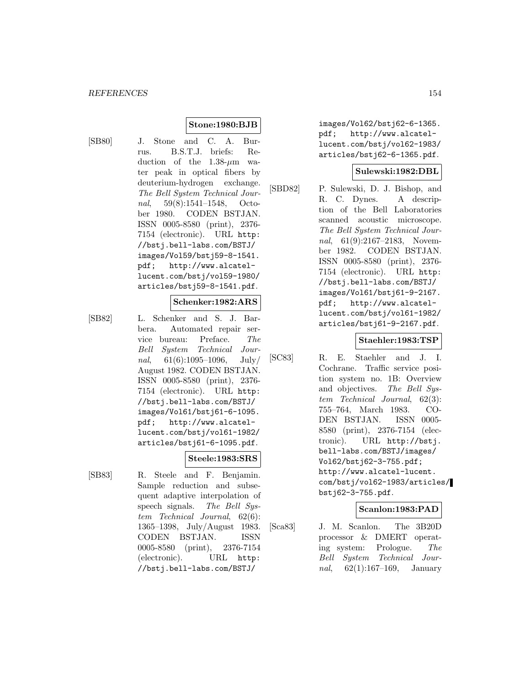### **Stone:1980:BJB**

- 
- [SB80] J. Stone and C. A. Burrus. B.S.T.J. briefs: Reduction of the  $1.38-\mu m$  water peak in optical fibers by deuterium-hydrogen exchange. The Bell System Technical Journal, 59(8):1541–1548, October 1980. CODEN BSTJAN. ISSN 0005-8580 (print), 2376- 7154 (electronic). URL http: //bstj.bell-labs.com/BSTJ/ images/Vol59/bstj59-8-1541. pdf; http://www.alcatellucent.com/bstj/vol59-1980/ articles/bstj59-8-1541.pdf.

### **Schenker:1982:ARS**

[SB82] L. Schenker and S. J. Barbera. Automated repair service bureau: Preface. The Bell System Technical Journal,  $61(6):1095-1096$ , July/ August 1982. CODEN BSTJAN. ISSN 0005-8580 (print), 2376- 7154 (electronic). URL http: //bstj.bell-labs.com/BSTJ/ images/Vol61/bstj61-6-1095. pdf; http://www.alcatellucent.com/bstj/vol61-1982/ articles/bstj61-6-1095.pdf.

#### **Steele:1983:SRS**

[SB83] R. Steele and F. Benjamin. Sample reduction and subsequent adaptive interpolation of speech signals. The Bell System Technical Journal, 62(6): 1365–1398, July/August 1983. CODEN BSTJAN. ISSN 0005-8580 (print), 2376-7154 (electronic). URL http: //bstj.bell-labs.com/BSTJ/

images/Vol62/bstj62-6-1365. pdf; http://www.alcatellucent.com/bstj/vol62-1983/ articles/bstj62-6-1365.pdf.

#### **Sulewski:1982:DBL**

[SBD82] P. Sulewski, D. J. Bishop, and R. C. Dynes. A description of the Bell Laboratories scanned acoustic microscope. The Bell System Technical Journal, 61(9):2167–2183, November 1982. CODEN BSTJAN. ISSN 0005-8580 (print), 2376- 7154 (electronic). URL http: //bstj.bell-labs.com/BSTJ/ images/Vol61/bstj61-9-2167. pdf; http://www.alcatellucent.com/bstj/vol61-1982/ articles/bstj61-9-2167.pdf.

# **Staehler:1983:TSP**

[SC83] R. E. Staehler and J. I. Cochrane. Traffic service position system no. 1B: Overview and objectives. The Bell System Technical Journal, 62(3): 755–764, March 1983. CO-DEN BSTJAN. ISSN 0005- 8580 (print), 2376-7154 (electronic). URL http://bstj. bell-labs.com/BSTJ/images/ Vol62/bstj62-3-755.pdf; http://www.alcatel-lucent. com/bstj/vol62-1983/articles/ bstj62-3-755.pdf.

#### **Scanlon:1983:PAD**

[Sca83] J. M. Scanlon. The 3B20D processor & DMERT operating system: Prologue. The Bell System Technical Jour*nal*,  $62(1):167-169$ , January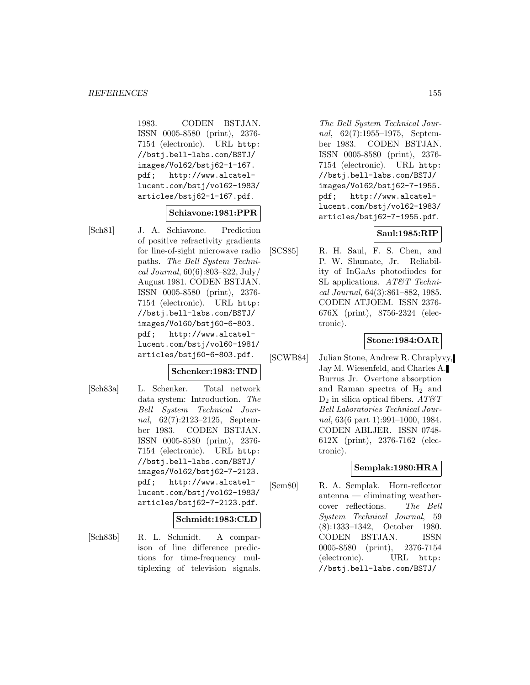1983. CODEN BSTJAN. ISSN 0005-8580 (print), 2376- 7154 (electronic). URL http: //bstj.bell-labs.com/BSTJ/ images/Vol62/bstj62-1-167. pdf; http://www.alcatellucent.com/bstj/vol62-1983/ articles/bstj62-1-167.pdf.

### **Schiavone:1981:PPR**

[Sch81] J. A. Schiavone. Prediction of positive refractivity gradients for line-of-sight microwave radio paths. The Bell System Technical Journal, 60(6):803–822, July/ August 1981. CODEN BSTJAN. ISSN 0005-8580 (print), 2376- 7154 (electronic). URL http: //bstj.bell-labs.com/BSTJ/ images/Vol60/bstj60-6-803. pdf; http://www.alcatellucent.com/bstj/vol60-1981/ articles/bstj60-6-803.pdf.

#### **Schenker:1983:TND**

[Sch83a] L. Schenker. Total network data system: Introduction. The Bell System Technical Journal, 62(7):2123–2125, September 1983. CODEN BSTJAN. ISSN 0005-8580 (print), 2376- 7154 (electronic). URL http: //bstj.bell-labs.com/BSTJ/ images/Vol62/bstj62-7-2123. pdf; http://www.alcatellucent.com/bstj/vol62-1983/ articles/bstj62-7-2123.pdf.

#### **Schmidt:1983:CLD**

[Sch83b] R. L. Schmidt. A comparison of line difference predictions for time-frequency multiplexing of television signals.

The Bell System Technical Journal, 62(7):1955–1975, September 1983. CODEN BSTJAN. ISSN 0005-8580 (print), 2376- 7154 (electronic). URL http: //bstj.bell-labs.com/BSTJ/ images/Vol62/bstj62-7-1955. pdf; http://www.alcatellucent.com/bstj/vol62-1983/ articles/bstj62-7-1955.pdf.

### **Saul:1985:RIP**

[SCS85] R. H. Saul, F. S. Chen, and P. W. Shumate, Jr. Reliability of InGaAs photodiodes for SL applications. AT&T Technical Journal, 64(3):861–882, 1985. CODEN ATJOEM. ISSN 2376- 676X (print), 8756-2324 (electronic).

### **Stone:1984:OAR**

[SCWB84] Julian Stone, Andrew R. Chraplyvy, Jay M. Wiesenfeld, and Charles A. Burrus Jr. Overtone absorption and Raman spectra of  $H_2$  and  $D_2$  in silica optical fibers.  $AT \& T$ Bell Laboratories Technical Journal, 63(6 part 1):991–1000, 1984. CODEN ABLJER. ISSN 0748- 612X (print), 2376-7162 (electronic).

# **Semplak:1980:HRA**

[Sem80] R. A. Semplak. Horn-reflector antenna — eliminating weathercover reflections. The Bell System Technical Journal, 59 (8):1333–1342, October 1980. CODEN BSTJAN. ISSN 0005-8580 (print), 2376-7154 (electronic). URL http: //bstj.bell-labs.com/BSTJ/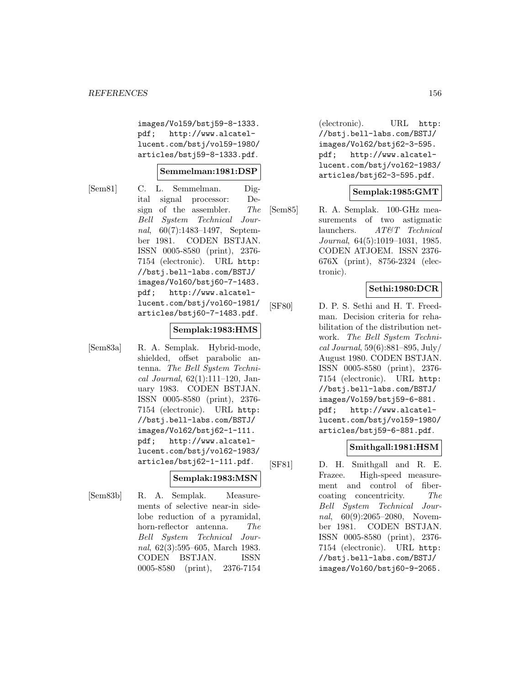images/Vol59/bstj59-8-1333. pdf; http://www.alcatellucent.com/bstj/vol59-1980/ articles/bstj59-8-1333.pdf.

#### **Semmelman:1981:DSP**

[Sem81] C. L. Semmelman. Digital signal processor: Design of the assembler. The Bell System Technical Journal, 60(7):1483–1497, September 1981. CODEN BSTJAN. ISSN 0005-8580 (print), 2376- 7154 (electronic). URL http: //bstj.bell-labs.com/BSTJ/ images/Vol60/bstj60-7-1483. pdf; http://www.alcatellucent.com/bstj/vol60-1981/ articles/bstj60-7-1483.pdf.

#### **Semplak:1983:HMS**

[Sem83a] R. A. Semplak. Hybrid-mode, shielded, offset parabolic antenna. The Bell System Technical Journal,  $62(1):111-120$ , January 1983. CODEN BSTJAN. ISSN 0005-8580 (print), 2376- 7154 (electronic). URL http: //bstj.bell-labs.com/BSTJ/ images/Vol62/bstj62-1-111. pdf; http://www.alcatellucent.com/bstj/vol62-1983/ articles/bstj62-1-111.pdf.

# **Semplak:1983:MSN**

[Sem83b] R. A. Semplak. Measurements of selective near-in sidelobe reduction of a pyramidal, horn-reflector antenna. The Bell System Technical Journal, 62(3):595–605, March 1983. CODEN BSTJAN. ISSN 0005-8580 (print), 2376-7154

(electronic). URL http: //bstj.bell-labs.com/BSTJ/ images/Vol62/bstj62-3-595. pdf; http://www.alcatellucent.com/bstj/vol62-1983/ articles/bstj62-3-595.pdf.

#### **Semplak:1985:GMT**

[Sem85] R. A. Semplak. 100-GHz measurements of two astigmatic launchers. AT&T Technical Journal, 64(5):1019–1031, 1985. CODEN ATJOEM. ISSN 2376- 676X (print), 8756-2324 (electronic).

#### **Sethi:1980:DCR**

[SF80] D. P. S. Sethi and H. T. Freedman. Decision criteria for rehabilitation of the distribution network. The Bell System Technical Journal, 59(6):881–895, July/ August 1980. CODEN BSTJAN. ISSN 0005-8580 (print), 2376- 7154 (electronic). URL http: //bstj.bell-labs.com/BSTJ/ images/Vol59/bstj59-6-881. pdf; http://www.alcatellucent.com/bstj/vol59-1980/ articles/bstj59-6-881.pdf.

#### **Smithgall:1981:HSM**

[SF81] D. H. Smithgall and R. E. Frazee. High-speed measurement and control of fibercoating concentricity. The Bell System Technical Journal, 60(9):2065–2080, November 1981. CODEN BSTJAN. ISSN 0005-8580 (print), 2376- 7154 (electronic). URL http: //bstj.bell-labs.com/BSTJ/ images/Vol60/bstj60-9-2065.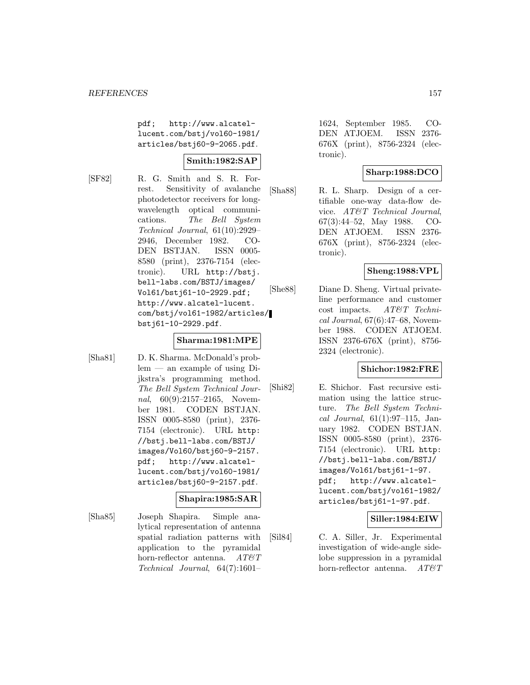pdf; http://www.alcatellucent.com/bstj/vol60-1981/ articles/bstj60-9-2065.pdf.

# **Smith:1982:SAP**

[SF82] R. G. Smith and S. R. Forrest. Sensitivity of avalanche photodetector receivers for longwavelength optical communications. The Bell System Technical Journal, 61(10):2929– 2946, December 1982. CO-DEN BSTJAN. ISSN 0005- 8580 (print), 2376-7154 (electronic). URL http://bstj. bell-labs.com/BSTJ/images/ Vol61/bstj61-10-2929.pdf; http://www.alcatel-lucent. com/bstj/vol61-1982/articles/ bstj61-10-2929.pdf.

#### **Sharma:1981:MPE**

[Sha81] D. K. Sharma. McDonald's problem — an example of using Dijkstra's programming method. The Bell System Technical Journal, 60(9):2157-2165, November 1981. CODEN BSTJAN. ISSN 0005-8580 (print), 2376- 7154 (electronic). URL http: //bstj.bell-labs.com/BSTJ/ images/Vol60/bstj60-9-2157. pdf; http://www.alcatellucent.com/bstj/vol60-1981/ articles/bstj60-9-2157.pdf.

# **Shapira:1985:SAR**

[Sha85] Joseph Shapira. Simple analytical representation of antenna spatial radiation patterns with application to the pyramidal horn-reflector antenna.  $AT \mathcal{C}T$ Technical Journal, 64(7):1601–

1624, September 1985. CO-DEN ATJOEM. ISSN 2376- 676X (print), 8756-2324 (electronic).

# **Sharp:1988:DCO**

[Sha88] R. L. Sharp. Design of a certifiable one-way data-flow device. AT&T Technical Journal, 67(3):44–52, May 1988. CO-DEN ATJOEM. ISSN 2376- 676X (print), 8756-2324 (electronic).

# **Sheng:1988:VPL**

[She88] Diane D. Sheng. Virtual privateline performance and customer cost impacts. AT&T Technical Journal, 67(6):47–68, November 1988. CODEN ATJOEM. ISSN 2376-676X (print), 8756- 2324 (electronic).

#### **Shichor:1982:FRE**

[Shi82] E. Shichor. Fast recursive estimation using the lattice structure. The Bell System Technical Journal, 61(1):97–115, January 1982. CODEN BSTJAN. ISSN 0005-8580 (print), 2376- 7154 (electronic). URL http: //bstj.bell-labs.com/BSTJ/ images/Vol61/bstj61-1-97. pdf; http://www.alcatellucent.com/bstj/vol61-1982/ articles/bstj61-1-97.pdf.

#### **Siller:1984:EIW**

[Sil84] C. A. Siller, Jr. Experimental investigation of wide-angle sidelobe suppression in a pyramidal horn-reflector antenna. AT&T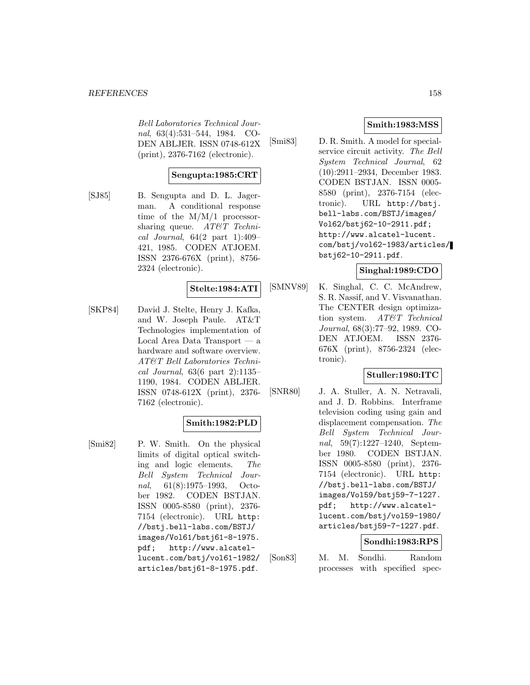Bell Laboratories Technical Journal, 63(4):531–544, 1984. CO-DEN ABLJER. ISSN 0748-612X (print), 2376-7162 (electronic).

# **Sengupta:1985:CRT**

[SJ85] B. Sengupta and D. L. Jagerman. A conditional response time of the M/M/1 processorsharing queue.  $AT\&T$  Technical Journal,  $64(2$  part 1):409-421, 1985. CODEN ATJOEM. ISSN 2376-676X (print), 8756- 2324 (electronic).

#### **Stelte:1984:ATI**

[SKP84] David J. Stelte, Henry J. Kafka, and W. Joseph Paule. AT&T Technologies implementation of Local Area Data Transport — a hardware and software overview. AT&T Bell Laboratories Technical Journal, 63(6 part 2):1135– 1190, 1984. CODEN ABLJER. ISSN 0748-612X (print), 2376- 7162 (electronic).

# **Smith:1982:PLD**

[Smi82] P. W. Smith. On the physical limits of digital optical switching and logic elements. The Bell System Technical Journal, 61(8):1975–1993, October 1982. CODEN BSTJAN. ISSN 0005-8580 (print), 2376- 7154 (electronic). URL http: //bstj.bell-labs.com/BSTJ/ images/Vol61/bstj61-8-1975. pdf; http://www.alcatellucent.com/bstj/vol61-1982/ articles/bstj61-8-1975.pdf.

### **Smith:1983:MSS**

[Smi83] D. R. Smith. A model for specialservice circuit activity. The Bell System Technical Journal, 62 (10):2911–2934, December 1983. CODEN BSTJAN. ISSN 0005- 8580 (print), 2376-7154 (electronic). URL http://bstj. bell-labs.com/BSTJ/images/ Vol62/bstj62-10-2911.pdf; http://www.alcatel-lucent. com/bstj/vol62-1983/articles/ bstj62-10-2911.pdf.

### **Singhal:1989:CDO**

[SMNV89] K. Singhal, C. C. McAndrew, S. R. Nassif, and V. Visvanathan. The CENTER design optimization system. AT&T Technical Journal, 68(3):77–92, 1989. CO-DEN ATJOEM. ISSN 2376- 676X (print), 8756-2324 (electronic).

### **Stuller:1980:ITC**

[SNR80] J. A. Stuller, A. N. Netravali, and J. D. Robbins. Interframe television coding using gain and displacement compensation. The Bell System Technical Journal, 59(7):1227–1240, September 1980. CODEN BSTJAN. ISSN 0005-8580 (print), 2376- 7154 (electronic). URL http: //bstj.bell-labs.com/BSTJ/ images/Vol59/bstj59-7-1227. pdf; http://www.alcatellucent.com/bstj/vol59-1980/ articles/bstj59-7-1227.pdf.

#### **Sondhi:1983:RPS**

[Son83] M. M. Sondhi. Random processes with specified spec-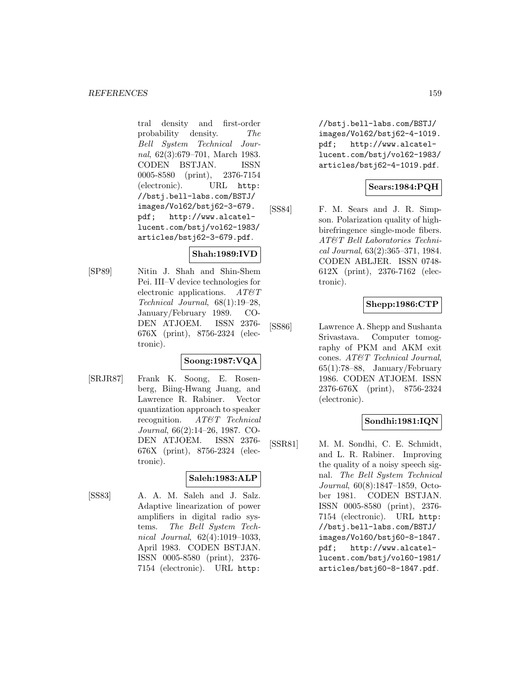tral density and first-order probability density. The Bell System Technical Journal, 62(3):679–701, March 1983. CODEN BSTJAN. ISSN 0005-8580 (print), 2376-7154 (electronic). URL http: //bstj.bell-labs.com/BSTJ/ images/Vol62/bstj62-3-679. pdf; http://www.alcatellucent.com/bstj/vol62-1983/ articles/bstj62-3-679.pdf.

# **Shah:1989:IVD**

[SP89] Nitin J. Shah and Shin-Shem Pei. III–V device technologies for electronic applications.  $AT \& T$ Technical Journal, 68(1):19–28, January/February 1989. CO-DEN ATJOEM. ISSN 2376- 676X (print), 8756-2324 (electronic).

# **Soong:1987:VQA**

[SRJR87] Frank K. Soong, E. Rosenberg, Biing-Hwang Juang, and Lawrence R. Rabiner. Vector quantization approach to speaker recognition. AT&T Technical Journal, 66(2):14–26, 1987. CO-DEN ATJOEM. ISSN 2376- 676X (print), 8756-2324 (electronic).

#### **Saleh:1983:ALP**

[SS83] A. A. M. Saleh and J. Salz. Adaptive linearization of power amplifiers in digital radio systems. The Bell System Technical Journal, 62(4):1019–1033, April 1983. CODEN BSTJAN. ISSN 0005-8580 (print), 2376- 7154 (electronic). URL http:

//bstj.bell-labs.com/BSTJ/ images/Vol62/bstj62-4-1019. pdf; http://www.alcatellucent.com/bstj/vol62-1983/ articles/bstj62-4-1019.pdf.

### **Sears:1984:PQH**

[SS84] F. M. Sears and J. R. Simpson. Polarization quality of highbirefringence single-mode fibers. AT&T Bell Laboratories Technical Journal, 63(2):365–371, 1984. CODEN ABLJER. ISSN 0748- 612X (print), 2376-7162 (electronic).

# **Shepp:1986:CTP**

[SS86] Lawrence A. Shepp and Sushanta Srivastava. Computer tomography of PKM and AKM exit cones. AT&T Technical Journal, 65(1):78–88, January/February 1986. CODEN ATJOEM. ISSN 2376-676X (print), 8756-2324 (electronic).

#### **Sondhi:1981:IQN**

[SSR81] M. M. Sondhi, C. E. Schmidt, and L. R. Rabiner. Improving the quality of a noisy speech signal. The Bell System Technical Journal, 60(8):1847–1859, October 1981. CODEN BSTJAN. ISSN 0005-8580 (print), 2376- 7154 (electronic). URL http: //bstj.bell-labs.com/BSTJ/ images/Vol60/bstj60-8-1847. pdf; http://www.alcatellucent.com/bstj/vol60-1981/ articles/bstj60-8-1847.pdf.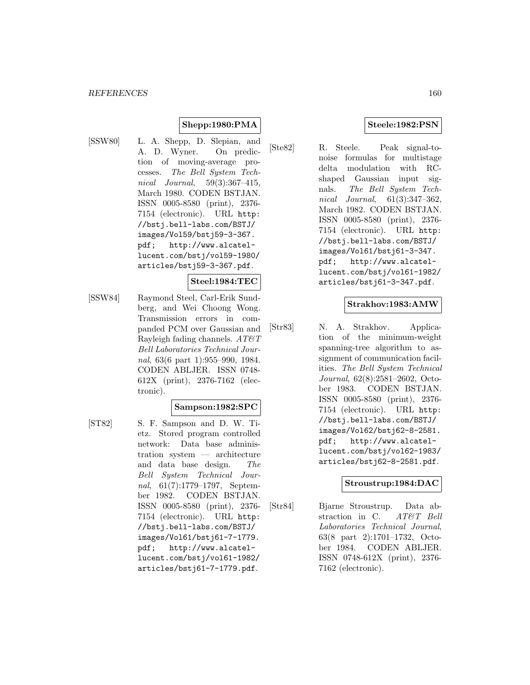# **Shepp:1980:PMA**

[SSW80] L. A. Shepp, D. Slepian, and A. D. Wyner. On prediction of moving-average processes. The Bell System Technical Journal, 59(3):367–415, March 1980. CODEN BSTJAN. ISSN 0005-8580 (print), 2376- 7154 (electronic). URL http: //bstj.bell-labs.com/BSTJ/ images/Vol59/bstj59-3-367. pdf; http://www.alcatellucent.com/bstj/vol59-1980/ articles/bstj59-3-367.pdf.

#### **Steel:1984:TEC**

[SSW84] Raymond Steel, Carl-Erik Sundberg, and Wei Choong Wong. Transmission errors in companded PCM over Gaussian and Rayleigh fading channels.  $AT\&T$ Bell Laboratories Technical Journal, 63(6 part 1):955–990, 1984. CODEN ABLJER. ISSN 0748- 612X (print), 2376-7162 (electronic).

#### **Sampson:1982:SPC**

- 
- [ST82] S. F. Sampson and D. W. Tietz. Stored program controlled network: Data base administration system — architecture and data base design. The Bell System Technical Journal, 61(7):1779–1797, September 1982. CODEN BSTJAN. ISSN 0005-8580 (print), 2376- 7154 (electronic). URL http: //bstj.bell-labs.com/BSTJ/ images/Vol61/bstj61-7-1779. pdf; http://www.alcatellucent.com/bstj/vol61-1982/ articles/bstj61-7-1779.pdf.

# **Steele:1982:PSN**

[Ste82] R. Steele. Peak signal-tonoise formulas for multistage delta modulation with RCshaped Gaussian input signals. The Bell System Technical Journal, 61(3):347–362, March 1982. CODEN BSTJAN. ISSN 0005-8580 (print), 2376- 7154 (electronic). URL http: //bstj.bell-labs.com/BSTJ/ images/Vol61/bstj61-3-347. pdf; http://www.alcatellucent.com/bstj/vol61-1982/ articles/bstj61-3-347.pdf.

#### **Strakhov:1983:AMW**

[Str83] N. A. Strakhov. Application of the minimum-weight spanning-tree algorithm to assignment of communication facilities. The Bell System Technical Journal, 62(8):2581–2602, October 1983. CODEN BSTJAN. ISSN 0005-8580 (print), 2376- 7154 (electronic). URL http: //bstj.bell-labs.com/BSTJ/ images/Vol62/bstj62-8-2581. pdf; http://www.alcatellucent.com/bstj/vol62-1983/ articles/bstj62-8-2581.pdf.

#### **Stroustrup:1984:DAC**

[Str84] Bjarne Stroustrup. Data abstraction in C. AT&T Bell Laboratories Technical Journal, 63(8 part 2):1701–1732, October 1984. CODEN ABLJER. ISSN 0748-612X (print), 2376- 7162 (electronic).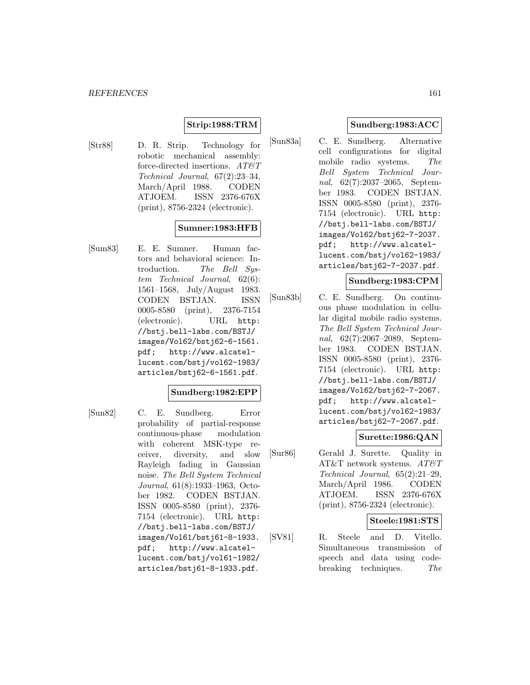# **Strip:1988:TRM**

[Str88] D. R. Strip. Technology for robotic mechanical assembly: force-directed insertions.  $AT \mathcal{C}T$ Technical Journal, 67(2):23–34, March/April 1988. CODEN ATJOEM. ISSN 2376-676X (print), 8756-2324 (electronic).

# **Sumner:1983:HFB**

[Sum83] E. E. Sumner. Human factors and behavioral science: Introduction. The Bell System Technical Journal, 62(6): 1561–1568, July/August 1983. CODEN BSTJAN. ISSN 0005-8580 (print), 2376-7154 (electronic). URL http: //bstj.bell-labs.com/BSTJ/ images/Vol62/bstj62-6-1561. pdf; http://www.alcatellucent.com/bstj/vol62-1983/ articles/bstj62-6-1561.pdf.

#### **Sundberg:1982:EPP**

[Sun82] C. E. Sundberg. Error probability of partial-response continuous-phase modulation with coherent MSK-type receiver, diversity, and slow Rayleigh fading in Gaussian noise. The Bell System Technical Journal, 61(8):1933–1963, October 1982. CODEN BSTJAN. ISSN 0005-8580 (print), 2376- 7154 (electronic). URL http: //bstj.bell-labs.com/BSTJ/ images/Vol61/bstj61-8-1933. pdf; http://www.alcatellucent.com/bstj/vol61-1982/ articles/bstj61-8-1933.pdf.

# **Sundberg:1983:ACC**

[Sun83a] C. E. Sundberg. Alternative cell configurations for digital mobile radio systems. The Bell System Technical Journal, 62(7):2037–2065, September 1983. CODEN BSTJAN. ISSN 0005-8580 (print), 2376- 7154 (electronic). URL http: //bstj.bell-labs.com/BSTJ/ images/Vol62/bstj62-7-2037. pdf; http://www.alcatellucent.com/bstj/vol62-1983/ articles/bstj62-7-2037.pdf.

#### **Sundberg:1983:CPM**

[Sun83b] C. E. Sundberg. On continuous phase modulation in cellular digital mobile radio systems. The Bell System Technical Journal, 62(7):2067–2089, September 1983. CODEN BSTJAN. ISSN 0005-8580 (print), 2376- 7154 (electronic). URL http: //bstj.bell-labs.com/BSTJ/ images/Vol62/bstj62-7-2067. pdf; http://www.alcatellucent.com/bstj/vol62-1983/ articles/bstj62-7-2067.pdf.

# **Surette:1986:QAN**

[Sur86] Gerald J. Surette. Quality in AT&T network systems.  $AT\&T$ Technical Journal, 65(2):21–29, March/April 1986. CODEN ATJOEM. ISSN 2376-676X (print), 8756-2324 (electronic).

### **Steele:1981:STS**

[SV81] R. Steele and D. Vitello. Simultaneous transmission of speech and data using codebreaking techniques. The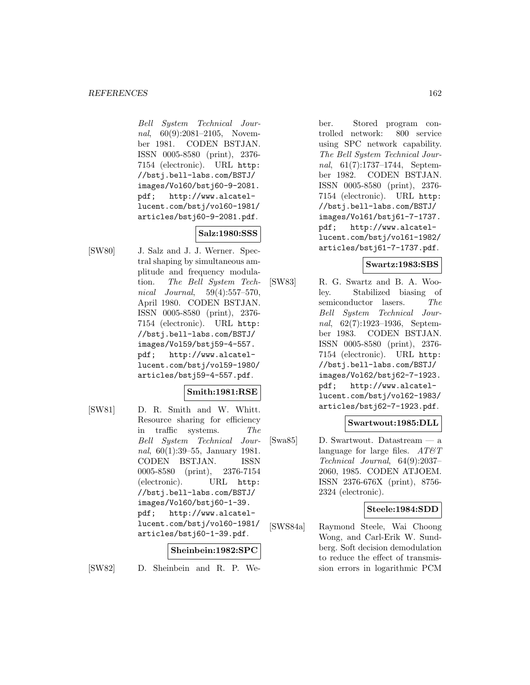Bell System Technical Journal, 60(9):2081-2105, November 1981. CODEN BSTJAN. ISSN 0005-8580 (print), 2376- 7154 (electronic). URL http: //bstj.bell-labs.com/BSTJ/ images/Vol60/bstj60-9-2081. pdf; http://www.alcatellucent.com/bstj/vol60-1981/ articles/bstj60-9-2081.pdf.

# **Salz:1980:SSS**

[SW80] J. Salz and J. J. Werner. Spectral shaping by simultaneous amplitude and frequency modulation. The Bell System Technical Journal, 59(4):557–570, April 1980. CODEN BSTJAN. ISSN 0005-8580 (print), 2376- 7154 (electronic). URL http: //bstj.bell-labs.com/BSTJ/ images/Vol59/bstj59-4-557. pdf; http://www.alcatellucent.com/bstj/vol59-1980/ articles/bstj59-4-557.pdf.

# **Smith:1981:RSE**

[SW81] D. R. Smith and W. Whitt. Resource sharing for efficiency in traffic systems. The Bell System Technical Journal, 60(1):39–55, January 1981. CODEN BSTJAN. ISSN 0005-8580 (print), 2376-7154 (electronic). URL http: //bstj.bell-labs.com/BSTJ/ images/Vol60/bstj60-1-39. pdf; http://www.alcatellucent.com/bstj/vol60-1981/ articles/bstj60-1-39.pdf.

### **Sheinbein:1982:SPC**

[SW82] D. Sheinbein and R. P. We-

ber. Stored program controlled network: 800 service using SPC network capability. The Bell System Technical Journal, 61(7):1737–1744, September 1982. CODEN BSTJAN. ISSN 0005-8580 (print), 2376- 7154 (electronic). URL http: //bstj.bell-labs.com/BSTJ/ images/Vol61/bstj61-7-1737. pdf; http://www.alcatellucent.com/bstj/vol61-1982/ articles/bstj61-7-1737.pdf.

#### **Swartz:1983:SBS**

[SW83] R. G. Swartz and B. A. Wooley. Stabilized biasing of semiconductor lasers. The Bell System Technical Journal, 62(7):1923–1936, September 1983. CODEN BSTJAN. ISSN 0005-8580 (print), 2376- 7154 (electronic). URL http: //bstj.bell-labs.com/BSTJ/ images/Vol62/bstj62-7-1923. pdf; http://www.alcatellucent.com/bstj/vol62-1983/ articles/bstj62-7-1923.pdf.

#### **Swartwout:1985:DLL**

[Swa85] D. Swartwout. Datastream — a language for large files.  $AT\&T$ Technical Journal, 64(9):2037– 2060, 1985. CODEN ATJOEM. ISSN 2376-676X (print), 8756- 2324 (electronic).

#### **Steele:1984:SDD**

[SWS84a] Raymond Steele, Wai Choong Wong, and Carl-Erik W. Sundberg. Soft decision demodulation to reduce the effect of transmission errors in logarithmic PCM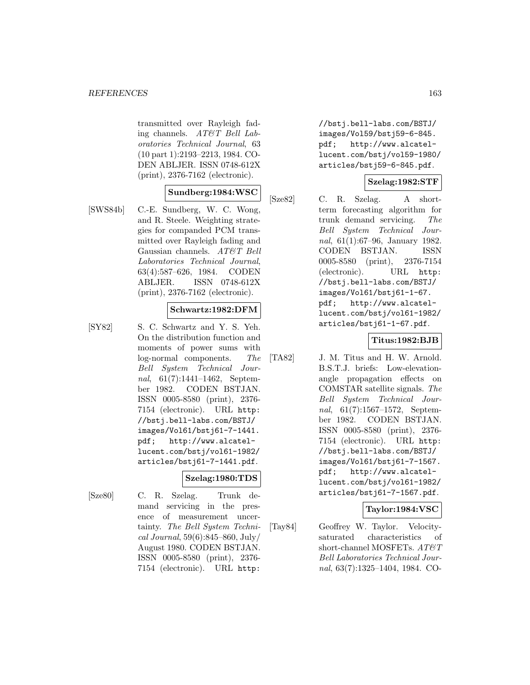transmitted over Rayleigh fading channels. AT&T Bell Laboratories Technical Journal, 63 (10 part 1):2193–2213, 1984. CO-DEN ABLJER. ISSN 0748-612X (print), 2376-7162 (electronic).

#### **Sundberg:1984:WSC**

[SWS84b] C.-E. Sundberg, W. C. Wong, and R. Steele. Weighting strategies for companded PCM transmitted over Rayleigh fading and Gaussian channels. AT&T Bell Laboratories Technical Journal, 63(4):587–626, 1984. CODEN ABLJER. ISSN 0748-612X (print), 2376-7162 (electronic).

#### **Schwartz:1982:DFM**

[SY82] S. C. Schwartz and Y. S. Yeh. On the distribution function and moments of power sums with log-normal components. The Bell System Technical Journal, 61(7):1441–1462, September 1982. CODEN BSTJAN. ISSN 0005-8580 (print), 2376- 7154 (electronic). URL http: //bstj.bell-labs.com/BSTJ/ images/Vol61/bstj61-7-1441. pdf; http://www.alcatellucent.com/bstj/vol61-1982/ articles/bstj61-7-1441.pdf.

#### **Szelag:1980:TDS**

- 
- [Sze80] C. R. Szelag. Trunk demand servicing in the presence of measurement uncertainty. The Bell System Technical Journal, 59(6):845–860, July/ August 1980. CODEN BSTJAN. ISSN 0005-8580 (print), 2376- 7154 (electronic). URL http:

//bstj.bell-labs.com/BSTJ/ images/Vol59/bstj59-6-845. pdf; http://www.alcatellucent.com/bstj/vol59-1980/ articles/bstj59-6-845.pdf.

### **Szelag:1982:STF**

[Sze82] C. R. Szelag. A shortterm forecasting algorithm for trunk demand servicing. The Bell System Technical Journal, 61(1):67–96, January 1982. CODEN BSTJAN. ISSN 0005-8580 (print), 2376-7154 (electronic). URL http: //bstj.bell-labs.com/BSTJ/ images/Vol61/bstj61-1-67. pdf; http://www.alcatellucent.com/bstj/vol61-1982/ articles/bstj61-1-67.pdf.

### **Titus:1982:BJB**

[TA82] J. M. Titus and H. W. Arnold. B.S.T.J. briefs: Low-elevationangle propagation effects on COMSTAR satellite signals. The Bell System Technical Journal, 61(7):1567–1572, September 1982. CODEN BSTJAN. ISSN 0005-8580 (print), 2376- 7154 (electronic). URL http: //bstj.bell-labs.com/BSTJ/ images/Vol61/bstj61-7-1567. pdf; http://www.alcatellucent.com/bstj/vol61-1982/ articles/bstj61-7-1567.pdf.

#### **Taylor:1984:VSC**

[Tay84] Geoffrey W. Taylor. Velocitysaturated characteristics of short-channel MOSFETs.  $AT\&T$ Bell Laboratories Technical Journal, 63(7):1325–1404, 1984. CO-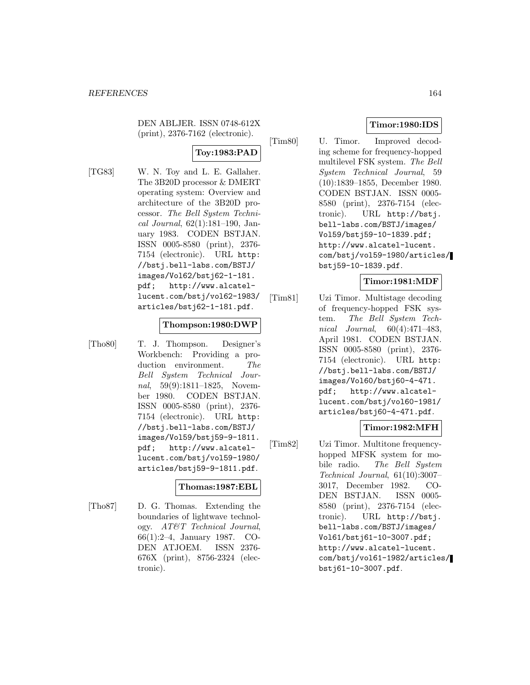DEN ABLJER. ISSN 0748-612X (print), 2376-7162 (electronic).

# **Toy:1983:PAD**

[TG83] W. N. Toy and L. E. Gallaher. The 3B20D processor & DMERT operating system: Overview and architecture of the 3B20D processor. The Bell System Technical Journal, 62(1):181–190, January 1983. CODEN BSTJAN. ISSN 0005-8580 (print), 2376- 7154 (electronic). URL http: //bstj.bell-labs.com/BSTJ/ images/Vol62/bstj62-1-181. pdf; http://www.alcatellucent.com/bstj/vol62-1983/ articles/bstj62-1-181.pdf.

#### **Thompson:1980:DWP**

[Tho80] T. J. Thompson. Designer's Workbench: Providing a production environment. The Bell System Technical Journal, 59(9):1811–1825, November 1980. CODEN BSTJAN. ISSN 0005-8580 (print), 2376- 7154 (electronic). URL http: //bstj.bell-labs.com/BSTJ/ images/Vol59/bstj59-9-1811. pdf; http://www.alcatellucent.com/bstj/vol59-1980/ articles/bstj59-9-1811.pdf.

#### **Thomas:1987:EBL**

[Tho87] D. G. Thomas. Extending the boundaries of lightwave technology. AT&T Technical Journal, 66(1):2–4, January 1987. CO-DEN ATJOEM. ISSN 2376- 676X (print), 8756-2324 (electronic).

# **Timor:1980:IDS**

[Tim80] U. Timor. Improved decoding scheme for frequency-hopped multilevel FSK system. The Bell System Technical Journal, 59 (10):1839–1855, December 1980. CODEN BSTJAN. ISSN 0005- 8580 (print), 2376-7154 (electronic). URL http://bstj. bell-labs.com/BSTJ/images/ Vol59/bstj59-10-1839.pdf; http://www.alcatel-lucent. com/bstj/vol59-1980/articles/ bstj59-10-1839.pdf.

### **Timor:1981:MDF**

[Tim81] Uzi Timor. Multistage decoding of frequency-hopped FSK system. The Bell System Technical Journal, 60(4):471–483, April 1981. CODEN BSTJAN. ISSN 0005-8580 (print), 2376- 7154 (electronic). URL http: //bstj.bell-labs.com/BSTJ/ images/Vol60/bstj60-4-471. pdf; http://www.alcatellucent.com/bstj/vol60-1981/ articles/bstj60-4-471.pdf.

# **Timor:1982:MFH**

[Tim82] Uzi Timor. Multitone frequencyhopped MFSK system for mobile radio. The Bell System Technical Journal, 61(10):3007– 3017, December 1982. CO-DEN BSTJAN. ISSN 0005- 8580 (print), 2376-7154 (electronic). URL http://bstj. bell-labs.com/BSTJ/images/ Vol61/bstj61-10-3007.pdf; http://www.alcatel-lucent. com/bstj/vol61-1982/articles/ bstj61-10-3007.pdf.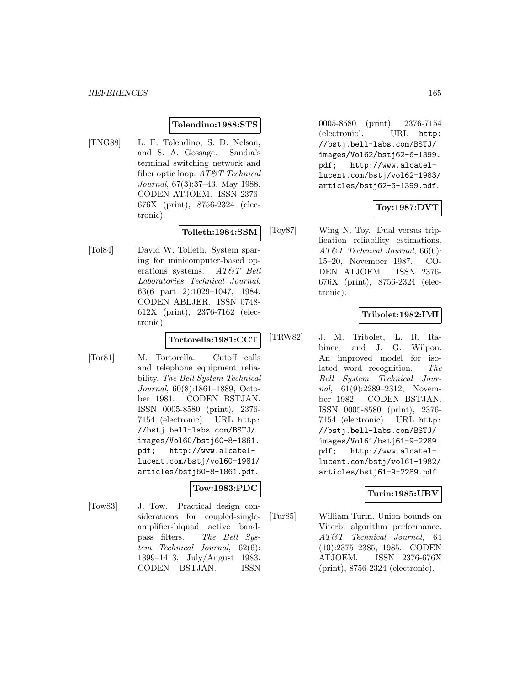#### **Tolendino:1988:STS**

[TNG88] L. F. Tolendino, S. D. Nelson, and S. A. Gossage. Sandia's terminal switching network and fiber optic loop. AT&T Technical Journal, 67(3):37–43, May 1988. CODEN ATJOEM. ISSN 2376- 676X (print), 8756-2324 (electronic).

### **Tolleth:1984:SSM**

[Tol84] David W. Tolleth. System sparing for minicomputer-based operations systems. AT&T Bell Laboratories Technical Journal, 63(6 part 2):1029–1047, 1984. CODEN ABLJER. ISSN 0748- 612X (print), 2376-7162 (electronic).

#### **Tortorella:1981:CCT**

[Tor81] M. Tortorella. Cutoff calls and telephone equipment reliability. The Bell System Technical Journal, 60(8):1861–1889, October 1981. CODEN BSTJAN. ISSN 0005-8580 (print), 2376- 7154 (electronic). URL http: //bstj.bell-labs.com/BSTJ/ images/Vol60/bstj60-8-1861. pdf; http://www.alcatellucent.com/bstj/vol60-1981/ articles/bstj60-8-1861.pdf.

#### **Tow:1983:PDC**

[Tow83] J. Tow. Practical design considerations for coupled-singleamplifier-biquad active bandpass filters. The Bell System Technical Journal, 62(6): 1399–1413, July/August 1983. CODEN BSTJAN. ISSN

0005-8580 (print), 2376-7154 (electronic). URL http: //bstj.bell-labs.com/BSTJ/ images/Vol62/bstj62-6-1399. pdf; http://www.alcatellucent.com/bstj/vol62-1983/ articles/bstj62-6-1399.pdf.

### **Toy:1987:DVT**

[Toy87] Wing N. Toy. Dual versus triplication reliability estimations. AT&T Technical Journal, 66(6): 15–20, November 1987. CO-DEN ATJOEM. ISSN 2376- 676X (print), 8756-2324 (electronic).

# **Tribolet:1982:IMI**

[TRW82] J. M. Tribolet, L. R. Rabiner, and J. G. Wilpon. An improved model for isolated word recognition. The Bell System Technical Journal, 61(9):2289–2312, November 1982. CODEN BSTJAN. ISSN 0005-8580 (print), 2376- 7154 (electronic). URL http: //bstj.bell-labs.com/BSTJ/ images/Vol61/bstj61-9-2289. pdf; http://www.alcatellucent.com/bstj/vol61-1982/ articles/bstj61-9-2289.pdf.

#### **Turin:1985:UBV**

[Tur85] William Turin. Union bounds on Viterbi algorithm performance. AT&T Technical Journal, 64 (10):2375–2385, 1985. CODEN ATJOEM. ISSN 2376-676X (print), 8756-2324 (electronic).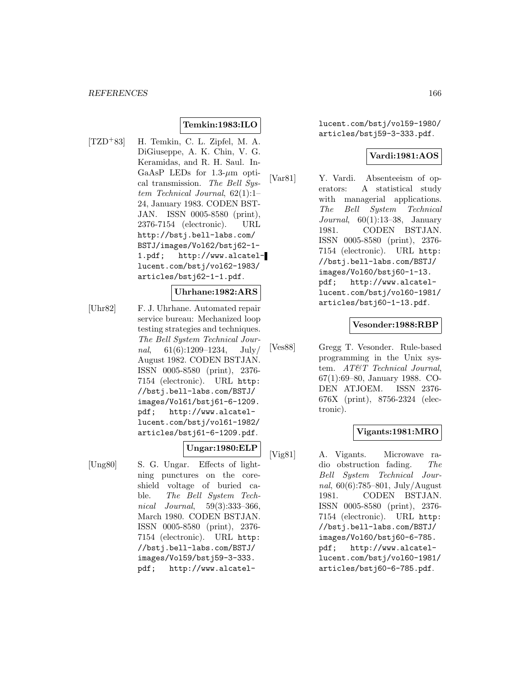# **Temkin:1983:ILO**

[TZD<sup>+</sup>83] H. Temkin, C. L. Zipfel, M. A. DiGiuseppe, A. K. Chin, V. G. Keramidas, and R. H. Saul. In-GaAsP LEDs for  $1.3-\mu m$  optical transmission. The Bell System Technical Journal, 62(1):1– 24, January 1983. CODEN BST-JAN. ISSN 0005-8580 (print), 2376-7154 (electronic). URL http://bstj.bell-labs.com/ BSTJ/images/Vol62/bstj62-1- 1.pdf; http://www.alcatellucent.com/bstj/vol62-1983/ articles/bstj62-1-1.pdf.

#### **Uhrhane:1982:ARS**

[Uhr82] F. J. Uhrhane. Automated repair service bureau: Mechanized loop testing strategies and techniques. The Bell System Technical Journal,  $61(6):1209-1234$ , July/ August 1982. CODEN BSTJAN. ISSN 0005-8580 (print), 2376- 7154 (electronic). URL http: //bstj.bell-labs.com/BSTJ/ images/Vol61/bstj61-6-1209. pdf; http://www.alcatellucent.com/bstj/vol61-1982/ articles/bstj61-6-1209.pdf.

**Ungar:1980:ELP**

- 
- [Ung80] S. G. Ungar. Effects of lightning punctures on the coreshield voltage of buried cable. The Bell System Technical Journal, 59(3):333–366, March 1980. CODEN BSTJAN. ISSN 0005-8580 (print), 2376- 7154 (electronic). URL http: //bstj.bell-labs.com/BSTJ/ images/Vol59/bstj59-3-333. pdf; http://www.alcatel-

lucent.com/bstj/vol59-1980/ articles/bstj59-3-333.pdf.

### **Vardi:1981:AOS**

[Var81] Y. Vardi. Absenteeism of operators: A statistical study with managerial applications. The Bell System Technical Journal, 60(1):13–38, January 1981. CODEN BSTJAN. ISSN 0005-8580 (print), 2376- 7154 (electronic). URL http: //bstj.bell-labs.com/BSTJ/ images/Vol60/bstj60-1-13. pdf; http://www.alcatellucent.com/bstj/vol60-1981/ articles/bstj60-1-13.pdf.

#### **Vesonder:1988:RBP**

[Ves88] Gregg T. Vesonder. Rule-based programming in the Unix system. AT&T Technical Journal, 67(1):69–80, January 1988. CO-DEN ATJOEM. ISSN 2376- 676X (print), 8756-2324 (electronic).

### **Vigants:1981:MRO**

[Vig81] A. Vigants. Microwave radio obstruction fading. The Bell System Technical Journal, 60(6):785–801, July/August 1981. CODEN BSTJAN. ISSN 0005-8580 (print), 2376- 7154 (electronic). URL http: //bstj.bell-labs.com/BSTJ/ images/Vol60/bstj60-6-785. pdf; http://www.alcatellucent.com/bstj/vol60-1981/ articles/bstj60-6-785.pdf.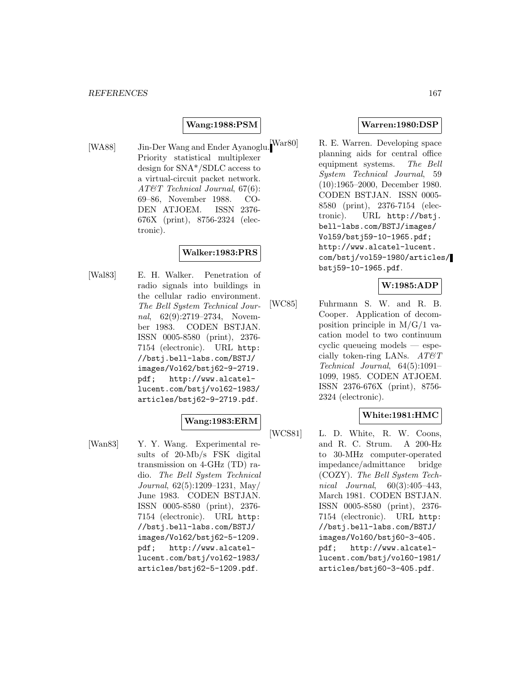### **Wang:1988:PSM**

[WA88] Jin-Der Wang and Ender Ayanoglu. War80] Priority statistical multiplexer design for SNA\*/SDLC access to a virtual-circuit packet network. AT&T Technical Journal, 67(6): 69–86, November 1988. CO-DEN ATJOEM. ISSN 2376- 676X (print), 8756-2324 (electronic).

# **Walker:1983:PRS**

[Wal83] E. H. Walker. Penetration of radio signals into buildings in the cellular radio environment. The Bell System Technical Journal, 62(9):2719–2734, November 1983. CODEN BSTJAN. ISSN 0005-8580 (print), 2376- 7154 (electronic). URL http: //bstj.bell-labs.com/BSTJ/ images/Vol62/bstj62-9-2719. pdf; http://www.alcatellucent.com/bstj/vol62-1983/ articles/bstj62-9-2719.pdf.

#### **Wang:1983:ERM**

[Wan83] Y. Y. Wang. Experimental results of 20-Mb/s FSK digital transmission on 4-GHz (TD) radio. The Bell System Technical Journal, 62(5):1209–1231, May/ June 1983. CODEN BSTJAN. ISSN 0005-8580 (print), 2376- 7154 (electronic). URL http: //bstj.bell-labs.com/BSTJ/ images/Vol62/bstj62-5-1209. pdf; http://www.alcatellucent.com/bstj/vol62-1983/ articles/bstj62-5-1209.pdf.

### **Warren:1980:DSP**

R. E. Warren. Developing space planning aids for central office equipment systems. The Bell System Technical Journal, 59 (10):1965–2000, December 1980. CODEN BSTJAN. ISSN 0005- 8580 (print), 2376-7154 (electronic). URL http://bstj. bell-labs.com/BSTJ/images/ Vol59/bstj59-10-1965.pdf; http://www.alcatel-lucent. com/bstj/vol59-1980/articles/ bstj59-10-1965.pdf.

### **W:1985:ADP**

[WC85] Fuhrmann S. W. and R. B. Cooper. Application of decomposition principle in M/G/1 vacation model to two continuum cyclic queueing models — especially token-ring LANs.  $AT\mathcal{O}T$ Technical Journal, 64(5):1091– 1099, 1985. CODEN ATJOEM. ISSN 2376-676X (print), 8756- 2324 (electronic).

### **White:1981:HMC**

[WCS81] L. D. White, R. W. Coons, and R. C. Strum. A 200-Hz to 30-MHz computer-operated impedance/admittance bridge (COZY). The Bell System Technical Journal, 60(3):405–443, March 1981. CODEN BSTJAN. ISSN 0005-8580 (print), 2376- 7154 (electronic). URL http: //bstj.bell-labs.com/BSTJ/ images/Vol60/bstj60-3-405. pdf; http://www.alcatellucent.com/bstj/vol60-1981/ articles/bstj60-3-405.pdf.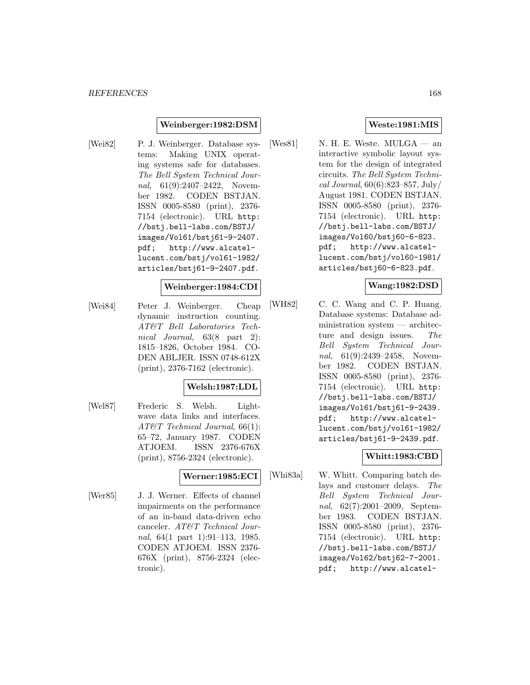#### **Weinberger:1982:DSM**

[Wei82] P. J. Weinberger. Database systems: Making UNIX operating systems safe for databases. The Bell System Technical Journal, 61(9):2407-2422, November 1982. CODEN BSTJAN. ISSN 0005-8580 (print), 2376- 7154 (electronic). URL http: //bstj.bell-labs.com/BSTJ/ images/Vol61/bstj61-9-2407. pdf; http://www.alcatellucent.com/bstj/vol61-1982/ articles/bstj61-9-2407.pdf.

#### **Weinberger:1984:CDI**

[Wei84] Peter J. Weinberger. Cheap dynamic instruction counting. AT&T Bell Laboratories Technical Journal, 63(8 part 2): 1815–1826, October 1984. CO-DEN ABLJER. ISSN 0748-612X (print), 2376-7162 (electronic).

### **Welsh:1987:LDL**

[Wel87] Frederic S. Welsh. Lightwave data links and interfaces. AT&T Technical Journal, 66(1): 65–72, January 1987. CODEN ATJOEM. ISSN 2376-676X (print), 8756-2324 (electronic).

# **Werner:1985:ECI**

[Wer85] J. J. Werner. Effects of channel impairments on the performance of an in-band data-driven echo canceler. AT&T Technical Journal, 64(1 part 1):91–113, 1985. CODEN ATJOEM. ISSN 2376- 676X (print), 8756-2324 (electronic).

### **Weste:1981:MIS**

[Wes81] N. H. E. Weste.  $MULGA$  — an interactive symbolic layout system for the design of integrated circuits. The Bell System Technical Journal, 60(6):823–857, July/ August 1981. CODEN BSTJAN. ISSN 0005-8580 (print), 2376- 7154 (electronic). URL http: //bstj.bell-labs.com/BSTJ/ images/Vol60/bstj60-6-823. pdf; http://www.alcatellucent.com/bstj/vol60-1981/ articles/bstj60-6-823.pdf.

### **Wang:1982:DSD**

[WH82] C. C. Wang and C. P. Huang. Database systems: Database administration system — architecture and design issues. The Bell System Technical Journal, 61(9):2439–2458, November 1982. CODEN BSTJAN. ISSN 0005-8580 (print), 2376- 7154 (electronic). URL http: //bstj.bell-labs.com/BSTJ/ images/Vol61/bstj61-9-2439. pdf; http://www.alcatellucent.com/bstj/vol61-1982/ articles/bstj61-9-2439.pdf.

# **Whitt:1983:CBD**

[Whi83a] W. Whitt. Comparing batch delays and customer delays. The Bell System Technical Journal, 62(7):2001–2009, September 1983. CODEN BSTJAN. ISSN 0005-8580 (print), 2376- 7154 (electronic). URL http: //bstj.bell-labs.com/BSTJ/ images/Vol62/bstj62-7-2001. pdf; http://www.alcatel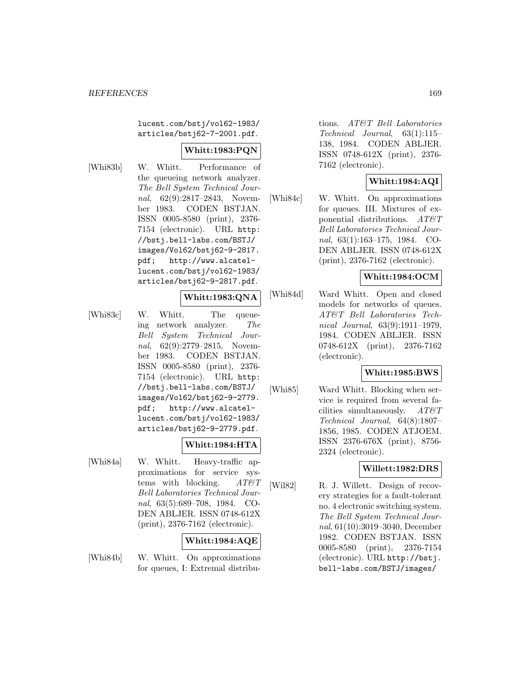lucent.com/bstj/vol62-1983/ articles/bstj62-7-2001.pdf.

### **Whitt:1983:PQN**

[Whi83b] W. Whitt. Performance of the queueing network analyzer. The Bell System Technical Journal, 62(9):2817–2843, November 1983. CODEN BSTJAN. ISSN 0005-8580 (print), 2376- 7154 (electronic). URL http: //bstj.bell-labs.com/BSTJ/ images/Vol62/bstj62-9-2817. pdf; http://www.alcatellucent.com/bstj/vol62-1983/ articles/bstj62-9-2817.pdf.

# **Whitt:1983:QNA**

[Whi83c] W. Whitt. The queueing network analyzer. The Bell System Technical Journal, 62(9):2779–2815, November 1983. CODEN BSTJAN. ISSN 0005-8580 (print), 2376- 7154 (electronic). URL http: //bstj.bell-labs.com/BSTJ/ images/Vol62/bstj62-9-2779. pdf; http://www.alcatellucent.com/bstj/vol62-1983/ articles/bstj62-9-2779.pdf.

# **Whitt:1984:HTA**

[Whi84a] W. Whitt. Heavy-traffic approximations for service systems with blocking.  $AT\&T$ Bell Laboratories Technical Journal, 63(5):689–708, 1984. CO-DEN ABLJER. ISSN 0748-612X (print), 2376-7162 (electronic).

# **Whitt:1984:AQE**

[Whi84b] W. Whitt. On approximations for queues, I: Extremal distribu-

tions. AT&T Bell Laboratories Technical Journal, 63(1):115– 138, 1984. CODEN ABLJER. ISSN 0748-612X (print), 2376- 7162 (electronic).

# **Whitt:1984:AQI**

[Whi84c] W. Whitt. On approximations for queues. III. Mixtures of exponential distributions. AT&T Bell Laboratories Technical Journal, 63(1):163–175, 1984. CO-DEN ABLJER. ISSN 0748-612X (print), 2376-7162 (electronic).

#### **Whitt:1984:OCM**

[Whi84d] Ward Whitt. Open and closed models for networks of queues. AT&T Bell Laboratories Technical Journal, 63(9):1911–1979, 1984. CODEN ABLJER. ISSN 0748-612X (print), 2376-7162 (electronic).

#### **Whitt:1985:BWS**

[Whi85] Ward Whitt. Blocking when service is required from several facilities simultaneously.  $AT \& T$ Technical Journal, 64(8):1807– 1856, 1985. CODEN ATJOEM. ISSN 2376-676X (print), 8756- 2324 (electronic).

# **Willett:1982:DRS**

[Wil82] R. J. Willett. Design of recovery strategies for a fault-tolerant no. 4 electronic switching system. The Bell System Technical Journal, 61(10):3019–3040, December 1982. CODEN BSTJAN. ISSN 0005-8580 (print), 2376-7154 (electronic). URL http://bstj. bell-labs.com/BSTJ/images/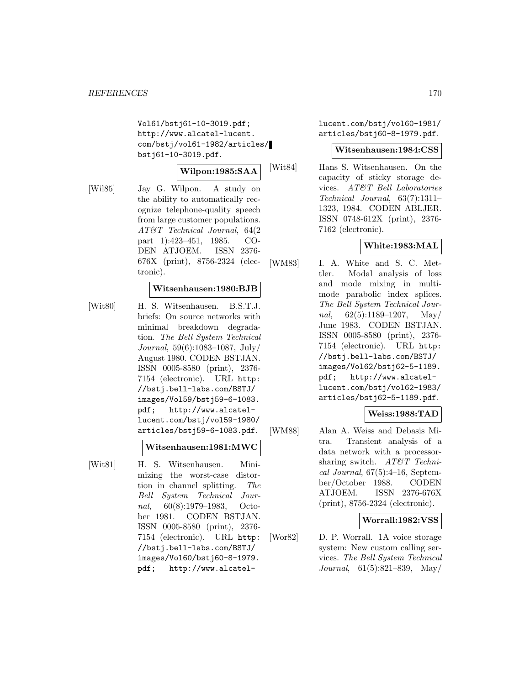Vol61/bstj61-10-3019.pdf; http://www.alcatel-lucent. com/bstj/vol61-1982/articles/ bstj61-10-3019.pdf.

### **Wilpon:1985:SAA**

[Wil85] Jay G. Wilpon. A study on the ability to automatically recognize telephone-quality speech from large customer populations. AT&T Technical Journal, 64(2 part 1):423–451, 1985. CO-DEN ATJOEM. ISSN 2376- 676X (print), 8756-2324 (electronic).

#### **Witsenhausen:1980:BJB**

[Wit80] H. S. Witsenhausen. B.S.T.J. briefs: On source networks with minimal breakdown degradation. The Bell System Technical Journal, 59(6):1083–1087, July/ August 1980. CODEN BSTJAN. ISSN 0005-8580 (print), 2376- 7154 (electronic). URL http: //bstj.bell-labs.com/BSTJ/ images/Vol59/bstj59-6-1083. pdf; http://www.alcatellucent.com/bstj/vol59-1980/ articles/bstj59-6-1083.pdf.

#### **Witsenhausen:1981:MWC**

[Wit81] H. S. Witsenhausen. Minimizing the worst-case distortion in channel splitting. The Bell System Technical Journal, 60(8):1979–1983, October 1981. CODEN BSTJAN. ISSN 0005-8580 (print), 2376- 7154 (electronic). URL http: //bstj.bell-labs.com/BSTJ/ images/Vol60/bstj60-8-1979. pdf; http://www.alcatellucent.com/bstj/vol60-1981/ articles/bstj60-8-1979.pdf.

#### **Witsenhausen:1984:CSS**

[Wit84] Hans S. Witsenhausen. On the capacity of sticky storage devices. AT&T Bell Laboratories Technical Journal, 63(7):1311– 1323, 1984. CODEN ABLJER. ISSN 0748-612X (print), 2376- 7162 (electronic).

#### **White:1983:MAL**

[WM83] I. A. White and S. C. Mettler. Modal analysis of loss and mode mixing in multimode parabolic index splices. The Bell System Technical Journal,  $62(5):1189-1207$ , May/ June 1983. CODEN BSTJAN. ISSN 0005-8580 (print), 2376- 7154 (electronic). URL http: //bstj.bell-labs.com/BSTJ/ images/Vol62/bstj62-5-1189. pdf; http://www.alcatellucent.com/bstj/vol62-1983/ articles/bstj62-5-1189.pdf.

# **Weiss:1988:TAD**

[WM88] Alan A. Weiss and Debasis Mitra. Transient analysis of a data network with a processorsharing switch. AT&T Technical Journal,  $67(5):4-16$ , September/October 1988. CODEN ATJOEM. ISSN 2376-676X (print), 8756-2324 (electronic).

#### **Worrall:1982:VSS**

[Wor82] D. P. Worrall. 1A voice storage system: New custom calling services. The Bell System Technical Journal, 61(5):821–839, May/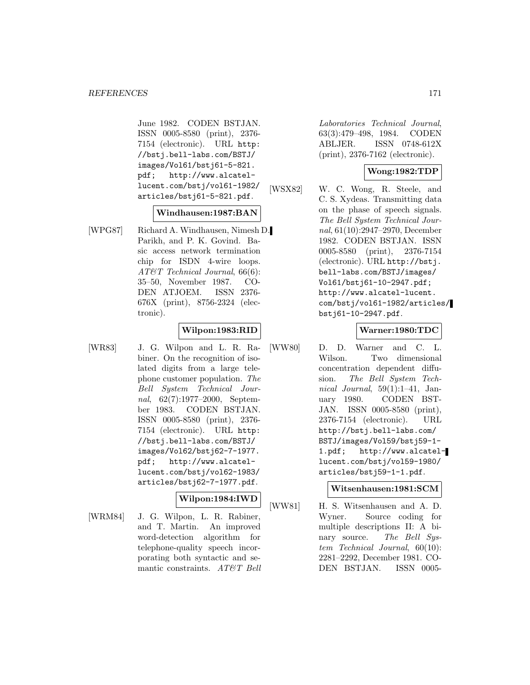June 1982. CODEN BSTJAN. ISSN 0005-8580 (print), 2376- 7154 (electronic). URL http: //bstj.bell-labs.com/BSTJ/ images/Vol61/bstj61-5-821. pdf; http://www.alcatellucent.com/bstj/vol61-1982/ articles/bstj61-5-821.pdf.

### **Windhausen:1987:BAN**

[WPG87] Richard A. Windhausen, Nimesh D. Parikh, and P. K. Govind. Basic access network termination chip for ISDN 4-wire loops. AT&T Technical Journal, 66(6): 35–50, November 1987. CO-DEN ATJOEM. ISSN 2376- 676X (print), 8756-2324 (electronic).

# **Wilpon:1983:RID**

[WR83] J. G. Wilpon and L. R. Rabiner. On the recognition of isolated digits from a large telephone customer population. The Bell System Technical Journal, 62(7):1977–2000, September 1983. CODEN BSTJAN. ISSN 0005-8580 (print), 2376- 7154 (electronic). URL http: //bstj.bell-labs.com/BSTJ/ images/Vol62/bstj62-7-1977. pdf; http://www.alcatellucent.com/bstj/vol62-1983/ articles/bstj62-7-1977.pdf.

### **Wilpon:1984:IWD**

[WRM84] J. G. Wilpon, L. R. Rabiner, and T. Martin. An improved word-detection algorithm for telephone-quality speech incorporating both syntactic and semantic constraints. AT&T Bell

Laboratories Technical Journal, 63(3):479–498, 1984. CODEN ABLJER. ISSN 0748-612X (print), 2376-7162 (electronic).

# **Wong:1982:TDP**

[WSX82] W. C. Wong, R. Steele, and C. S. Xydeas. Transmitting data on the phase of speech signals. The Bell System Technical Journal, 61(10):2947–2970, December 1982. CODEN BSTJAN. ISSN 0005-8580 (print), 2376-7154 (electronic). URL http://bstj. bell-labs.com/BSTJ/images/ Vol61/bstj61-10-2947.pdf; http://www.alcatel-lucent. com/bstj/vol61-1982/articles/ bstj61-10-2947.pdf.

### **Warner:1980:TDC**

[WW80] D. D. Warner and C. L. Wilson. Two dimensional concentration dependent diffusion. The Bell System Technical Journal,  $59(1):1-41$ , January 1980. CODEN BST-JAN. ISSN 0005-8580 (print), 2376-7154 (electronic). URL http://bstj.bell-labs.com/ BSTJ/images/Vol59/bstj59-1- 1.pdf; http://www.alcatellucent.com/bstj/vol59-1980/ articles/bstj59-1-1.pdf.

# **Witsenhausen:1981:SCM**

[WW81] H. S. Witsenhausen and A. D. Wyner. Source coding for multiple descriptions II: A binary source. The Bell System Technical Journal, 60(10): 2281–2292, December 1981. CO-DEN BSTJAN. ISSN 0005-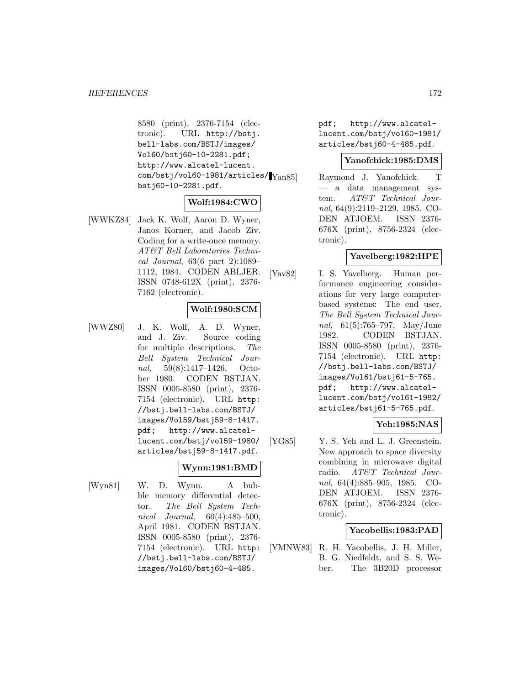8580 (print), 2376-7154 (electronic). URL http://bstj. bell-labs.com/BSTJ/images/ Vol60/bstj60-10-2281.pdf; http://www.alcatel-lucent.  $\text{com/bstj/vol60-1981/articles/|\text{Yan85}|}$ bstj60-10-2281.pdf.

# **Wolf:1984:CWO**

[WWKZ84] Jack K. Wolf, Aaron D. Wyner, Janos Korner, and Jacob Ziv. Coding for a write-once memory. AT&T Bell Laboratories Technical Journal, 63(6 part 2):1089– 1112, 1984. CODEN ABLJER. ISSN 0748-612X (print), 2376- 7162 (electronic).

### **Wolf:1980:SCM**

[WWZ80] J. K. Wolf, A. D. Wyner, and J. Ziv. Source coding for multiple descriptions. The Bell System Technical Journal, 59(8):1417–1426, October 1980. CODEN BSTJAN. ISSN 0005-8580 (print), 2376- 7154 (electronic). URL http: //bstj.bell-labs.com/BSTJ/ images/Vol59/bstj59-8-1417. pdf; http://www.alcatellucent.com/bstj/vol59-1980/ articles/bstj59-8-1417.pdf.

# **Wynn:1981:BMD**

[Wyn81] W. D. Wynn. A bubble memory differential detector. The Bell System Technical Journal, 60(4):485–500, April 1981. CODEN BSTJAN. ISSN 0005-8580 (print), 2376- 7154 (electronic). URL http: //bstj.bell-labs.com/BSTJ/ images/Vol60/bstj60-4-485.

pdf; http://www.alcatellucent.com/bstj/vol60-1981/ articles/bstj60-4-485.pdf.

# **Yanofchick:1985:DMS**

Raymond J. Yanofchick. T — a data management system. AT&T Technical Journal, 64(9):2119–2129, 1985. CO-DEN ATJOEM. ISSN 2376- 676X (print), 8756-2324 (electronic).

# **Yavelberg:1982:HPE**

[Yav82] I. S. Yavelberg. Human performance engineering considerations for very large computerbased systems: The end user. The Bell System Technical Journal, 61(5):765–797, May/June 1982. CODEN BSTJAN. ISSN 0005-8580 (print), 2376- 7154 (electronic). URL http: //bstj.bell-labs.com/BSTJ/ images/Vol61/bstj61-5-765. pdf; http://www.alcatellucent.com/bstj/vol61-1982/ articles/bstj61-5-765.pdf.

# **Yeh:1985:NAS**

[YG85] Y. S. Yeh and L. J. Greenstein. New approach to space diversity combining in microwave digital radio. AT&T Technical Journal, 64(4):885–905, 1985. CO-DEN ATJOEM. ISSN 2376- 676X (print), 8756-2324 (electronic).

#### **Yacobellis:1983:PAD**

[YMNW83] R. H. Yacobellis, J. H. Miller, B. G. Niedfeldt, and S. S. Weber. The 3B20D processor